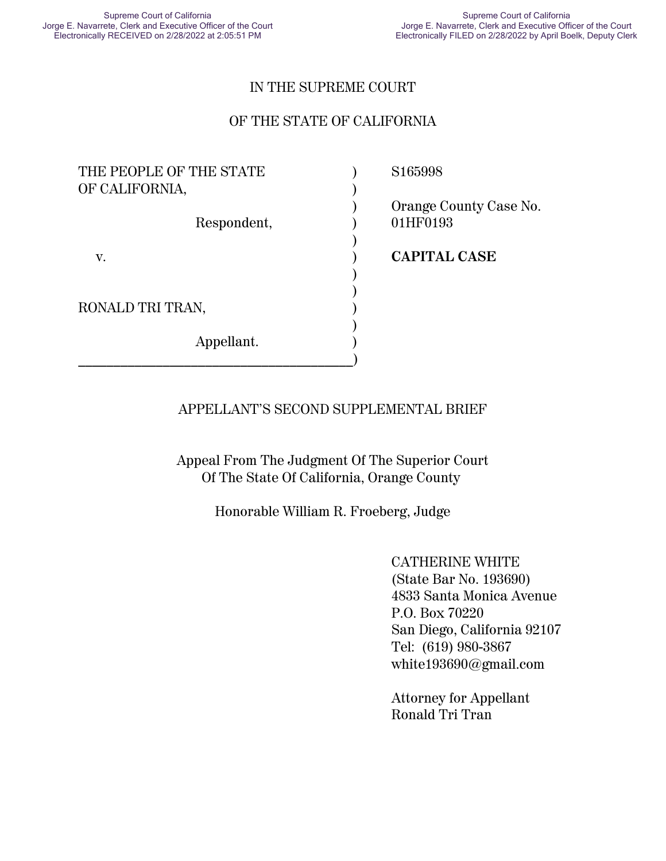### IN THE SUPREME COURT

### OF THE STATE OF CALIFORNIA

| THE PEOPLE OF THE STATE<br>OF CALIFORNIA, | S <sub>165998</sub>                |
|-------------------------------------------|------------------------------------|
| Respondent,                               | Orange County Case No.<br>01HF0193 |
| V.                                        | <b>CAPITAL CASE</b>                |
| RONALD TRI TRAN,                          |                                    |
| Appellant.                                |                                    |

### APPELLANT'S SECOND SUPPLEMENTAL BRIEF

Appeal From The Judgment Of The Superior Court Of The State Of California, Orange County

Honorable William R. Froeberg, Judge

CATHERINE WHITE (State Bar No. 193690) 4833 Santa Monica Avenue P.O. Box 70220 San Diego, California 92107 Tel: (619) 980-3867 white193690@gmail.com

Attorney for Appellant Ronald Tri Tran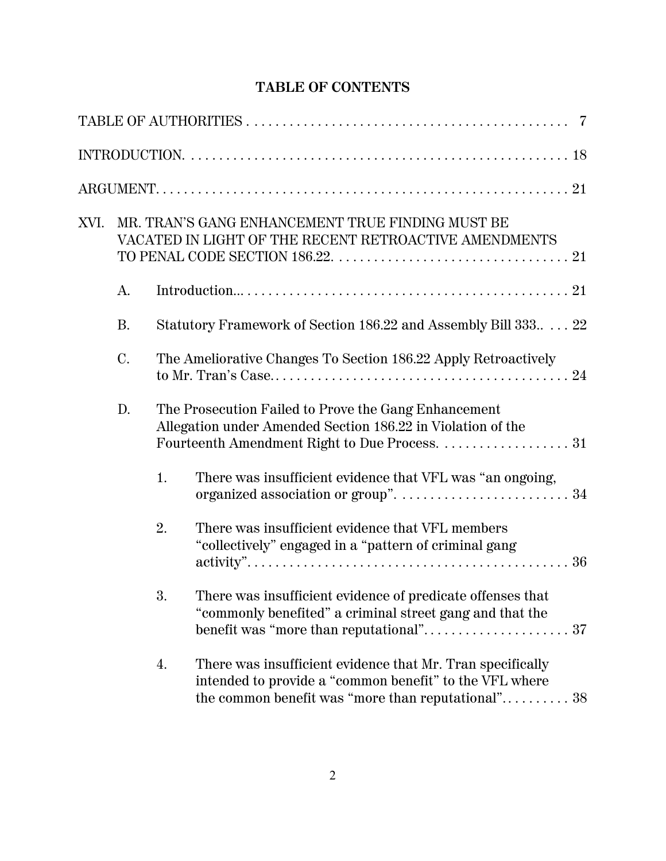# **TABLE OF CONTENTS**

| XVI. |           |    | MR. TRAN'S GANG ENHANCEMENT TRUE FINDING MUST BE<br>VACATED IN LIGHT OF THE RECENT RETROACTIVE AMENDMENTS                                                                   |
|------|-----------|----|-----------------------------------------------------------------------------------------------------------------------------------------------------------------------------|
|      | A.        |    |                                                                                                                                                                             |
|      | <b>B.</b> |    | Statutory Framework of Section 186.22 and Assembly Bill 333 22                                                                                                              |
|      | C.        |    | The Ameliorative Changes To Section 186.22 Apply Retroactively                                                                                                              |
|      | D.        |    | The Prosecution Failed to Prove the Gang Enhancement<br>Allegation under Amended Section 186.22 in Violation of the                                                         |
|      |           | 1. | There was insufficient evidence that VFL was "an ongoing,                                                                                                                   |
|      |           | 2. | There was insufficient evidence that VFL members<br>"collectively" engaged in a "pattern of criminal gang                                                                   |
|      |           | 3. | There was insufficient evidence of predicate offenses that<br>"commonly benefited" a criminal street gang and that the                                                      |
|      |           | 4. | There was insufficient evidence that Mr. Tran specifically<br>intended to provide a "common benefit" to the VFL where<br>the common benefit was "more than reputational" 38 |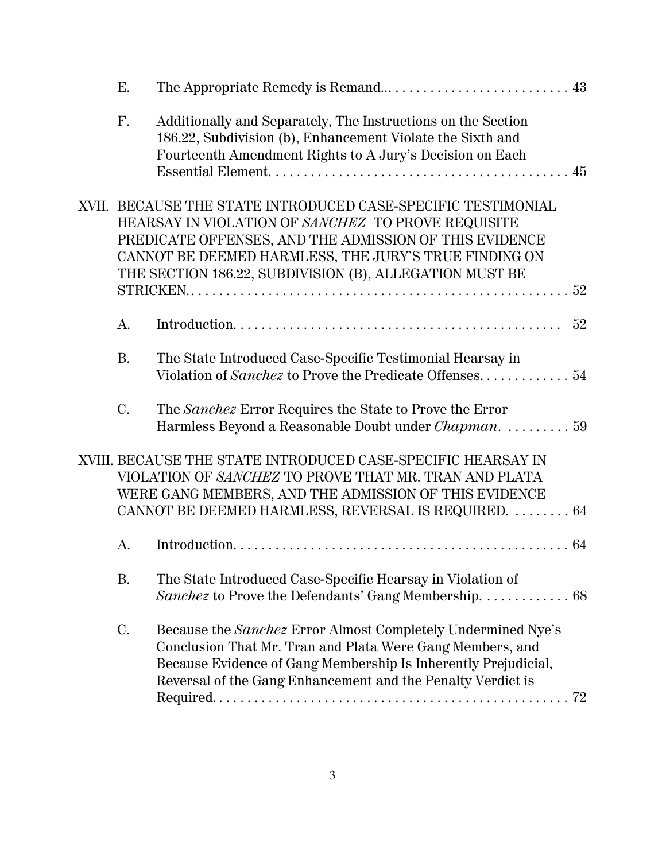| Ε.        |                                                                                                                                                                                                                                                                                                  |    |
|-----------|--------------------------------------------------------------------------------------------------------------------------------------------------------------------------------------------------------------------------------------------------------------------------------------------------|----|
| F.        | Additionally and Separately, The Instructions on the Section<br>186.22, Subdivision (b), Enhancement Violate the Sixth and<br>Fourteenth Amendment Rights to A Jury's Decision on Each                                                                                                           |    |
|           | XVII. BECAUSE THE STATE INTRODUCED CASE-SPECIFIC TESTIMONIAL<br>HEARSAY IN VIOLATION OF SANCHEZ TO PROVE REQUISITE<br>PREDICATE OFFENSES, AND THE ADMISSION OF THIS EVIDENCE<br>CANNOT BE DEEMED HARMLESS, THE JURY'S TRUE FINDING ON<br>THE SECTION 186.22, SUBDIVISION (B), ALLEGATION MUST BE |    |
| A.        |                                                                                                                                                                                                                                                                                                  | 52 |
| <b>B.</b> | The State Introduced Case-Specific Testimonial Hearsay in<br>Violation of Sanchez to Prove the Predicate Offenses 54                                                                                                                                                                             |    |
| C.        | The Sanchez Error Requires the State to Prove the Error<br>Harmless Beyond a Reasonable Doubt under <i>Chapman.</i> 59                                                                                                                                                                           |    |
|           | XVIII. BECAUSE THE STATE INTRODUCED CASE-SPECIFIC HEARSAY IN<br>VIOLATION OF SANCHEZ TO PROVE THAT MR. TRAN AND PLATA<br>WERE GANG MEMBERS, AND THE ADMISSION OF THIS EVIDENCE<br>CANNOT BE DEEMED HARMLESS, REVERSAL IS REQUIRED.  64                                                           |    |
| A.        |                                                                                                                                                                                                                                                                                                  |    |
| <b>B.</b> | The State Introduced Case-Specific Hearsay in Violation of<br>Sanchez to Prove the Defendants' Gang Membership. 68                                                                                                                                                                               |    |
| C.        | Because the Sanchez Error Almost Completely Undermined Nye's<br>Conclusion That Mr. Tran and Plata Were Gang Members, and<br>Because Evidence of Gang Membership Is Inherently Prejudicial,<br>Reversal of the Gang Enhancement and the Penalty Verdict is                                       |    |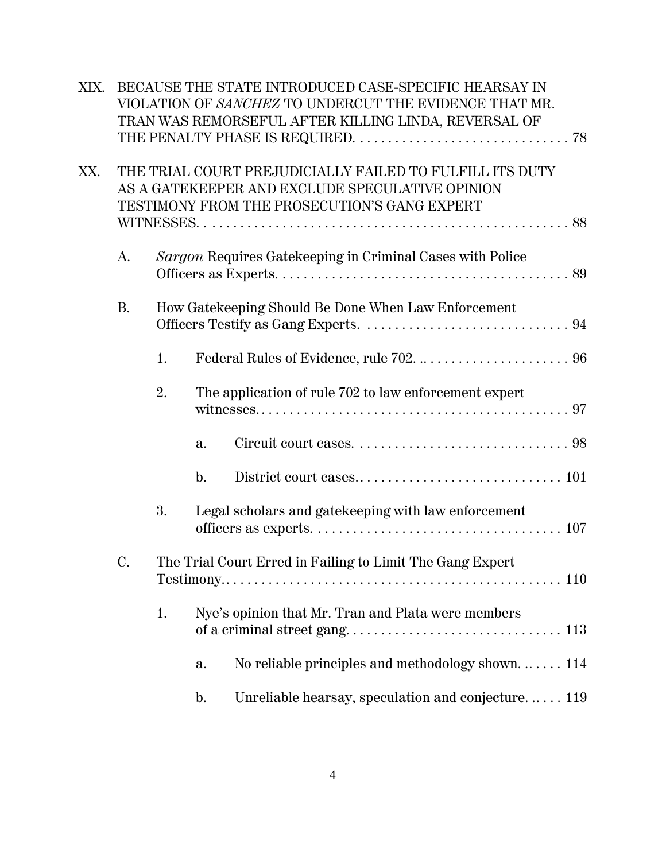| XIX. |           |    |                | BECAUSE THE STATE INTRODUCED CASE-SPECIFIC HEARSAY IN<br>VIOLATION OF SANCHEZ TO UNDERCUT THE EVIDENCE THAT MR.<br>TRAN WAS REMORSEFUL AFTER KILLING LINDA, REVERSAL OF |
|------|-----------|----|----------------|-------------------------------------------------------------------------------------------------------------------------------------------------------------------------|
| XX.  |           |    |                | THE TRIAL COURT PREJUDICIALLY FAILED TO FULFILL ITS DUTY<br>AS A GATEKEEPER AND EXCLUDE SPECULATIVE OPINION<br>TESTIMONY FROM THE PROSECUTION'S GANG EXPERT             |
|      | А.        |    |                | Sargon Requires Gatekeeping in Criminal Cases with Police                                                                                                               |
|      | <b>B.</b> |    |                | How Gatekeeping Should Be Done When Law Enforcement                                                                                                                     |
|      |           | 1. |                |                                                                                                                                                                         |
|      |           | 2. |                | The application of rule 702 to law enforcement expert                                                                                                                   |
|      |           |    | a.             |                                                                                                                                                                         |
|      |           |    | $\mathbf{b}$ . |                                                                                                                                                                         |
|      |           | 3. |                | Legal scholars and gatekeeping with law enforcement                                                                                                                     |
|      | C.        |    |                | The Trial Court Erred in Failing to Limit The Gang Expert                                                                                                               |
|      |           | 1. |                | Nye's opinion that Mr. Tran and Plata were members                                                                                                                      |
|      |           |    | a.             | No reliable principles and methodology shown $\dots$ 114                                                                                                                |
|      |           |    | $\mathbf{b}$ . | Unreliable hearsay, speculation and conjecture 119                                                                                                                      |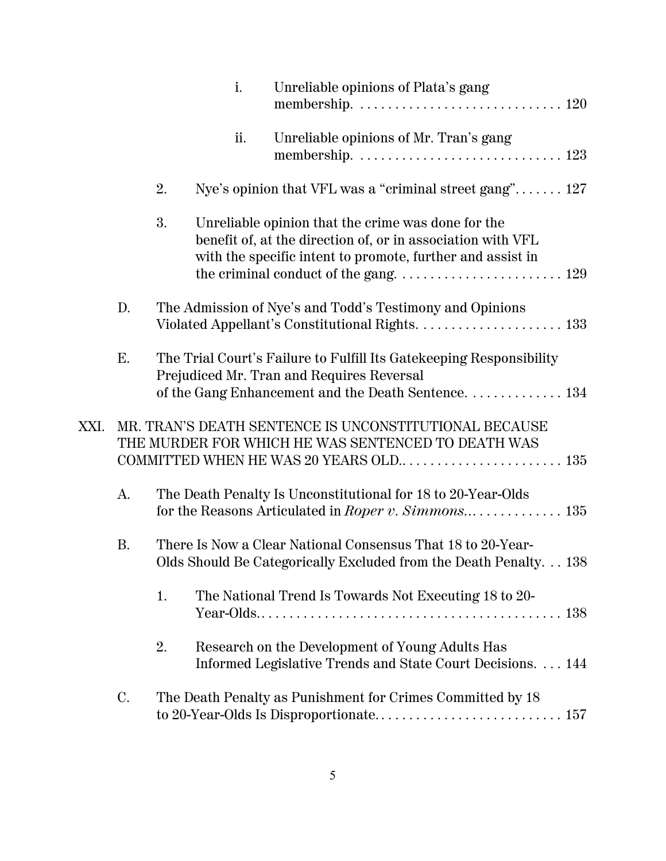|      |           |    | i.  | Unreliable opinions of Plata's gang                                                                                                                                             |
|------|-----------|----|-----|---------------------------------------------------------------------------------------------------------------------------------------------------------------------------------|
|      |           |    | ii. | Unreliable opinions of Mr. Tran's gang                                                                                                                                          |
|      |           | 2. |     | Nye's opinion that VFL was a "criminal street gang" 127                                                                                                                         |
|      |           | 3. |     | Unreliable opinion that the crime was done for the<br>benefit of, at the direction of, or in association with VFL<br>with the specific intent to promote, further and assist in |
|      | D.        |    |     | The Admission of Nye's and Todd's Testimony and Opinions                                                                                                                        |
|      | E.        |    |     | The Trial Court's Failure to Fulfill Its Gatekeeping Responsibility<br>Prejudiced Mr. Tran and Requires Reversal<br>of the Gang Enhancement and the Death Sentence. 134         |
| XXI. |           |    |     | MR. TRAN'S DEATH SENTENCE IS UNCONSTITUTIONAL BECAUSE<br>THE MURDER FOR WHICH HE WAS SENTENCED TO DEATH WAS<br>COMMITTED WHEN HE WAS 20 YEARS OLD 135                           |
|      | A.        |    |     | The Death Penalty Is Unconstitutional for 18 to 20-Year-Olds                                                                                                                    |
|      | <b>B.</b> |    |     | There Is Now a Clear National Consensus That 18 to 20-Year-<br>Olds Should Be Categorically Excluded from the Death Penalty. 138                                                |
|      |           | 1. |     | The National Trend Is Towards Not Executing 18 to 20-                                                                                                                           |
|      |           | 2. |     | Research on the Development of Young Adults Has<br>Informed Legislative Trends and State Court Decisions. 144                                                                   |
|      | C.        |    |     | The Death Penalty as Punishment for Crimes Committed by 18                                                                                                                      |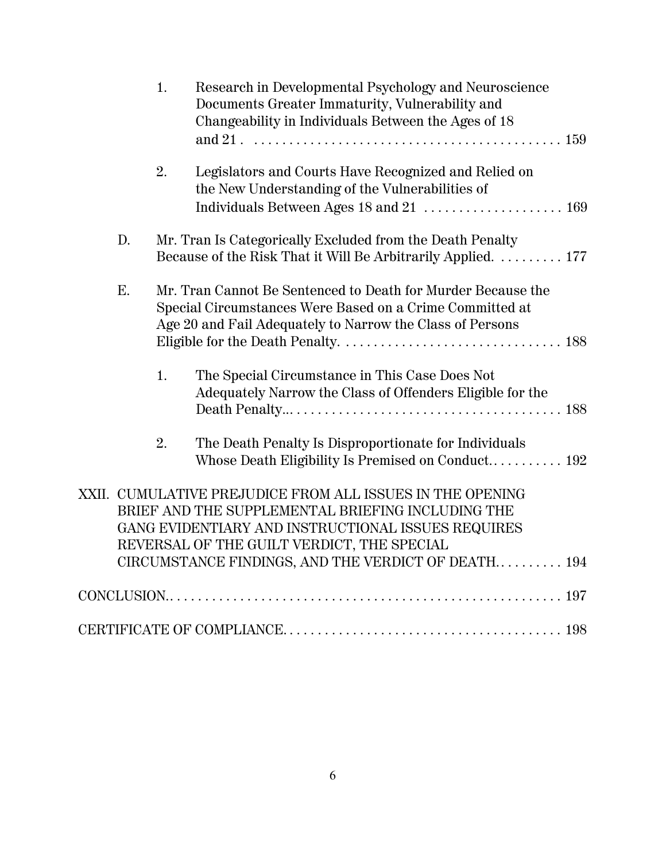|    | 1. | Research in Developmental Psychology and Neuroscience<br>Documents Greater Immaturity, Vulnerability and<br>Changeability in Individuals Between the Ages of 18                                                                                                           |
|----|----|---------------------------------------------------------------------------------------------------------------------------------------------------------------------------------------------------------------------------------------------------------------------------|
|    | 2. | Legislators and Courts Have Recognized and Relied on<br>the New Understanding of the Vulnerabilities of                                                                                                                                                                   |
| D. |    | Mr. Tran Is Categorically Excluded from the Death Penalty<br>Because of the Risk That it Will Be Arbitrarily Applied.  177                                                                                                                                                |
| Ε. |    | Mr. Tran Cannot Be Sentenced to Death for Murder Because the<br>Special Circumstances Were Based on a Crime Committed at<br>Age 20 and Fail Adequately to Narrow the Class of Persons                                                                                     |
|    | 1. | The Special Circumstance in This Case Does Not<br>Adequately Narrow the Class of Offenders Eligible for the                                                                                                                                                               |
|    | 2. | The Death Penalty Is Disproportionate for Individuals<br>Whose Death Eligibility Is Premised on Conduct 192                                                                                                                                                               |
|    |    | XXII. CUMULATIVE PREJUDICE FROM ALL ISSUES IN THE OPENING<br>BRIEF AND THE SUPPLEMENTAL BRIEFING INCLUDING THE<br>GANG EVIDENTIARY AND INSTRUCTIONAL ISSUES REQUIRES<br>REVERSAL OF THE GUILT VERDICT, THE SPECIAL<br>CIRCUMSTANCE FINDINGS, AND THE VERDICT OF DEATH 194 |
|    |    |                                                                                                                                                                                                                                                                           |
|    |    |                                                                                                                                                                                                                                                                           |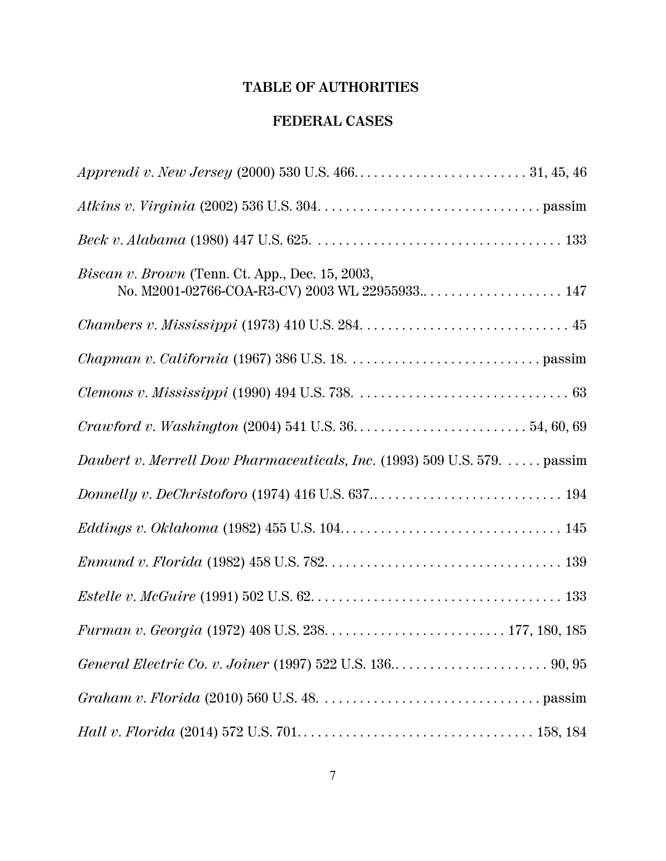# **TABLE OF AUTHORITIES**

## **FEDERAL CASES**

| <i>Biscan v. Brown</i> (Tenn. Ct. App., Dec. 15, 2003,                    |
|---------------------------------------------------------------------------|
|                                                                           |
|                                                                           |
|                                                                           |
|                                                                           |
| Daubert v. Merrell Dow Pharmaceuticals, Inc. (1993) 509 U.S. 579.  passim |
|                                                                           |
|                                                                           |
|                                                                           |
|                                                                           |
|                                                                           |
|                                                                           |
|                                                                           |
|                                                                           |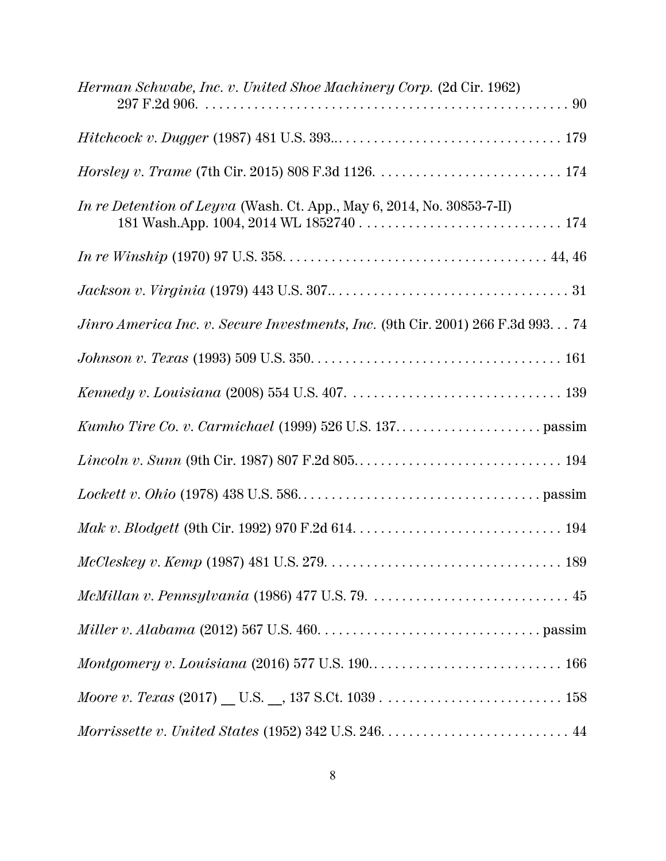| <i>Herman Schwabe, Inc. v. United Shoe Machinery Corp.</i> (2d Cir. 1962)                                                 |
|---------------------------------------------------------------------------------------------------------------------------|
|                                                                                                                           |
|                                                                                                                           |
| In re Detention of Leyva (Wash. Ct. App., May 6, 2014, No. 30853-7-II)                                                    |
|                                                                                                                           |
|                                                                                                                           |
| Jinro America Inc. v. Secure Investments, Inc. (9th Cir. 2001) 266 F.3d 993 74                                            |
|                                                                                                                           |
|                                                                                                                           |
|                                                                                                                           |
|                                                                                                                           |
|                                                                                                                           |
|                                                                                                                           |
| $McCleskey v. Kemp (1987) 481 U.S. 279. \ldots \ldots \ldots \ldots \ldots \ldots \ldots \ldots \ldots \ldots \ldots 189$ |
|                                                                                                                           |
|                                                                                                                           |
|                                                                                                                           |
|                                                                                                                           |
|                                                                                                                           |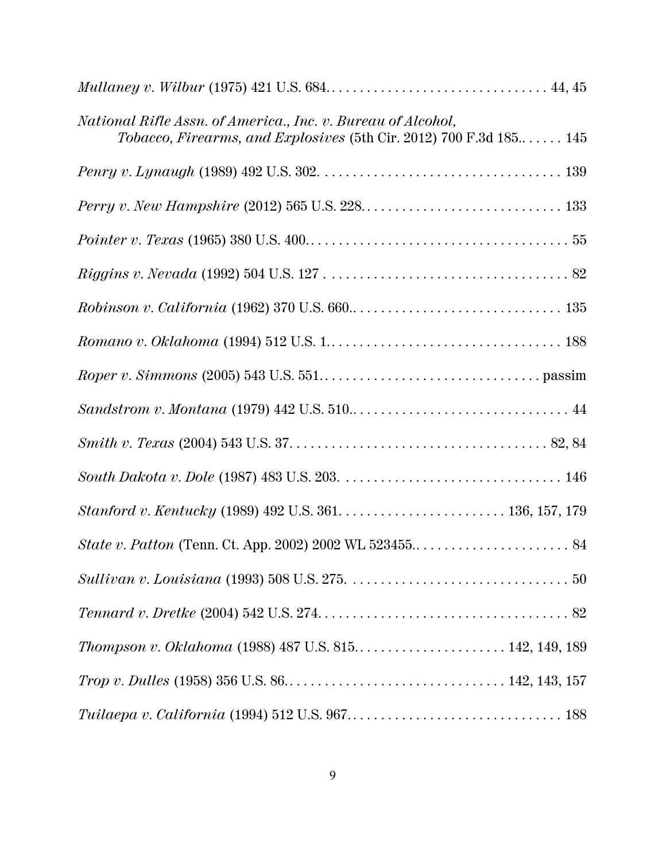| National Rifle Assn. of America., Inc. v. Bureau of Alcohol,<br>Tobacco, Firearms, and Explosives (5th Cir. 2012) 700 F.3d 185 145 |  |
|------------------------------------------------------------------------------------------------------------------------------------|--|
|                                                                                                                                    |  |
|                                                                                                                                    |  |
|                                                                                                                                    |  |
|                                                                                                                                    |  |
|                                                                                                                                    |  |
|                                                                                                                                    |  |
|                                                                                                                                    |  |
|                                                                                                                                    |  |
|                                                                                                                                    |  |
|                                                                                                                                    |  |
|                                                                                                                                    |  |
|                                                                                                                                    |  |
|                                                                                                                                    |  |
|                                                                                                                                    |  |
| Thompson v. Oklahoma (1988) 487 U.S. 815 142, 149, 189                                                                             |  |
|                                                                                                                                    |  |
|                                                                                                                                    |  |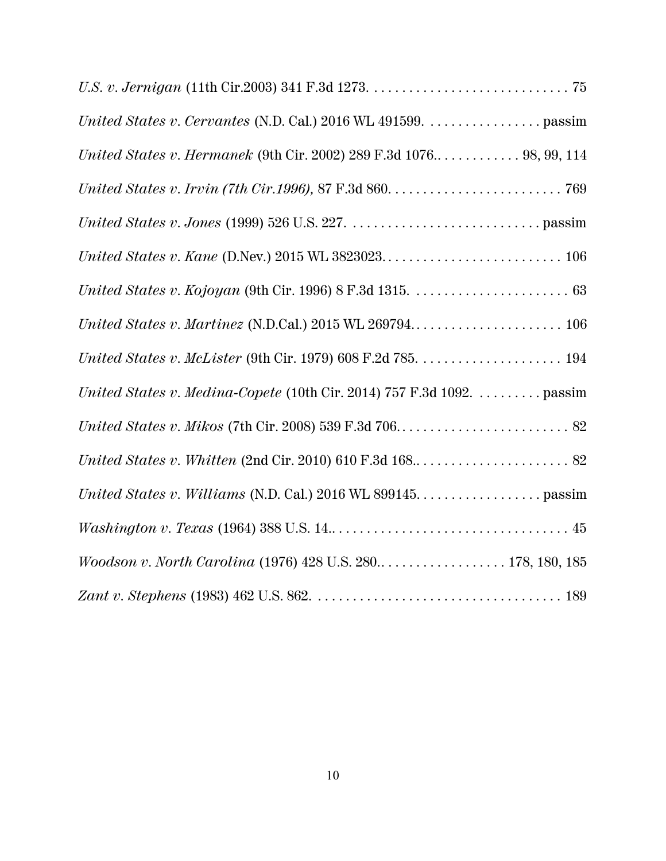| United States v. Cervantes (N.D. Cal.) 2016 WL 491599. passim         |
|-----------------------------------------------------------------------|
| United States v. Hermanek (9th Cir. 2002) 289 F.3d 1076 98, 99, 114   |
|                                                                       |
|                                                                       |
|                                                                       |
|                                                                       |
|                                                                       |
|                                                                       |
| United States v. Medina-Copete (10th Cir. 2014) 757 F.3d 1092. passim |
|                                                                       |
|                                                                       |
|                                                                       |
|                                                                       |
| Woodson v. North Carolina (1976) 428 U.S. 280 178, 180, 185           |
|                                                                       |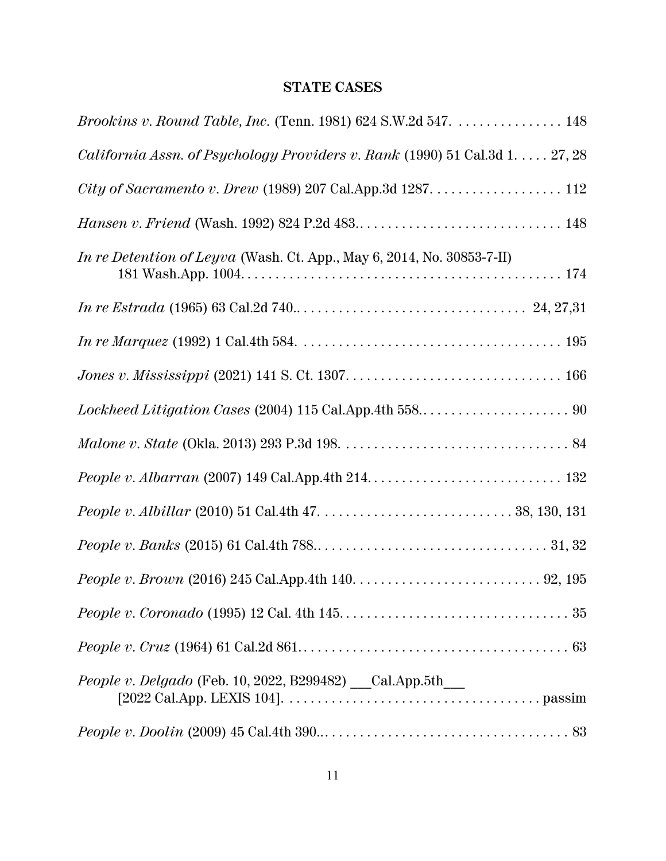# **STATE CASES**

| <i>Brookins v. Round Table, Inc.</i> (Tenn. 1981) 624 S.W.2d 547. 148                          |
|------------------------------------------------------------------------------------------------|
| <i>California Assn. of Psychology Providers v. Rank</i> (1990) $51$ Cal.3d $1. \ldots. 27, 28$ |
| City of Sacramento v. Drew (1989) 207 Cal.App.3d 1287. 112                                     |
|                                                                                                |
| <i>In re Detention of Leyva</i> (Wash. Ct. App., May 6, 2014, No. 30853-7-II)                  |
|                                                                                                |
|                                                                                                |
|                                                                                                |
|                                                                                                |
|                                                                                                |
|                                                                                                |
|                                                                                                |
|                                                                                                |
|                                                                                                |
|                                                                                                |
|                                                                                                |
| People v. Delgado (Feb. 10, 2022, B299482) __Cal.App.5th__                                     |
|                                                                                                |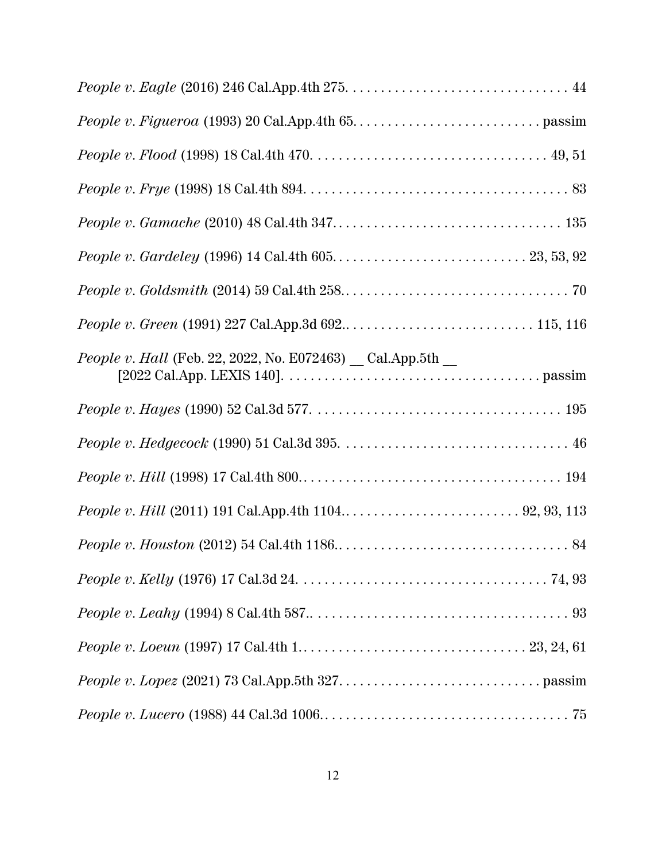| People v. Hall (Feb. 22, 2022, No. E072463) _ Cal.App.5th _ |  |
|-------------------------------------------------------------|--|
|                                                             |  |
|                                                             |  |
|                                                             |  |
|                                                             |  |
|                                                             |  |
|                                                             |  |
|                                                             |  |
|                                                             |  |
|                                                             |  |
|                                                             |  |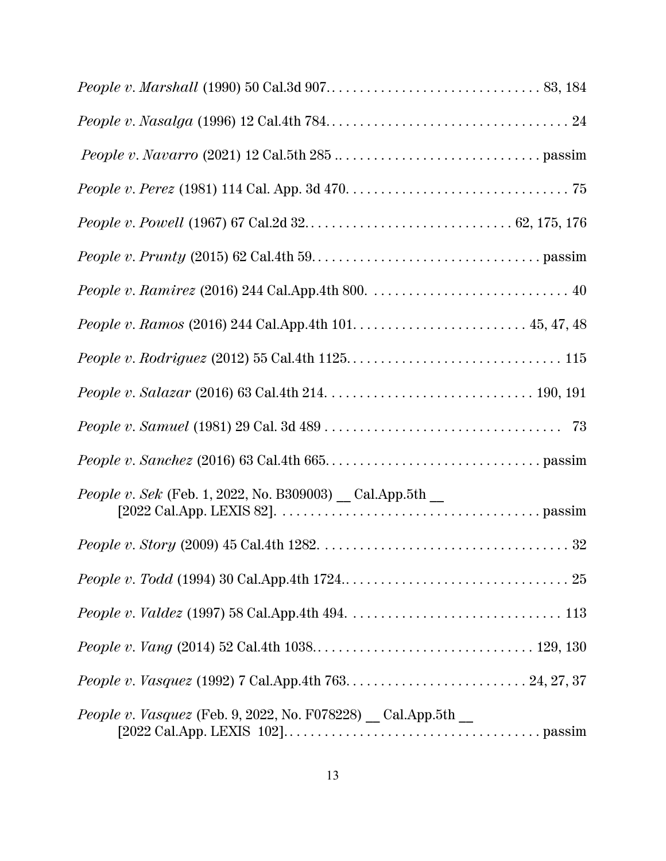| <i>People v. Sek</i> (Feb. 1, 2022, No. B309003) $\_$ Cal.App.5th $\_$ |
|------------------------------------------------------------------------|
|                                                                        |
|                                                                        |
|                                                                        |
|                                                                        |
|                                                                        |
| <i>People v. Vasquez</i> (Feb. 9, 2022, No. F078228) Cal.App.5th _     |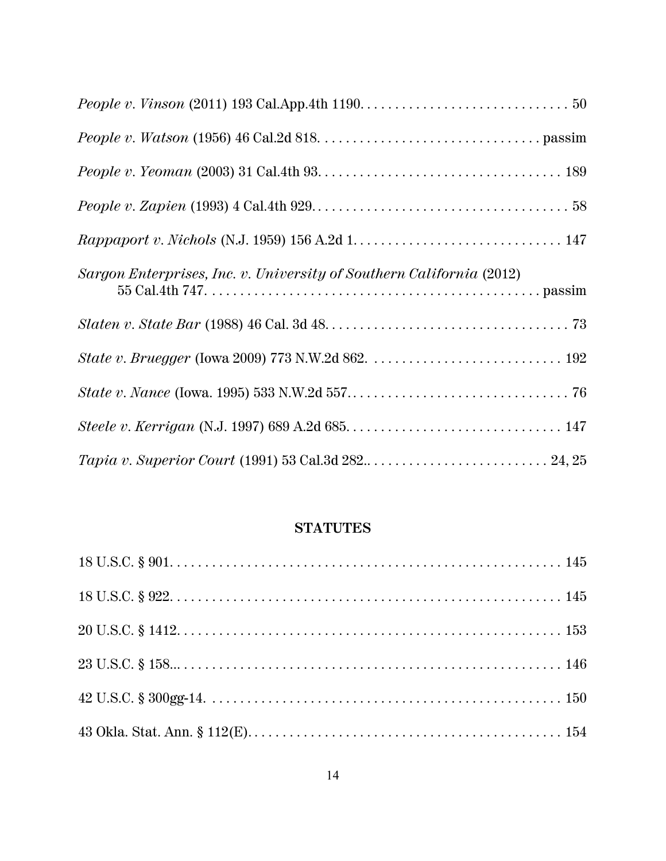| Sargon Enterprises, Inc. v. University of Southern California (2012) |
|----------------------------------------------------------------------|
|                                                                      |
|                                                                      |
|                                                                      |
|                                                                      |
|                                                                      |

## **STATUTES**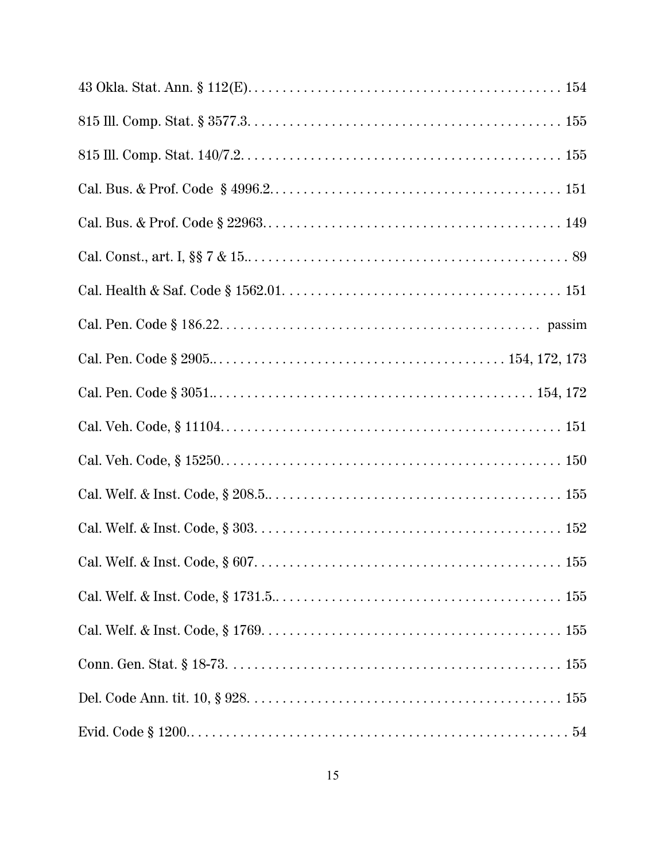| 155 |
|-----|
|     |
|     |
|     |
|     |
|     |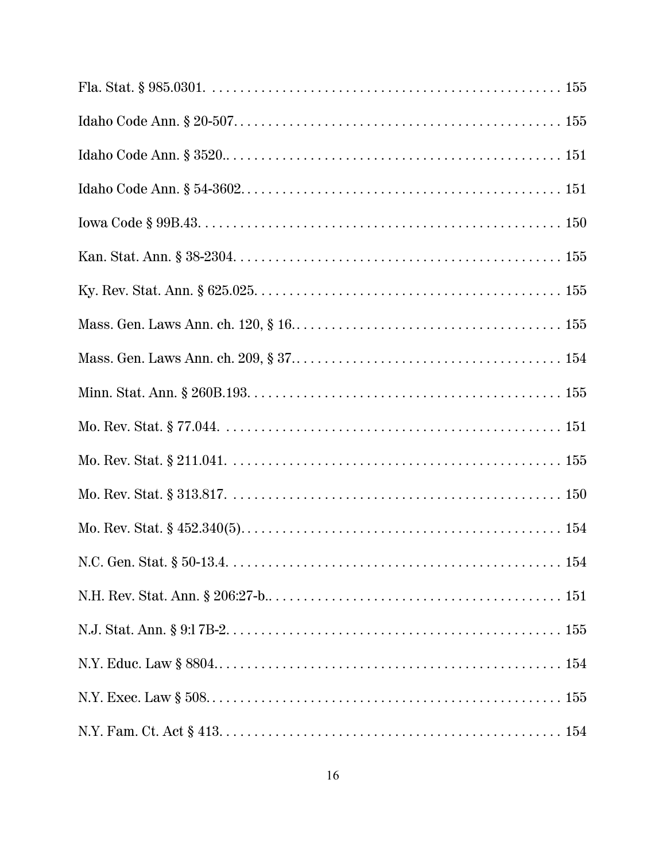| Mass. Gen. Laws Ann. ch. $120, \S 16, \ldots, \ldots, \ldots, \ldots, \ldots, \ldots, \ldots, \ldots, 155$ |
|------------------------------------------------------------------------------------------------------------|
|                                                                                                            |
|                                                                                                            |
|                                                                                                            |
|                                                                                                            |
|                                                                                                            |
|                                                                                                            |
| 154                                                                                                        |
|                                                                                                            |
|                                                                                                            |
|                                                                                                            |
|                                                                                                            |
|                                                                                                            |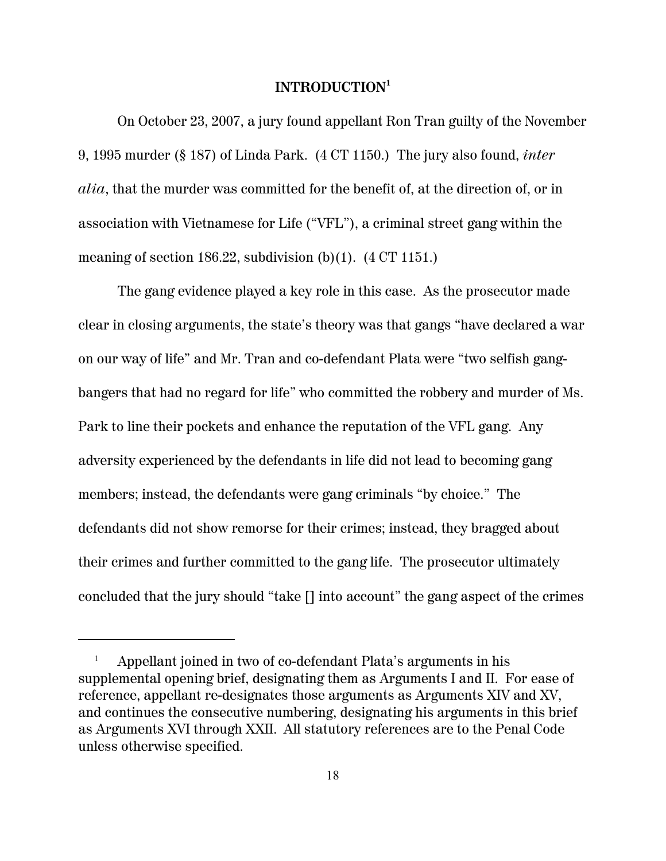### **INTRODUCTION<sup>1</sup>**

On October 23, 2007, a jury found appellant Ron Tran guilty of the November 9, 1995 murder (§ 187) of Linda Park. (4 CT 1150.) The jury also found, *inter alia*, that the murder was committed for the benefit of, at the direction of, or in association with Vietnamese for Life ("VFL"), a criminal street gang within the meaning of section 186.22, subdivision  $(b)(1)$ .  $(4 \text{ CT } 1151)$ .

The gang evidence played a key role in this case. As the prosecutor made clear in closing arguments, the state's theory was that gangs "have declared a war on our way of life" and Mr. Tran and co-defendant Plata were "two selfish gangbangers that had no regard for life" who committed the robbery and murder of Ms. Park to line their pockets and enhance the reputation of the VFL gang. Any adversity experienced by the defendants in life did not lead to becoming gang members; instead, the defendants were gang criminals "by choice." The defendants did not show remorse for their crimes; instead, they bragged about their crimes and further committed to the gang life. The prosecutor ultimately concluded that the jury should "take [] into account" the gang aspect of the crimes

<sup>1</sup> Appellant joined in two of co-defendant Plata's arguments in his supplemental opening brief, designating them as Arguments I and II. For ease of reference, appellant re-designates those arguments as Arguments XIV and XV, and continues the consecutive numbering, designating his arguments in this brief as Arguments XVI through XXII. All statutory references are to the Penal Code unless otherwise specified.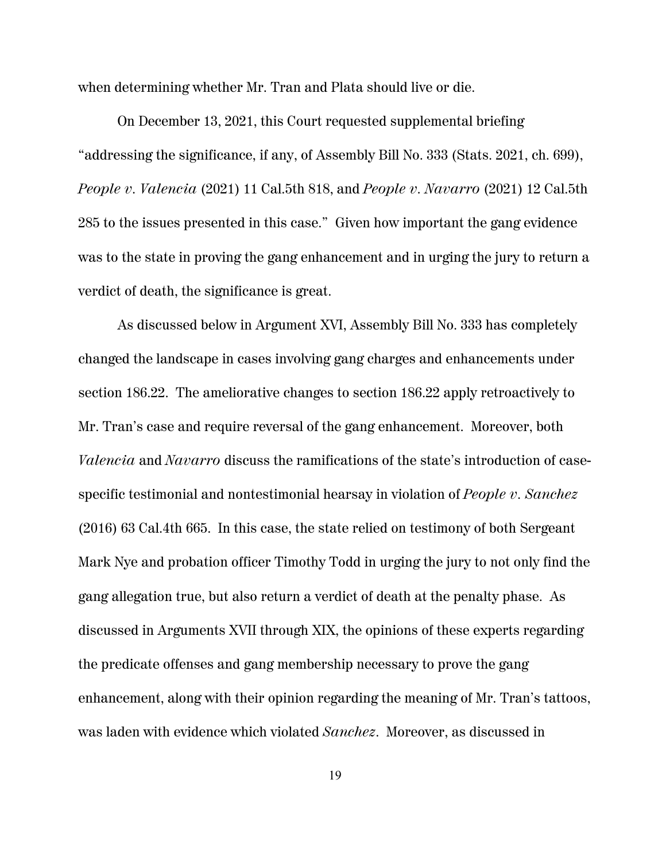when determining whether Mr. Tran and Plata should live or die.

On December 13, 2021, this Court requested supplemental briefing "addressing the significance, if any, of Assembly Bill No. 333 (Stats. 2021, ch. 699), *People v. Valencia* (2021) 11 Cal.5th 818, and *People v. Navarro* (2021) 12 Cal.5th 285 to the issues presented in this case."Given how important the gang evidence was to the state in proving the gang enhancement and in urging the jury to return a verdict of death, the significance is great.

As discussed below in Argument XVI, Assembly Bill No. 333 has completely changed the landscape in cases involving gang charges and enhancements under section 186.22. The ameliorative changes to section 186.22 apply retroactively to Mr. Tran's case and require reversal of the gang enhancement. Moreover, both *Valencia* and *Navarro* discuss the ramifications of the state's introduction of casespecific testimonial and nontestimonial hearsay in violation of *People v. Sanchez* (2016) 63 Cal.4th 665. In this case, the state relied on testimony of both Sergeant Mark Nye and probation officer Timothy Todd in urging the jury to not only find the gang allegation true, but also return a verdict of death at the penalty phase. As discussed in Arguments XVII through XIX, the opinions of these experts regarding the predicate offenses and gang membership necessary to prove the gang enhancement, along with their opinion regarding the meaning of Mr. Tran's tattoos, was laden with evidence which violated *Sanchez*. Moreover, as discussed in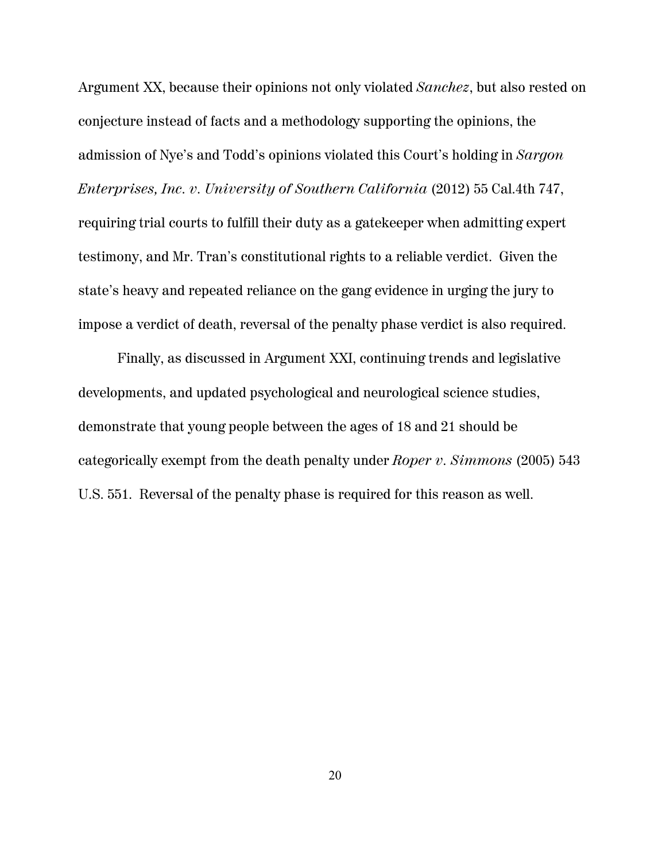Argument XX, because their opinions not only violated *Sanchez*, but also rested on conjecture instead of facts and a methodology supporting the opinions, the admission of Nye's and Todd's opinions violated this Court's holding in *Sargon Enterprises, Inc. v. University of Southern California* (2012) 55 Cal.4th 747, requiring trial courts to fulfill their duty as a gatekeeper when admitting expert testimony, and Mr. Tran's constitutional rights to a reliable verdict. Given the state's heavy and repeated reliance on the gang evidence in urging the jury to impose a verdict of death, reversal of the penalty phase verdict is also required.

Finally, as discussed in Argument XXI, continuing trends and legislative developments, and updated psychological and neurological science studies, demonstrate that young people between the ages of 18 and 21 should be categorically exempt from the death penalty under *Roper v. Simmons* (2005) 543 U.S. 551. Reversal of the penalty phase is required for this reason as well.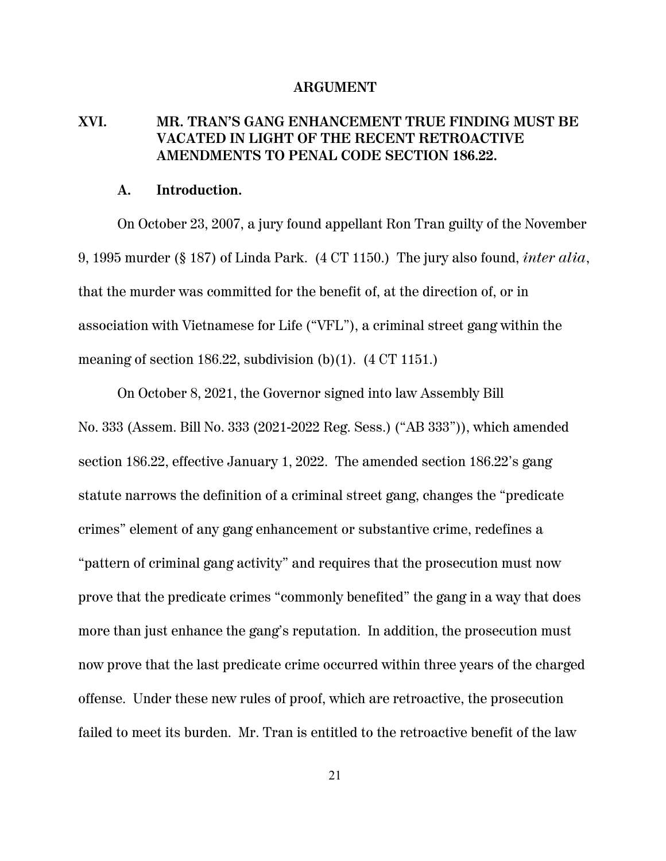#### **ARGUMENT**

## **XVI. MR. TRAN'S GANG ENHANCEMENT TRUE FINDING MUST BE VACATED IN LIGHT OF THE RECENT RETROACTIVE AMENDMENTS TO PENAL CODE SECTION 186.22.**

### **A. Introduction.**

On October 23, 2007, a jury found appellant Ron Tran guilty of the November 9, 1995 murder (§ 187) of Linda Park. (4 CT 1150.) The jury also found, *inter alia*, that the murder was committed for the benefit of, at the direction of, or in association with Vietnamese for Life ("VFL"), a criminal street gang within the meaning of section 186.22, subdivision (b)(1).  $(4 \text{ CT } 1151.)$ 

On October 8, 2021, the Governor signed into law Assembly Bill No. 333 (Assem. Bill No. 333 (2021-2022 Reg. Sess.) ("AB 333")), which amended section 186.22, effective January 1, 2022. The amended section 186.22's gang statute narrows the definition of a criminal street gang, changes the "predicate crimes" element of any gang enhancement or substantive crime, redefines a "pattern of criminal gang activity" and requires that the prosecution must now prove that the predicate crimes "commonly benefited" the gang in a way that does more than just enhance the gang's reputation. In addition, the prosecution must now prove that the last predicate crime occurred within three years of the charged offense. Under these new rules of proof, which are retroactive, the prosecution failed to meet its burden. Mr. Tran is entitled to the retroactive benefit of the law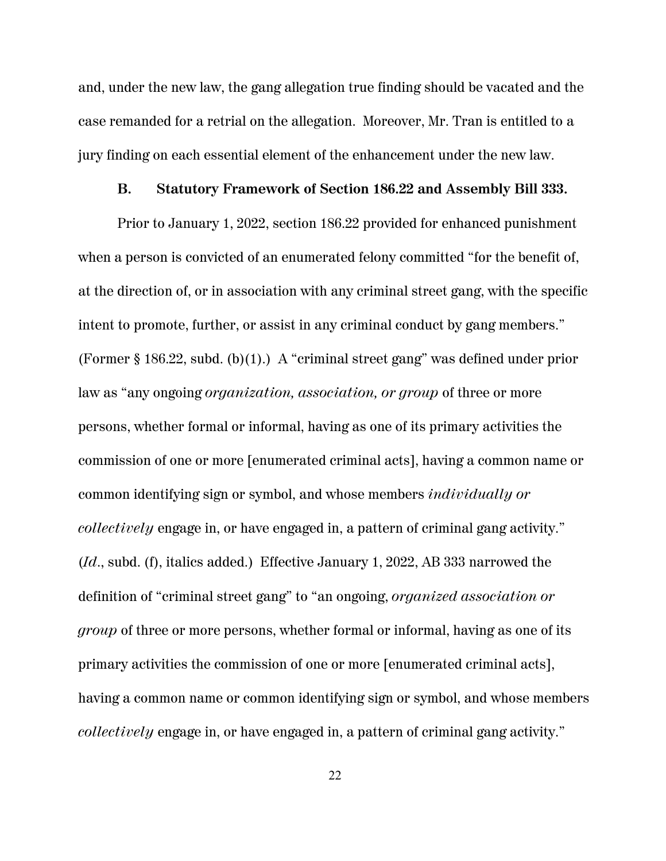and, under the new law, the gang allegation true finding should be vacated and the case remanded for a retrial on the allegation. Moreover, Mr. Tran is entitled to a jury finding on each essential element of the enhancement under the new law.

### **B. Statutory Framework of Section 186.22 and Assembly Bill 333.**

Prior to January 1, 2022, section 186.22 provided for enhanced punishment when a person is convicted of an enumerated felony committed "for the benefit of, at the direction of, or in association with any criminal street gang, with the specific intent to promote, further, or assist in any criminal conduct by gang members." (Former § 186.22, subd. (b)(1).) A "criminal street gang" was defined under prior law as "any ongoing *organization, association, or group* of three or more persons, whether formal or informal, having as one of its primary activities the commission of one or more [enumerated criminal acts], having a common name or common identifying sign or symbol, and whose members *individually or collectively* engage in, or have engaged in, a pattern of criminal gang activity." (*Id*., subd. (f), italics added.) Effective January 1, 2022, AB 333 narrowed the definition of "criminal street gang" to "an ongoing, *organized association or group* of three or more persons, whether formal or informal, having as one of its primary activities the commission of one or more [enumerated criminal acts], having a common name or common identifying sign or symbol, and whose members *collectively* engage in, or have engaged in, a pattern of criminal gang activity."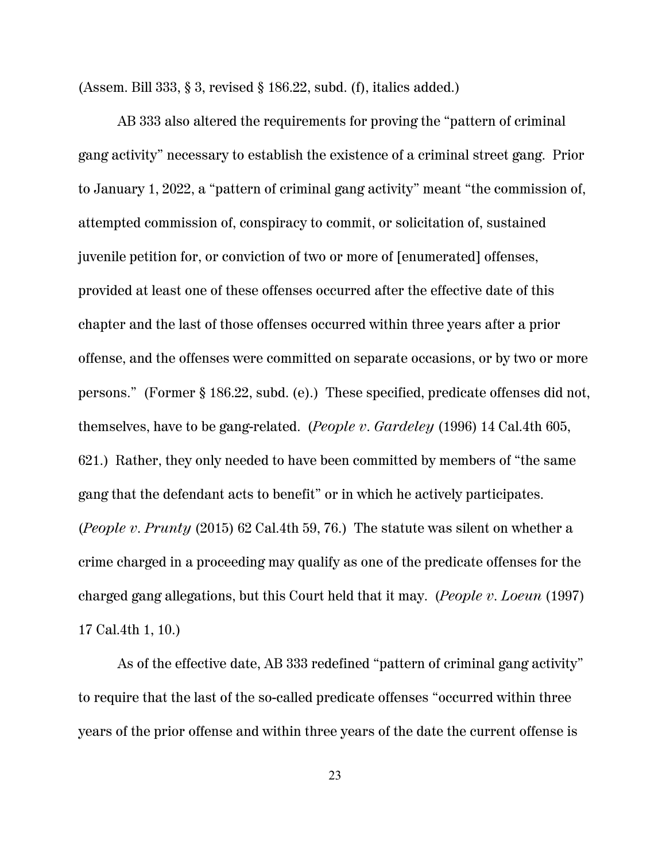(Assem. Bill 333, § 3, revised § 186.22, subd. (f), italics added.)

AB 333 also altered the requirements for proving the "pattern of criminal gang activity" necessary to establish the existence of a criminal street gang. Prior to January 1, 2022, a "pattern of criminal gang activity" meant "the commission of, attempted commission of, conspiracy to commit, or solicitation of, sustained juvenile petition for, or conviction of two or more of [enumerated] offenses, provided at least one of these offenses occurred after the effective date of this chapter and the last of those offenses occurred within three years after a prior offense, and the offenses were committed on separate occasions, or by two or more persons." (Former § 186.22, subd. (e).) These specified, predicate offenses did not, themselves, have to be gang-related. (*People v. Gardeley* (1996) 14 Cal.4th 605, 621.) Rather, they only needed to have been committed by members of "the same gang that the defendant acts to benefit" or in which he actively participates. (*People v. Prunty* (2015) 62 Cal.4th 59, 76.) The statute was silent on whether a crime charged in a proceeding may qualify as one of the predicate offenses for the charged gang allegations, but this Court held that it may. (*People v. Loeun* (1997) 17 Cal.4th 1, 10.)

As of the effective date, AB 333 redefined "pattern of criminal gang activity" to require that the last of the so-called predicate offenses "occurred within three years of the prior offense and within three years of the date the current offense is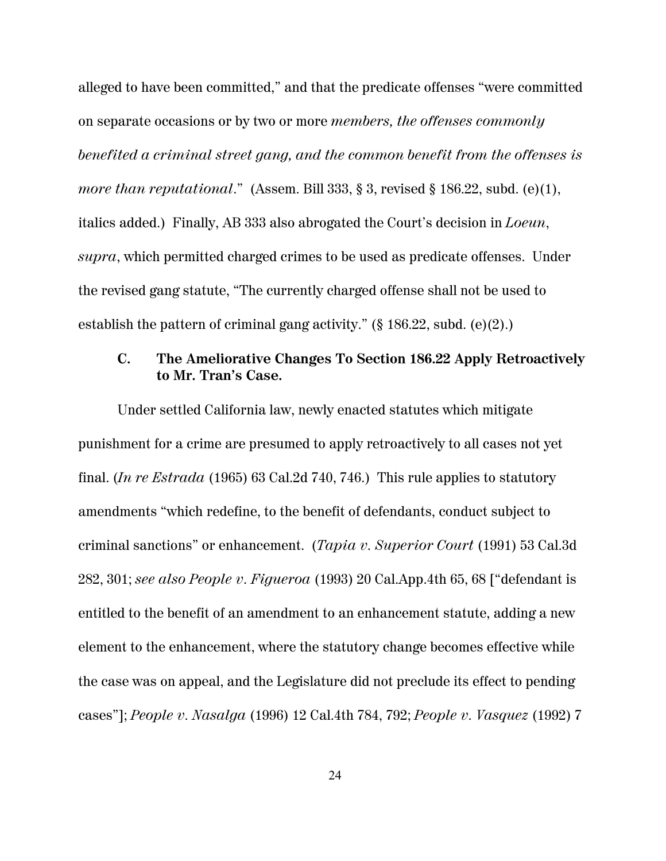alleged to have been committed," and that the predicate offenses "were committed on separate occasions or by two or more *members, the offenses commonly benefited a criminal street gang, and the common benefit from the offenses is more than reputational.*" (Assem. Bill 333, § 3, revised § 186.22, subd. (e)(1), italics added.) Finally, AB 333 also abrogated the Court's decision in *Loeun*, *supra*, which permitted charged crimes to be used as predicate offenses. Under the revised gang statute, "The currently charged offense shall not be used to establish the pattern of criminal gang activity." (§ 186.22, subd. (e)(2).)

## **C. The Ameliorative Changes To Section 186.22 Apply Retroactively to Mr. Tran's Case.**

Under settled California law, newly enacted statutes which mitigate punishment for a crime are presumed to apply retroactively to all cases not yet final. (*In re Estrada* (1965) 63 Cal.2d 740, 746.) This rule applies to statutory amendments "which redefine, to the benefit of defendants, conduct subject to criminal sanctions" or enhancement. (*Tapia v. Superior Court* (1991) 53 Cal.3d 282, 301; *see also People v. Figueroa* (1993) 20 Cal.App.4th 65, 68 ["defendant is entitled to the benefit of an amendment to an enhancement statute, adding a new element to the enhancement, where the statutory change becomes effective while the case was on appeal, and the Legislature did not preclude its effect to pending cases"]; *People v. Nasalga* (1996) 12 Cal.4th 784, 792; *People v. Vasquez* (1992) 7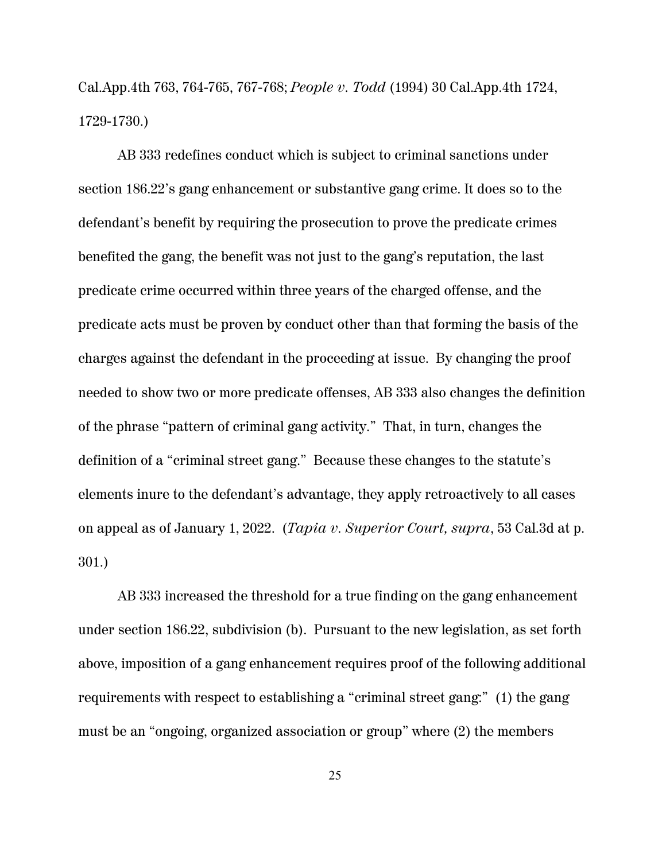Cal.App.4th 763, 764-765, 767-768; *People v. Todd* (1994) 30 Cal.App.4th 1724, 1729-1730.)

AB 333 redefines conduct which is subject to criminal sanctions under section 186.22's gang enhancement or substantive gang crime. It does so to the defendant's benefit by requiring the prosecution to prove the predicate crimes benefited the gang, the benefit was not just to the gang's reputation, the last predicate crime occurred within three years of the charged offense, and the predicate acts must be proven by conduct other than that forming the basis of the charges against the defendant in the proceeding at issue. By changing the proof needed to show two or more predicate offenses, AB 333 also changes the definition of the phrase "pattern of criminal gang activity." That, in turn, changes the definition of a "criminal street gang." Because these changes to the statute's elements inure to the defendant's advantage, they apply retroactively to all cases on appeal as of January 1, 2022. (*Tapia v. Superior Court, supra*, 53 Cal.3d at p. 301.)

AB 333 increased the threshold for a true finding on the gang enhancement under section 186.22, subdivision (b). Pursuant to the new legislation, as set forth above, imposition of a gang enhancement requires proof of the following additional requirements with respect to establishing a "criminal street gang:" (1) the gang must be an "ongoing, organized association or group" where (2) the members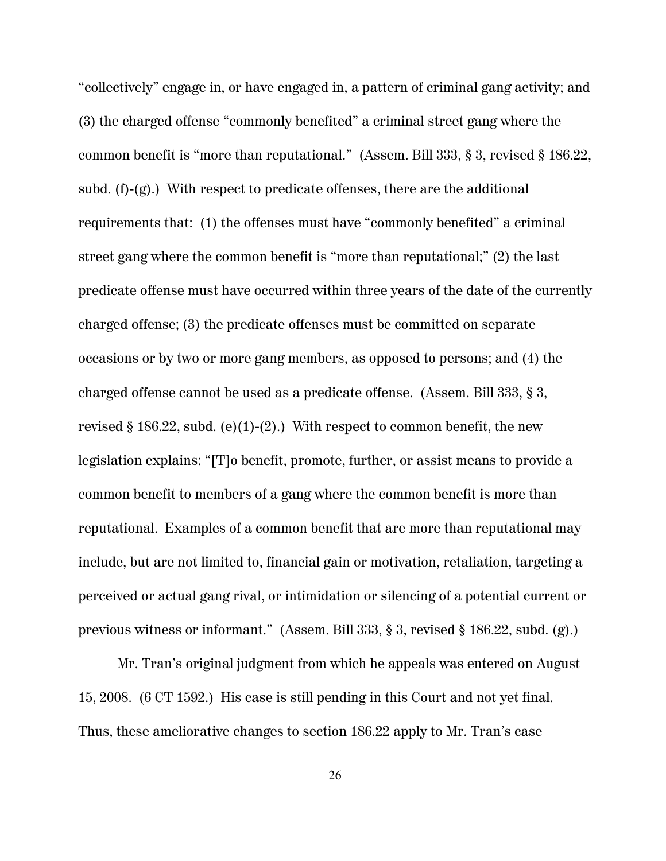"collectively" engage in, or have engaged in, a pattern of criminal gang activity; and (3) the charged offense "commonly benefited" a criminal street gang where the common benefit is "more than reputational." (Assem. Bill 333, § 3, revised § 186.22, subd. (f)-(g).) With respect to predicate offenses, there are the additional requirements that: (1) the offenses must have "commonly benefited" a criminal street gang where the common benefit is "more than reputational;" (2) the last predicate offense must have occurred within three years of the date of the currently charged offense; (3) the predicate offenses must be committed on separate occasions or by two or more gang members, as opposed to persons; and (4) the charged offense cannot be used as a predicate offense. (Assem. Bill 333, § 3, revised § 186.22, subd. (e)(1)-(2).) With respect to common benefit, the new legislation explains: "[T]o benefit, promote, further, or assist means to provide a common benefit to members of a gang where the common benefit is more than reputational. Examples of a common benefit that are more than reputational may include, but are not limited to, financial gain or motivation, retaliation, targeting a perceived or actual gang rival, or intimidation or silencing of a potential current or previous witness or informant." (Assem. Bill 333, § 3, revised § 186.22, subd. (g).)

Mr. Tran's original judgment from which he appeals was entered on August 15, 2008. (6 CT 1592.) His case is still pending in this Court and not yet final. Thus, these ameliorative changes to section 186.22 apply to Mr. Tran's case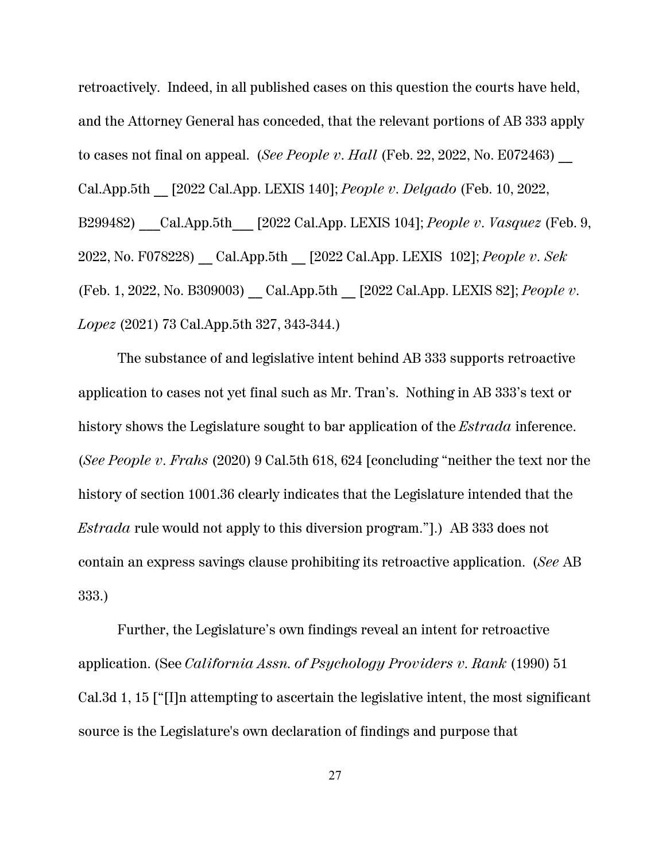retroactively. Indeed, in all published cases on this question the courts have held, and the Attorney General has conceded, that the relevant portions of AB 333 apply to cases not final on appeal. (*See People v. Hall* (Feb. 22, 2022, No. E072463) Cal.App.5th \_\_ [2022 Cal.App. LEXIS 140]; *People v. Delgado* (Feb. 10, 2022, B299482) \_\_\_Cal.App.5th\_\_\_ [2022 Cal.App. LEXIS 104]; *People v. Vasquez* (Feb. 9, 2022, No. F078228) \_\_ Cal.App.5th \_\_ [2022 Cal.App. LEXIS 102]; *People v. Sek* (Feb. 1, 2022, No. B309003) \_\_ Cal.App.5th \_\_ [2022 Cal.App. LEXIS 82]; *People v. Lopez* (2021) 73 Cal.App.5th 327, 343-344.)

The substance of and legislative intent behind AB 333 supports retroactive application to cases not yet final such as Mr. Tran's. Nothing in AB 333's text or history shows the Legislature sought to bar application of the *Estrada* inference. (*See People v. Frahs* (2020) 9 Cal.5th 618, 624 [concluding "neither the text nor the history of section 1001.36 clearly indicates that the Legislature intended that the *Estrada* rule would not apply to this diversion program."].) AB 333 does not contain an express savings clause prohibiting its retroactive application. (*See* AB 333.)

Further, the Legislature's own findings reveal an intent for retroactive application. (See *California Assn. of Psychology Providers v. Rank* (1990) 51 Cal.3d 1, 15 ["[I]n attempting to ascertain the legislative intent, the most significant source is the Legislature's own declaration of findings and purpose that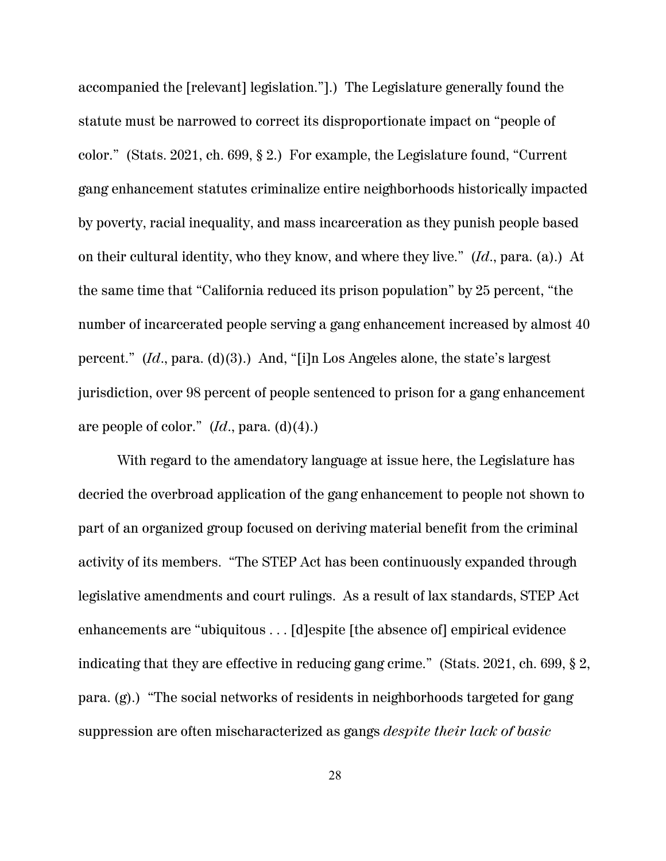accompanied the [relevant] legislation."].) The Legislature generally found the statute must be narrowed to correct its disproportionate impact on "people of color." (Stats. 2021, ch. 699, § 2.) For example, the Legislature found, "Current gang enhancement statutes criminalize entire neighborhoods historically impacted by poverty, racial inequality, and mass incarceration as they punish people based on their cultural identity, who they know, and where they live." (*Id*., para. (a).) At the same time that "California reduced its prison population" by 25 percent, "the number of incarcerated people serving a gang enhancement increased by almost 40 percent." (*Id*., para. (d)(3).) And, "[i]n Los Angeles alone, the state's largest jurisdiction, over 98 percent of people sentenced to prison for a gang enhancement are people of color." (*Id*., para. (d)(4).)

With regard to the amendatory language at issue here, the Legislature has decried the overbroad application of the gang enhancement to people not shown to part of an organized group focused on deriving material benefit from the criminal activity of its members. "The STEP Act has been continuously expanded through legislative amendments and court rulings. As a result of lax standards, STEP Act enhancements are "ubiquitous . . . [d]espite [the absence of] empirical evidence indicating that they are effective in reducing gang crime." (Stats. 2021, ch. 699, § 2, para. (g).) "The social networks of residents in neighborhoods targeted for gang suppression are often mischaracterized as gangs *despite their lack of basic*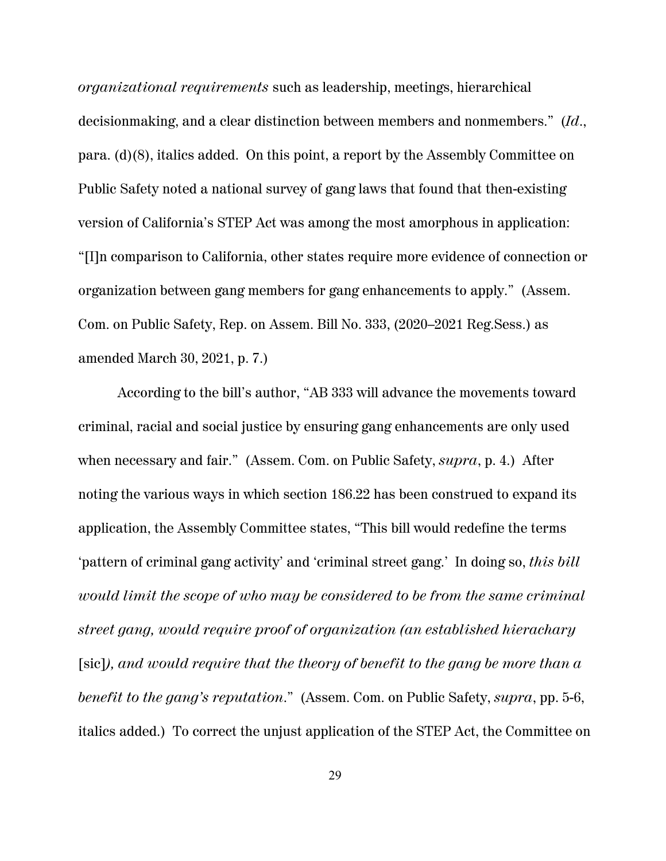*organizational requirements* such as leadership, meetings, hierarchical decisionmaking, and a clear distinction between members and nonmembers." (*Id*., para. (d)(8), italics added. On this point, a report by the Assembly Committee on Public Safety noted a national survey of gang laws that found that then-existing version of California's STEP Act was among the most amorphous in application: "[I]n comparison to California, other states require more evidence of connection or organization between gang members for gang enhancements to apply." (Assem. Com. on Public Safety, Rep. on Assem. Bill No. 333, (2020–2021 Reg.Sess.) as amended March 30, 2021, p. 7.)

According to the bill's author, "AB 333 will advance the movements toward criminal, racial and social justice by ensuring gang enhancements are only used when necessary and fair." (Assem. Com. on Public Safety, *supra*, p. 4.) After noting the various ways in which section 186.22 has been construed to expand its application, the Assembly Committee states, "This bill would redefine the terms 'pattern of criminal gang activity' and 'criminal street gang.' In doing so, *this bill would limit the scope of who may be considered to be from the same criminal street gang, would require proof of organization (an established hierachary* [sic]*), and would require that the theory of benefit to the gang be more than a benefit to the gang's reputation*." (Assem. Com. on Public Safety, *supra*, pp. 5-6, italics added.) To correct the unjust application of the STEP Act, the Committee on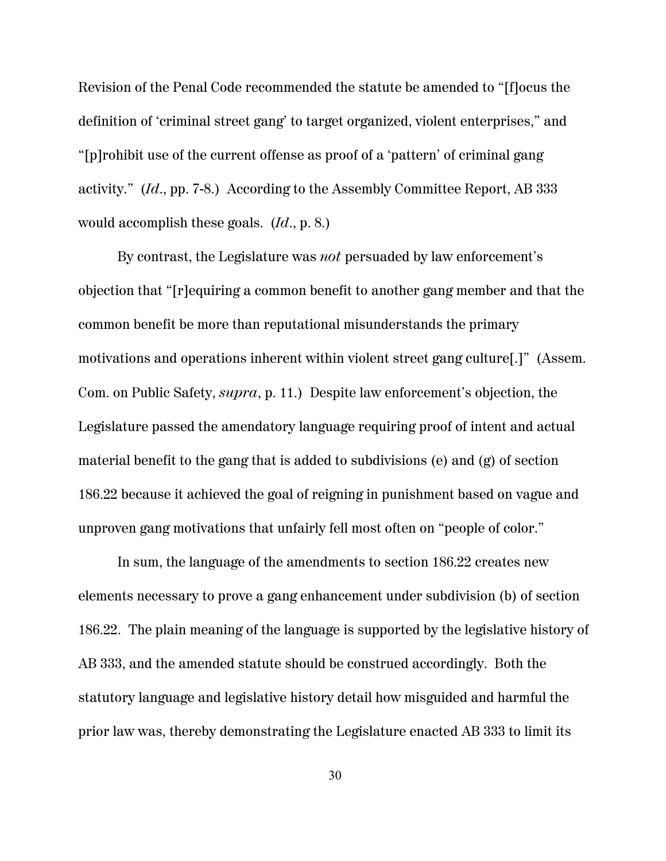Revision of the Penal Code recommended the statute be amended to "[f]ocus the definition of 'criminal street gang' to target organized, violent enterprises," and "[p]rohibit use of the current offense as proof of a 'pattern' of criminal gang activity." (*Id*., pp. 7-8.) According to the Assembly Committee Report, AB 333 would accomplish these goals. (*Id*., p. 8.)

By contrast, the Legislature was *not* persuaded by law enforcement's objection that "[r]equiring a common benefit to another gang member and that the common benefit be more than reputational misunderstands the primary motivations and operations inherent within violent street gang culture[.]" (Assem. Com. on Public Safety, *supra*, p. 11.) Despite law enforcement's objection, the Legislature passed the amendatory language requiring proof of intent and actual material benefit to the gang that is added to subdivisions (e) and (g) of section 186.22 because it achieved the goal of reigning in punishment based on vague and unproven gang motivations that unfairly fell most often on "people of color."

In sum, the language of the amendments to section 186.22 creates new elements necessary to prove a gang enhancement under subdivision (b) of section 186.22. The plain meaning of the language is supported by the legislative history of AB 333, and the amended statute should be construed accordingly. Both the statutory language and legislative history detail how misguided and harmful the prior law was, thereby demonstrating the Legislature enacted AB 333 to limit its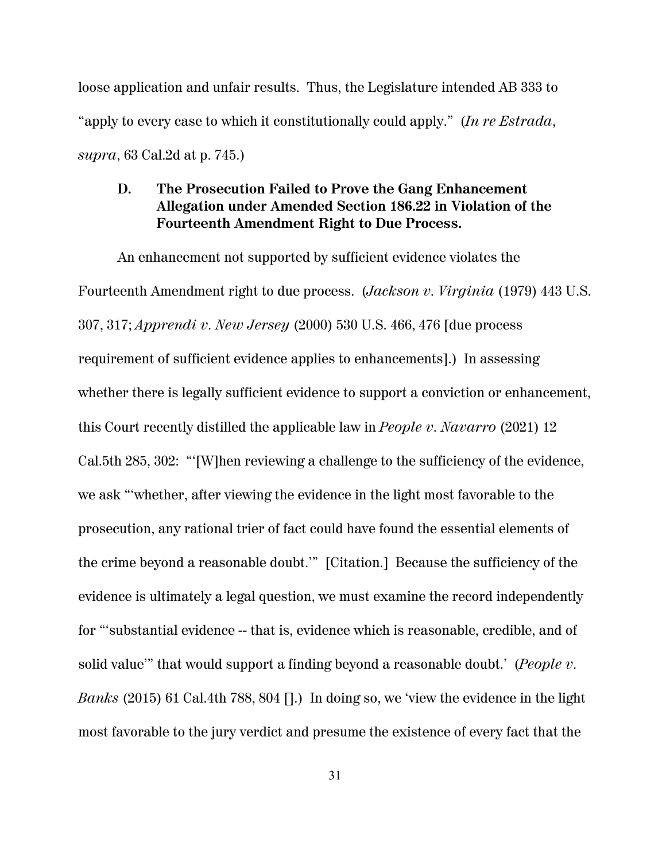loose application and unfair results. Thus, the Legislature intended AB 333 to "apply to every case to which it constitutionally could apply." (*In re Estrada*, *supra*, 63 Cal.2d at p. 745.)

### **D. The Prosecution Failed to Prove the Gang Enhancement Allegation under Amended Section 186.22 in Violation of the Fourteenth Amendment Right to Due Process.**

An enhancement not supported by sufficient evidence violates the Fourteenth Amendment right to due process. (*Jackson v. Virginia* (1979) 443 U.S. 307, 317; *Apprendi v. New Jersey* (2000) 530 U.S. 466, 476 [due process requirement of sufficient evidence applies to enhancements].) In assessing whether there is legally sufficient evidence to support a conviction or enhancement, this Court recently distilled the applicable law in *People v. Navarro* (2021) 12 Cal.5th 285, 302: "'[W]hen reviewing a challenge to the sufficiency of the evidence, we ask "'whether, after viewing the evidence in the light most favorable to the prosecution, any rational trier of fact could have found the essential elements of the crime beyond a reasonable doubt.'" [Citation.] Because the sufficiency of the evidence is ultimately a legal question, we must examine the record independently for "'substantial evidence -- that is, evidence which is reasonable, credible, and of solid value'" that would support a finding beyond a reasonable doubt.' (*People v. Banks* (2015) 61 Cal.4th 788, 804 [].) In doing so, we 'view the evidence in the light most favorable to the jury verdict and presume the existence of every fact that the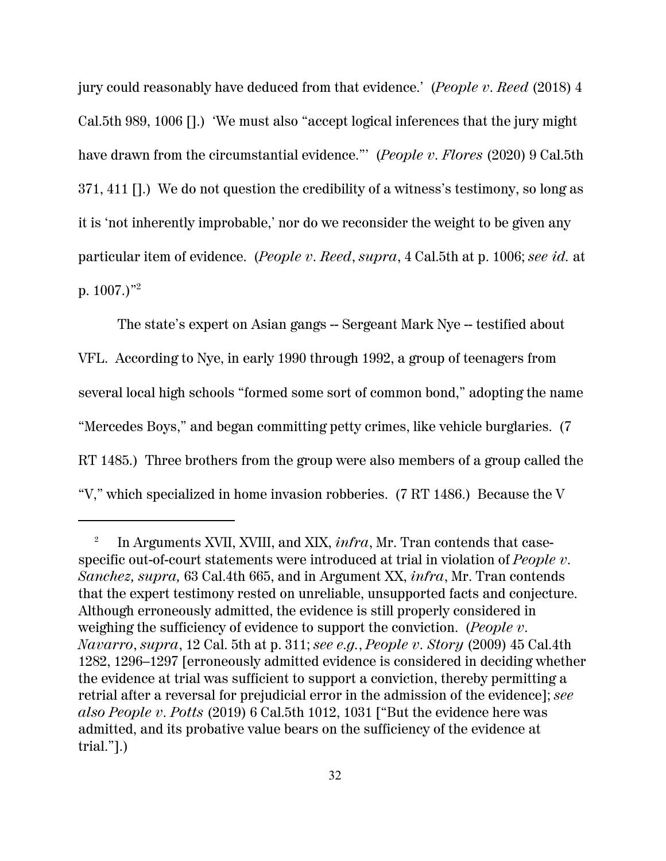jury could reasonably have deduced from that evidence.' (*People v. Reed* (2018) 4 Cal.5th 989, 1006 [].) 'We must also "accept logical inferences that the jury might have drawn from the circumstantial evidence."' (*People v. Flores* (2020) 9 Cal.5th 371, 411 [].) We do not question the credibility of a witness's testimony, so long as it is 'not inherently improbable,' nor do we reconsider the weight to be given any particular item of evidence. (*People v. Reed*, *supra*, 4 Cal.5th at p. 1006; *see id.* at p.  $1007.$ <sup>2</sup>

The state's expert on Asian gangs -- Sergeant Mark Nye -- testified about VFL. According to Nye, in early 1990 through 1992, a group of teenagers from several local high schools "formed some sort of common bond," adopting the name "Mercedes Boys," and began committing petty crimes, like vehicle burglaries. (7 RT 1485.) Three brothers from the group were also members of a group called the "V," which specialized in home invasion robberies. (7 RT 1486.) Because the V

<sup>2</sup> In Arguments XVII, XVIII, and XIX, *infra*, Mr. Tran contends that casespecific out-of-court statements were introduced at trial in violation of *People v. Sanchez, supra,* 63 Cal.4th 665, and in Argument XX, *infra*, Mr. Tran contends that the expert testimony rested on unreliable, unsupported facts and conjecture. Although erroneously admitted, the evidence is still properly considered in weighing the sufficiency of evidence to support the conviction. (*People v. Navarro*, *supra*, 12 Cal. 5th at p. 311; *see e.g.*, *People v. Story* (2009) 45 Cal.4th 1282, 1296–1297 [erroneously admitted evidence is considered in deciding whether the evidence at trial was sufficient to support a conviction, thereby permitting a retrial after a reversal for prejudicial error in the admission of the evidence]; *see also People v. Potts* (2019) 6 Cal.5th 1012, 1031 ["But the evidence here was admitted, and its probative value bears on the sufficiency of the evidence at trial."].)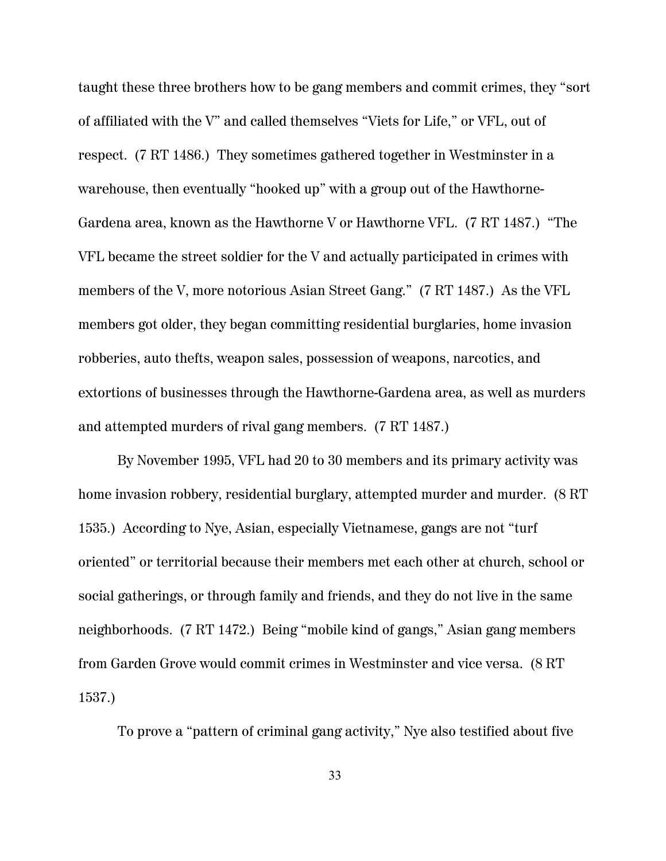taught these three brothers how to be gang members and commit crimes, they "sort of affiliated with the V" and called themselves "Viets for Life," or VFL, out of respect. (7 RT 1486.) They sometimes gathered together in Westminster in a warehouse, then eventually "hooked up" with a group out of the Hawthorne-Gardena area, known as the Hawthorne V or Hawthorne VFL. (7 RT 1487.) "The VFL became the street soldier for the V and actually participated in crimes with members of the V, more notorious Asian Street Gang." (7 RT 1487.) As the VFL members got older, they began committing residential burglaries, home invasion robberies, auto thefts, weapon sales, possession of weapons, narcotics, and extortions of businesses through the Hawthorne-Gardena area, as well as murders and attempted murders of rival gang members. (7 RT 1487.)

By November 1995, VFL had 20 to 30 members and its primary activity was home invasion robbery, residential burglary, attempted murder and murder. (8 RT 1535.) According to Nye, Asian, especially Vietnamese, gangs are not "turf oriented" or territorial because their members met each other at church, school or social gatherings, or through family and friends, and they do not live in the same neighborhoods. (7 RT 1472.) Being "mobile kind of gangs," Asian gang members from Garden Grove would commit crimes in Westminster and vice versa. (8 RT 1537.)

To prove a "pattern of criminal gang activity," Nye also testified about five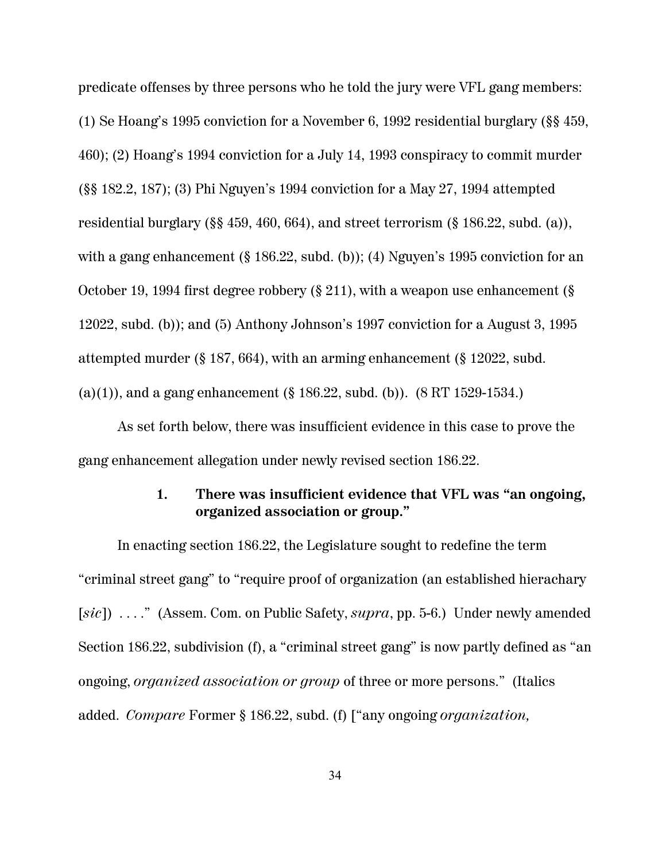predicate offenses by three persons who he told the jury were VFL gang members: (1) Se Hoang's 1995 conviction for a November 6, 1992 residential burglary (§§ 459, 460); (2) Hoang's 1994 conviction for a July 14, 1993 conspiracy to commit murder (§§ 182.2, 187); (3) Phi Nguyen's 1994 conviction for a May 27, 1994 attempted residential burglary (§§ 459, 460, 664), and street terrorism (§ 186.22, subd. (a)), with a gang enhancement (§ 186.22, subd. (b)); (4) Nguyen's 1995 conviction for an October 19, 1994 first degree robbery (§ 211), with a weapon use enhancement (§ 12022, subd. (b)); and (5) Anthony Johnson's 1997 conviction for a August 3, 1995 attempted murder (§ 187, 664), with an arming enhancement (§ 12022, subd. (a)(1)), and a gang enhancement (§ 186.22, subd. (b)).  $(8 RT 1529-1534.)$ 

As set forth below, there was insufficient evidence in this case to prove the gang enhancement allegation under newly revised section 186.22.

### **1. There was insufficient evidence that VFL was "an ongoing, organized association or group."**

In enacting section 186.22, the Legislature sought to redefine the term "criminal street gang" to "require proof of organization (an established hierachary [*sic*]) . . . ." (Assem. Com. on Public Safety, *supra*, pp. 5-6.) Under newly amended Section 186.22, subdivision (f), a "criminal street gang" is now partly defined as "an ongoing, *organized association or group* of three or more persons." (Italics added. *Compare* Former § 186.22, subd. (f) ["any ongoing *organization,*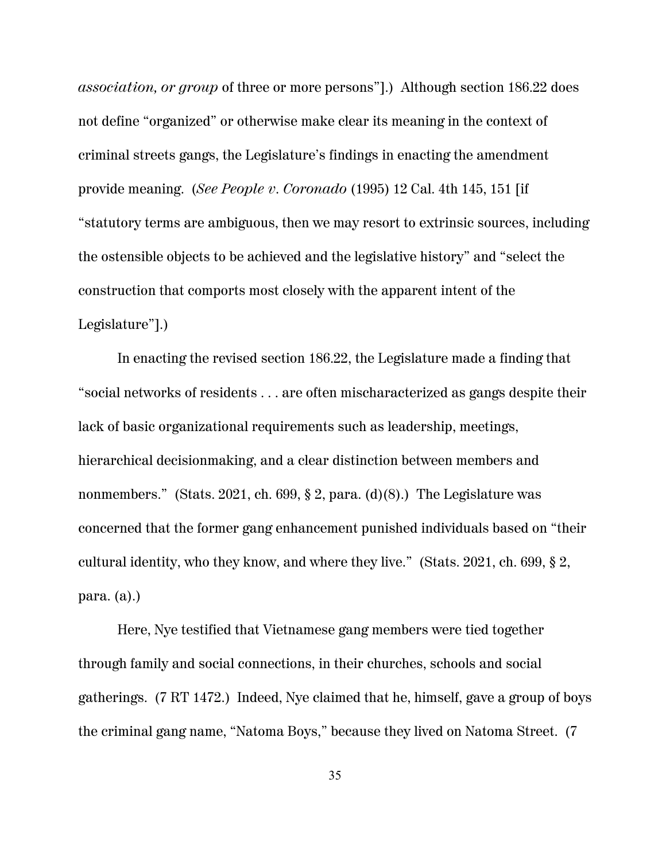*association, or group* of three or more persons"].) Although section 186.22 does not define "organized" or otherwise make clear its meaning in the context of criminal streets gangs, the Legislature's findings in enacting the amendment provide meaning. (*See People v. Coronado* (1995) 12 Cal. 4th 145, 151 [if "statutory terms are ambiguous, then we may resort to extrinsic sources, including the ostensible objects to be achieved and the legislative history" and "select the construction that comports most closely with the apparent intent of the Legislature"].)

In enacting the revised section 186.22, the Legislature made a finding that "social networks of residents . . . are often mischaracterized as gangs despite their lack of basic organizational requirements such as leadership, meetings, hierarchical decisionmaking, and a clear distinction between members and nonmembers." (Stats. 2021, ch. 699,  $\S 2$ , para. (d)(8).) The Legislature was concerned that the former gang enhancement punished individuals based on "their cultural identity, who they know, and where they live." (Stats. 2021, ch. 699, § 2, para. (a).)

Here, Nye testified that Vietnamese gang members were tied together through family and social connections, in their churches, schools and social gatherings. (7 RT 1472.) Indeed, Nye claimed that he, himself, gave a group of boys the criminal gang name, "Natoma Boys," because they lived on Natoma Street. (7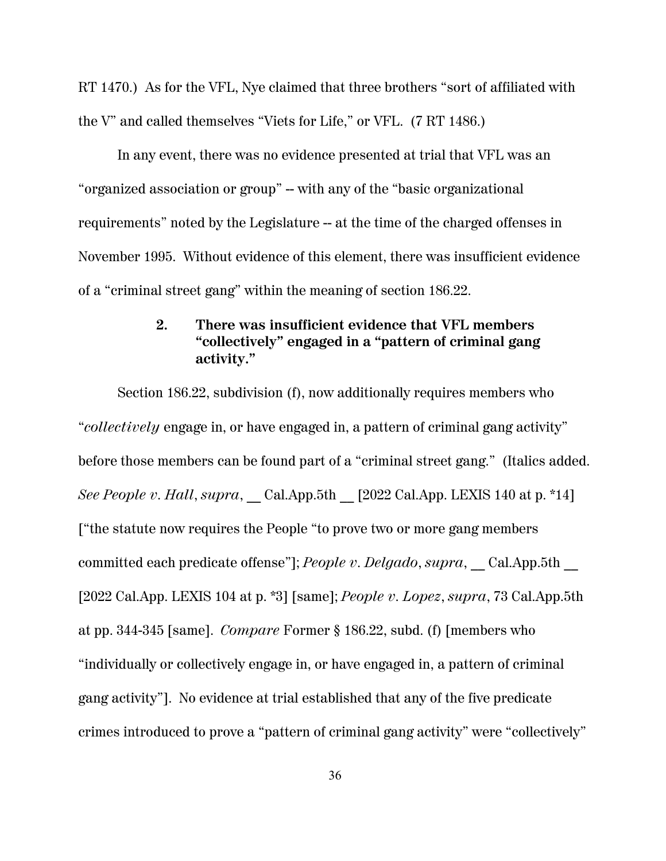RT 1470.) As for the VFL, Nye claimed that three brothers "sort of affiliated with the V" and called themselves "Viets for Life," or VFL. (7 RT 1486.)

In any event, there was no evidence presented at trial that VFL was an "organized association or group" -- with any of the "basic organizational requirements" noted by the Legislature -- at the time of the charged offenses in November 1995. Without evidence of this element, there was insufficient evidence of a "criminal street gang" within the meaning of section 186.22.

## **2. There was insufficient evidence that VFL members "collectively" engaged in a "pattern of criminal gang activity."**

Section 186.22, subdivision (f), now additionally requires members who "*collectively* engage in, or have engaged in, a pattern of criminal gang activity" before those members can be found part of a "criminal street gang." (Italics added. *See People v. Hall, supra*, Cal.App.5th [2022 Cal.App. LEXIS 140 at p. \*14] ["the statute now requires the People "to prove two or more gang members committed each predicate offense"]; *People v. Delgado*, *supra*, Cal.App.5th [2022 Cal.App. LEXIS 104 at p. \*3] [same]; *People v. Lopez*, *supra*, 73 Cal.App.5th at pp. 344-345 [same]. *Compare* Former § 186.22, subd. (f) [members who "individually or collectively engage in, or have engaged in, a pattern of criminal gang activity"]. No evidence at trial established that any of the five predicate crimes introduced to prove a "pattern of criminal gang activity" were "collectively"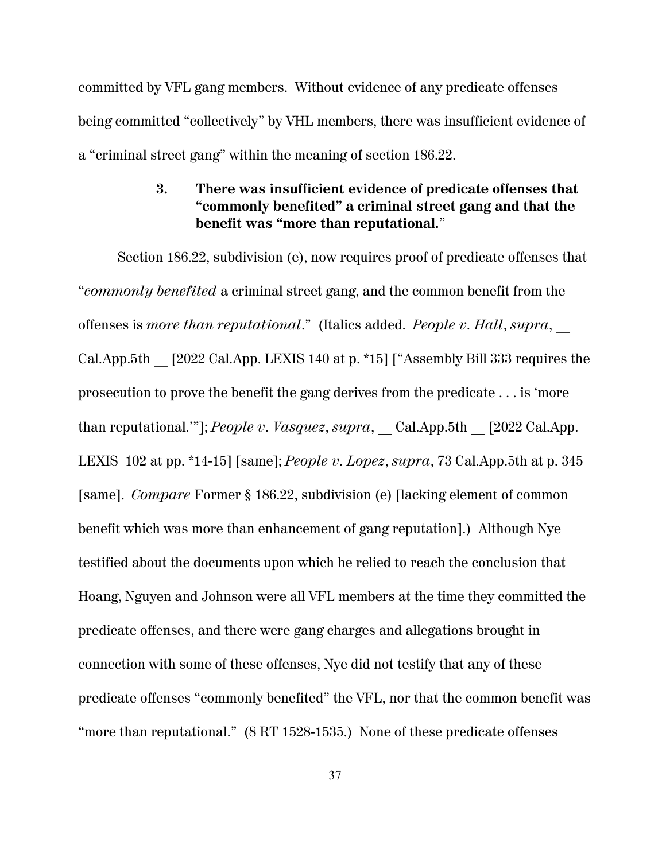committed by VFL gang members. Without evidence of any predicate offenses being committed "collectively" by VHL members, there was insufficient evidence of a "criminal street gang" within the meaning of section 186.22.

## **3. There was insufficient evidence of predicate offenses that "commonly benefited" a criminal street gang and that the benefit was "more than reputational.**"

Section 186.22, subdivision (e), now requires proof of predicate offenses that "*commonly benefited* a criminal street gang, and the common benefit from the offenses is *more than reputational*." (Italics added. *People v. Hall*, *supra*, \_\_ Cal.App.5th \_\_ [2022 Cal.App. LEXIS 140 at p. \*15] ["Assembly Bill 333 requires the prosecution to prove the benefit the gang derives from the predicate . . . is 'more than reputational.""]; *People v. Vasquez*, *supra*, Cal.App.5th [2022 Cal.App. LEXIS 102 at pp. \*14-15] [same]; *People v. Lopez*, *supra*, 73 Cal.App.5th at p. 345 [same]. *Compare* Former § 186.22, subdivision (e) [lacking element of common benefit which was more than enhancement of gang reputation].) Although Nye testified about the documents upon which he relied to reach the conclusion that Hoang, Nguyen and Johnson were all VFL members at the time they committed the predicate offenses, and there were gang charges and allegations brought in connection with some of these offenses, Nye did not testify that any of these predicate offenses "commonly benefited" the VFL, nor that the common benefit was "more than reputational." (8 RT 1528-1535.) None of these predicate offenses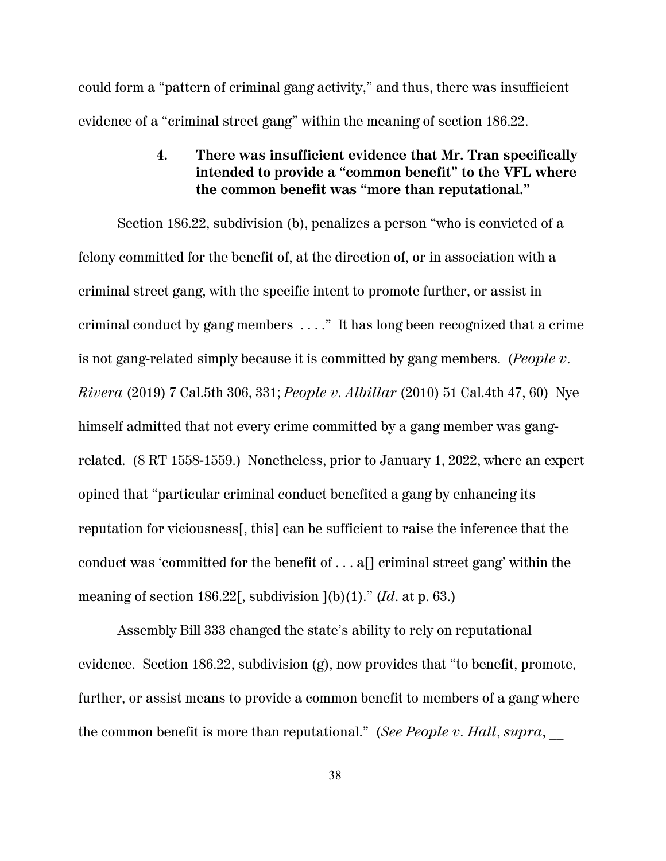could form a "pattern of criminal gang activity," and thus, there was insufficient evidence of a "criminal street gang" within the meaning of section 186.22.

## **4. There was insufficient evidence that Mr. Tran specifically intended to provide a "common benefit" to the VFL where the common benefit was "more than reputational."**

Section 186.22, subdivision (b), penalizes a person "who is convicted of a felony committed for the benefit of, at the direction of, or in association with a criminal street gang, with the specific intent to promote further, or assist in criminal conduct by gang members . . . ." It has long been recognized that a crime is not gang-related simply because it is committed by gang members. (*People v. Rivera* (2019) 7 Cal.5th 306, 331; *People v. Albillar* (2010) 51 Cal.4th 47, 60) Nye himself admitted that not every crime committed by a gang member was gangrelated. (8 RT 1558-1559.) Nonetheless, prior to January 1, 2022, where an expert opined that "particular criminal conduct benefited a gang by enhancing its reputation for viciousness[, this] can be sufficient to raise the inference that the conduct was 'committed for the benefit of . . . a[] criminal street gang' within the meaning of section 186.22[, subdivision ](b)(1)." (*Id*. at p. 63.)

Assembly Bill 333 changed the state's ability to rely on reputational evidence. Section 186.22, subdivision  $(g)$ , now provides that "to benefit, promote, further, or assist means to provide a common benefit to members of a gang where the common benefit is more than reputational." (*See People v. Hall*, *supra*, \_\_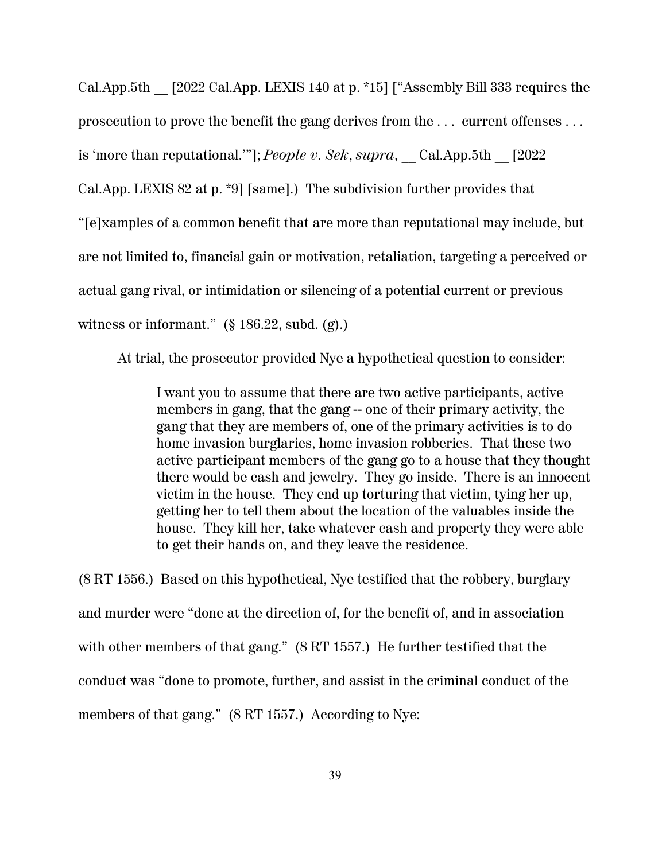Cal.App.5th \_\_ [2022 Cal.App. LEXIS 140 at p. \*15] ["Assembly Bill 333 requires the prosecution to prove the benefit the gang derives from the . . . current offenses . . . is 'more than reputational.'"]; *People v. Sek*, *supra*, \_\_ Cal.App.5th \_\_ [2022 Cal.App. LEXIS 82 at p. \*9] [same].) The subdivision further provides that "[e]xamples of a common benefit that are more than reputational may include, but are not limited to, financial gain or motivation, retaliation, targeting a perceived or actual gang rival, or intimidation or silencing of a potential current or previous witness or informant." (§ 186.22, subd. (g).)

At trial, the prosecutor provided Nye a hypothetical question to consider:

I want you to assume that there are two active participants, active members in gang, that the gang – one of their primary activity, the gang that they are members of, one of the primary activities is to do home invasion burglaries, home invasion robberies. That these two active participant members of the gang go to a house that they thought there would be cash and jewelry. They go inside. There is an innocent victim in the house. They end up torturing that victim, tying her up, getting her to tell them about the location of the valuables inside the house. They kill her, take whatever cash and property they were able to get their hands on, and they leave the residence.

(8 RT 1556.) Based on this hypothetical, Nye testified that the robbery, burglary and murder were "done at the direction of, for the benefit of, and in association with other members of that gang." (8 RT 1557.) He further testified that the conduct was "done to promote, further, and assist in the criminal conduct of the members of that gang." (8 RT 1557.) According to Nye: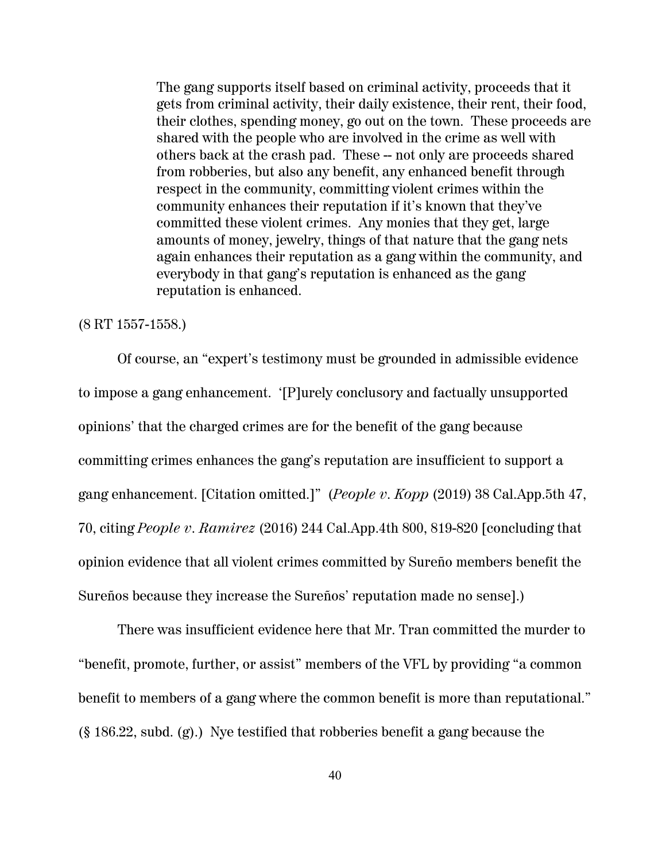The gang supports itself based on criminal activity, proceeds that it gets from criminal activity, their daily existence, their rent, their food, their clothes, spending money, go out on the town. These proceeds are shared with the people who are involved in the crime as well with others back at the crash pad. These -- not only are proceeds shared from robberies, but also any benefit, any enhanced benefit through respect in the community, committing violent crimes within the community enhances their reputation if it's known that they've committed these violent crimes. Any monies that they get, large amounts of money, jewelry, things of that nature that the gang nets again enhances their reputation as a gang within the community, and everybody in that gang's reputation is enhanced as the gang reputation is enhanced.

#### (8 RT 1557-1558.)

Of course, an "expert's testimony must be grounded in admissible evidence to impose a gang enhancement. '[P]urely conclusory and factually unsupported opinions' that the charged crimes are for the benefit of the gang because committing crimes enhances the gang's reputation are insufficient to support a gang enhancement. [Citation omitted.]" (*People v. Kopp* (2019) 38 Cal.App.5th 47, 70, citing *People v. Ramirez* (2016) 244 Cal.App.4th 800, 819-820 [concluding that opinion evidence that all violent crimes committed by Sureño members benefit the Sureños because they increase the Sureños' reputation made no sense].)

There was insufficient evidence here that Mr. Tran committed the murder to "benefit, promote, further, or assist" members of the VFL by providing "a common benefit to members of a gang where the common benefit is more than reputational." (§ 186.22, subd. (g).) Nye testified that robberies benefit a gang because the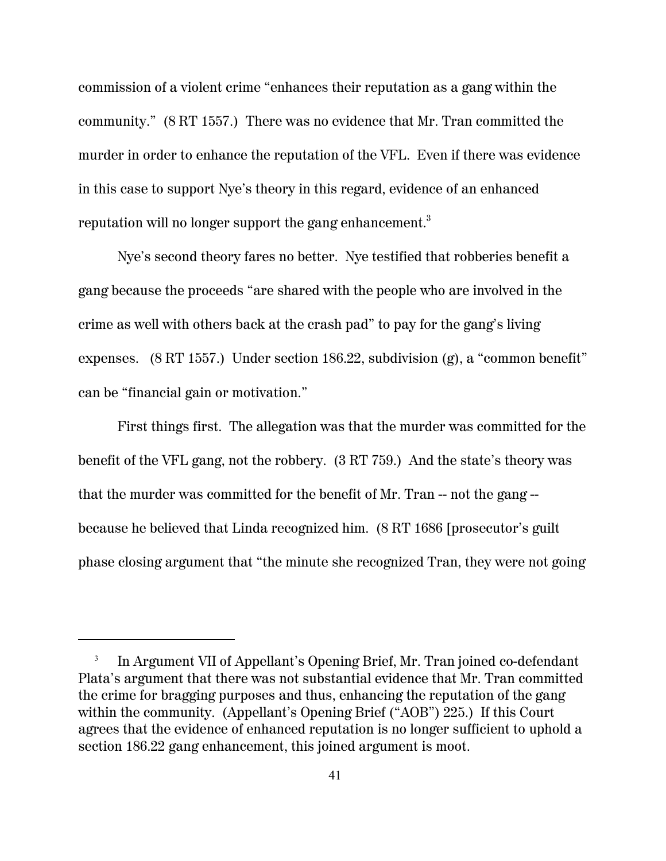commission of a violent crime "enhances their reputation as a gang within the community." (8 RT 1557.) There was no evidence that Mr. Tran committed the murder in order to enhance the reputation of the VFL. Even if there was evidence in this case to support Nye's theory in this regard, evidence of an enhanced reputation will no longer support the gang enhancement.<sup>3</sup>

Nye's second theory fares no better. Nye testified that robberies benefit a gang because the proceeds "are shared with the people who are involved in the crime as well with others back at the crash pad" to pay for the gang's living expenses. (8 RT 1557.) Under section 186.22, subdivision (g), a "common benefit" can be "financial gain or motivation."

First things first. The allegation was that the murder was committed for the benefit of the VFL gang, not the robbery. (3 RT 759.) And the state's theory was that the murder was committed for the benefit of Mr. Tran -- not the gang - because he believed that Linda recognized him. (8 RT 1686 [prosecutor's guilt phase closing argument that "the minute she recognized Tran, they were not going

<sup>3</sup> In Argument VII of Appellant's Opening Brief, Mr. Tran joined co-defendant Plata's argument that there was not substantial evidence that Mr. Tran committed the crime for bragging purposes and thus, enhancing the reputation of the gang within the community. (Appellant's Opening Brief ("AOB") 225.) If this Court agrees that the evidence of enhanced reputation is no longer sufficient to uphold a section 186.22 gang enhancement, this joined argument is moot.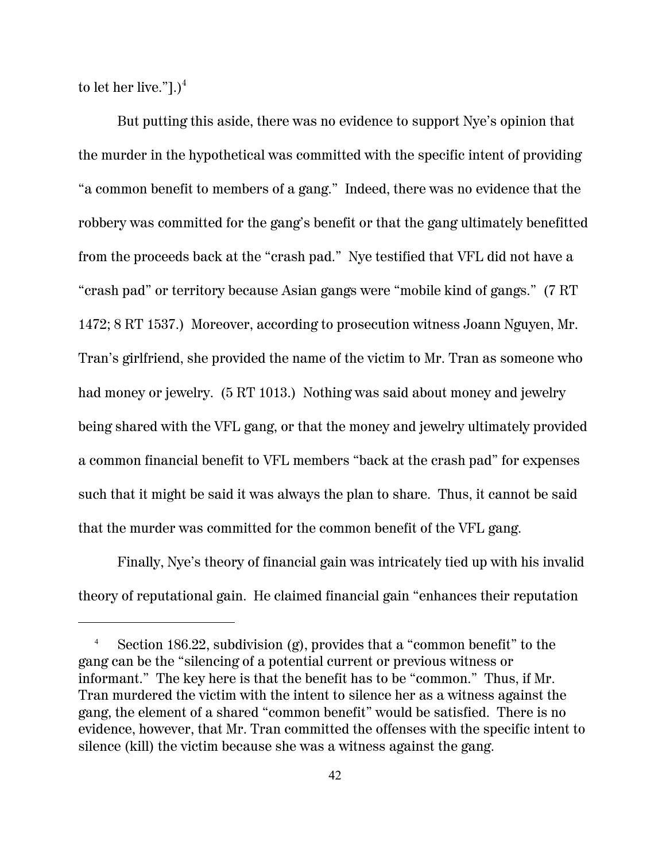to let her live."]. $)^4$ 

But putting this aside, there was no evidence to support Nye's opinion that the murder in the hypothetical was committed with the specific intent of providing "a common benefit to members of a gang." Indeed, there was no evidence that the robbery was committed for the gang's benefit or that the gang ultimately benefitted from the proceeds back at the "crash pad." Nye testified that VFL did not have a "crash pad" or territory because Asian gangs were "mobile kind of gangs." (7 RT 1472; 8 RT 1537.) Moreover, according to prosecution witness Joann Nguyen, Mr. Tran's girlfriend, she provided the name of the victim to Mr. Tran as someone who had money or jewelry. (5 RT 1013.) Nothing was said about money and jewelry being shared with the VFL gang, or that the money and jewelry ultimately provided a common financial benefit to VFL members "back at the crash pad" for expenses such that it might be said it was always the plan to share. Thus, it cannot be said that the murder was committed for the common benefit of the VFL gang.

Finally, Nye's theory of financial gain was intricately tied up with his invalid theory of reputational gain. He claimed financial gain "enhances their reputation

Section 186.22, subdivision  $(g)$ , provides that a "common benefit" to the gang can be the "silencing of a potential current or previous witness or informant." The key here is that the benefit has to be "common." Thus, if Mr. Tran murdered the victim with the intent to silence her as a witness against the gang, the element of a shared "common benefit" would be satisfied. There is no evidence, however, that Mr. Tran committed the offenses with the specific intent to silence (kill) the victim because she was a witness against the gang.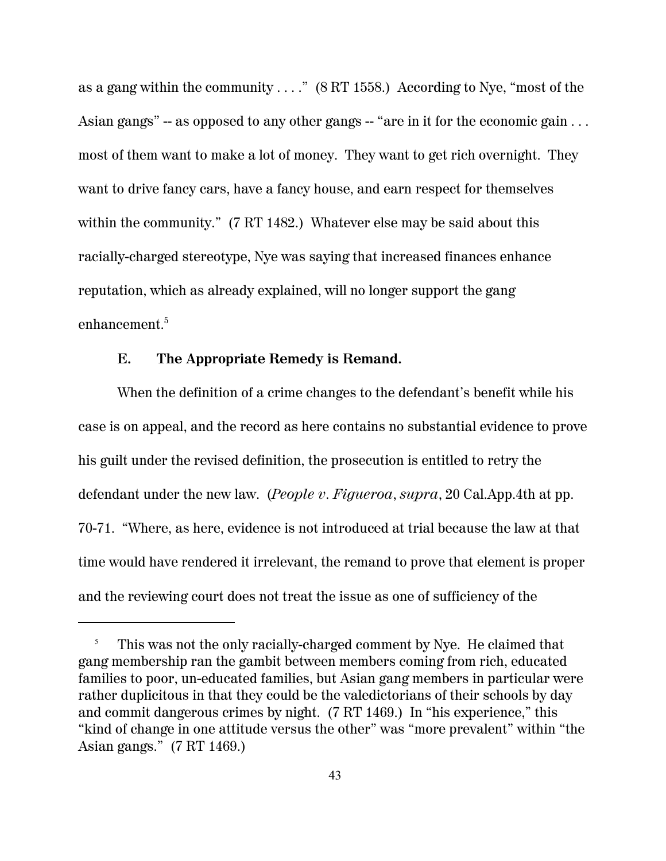as a gang within the community . . . ." (8 RT 1558.) According to Nye, "most of the Asian gangs"  $-$  as opposed to any other gangs  $-$  "are in it for the economic gain  $\ldots$ most of them want to make a lot of money. They want to get rich overnight. They want to drive fancy cars, have a fancy house, and earn respect for themselves within the community." (7 RT 1482.) Whatever else may be said about this racially-charged stereotype, Nye was saying that increased finances enhance reputation, which as already explained, will no longer support the gang enhancement.<sup>5</sup>

#### **E. The Appropriate Remedy is Remand.**

When the definition of a crime changes to the defendant's benefit while his case is on appeal, and the record as here contains no substantial evidence to prove his guilt under the revised definition, the prosecution is entitled to retry the defendant under the new law. (*People v. Figueroa*, *supra*, 20 Cal.App.4th at pp. 70-71. "Where, as here, evidence is not introduced at trial because the law at that time would have rendered it irrelevant, the remand to prove that element is proper and the reviewing court does not treat the issue as one of sufficiency of the

<sup>5</sup> This was not the only racially-charged comment by Nye. He claimed that gang membership ran the gambit between members coming from rich, educated families to poor, un-educated families, but Asian gang members in particular were rather duplicitous in that they could be the valedictorians of their schools by day and commit dangerous crimes by night. (7 RT 1469.) In "his experience," this "kind of change in one attitude versus the other" was "more prevalent" within "the Asian gangs." (7 RT 1469.)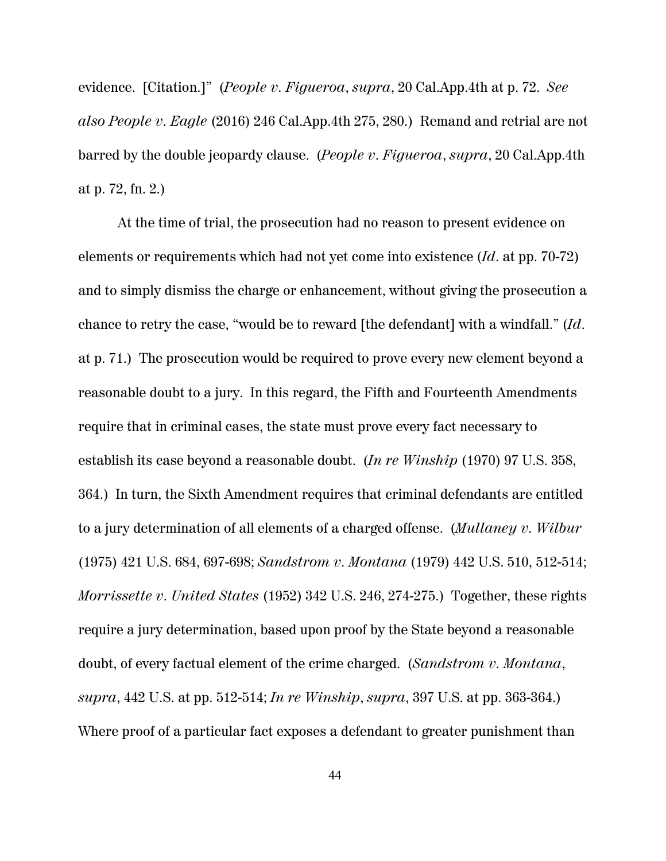evidence. [Citation.]" (*People v. Figueroa*, *supra*, 20 Cal.App.4th at p. 72. *See also People v. Eagle* (2016) 246 Cal.App.4th 275, 280.) Remand and retrial are not barred by the double jeopardy clause. (*People v. Figueroa*, *supra*, 20 Cal.App.4th at p. 72, fn. 2.)

At the time of trial, the prosecution had no reason to present evidence on elements or requirements which had not yet come into existence (*Id*. at pp. 70-72) and to simply dismiss the charge or enhancement, without giving the prosecution a chance to retry the case, "would be to reward [the defendant] with a windfall." (*Id*. at p. 71.) The prosecution would be required to prove every new element beyond a reasonable doubt to a jury. In this regard, the Fifth and Fourteenth Amendments require that in criminal cases, the state must prove every fact necessary to establish its case beyond a reasonable doubt. (*In re Winship* (1970) 97 U.S. 358, 364.) In turn, the Sixth Amendment requires that criminal defendants are entitled to a jury determination of all elements of a charged offense. (*Mullaney v. Wilbur* (1975) 421 U.S. 684, 697-698; *Sandstrom v. Montana* (1979) 442 U.S. 510, 512-514; *Morrissette v. United States* (1952) 342 U.S. 246, 274-275.) Together, these rights require a jury determination, based upon proof by the State beyond a reasonable doubt, of every factual element of the crime charged. (*Sandstrom v. Montana*, *supra*, 442 U.S. at pp. 512-514; *In re Winship*, *supra*, 397 U.S. at pp. 363-364.) Where proof of a particular fact exposes a defendant to greater punishment than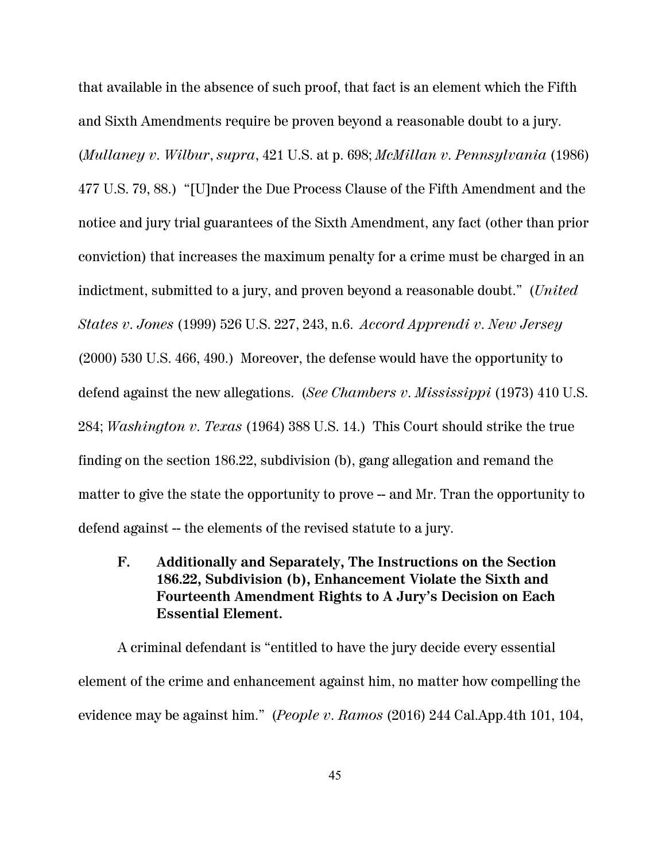that available in the absence of such proof, that fact is an element which the Fifth and Sixth Amendments require be proven beyond a reasonable doubt to a jury. (*Mullaney v. Wilbur*, *supra*, 421 U.S. at p. 698; *McMillan v. Pennsylvania* (1986) 477 U.S. 79, 88.) "[U]nder the Due Process Clause of the Fifth Amendment and the notice and jury trial guarantees of the Sixth Amendment, any fact (other than prior conviction) that increases the maximum penalty for a crime must be charged in an indictment, submitted to a jury, and proven beyond a reasonable doubt." (*United States v. Jones* (1999) 526 U.S. 227, 243, n.6. *Accord Apprendi v. New Jersey* (2000) 530 U.S. 466, 490.) Moreover, the defense would have the opportunity to defend against the new allegations. (*See Chambers v. Mississippi* (1973) 410 U.S. 284; *Washington v. Texas* (1964) 388 U.S. 14.) This Court should strike the true finding on the section 186.22, subdivision (b), gang allegation and remand the matter to give the state the opportunity to prove -- and Mr. Tran the opportunity to defend against -- the elements of the revised statute to a jury.

**F. Additionally and Separately, The Instructions on the Section 186.22, Subdivision (b), Enhancement Violate the Sixth and Fourteenth Amendment Rights to A Jury's Decision on Each Essential Element.**

A criminal defendant is "entitled to have the jury decide every essential element of the crime and enhancement against him, no matter how compelling the evidence may be against him." (*People v. Ramos* (2016) 244 Cal.App.4th 101, 104,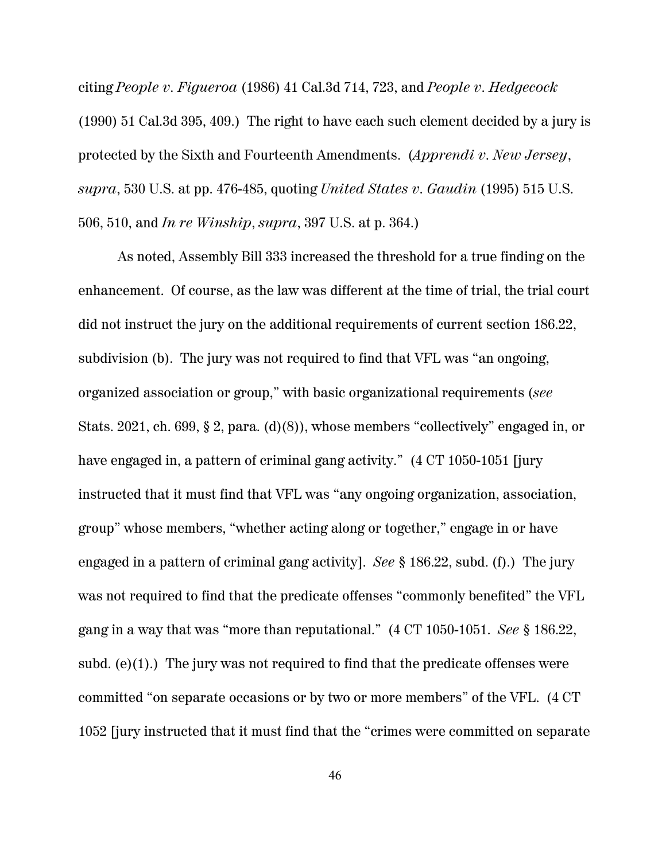citing *People v. Figueroa* (1986) 41 Cal.3d 714, 723, and *People v. Hedgecock* (1990) 51 Cal.3d 395, 409.) The right to have each such element decided by a jury is protected by the Sixth and Fourteenth Amendments. (*Apprendi v. New Jersey*, *supra*, 530 U.S. at pp. 476-485, quoting *United States v. Gaudin* (1995) 515 U.S. 506, 510, and *In re Winship*, *supra*, 397 U.S. at p. 364.)

As noted, Assembly Bill 333 increased the threshold for a true finding on the enhancement. Of course, as the law was different at the time of trial, the trial court did not instruct the jury on the additional requirements of current section 186.22, subdivision (b). The jury was not required to find that VFL was "an ongoing, organized association or group," with basic organizational requirements (*see* Stats. 2021, ch. 699, § 2, para. (d)(8)), whose members "collectively" engaged in, or have engaged in, a pattern of criminal gang activity." (4 CT 1050-1051 [jury instructed that it must find that VFL was "any ongoing organization, association, group" whose members, "whether acting along or together," engage in or have engaged in a pattern of criminal gang activity]. *See* § 186.22, subd. (f).) The jury was not required to find that the predicate offenses "commonly benefited" the VFL gang in a way that was "more than reputational." (4 CT 1050-1051. *See* § 186.22, subd.  $(e)(1)$ .) The jury was not required to find that the predicate offenses were committed "on separate occasions or by two or more members" of the VFL. (4 CT 1052 [jury instructed that it must find that the "crimes were committed on separate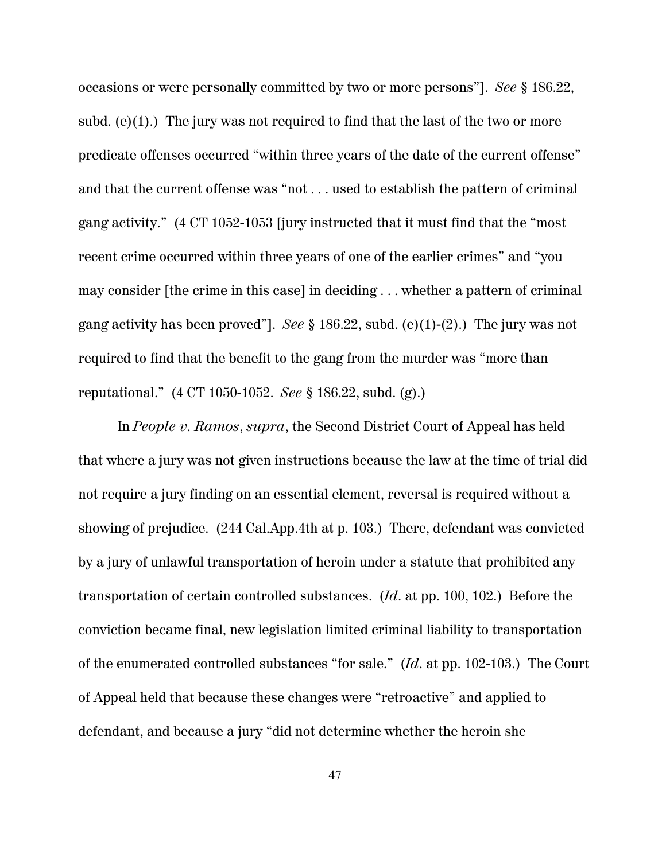occasions or were personally committed by two or more persons"]. *See* § 186.22, subd. (e) $(1)$ .) The jury was not required to find that the last of the two or more predicate offenses occurred "within three years of the date of the current offense" and that the current offense was "not . . . used to establish the pattern of criminal gang activity." (4 CT 1052-1053 [jury instructed that it must find that the "most recent crime occurred within three years of one of the earlier crimes" and "you may consider [the crime in this case] in deciding . . . whether a pattern of criminal gang activity has been proved"]. *See* § 186.22, subd. (e)(1)-(2).) The jury was not required to find that the benefit to the gang from the murder was "more than reputational." (4 CT 1050-1052. *See* § 186.22, subd. (g).)

In *People v. Ramos*, *supra*, the Second District Court of Appeal has held that where a jury was not given instructions because the law at the time of trial did not require a jury finding on an essential element, reversal is required without a showing of prejudice. (244 Cal.App.4th at p. 103.) There, defendant was convicted by a jury of unlawful transportation of heroin under a statute that prohibited any transportation of certain controlled substances. (*Id*. at pp. 100, 102.) Before the conviction became final, new legislation limited criminal liability to transportation of the enumerated controlled substances "for sale." (*Id*. at pp. 102-103.) The Court of Appeal held that because these changes were "retroactive" and applied to defendant, and because a jury "did not determine whether the heroin she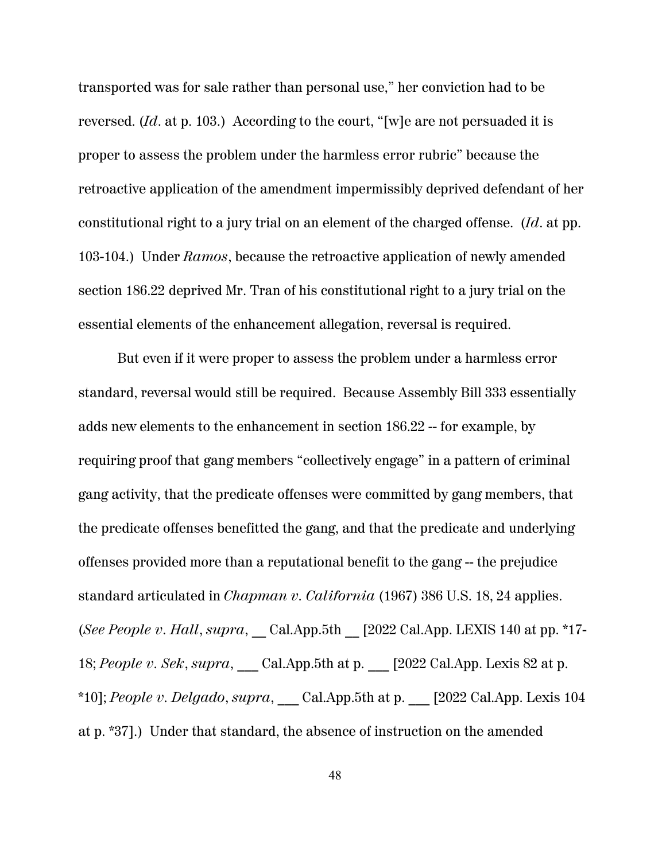transported was for sale rather than personal use," her conviction had to be reversed. (*Id*. at p. 103.) According to the court, "[w]e are not persuaded it is proper to assess the problem under the harmless error rubric" because the retroactive application of the amendment impermissibly deprived defendant of her constitutional right to a jury trial on an element of the charged offense. (*Id*. at pp. 103-104.) Under *Ramos*, because the retroactive application of newly amended section 186.22 deprived Mr. Tran of his constitutional right to a jury trial on the essential elements of the enhancement allegation, reversal is required.

But even if it were proper to assess the problem under a harmless error standard, reversal would still be required. Because Assembly Bill 333 essentially adds new elements to the enhancement in section 186.22 -- for example, by requiring proof that gang members "collectively engage" in a pattern of criminal gang activity, that the predicate offenses were committed by gang members, that the predicate offenses benefitted the gang, and that the predicate and underlying offenses provided more than a reputational benefit to the gang -- the prejudice standard articulated in *Chapman v. California* (1967) 386 U.S. 18, 24 applies. (*See People v. Hall*, *supra*, \_\_ Cal.App.5th \_\_ [2022 Cal.App. LEXIS 140 at pp. \*17- 18; People v. Sek, supra, Cal.App.5th at p.  $[2022 \text{ Cal.App.}$  Lexis 82 at p. \*10]; *People v. Delgado*, *supra*, \_\_\_ Cal.App.5th at p. \_\_\_ [2022 Cal.App. Lexis 104 at p. \*37].) Under that standard, the absence of instruction on the amended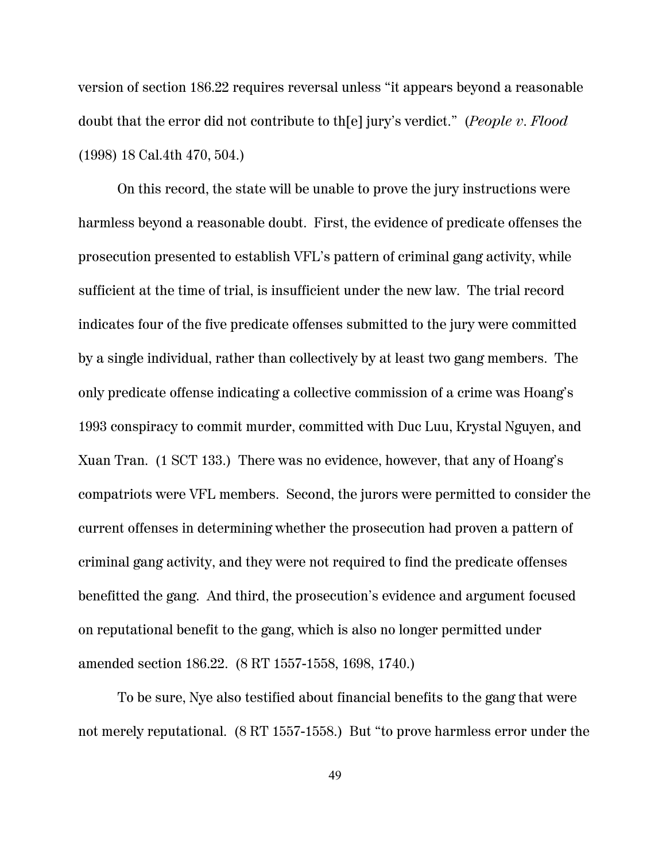version of section 186.22 requires reversal unless "it appears beyond a reasonable doubt that the error did not contribute to th[e] jury's verdict." (*People v. Flood* (1998) 18 Cal.4th 470, 504.)

On this record, the state will be unable to prove the jury instructions were harmless beyond a reasonable doubt. First, the evidence of predicate offenses the prosecution presented to establish VFL's pattern of criminal gang activity, while sufficient at the time of trial, is insufficient under the new law. The trial record indicates four of the five predicate offenses submitted to the jury were committed by a single individual, rather than collectively by at least two gang members. The only predicate offense indicating a collective commission of a crime was Hoang's 1993 conspiracy to commit murder, committed with Duc Luu, Krystal Nguyen, and Xuan Tran. (1 SCT 133.) There was no evidence, however, that any of Hoang's compatriots were VFL members. Second, the jurors were permitted to consider the current offenses in determining whether the prosecution had proven a pattern of criminal gang activity, and they were not required to find the predicate offenses benefitted the gang. And third, the prosecution's evidence and argument focused on reputational benefit to the gang, which is also no longer permitted under amended section 186.22. (8 RT 1557-1558, 1698, 1740.)

To be sure, Nye also testified about financial benefits to the gang that were not merely reputational. (8 RT 1557-1558.) But "to prove harmless error under the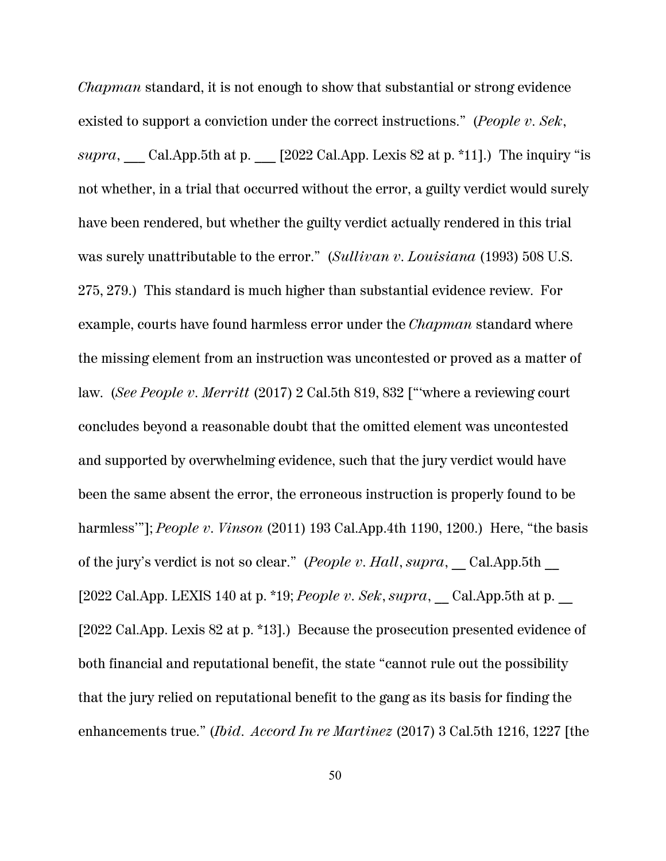*Chapman* standard, it is not enough to show that substantial or strong evidence existed to support a conviction under the correct instructions." (*People v. Sek*, *supra*, Cal.App.5th at p.  $[2022 \text{ Cal.}$ App. Lexis 82 at p. \*11].) The inquiry "is not whether, in a trial that occurred without the error, a guilty verdict would surely have been rendered, but whether the guilty verdict actually rendered in this trial was surely unattributable to the error." (*Sullivan v. Louisiana* (1993) 508 U.S. 275, 279.) This standard is much higher than substantial evidence review. For example, courts have found harmless error under the *Chapman* standard where the missing element from an instruction was uncontested or proved as a matter of law. (*See People v. Merritt* (2017) 2 Cal.5th 819, 832 ["'where a reviewing court concludes beyond a reasonable doubt that the omitted element was uncontested and supported by overwhelming evidence, such that the jury verdict would have been the same absent the error, the erroneous instruction is properly found to be harmless'"]; *People v. Vinson* (2011) 193 Cal.App.4th 1190, 1200.) Here, "the basis of the jury's verdict is not so clear." (*People v. Hall*, *supra*, Cal.App.5th [2022 Cal.App. LEXIS 140 at p. \*19; *People v. Sek*, *supra*, \_\_ Cal.App.5th at p. \_\_ [2022 Cal.App. Lexis 82 at p. \*13].) Because the prosecution presented evidence of both financial and reputational benefit, the state "cannot rule out the possibility that the jury relied on reputational benefit to the gang as its basis for finding the enhancements true." (*Ibid*. *Accord In re Martinez* (2017) 3 Cal.5th 1216, 1227 [the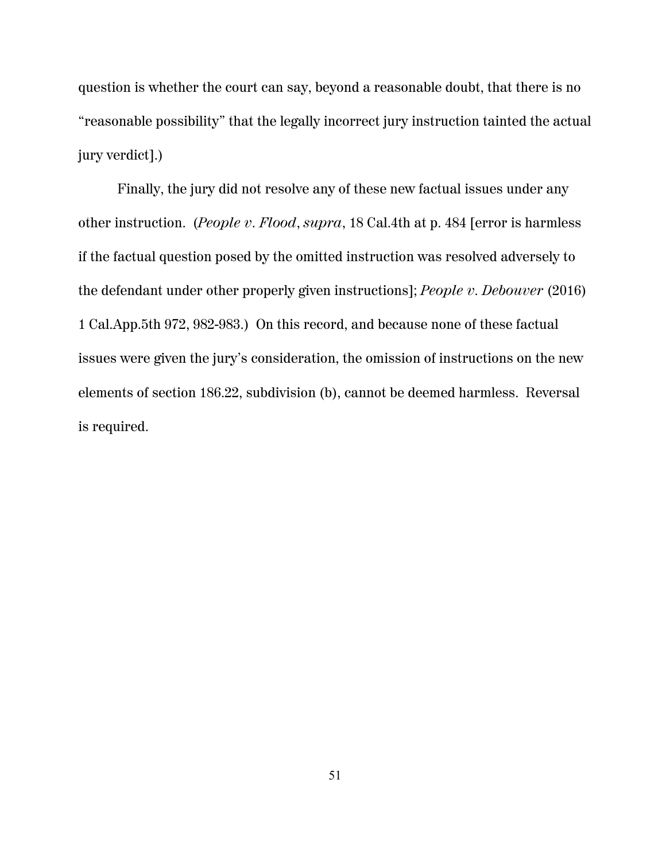question is whether the court can say, beyond a reasonable doubt, that there is no "reasonable possibility" that the legally incorrect jury instruction tainted the actual jury verdict].)

Finally, the jury did not resolve any of these new factual issues under any other instruction. (*People v. Flood*, *supra*, 18 Cal.4th at p. 484 [error is harmless if the factual question posed by the omitted instruction was resolved adversely to the defendant under other properly given instructions]; *People v. Debouver* (2016) 1 Cal.App.5th 972, 982-983.) On this record, and because none of these factual issues were given the jury's consideration, the omission of instructions on the new elements of section 186.22, subdivision (b), cannot be deemed harmless. Reversal is required.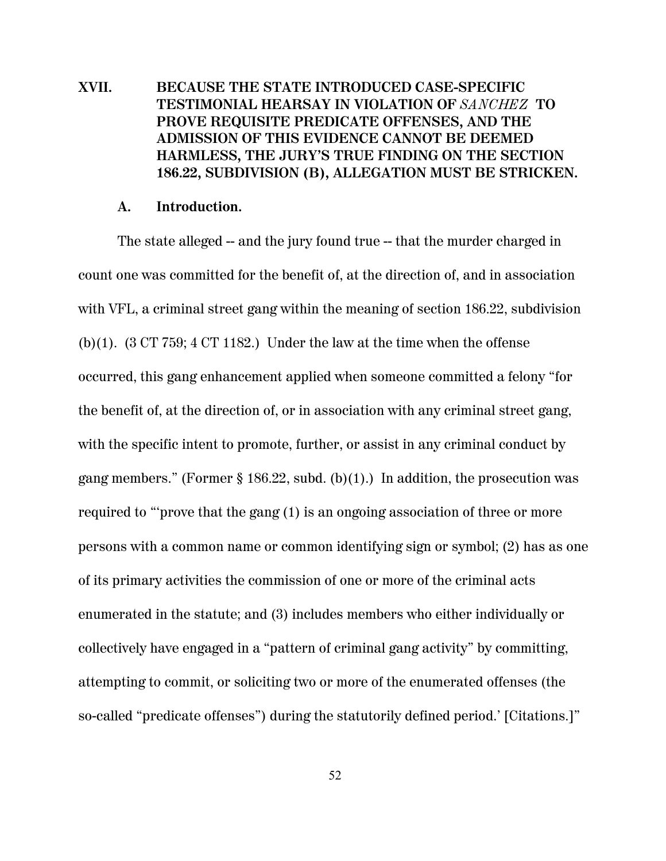# **XVII. BECAUSE THE STATE INTRODUCED CASE-SPECIFIC TESTIMONIAL HEARSAY IN VIOLATION OF** *SANCHEZ* **TO PROVE REQUISITE PREDICATE OFFENSES, AND THE ADMISSION OF THIS EVIDENCE CANNOT BE DEEMED HARMLESS, THE JURY'S TRUE FINDING ON THE SECTION 186.22, SUBDIVISION (B), ALLEGATION MUST BE STRICKEN.**

#### **A. Introduction.**

The state alleged -- and the jury found true -- that the murder charged in count one was committed for the benefit of, at the direction of, and in association with VFL, a criminal street gang within the meaning of section 186.22, subdivision (b)(1).  $(3 \text{ CT } 759; 4 \text{ CT } 1182)$ . Under the law at the time when the offense occurred, this gang enhancement applied when someone committed a felony "for the benefit of, at the direction of, or in association with any criminal street gang, with the specific intent to promote, further, or assist in any criminal conduct by gang members." (Former § 186.22, subd. (b)(1).) In addition, the prosecution was required to "'prove that the gang (1) is an ongoing association of three or more persons with a common name or common identifying sign or symbol; (2) has as one of its primary activities the commission of one or more of the criminal acts enumerated in the statute; and (3) includes members who either individually or collectively have engaged in a "pattern of criminal gang activity" by committing, attempting to commit, or soliciting two or more of the enumerated offenses (the so-called "predicate offenses") during the statutorily defined period.' [Citations.]"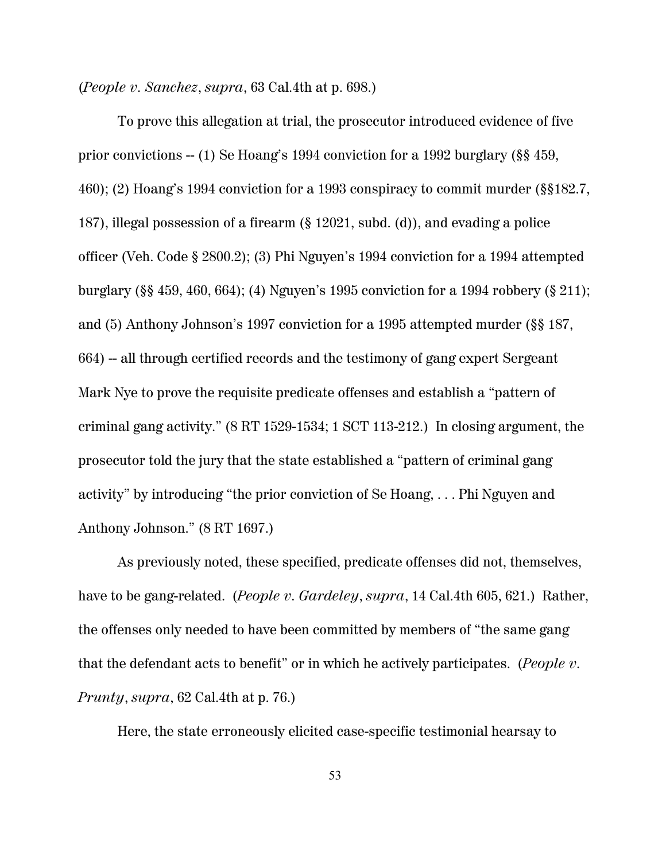(*People v. Sanchez*, *supra*, 63 Cal.4th at p. 698.)

To prove this allegation at trial, the prosecutor introduced evidence of five prior convictions -- (1) Se Hoang's 1994 conviction for a 1992 burglary (§§ 459, 460); (2) Hoang's 1994 conviction for a 1993 conspiracy to commit murder (§§182.7, 187), illegal possession of a firearm (§ 12021, subd. (d)), and evading a police officer (Veh. Code § 2800.2); (3) Phi Nguyen's 1994 conviction for a 1994 attempted burglary (§§ 459, 460, 664); (4) Nguyen's 1995 conviction for a 1994 robbery (§ 211); and (5) Anthony Johnson's 1997 conviction for a 1995 attempted murder (§§ 187, 664) -- all through certified records and the testimony of gang expert Sergeant Mark Nye to prove the requisite predicate offenses and establish a "pattern of criminal gang activity." (8 RT 1529-1534; 1 SCT 113-212.) In closing argument, the prosecutor told the jury that the state established a "pattern of criminal gang activity" by introducing "the prior conviction of Se Hoang, . . . Phi Nguyen and Anthony Johnson." (8 RT 1697.)

As previously noted, these specified, predicate offenses did not, themselves, have to be gang-related. (*People v. Gardeley*, *supra*, 14 Cal.4th 605, 621.) Rather, the offenses only needed to have been committed by members of "the same gang that the defendant acts to benefit" or in which he actively participates. (*People v. Prunty*, *supra*, 62 Cal.4th at p. 76.)

Here, the state erroneously elicited case-specific testimonial hearsay to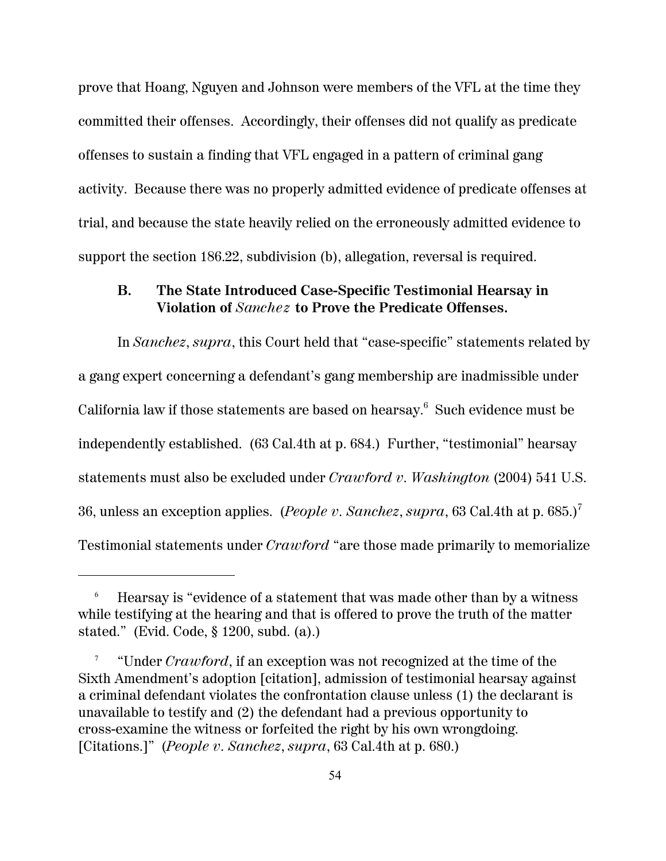prove that Hoang, Nguyen and Johnson were members of the VFL at the time they committed their offenses. Accordingly, their offenses did not qualify as predicate offenses to sustain a finding that VFL engaged in a pattern of criminal gang activity. Because there was no properly admitted evidence of predicate offenses at trial, and because the state heavily relied on the erroneously admitted evidence to support the section 186.22, subdivision (b), allegation, reversal is required.

### **B. The State Introduced Case-Specific Testimonial Hearsay in Violation of** *Sanchez* **to Prove the Predicate Offenses.**

In *Sanchez*, *supra*, this Court held that "case-specific" statements related by a gang expert concerning a defendant's gang membership are inadmissible under California law if those statements are based on hearsay. $^6\,$  Such evidence must be independently established. (63 Cal.4th at p. 684.) Further, "testimonial" hearsay statements must also be excluded under *Crawford v. Washington* (2004) 541 U.S. 36, unless an exception applies. (*People v. Sanchez*, *supra*, 63 Cal.4th at p. 685.)<sup>7</sup> Testimonial statements under *Crawford* "are those made primarily to memorialize

<sup>6</sup> Hearsay is "evidence of a statement that was made other than by a witness while testifying at the hearing and that is offered to prove the truth of the matter stated." (Evid. Code, § 1200, subd. (a).)

<sup>7</sup> "Under *Crawford*, if an exception was not recognized at the time of the Sixth Amendment's adoption [citation], admission of testimonial hearsay against a criminal defendant violates the confrontation clause unless (1) the declarant is unavailable to testify and (2) the defendant had a previous opportunity to cross-examine the witness or forfeited the right by his own wrongdoing. [Citations.]" (*People v. Sanchez*, *supra*, 63 Cal.4th at p. 680.)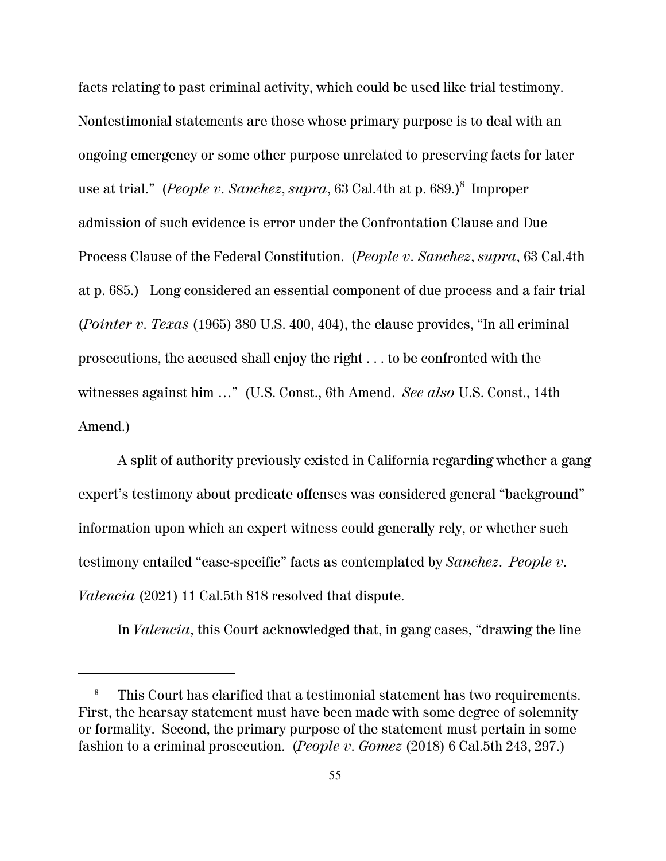facts relating to past criminal activity, which could be used like trial testimony. Nontestimonial statements are those whose primary purpose is to deal with an ongoing emergency or some other purpose unrelated to preserving facts for later use at trial." *(People v. Sanchez, supra,* 63 Cal.4th at p. 689.)<sup>8</sup> Improper admission of such evidence is error under the Confrontation Clause and Due Process Clause of the Federal Constitution. (*People v. Sanchez*, *supra*, 63 Cal.4th at p. 685.) Long considered an essential component of due process and a fair trial (*Pointer v. Texas* (1965) 380 U.S. 400, 404), the clause provides, "In all criminal prosecutions, the accused shall enjoy the right . . . to be confronted with the witnesses against him …" (U.S. Const., 6th Amend. *See also* U.S. Const., 14th Amend.)

A split of authority previously existed in California regarding whether a gang expert's testimony about predicate offenses was considered general "background" information upon which an expert witness could generally rely, or whether such testimony entailed "case-specific" facts as contemplated by *Sanchez*. *People v. Valencia* (2021) 11 Cal.5th 818 resolved that dispute.

In *Valencia*, this Court acknowledged that, in gang cases, "drawing the line

This Court has clarified that a testimonial statement has two requirements. First, the hearsay statement must have been made with some degree of solemnity or formality. Second, the primary purpose of the statement must pertain in some fashion to a criminal prosecution. (*People v. Gomez* (2018) 6 Cal.5th 243, 297.)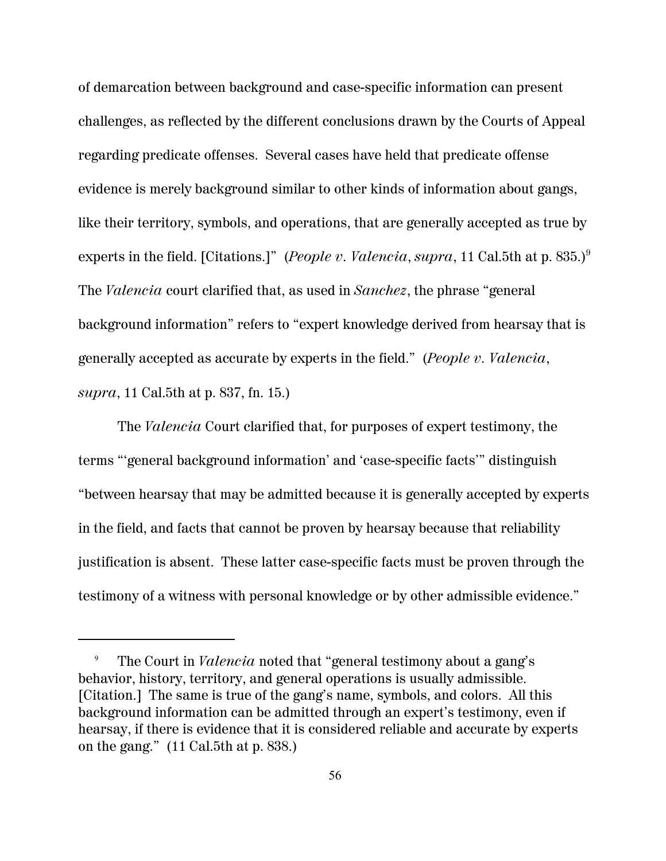of demarcation between background and case-specific information can present challenges, as reflected by the different conclusions drawn by the Courts of Appeal regarding predicate offenses. Several cases have held that predicate offense evidence is merely background similar to other kinds of information about gangs, like their territory, symbols, and operations, that are generally accepted as true by experts in the field. [Citations.]" (*People v. Valencia*, *supra*, 11 Cal.5th at p. 835.)<sup>9</sup> The *Valencia* court clarified that, as used in *Sanchez*, the phrase "general background information" refers to "expert knowledge derived from hearsay that is generally accepted as accurate by experts in the field." (*People v. Valencia*, *supra*, 11 Cal.5th at p. 837, fn. 15.)

The *Valencia* Court clarified that, for purposes of expert testimony, the terms "'general background information' and 'case-specific facts'" distinguish "between hearsay that may be admitted because it is generally accepted by experts in the field, and facts that cannot be proven by hearsay because that reliability justification is absent. These latter case-specific facts must be proven through the testimony of a witness with personal knowledge or by other admissible evidence."

<sup>9</sup> The Court in *Valencia* noted that "general testimony about a gang's behavior, history, territory, and general operations is usually admissible. [Citation.] The same is true of the gang's name, symbols, and colors. All this background information can be admitted through an expert's testimony, even if hearsay, if there is evidence that it is considered reliable and accurate by experts on the gang." (11 Cal.5th at p. 838.)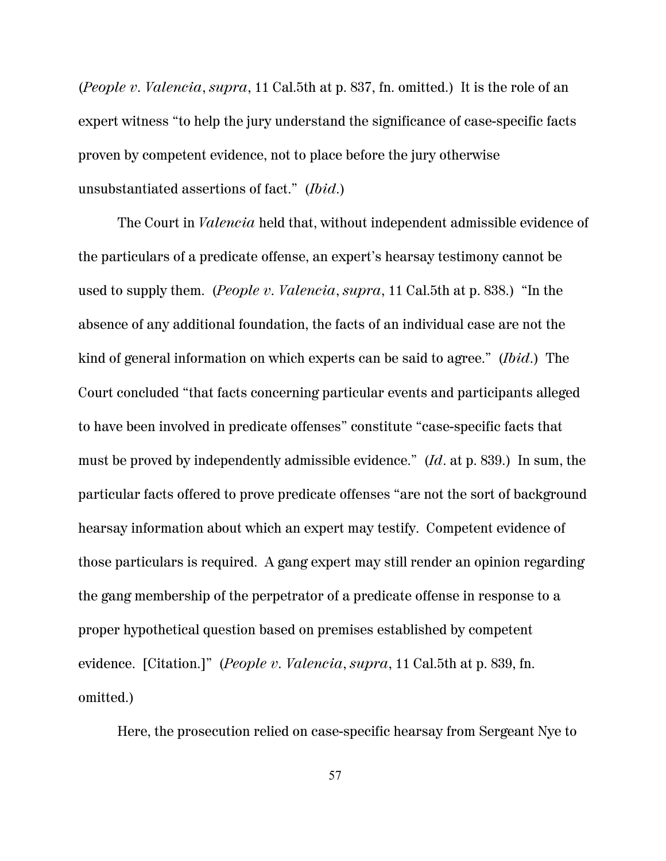(*People v. Valencia*, *supra*, 11 Cal.5th at p. 837, fn. omitted.) It is the role of an expert witness "to help the jury understand the significance of case-specific facts proven by competent evidence, not to place before the jury otherwise unsubstantiated assertions of fact." (*Ibid*.)

The Court in *Valencia* held that, without independent admissible evidence of the particulars of a predicate offense, an expert's hearsay testimony cannot be used to supply them. (*People v. Valencia*, *supra*, 11 Cal.5th at p. 838.) "In the absence of any additional foundation, the facts of an individual case are not the kind of general information on which experts can be said to agree." (*Ibid*.) The Court concluded "that facts concerning particular events and participants alleged to have been involved in predicate offenses" constitute "case-specific facts that must be proved by independently admissible evidence." (*Id*. at p. 839.) In sum, the particular facts offered to prove predicate offenses "are not the sort of background hearsay information about which an expert may testify. Competent evidence of those particulars is required. A gang expert may still render an opinion regarding the gang membership of the perpetrator of a predicate offense in response to a proper hypothetical question based on premises established by competent evidence. [Citation.]" (*People v. Valencia*, *supra*, 11 Cal.5th at p. 839, fn. omitted.)

Here, the prosecution relied on case-specific hearsay from Sergeant Nye to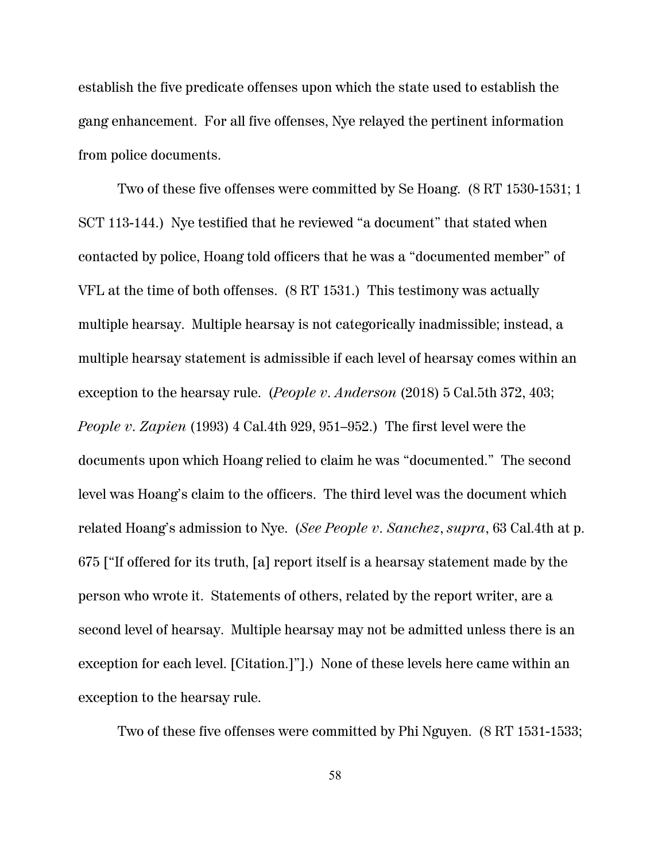establish the five predicate offenses upon which the state used to establish the gang enhancement. For all five offenses, Nye relayed the pertinent information from police documents.

Two of these five offenses were committed by Se Hoang. (8 RT 1530-1531; 1 SCT 113-144.) Nye testified that he reviewed "a document" that stated when contacted by police, Hoang told officers that he was a "documented member" of VFL at the time of both offenses. (8 RT 1531.) This testimony was actually multiple hearsay. Multiple hearsay is not categorically inadmissible; instead, a multiple hearsay statement is admissible if each level of hearsay comes within an exception to the hearsay rule. (*People v. Anderson* (2018) 5 Cal.5th 372, 403; *People v. Zapien* (1993) 4 Cal.4th 929, 951–952.) The first level were the documents upon which Hoang relied to claim he was "documented." The second level was Hoang's claim to the officers. The third level was the document which related Hoang's admission to Nye. (*See People v. Sanchez*, *supra*, 63 Cal.4th at p. 675 ["If offered for its truth, [a] report itself is a hearsay statement made by the person who wrote it. Statements of others, related by the report writer, are a second level of hearsay. Multiple hearsay may not be admitted unless there is an exception for each level. [Citation.]"].) None of these levels here came within an exception to the hearsay rule.

Two of these five offenses were committed by Phi Nguyen. (8 RT 1531-1533;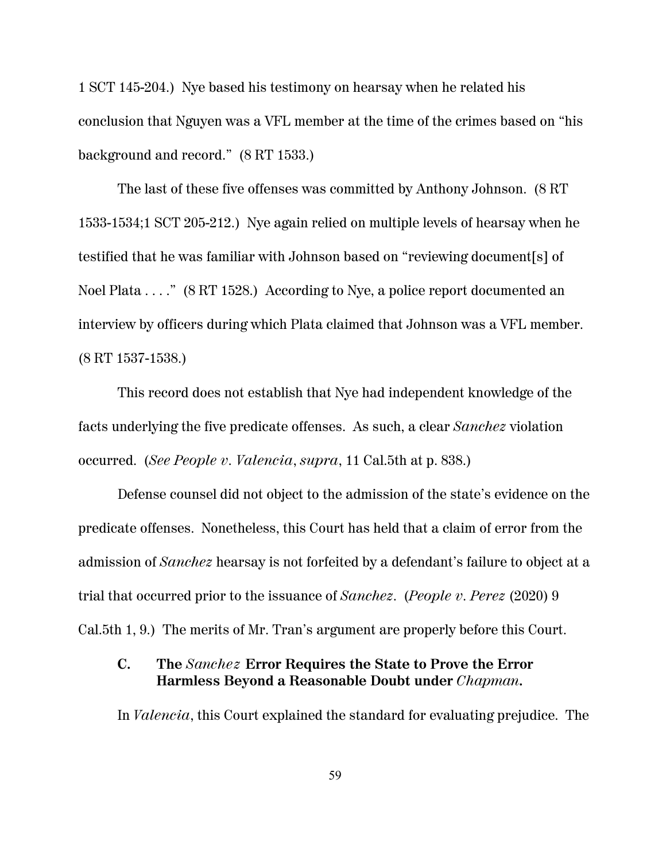1 SCT 145-204.) Nye based his testimony on hearsay when he related his conclusion that Nguyen was a VFL member at the time of the crimes based on "his background and record." (8 RT 1533.)

The last of these five offenses was committed by Anthony Johnson. (8 RT 1533-1534;1 SCT 205-212.) Nye again relied on multiple levels of hearsay when he testified that he was familiar with Johnson based on "reviewing document[s] of Noel Plata . . . ." (8 RT 1528.) According to Nye, a police report documented an interview by officers during which Plata claimed that Johnson was a VFL member. (8 RT 1537-1538.)

This record does not establish that Nye had independent knowledge of the facts underlying the five predicate offenses. As such, a clear *Sanchez* violation occurred. (*See People v. Valencia*, *supra*, 11 Cal.5th at p. 838.)

Defense counsel did not object to the admission of the state's evidence on the predicate offenses. Nonetheless, this Court has held that a claim of error from the admission of *Sanchez* hearsay is not forfeited by a defendant's failure to object at a trial that occurred prior to the issuance of *Sanchez*. (*People v. Perez* (2020) 9 Cal.5th 1, 9.) The merits of Mr. Tran's argument are properly before this Court.

## **C. The** *Sanchez* **Error Requires the State to Prove the Error Harmless Beyond a Reasonable Doubt under** *Chapman***.**

In *Valencia*, this Court explained the standard for evaluating prejudice. The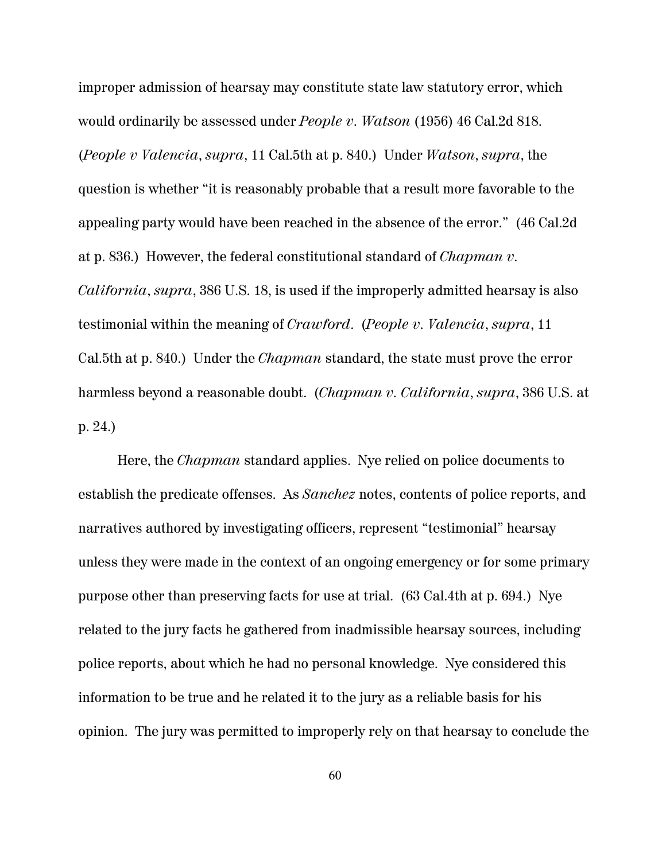improper admission of hearsay may constitute state law statutory error, which would ordinarily be assessed under *People v. Watson* (1956) 46 Cal.2d 818. (*People v Valencia*, *supra*, 11 Cal.5th at p. 840.) Under *Watson*, *supra*, the question is whether "it is reasonably probable that a result more favorable to the appealing party would have been reached in the absence of the error." (46 Cal.2d at p. 836.) However, the federal constitutional standard of *Chapman v. California*, *supra*, 386 U.S. 18, is used if the improperly admitted hearsay is also testimonial within the meaning of *Crawford*. (*People v. Valencia*, *supra*, 11 Cal.5th at p. 840.) Under the *Chapman* standard, the state must prove the error harmless beyond a reasonable doubt. (*Chapman v. California*, *supra*, 386 U.S. at p. 24.)

Here, the *Chapman* standard applies. Nye relied on police documents to establish the predicate offenses. As *Sanchez* notes, contents of police reports, and narratives authored by investigating officers, represent "testimonial" hearsay unless they were made in the context of an ongoing emergency or for some primary purpose other than preserving facts for use at trial. (63 Cal.4th at p. 694.) Nye related to the jury facts he gathered from inadmissible hearsay sources, including police reports, about which he had no personal knowledge. Nye considered this information to be true and he related it to the jury as a reliable basis for his opinion. The jury was permitted to improperly rely on that hearsay to conclude the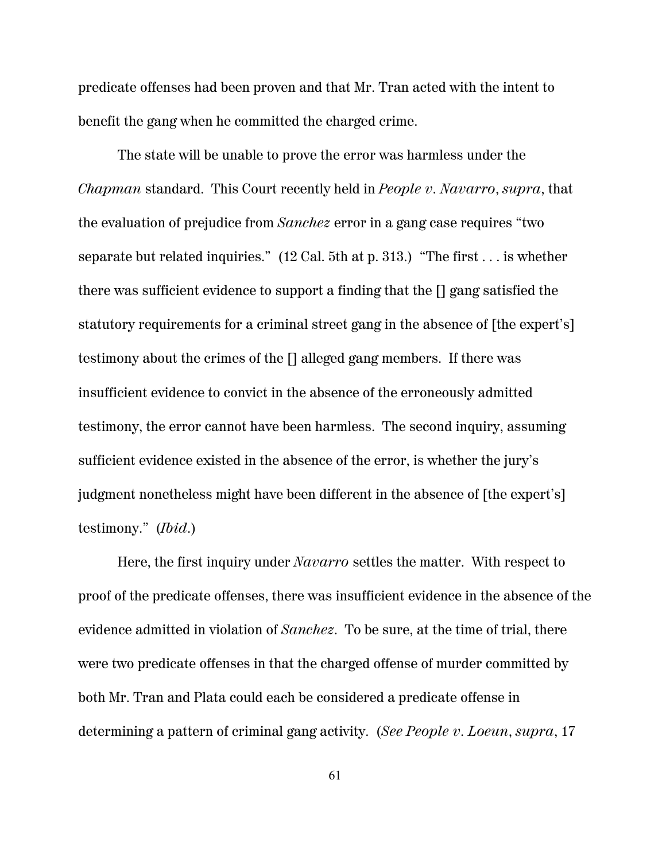predicate offenses had been proven and that Mr. Tran acted with the intent to benefit the gang when he committed the charged crime.

The state will be unable to prove the error was harmless under the *Chapman* standard. This Court recently held in *People v. Navarro*, *supra*, that the evaluation of prejudice from *Sanchez* error in a gang case requires "two separate but related inquiries." (12 Cal. 5th at p. 313.) "The first . . . is whether there was sufficient evidence to support a finding that the [] gang satisfied the statutory requirements for a criminal street gang in the absence of [the expert's] testimony about the crimes of the [] alleged gang members. If there was insufficient evidence to convict in the absence of the erroneously admitted testimony, the error cannot have been harmless. The second inquiry, assuming sufficient evidence existed in the absence of the error, is whether the jury's judgment nonetheless might have been different in the absence of [the expert's] testimony." (*Ibid*.)

Here, the first inquiry under *Navarro* settles the matter. With respect to proof of the predicate offenses, there was insufficient evidence in the absence of the evidence admitted in violation of *Sanchez*. To be sure, at the time of trial, there were two predicate offenses in that the charged offense of murder committed by both Mr. Tran and Plata could each be considered a predicate offense in determining a pattern of criminal gang activity. (*See People v. Loeun*, *supra*, 17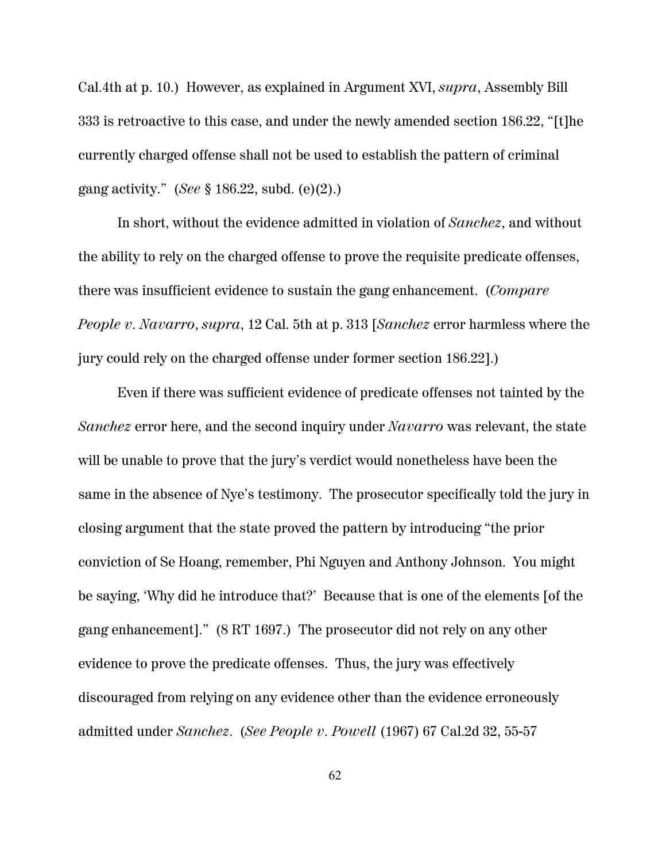Cal.4th at p. 10.) However, as explained in Argument XVI, *supra*, Assembly Bill 333 is retroactive to this case, and under the newly amended section 186.22, "[t]he currently charged offense shall not be used to establish the pattern of criminal gang activity." (*See* § 186.22, subd. (e)(2).)

In short, without the evidence admitted in violation of *Sanchez*, and without the ability to rely on the charged offense to prove the requisite predicate offenses, there was insufficient evidence to sustain the gang enhancement. (*Compare People v. Navarro*, *supra*, 12 Cal. 5th at p. 313 [*Sanchez* error harmless where the jury could rely on the charged offense under former section 186.22].)

Even if there was sufficient evidence of predicate offenses not tainted by the *Sanchez* error here, and the second inquiry under *Navarro* was relevant, the state will be unable to prove that the jury's verdict would nonetheless have been the same in the absence of Nye's testimony. The prosecutor specifically told the jury in closing argument that the state proved the pattern by introducing "the prior conviction of Se Hoang, remember, Phi Nguyen and Anthony Johnson. You might be saying, 'Why did he introduce that?' Because that is one of the elements [of the gang enhancement]." (8 RT 1697.) The prosecutor did not rely on any other evidence to prove the predicate offenses. Thus, the jury was effectively discouraged from relying on any evidence other than the evidence erroneously admitted under *Sanchez*. (*See People v. Powell* (1967) 67 Cal.2d 32, 55-57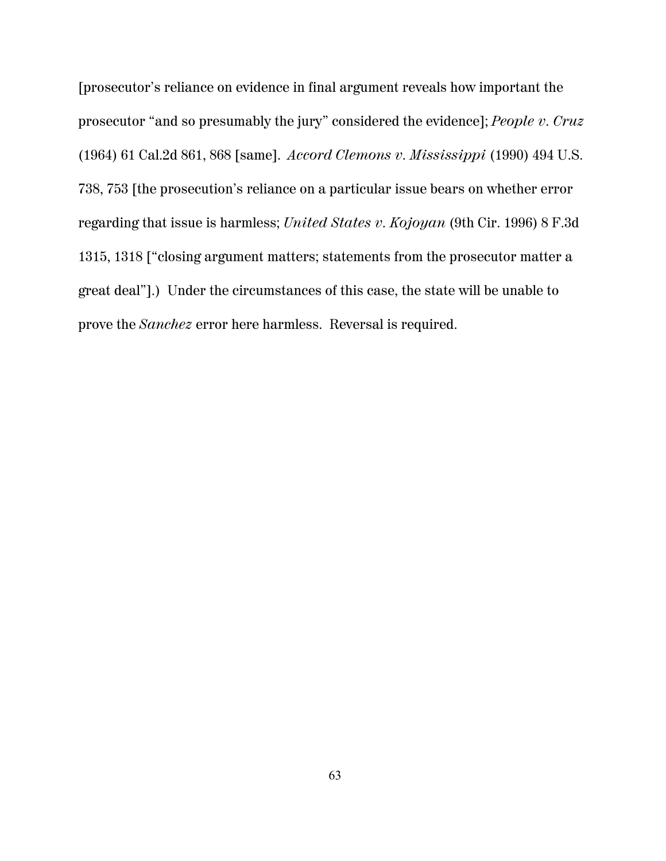[prosecutor's reliance on evidence in final argument reveals how important the prosecutor "and so presumably the jury" considered the evidence]; *People v. Cruz* (1964) 61 Cal.2d 861, 868 [same]. *Accord Clemons v. Mississippi* (1990) 494 U.S. 738, 753 [the prosecution's reliance on a particular issue bears on whether error regarding that issue is harmless; *United States v. Kojoyan* (9th Cir. 1996) 8 F.3d 1315, 1318 ["closing argument matters; statements from the prosecutor matter a great deal"].) Under the circumstances of this case, the state will be unable to prove the *Sanchez* error here harmless. Reversal is required.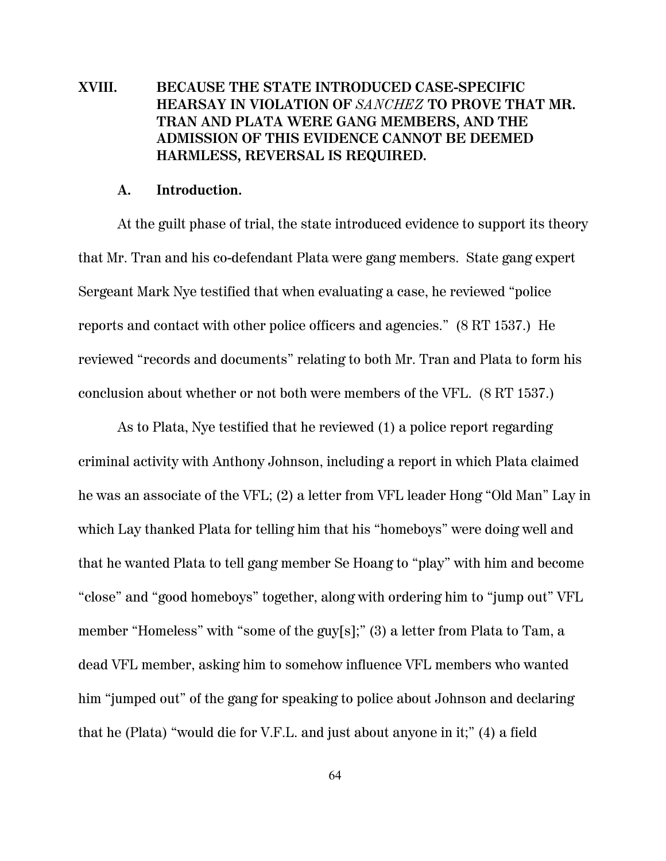# **XVIII. BECAUSE THE STATE INTRODUCED CASE-SPECIFIC HEARSAY IN VIOLATION OF** *SANCHEZ* **TO PROVE THAT MR. TRAN AND PLATA WERE GANG MEMBERS, AND THE ADMISSION OF THIS EVIDENCE CANNOT BE DEEMED HARMLESS, REVERSAL IS REQUIRED.**

#### **A. Introduction.**

At the guilt phase of trial, the state introduced evidence to support its theory that Mr. Tran and his co-defendant Plata were gang members. State gang expert Sergeant Mark Nye testified that when evaluating a case, he reviewed "police reports and contact with other police officers and agencies." (8 RT 1537.) He reviewed "records and documents" relating to both Mr. Tran and Plata to form his conclusion about whether or not both were members of the VFL. (8 RT 1537.)

As to Plata, Nye testified that he reviewed (1) a police report regarding criminal activity with Anthony Johnson, including a report in which Plata claimed he was an associate of the VFL; (2) a letter from VFL leader Hong "Old Man" Lay in which Lay thanked Plata for telling him that his "homeboys" were doing well and that he wanted Plata to tell gang member Se Hoang to "play" with him and become "close" and "good homeboys" together, along with ordering him to "jump out" VFL member "Homeless" with "some of the guy[s];" (3) a letter from Plata to Tam, a dead VFL member, asking him to somehow influence VFL members who wanted him "jumped out" of the gang for speaking to police about Johnson and declaring that he (Plata) "would die for V.F.L. and just about anyone in it;" (4) a field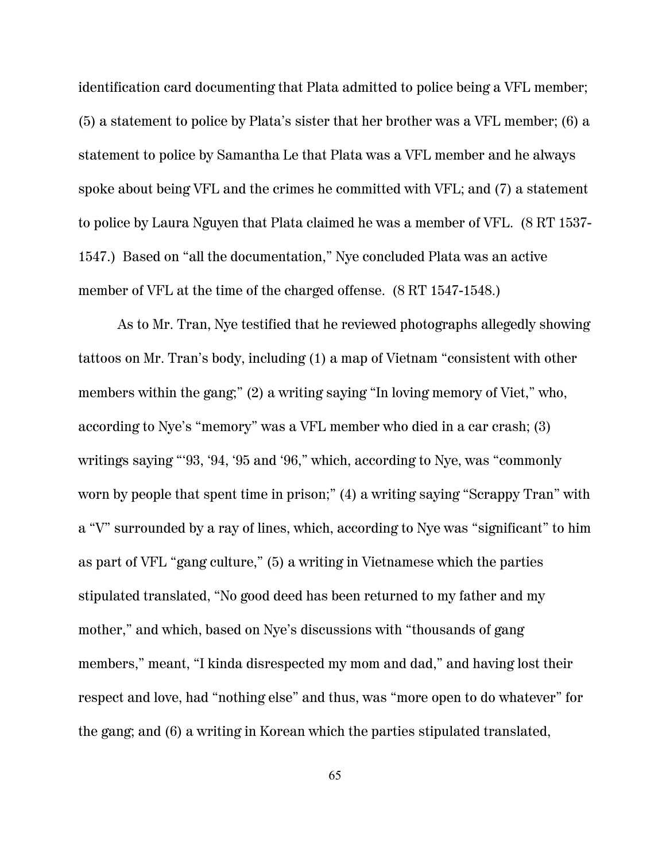identification card documenting that Plata admitted to police being a VFL member; (5) a statement to police by Plata's sister that her brother was a VFL member; (6) a statement to police by Samantha Le that Plata was a VFL member and he always spoke about being VFL and the crimes he committed with VFL; and (7) a statement to police by Laura Nguyen that Plata claimed he was a member of VFL. (8 RT 1537- 1547.) Based on "all the documentation," Nye concluded Plata was an active member of VFL at the time of the charged offense. (8 RT 1547-1548.)

As to Mr. Tran, Nye testified that he reviewed photographs allegedly showing tattoos on Mr. Tran's body, including (1) a map of Vietnam "consistent with other members within the gang;" (2) a writing saying "In loving memory of Viet," who, according to Nye's "memory" was a VFL member who died in a car crash; (3) writings saying "'93, '94, '95 and '96," which, according to Nye, was "commonly worn by people that spent time in prison;" (4) a writing saying "Scrappy Tran" with a "V" surrounded by a ray of lines, which, according to Nye was "significant" to him as part of VFL "gang culture," (5) a writing in Vietnamese which the parties stipulated translated, "No good deed has been returned to my father and my mother," and which, based on Nye's discussions with "thousands of gang members," meant, "I kinda disrespected my mom and dad," and having lost their respect and love, had "nothing else" and thus, was "more open to do whatever" for the gang; and (6) a writing in Korean which the parties stipulated translated,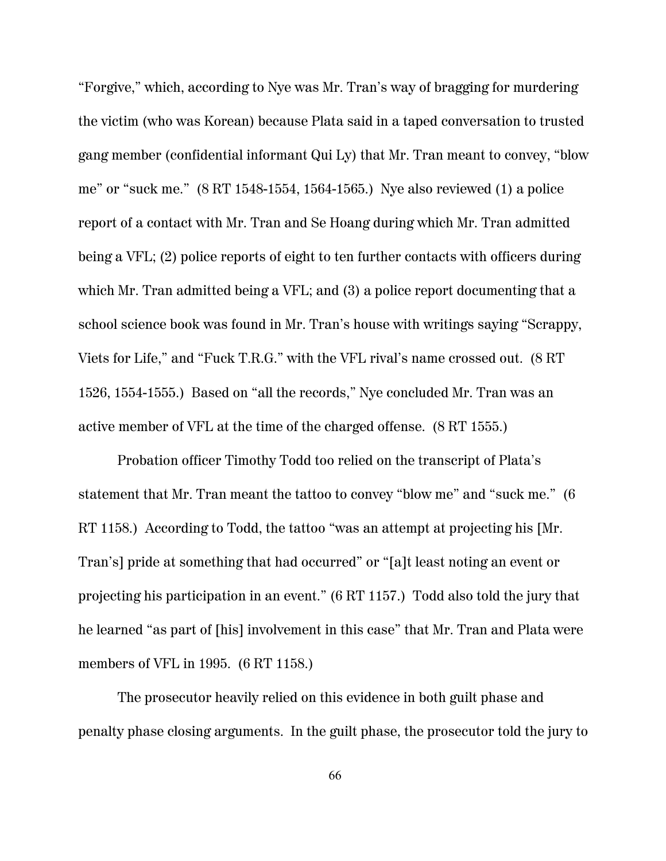"Forgive," which, according to Nye was Mr. Tran's way of bragging for murdering the victim (who was Korean) because Plata said in a taped conversation to trusted gang member (confidential informant Qui Ly) that Mr. Tran meant to convey, "blow me" or "suck me." (8 RT 1548-1554, 1564-1565.) Nye also reviewed (1) a police report of a contact with Mr. Tran and Se Hoang during which Mr. Tran admitted being a VFL; (2) police reports of eight to ten further contacts with officers during which Mr. Tran admitted being a VFL; and (3) a police report documenting that a school science book was found in Mr. Tran's house with writings saying "Scrappy, Viets for Life," and "Fuck T.R.G." with the VFL rival's name crossed out. (8 RT 1526, 1554-1555.) Based on "all the records," Nye concluded Mr. Tran was an active member of VFL at the time of the charged offense. (8 RT 1555.)

Probation officer Timothy Todd too relied on the transcript of Plata's statement that Mr. Tran meant the tattoo to convey "blow me" and "suck me." (6 RT 1158.) According to Todd, the tattoo "was an attempt at projecting his [Mr. Tran's] pride at something that had occurred" or "[a]t least noting an event or projecting his participation in an event." (6 RT 1157.) Todd also told the jury that he learned "as part of [his] involvement in this case" that Mr. Tran and Plata were members of VFL in 1995. (6 RT 1158.)

The prosecutor heavily relied on this evidence in both guilt phase and penalty phase closing arguments. In the guilt phase, the prosecutor told the jury to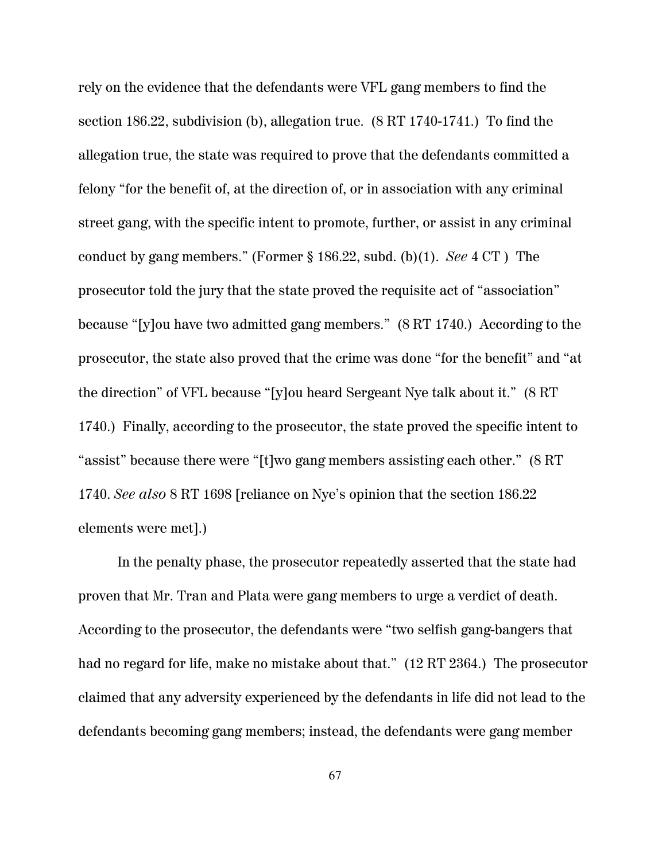rely on the evidence that the defendants were VFL gang members to find the section 186.22, subdivision (b), allegation true. (8 RT 1740-1741.) To find the allegation true, the state was required to prove that the defendants committed a felony "for the benefit of, at the direction of, or in association with any criminal street gang, with the specific intent to promote, further, or assist in any criminal conduct by gang members." (Former § 186.22, subd. (b)(1). *See* 4 CT ) The prosecutor told the jury that the state proved the requisite act of "association" because "[y]ou have two admitted gang members." (8 RT 1740.) According to the prosecutor, the state also proved that the crime was done "for the benefit" and "at the direction" of VFL because "[y]ou heard Sergeant Nye talk about it." (8 RT 1740.) Finally, according to the prosecutor, the state proved the specific intent to "assist" because there were "[t]wo gang members assisting each other." (8 RT 1740. *See also* 8 RT 1698 [reliance on Nye's opinion that the section 186.22 elements were met].)

In the penalty phase, the prosecutor repeatedly asserted that the state had proven that Mr. Tran and Plata were gang members to urge a verdict of death. According to the prosecutor, the defendants were "two selfish gang-bangers that had no regard for life, make no mistake about that." (12 RT 2364.) The prosecutor claimed that any adversity experienced by the defendants in life did not lead to the defendants becoming gang members; instead, the defendants were gang member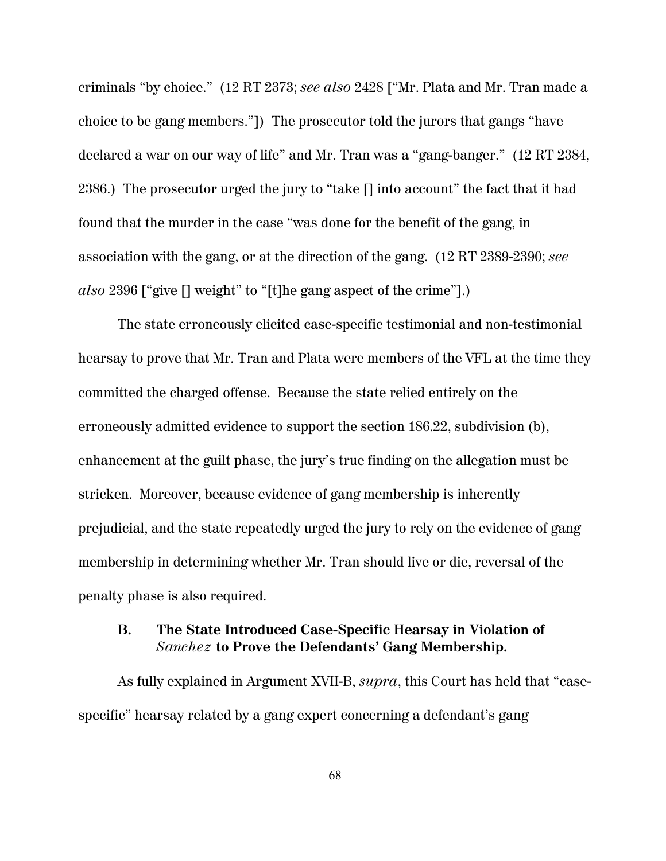criminals "by choice." (12 RT 2373; *see also* 2428 ["Mr. Plata and Mr. Tran made a choice to be gang members."]) The prosecutor told the jurors that gangs "have declared a war on our way of life" and Mr. Tran was a "gang-banger." (12 RT 2384, 2386.) The prosecutor urged the jury to "take [] into account" the fact that it had found that the murder in the case "was done for the benefit of the gang, in association with the gang, or at the direction of the gang. (12 RT 2389-2390; *see also* 2396 ["give [] weight" to "[t]he gang aspect of the crime"].)

The state erroneously elicited case-specific testimonial and non-testimonial hearsay to prove that Mr. Tran and Plata were members of the VFL at the time they committed the charged offense. Because the state relied entirely on the erroneously admitted evidence to support the section 186.22, subdivision (b), enhancement at the guilt phase, the jury's true finding on the allegation must be stricken. Moreover, because evidence of gang membership is inherently prejudicial, and the state repeatedly urged the jury to rely on the evidence of gang membership in determining whether Mr. Tran should live or die, reversal of the penalty phase is also required.

## **B. The State Introduced Case-Specific Hearsay in Violation of** *Sanchez* **to Prove the Defendants' Gang Membership.**

As fully explained in Argument XVII-B, *supra*, this Court has held that "casespecific" hearsay related by a gang expert concerning a defendant's gang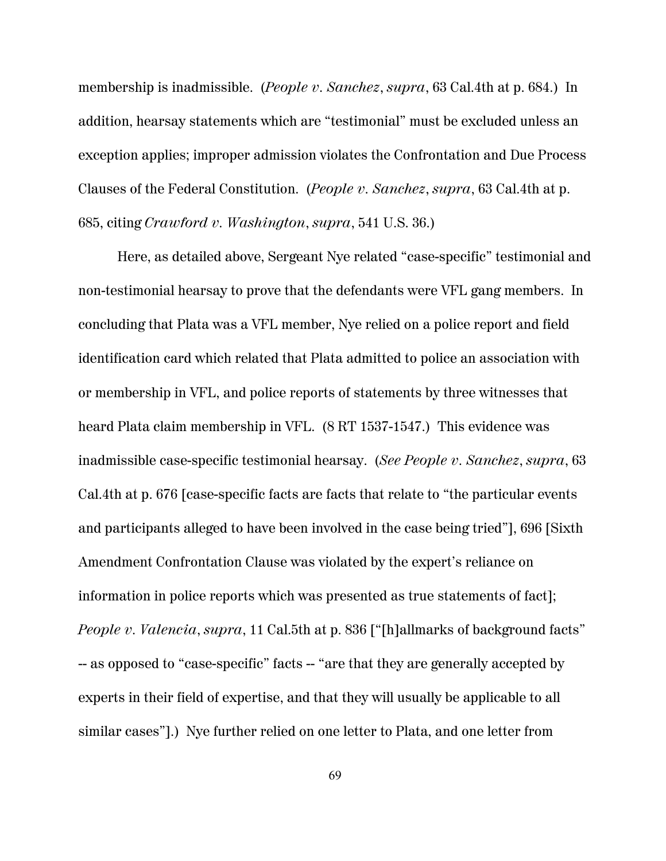membership is inadmissible. (*People v. Sanchez*, *supra*, 63 Cal.4th at p. 684.) In addition, hearsay statements which are "testimonial" must be excluded unless an exception applies; improper admission violates the Confrontation and Due Process Clauses of the Federal Constitution. (*People v. Sanchez*, *supra*, 63 Cal.4th at p. 685, citing *Crawford v. Washington*, *supra*, 541 U.S. 36.)

Here, as detailed above, Sergeant Nye related "case-specific" testimonial and non-testimonial hearsay to prove that the defendants were VFL gang members. In concluding that Plata was a VFL member, Nye relied on a police report and field identification card which related that Plata admitted to police an association with or membership in VFL, and police reports of statements by three witnesses that heard Plata claim membership in VFL. (8 RT 1537-1547.) This evidence was inadmissible case-specific testimonial hearsay. (*See People v. Sanchez*, *supra*, 63 Cal.4th at p. 676 [case-specific facts are facts that relate to "the particular events and participants alleged to have been involved in the case being tried"], 696 [Sixth Amendment Confrontation Clause was violated by the expert's reliance on information in police reports which was presented as true statements of fact]; *People v. Valencia, supra,* 11 Cal.5th at p. 836 ["[h]allmarks of background facts" -- as opposed to "case-specific" facts -- "are that they are generally accepted by experts in their field of expertise, and that they will usually be applicable to all similar cases"].) Nye further relied on one letter to Plata, and one letter from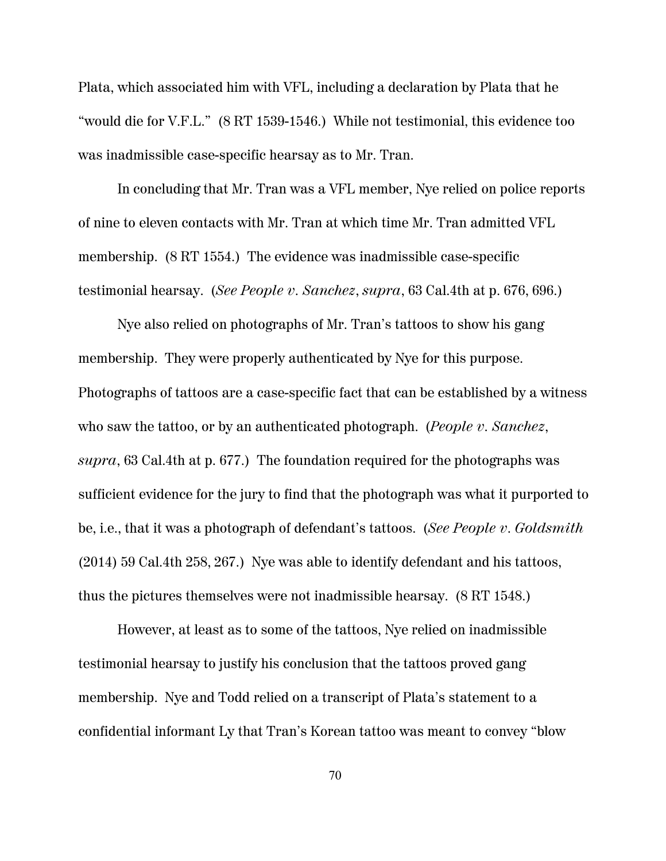Plata, which associated him with VFL, including a declaration by Plata that he "would die for V.F.L." (8 RT 1539-1546.) While not testimonial, this evidence too was inadmissible case-specific hearsay as to Mr. Tran.

In concluding that Mr. Tran was a VFL member, Nye relied on police reports of nine to eleven contacts with Mr. Tran at which time Mr. Tran admitted VFL membership. (8 RT 1554.) The evidence was inadmissible case-specific testimonial hearsay. (*See People v. Sanchez*, *supra*, 63 Cal.4th at p. 676, 696.)

Nye also relied on photographs of Mr. Tran's tattoos to show his gang membership. They were properly authenticated by Nye for this purpose. Photographs of tattoos are a case-specific fact that can be established by a witness who saw the tattoo, or by an authenticated photograph. (*People v. Sanchez*, *supra*, 63 Cal.4th at p. 677.) The foundation required for the photographs was sufficient evidence for the jury to find that the photograph was what it purported to be, i.e., that it was a photograph of defendant's tattoos. (*See People v. Goldsmith* (2014) 59 Cal.4th 258, 267.) Nye was able to identify defendant and his tattoos, thus the pictures themselves were not inadmissible hearsay. (8 RT 1548.)

However, at least as to some of the tattoos, Nye relied on inadmissible testimonial hearsay to justify his conclusion that the tattoos proved gang membership. Nye and Todd relied on a transcript of Plata's statement to a confidential informant Ly that Tran's Korean tattoo was meant to convey "blow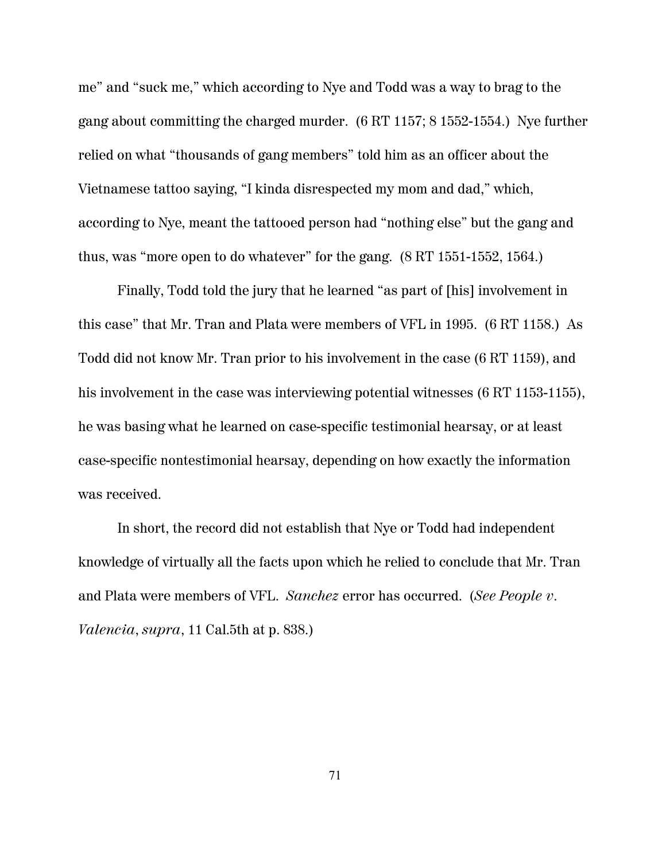me" and "suck me," which according to Nye and Todd was a way to brag to the gang about committing the charged murder. (6 RT 1157; 8 1552-1554.) Nye further relied on what "thousands of gang members" told him as an officer about the Vietnamese tattoo saying, "I kinda disrespected my mom and dad," which, according to Nye, meant the tattooed person had "nothing else" but the gang and thus, was "more open to do whatever" for the gang. (8 RT 1551-1552, 1564.)

Finally, Todd told the jury that he learned "as part of [his] involvement in this case" that Mr. Tran and Plata were members of VFL in 1995. (6 RT 1158.) As Todd did not know Mr. Tran prior to his involvement in the case (6 RT 1159), and his involvement in the case was interviewing potential witnesses (6 RT 1153-1155), he was basing what he learned on case-specific testimonial hearsay, or at least case-specific nontestimonial hearsay, depending on how exactly the information was received.

In short, the record did not establish that Nye or Todd had independent knowledge of virtually all the facts upon which he relied to conclude that Mr. Tran and Plata were members of VFL. *Sanchez* error has occurred. (*See People v. Valencia*, *supra*, 11 Cal.5th at p. 838.)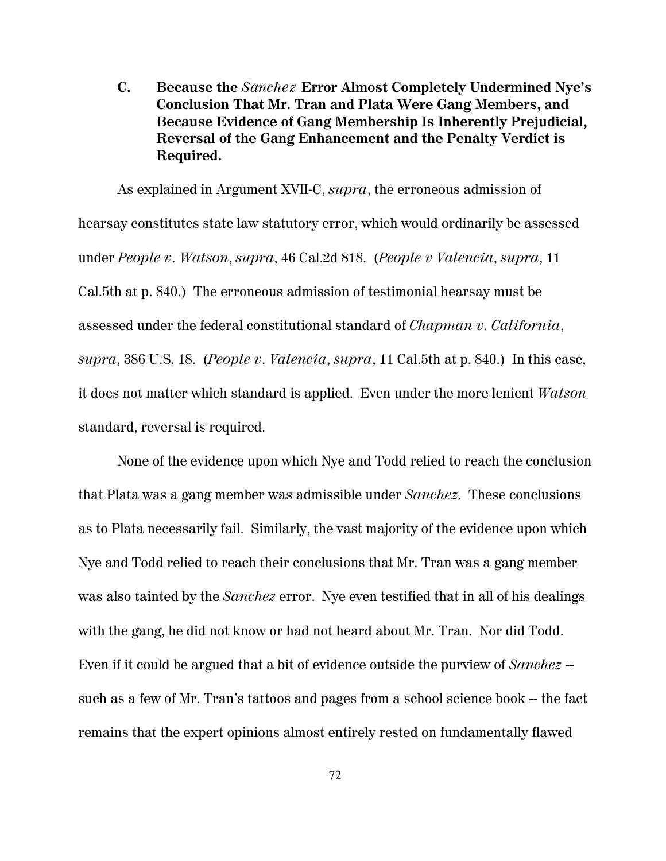**C. Because the** *Sanchez* **Error Almost Completely Undermined Nye's Conclusion That Mr. Tran and Plata Were Gang Members, and Because Evidence of Gang Membership Is Inherently Prejudicial, Reversal of the Gang Enhancement and the Penalty Verdict is Required.**

As explained in Argument XVII-C, *supra*, the erroneous admission of hearsay constitutes state law statutory error, which would ordinarily be assessed under *People v. Watson*, *supra*, 46 Cal.2d 818. (*People v Valencia*, *supra*, 11 Cal.5th at p. 840.) The erroneous admission of testimonial hearsay must be assessed under the federal constitutional standard of *Chapman v. California*, *supra*, 386 U.S. 18. (*People v. Valencia*, *supra*, 11 Cal.5th at p. 840.) In this case, it does not matter which standard is applied. Even under the more lenient *Watson* standard, reversal is required.

None of the evidence upon which Nye and Todd relied to reach the conclusion that Plata was a gang member was admissible under *Sanchez*. These conclusions as to Plata necessarily fail. Similarly, the vast majority of the evidence upon which Nye and Todd relied to reach their conclusions that Mr. Tran was a gang member was also tainted by the *Sanchez* error. Nye even testified that in all of his dealings with the gang, he did not know or had not heard about Mr. Tran. Nor did Todd. Even if it could be argued that a bit of evidence outside the purview of *Sanchez* - such as a few of Mr. Tran's tattoos and pages from a school science book -- the fact remains that the expert opinions almost entirely rested on fundamentally flawed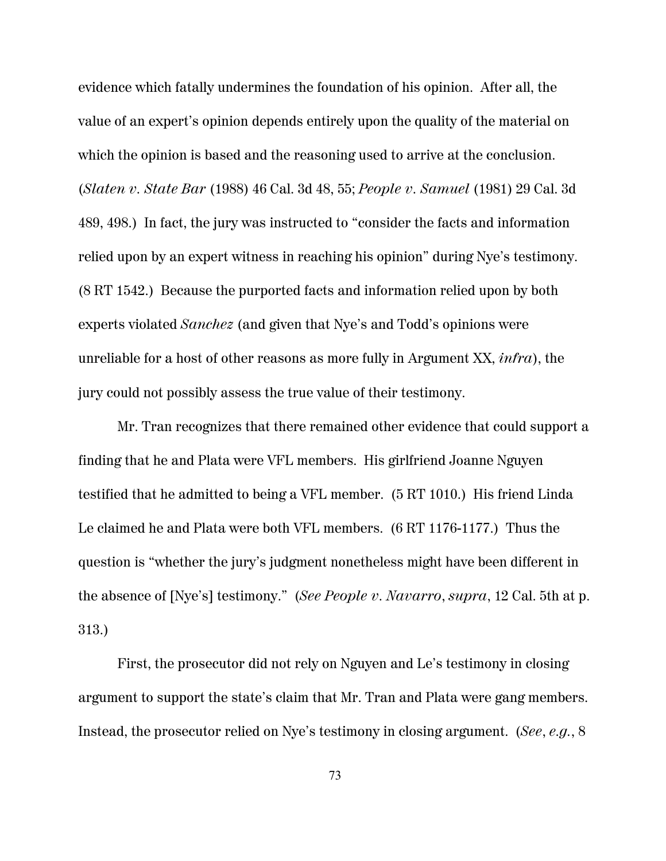evidence which fatally undermines the foundation of his opinion. After all, the value of an expert's opinion depends entirely upon the quality of the material on which the opinion is based and the reasoning used to arrive at the conclusion. (*Slaten v. State Bar* (1988) 46 Cal. 3d 48, 55; *People v. Samuel* (1981) 29 Cal. 3d 489, 498.) In fact, the jury was instructed to "consider the facts and information relied upon by an expert witness in reaching his opinion" during Nye's testimony. (8 RT 1542.) Because the purported facts and information relied upon by both experts violated *Sanchez* (and given that Nye's and Todd's opinions were unreliable for a host of other reasons as more fully in Argument XX, *infra*), the jury could not possibly assess the true value of their testimony.

Mr. Tran recognizes that there remained other evidence that could support a finding that he and Plata were VFL members. His girlfriend Joanne Nguyen testified that he admitted to being a VFL member. (5 RT 1010.) His friend Linda Le claimed he and Plata were both VFL members. (6 RT 1176-1177.) Thus the question is "whether the jury's judgment nonetheless might have been different in the absence of [Nye's] testimony." (*See People v. Navarro*, *supra*, 12 Cal. 5th at p. 313.)

First, the prosecutor did not rely on Nguyen and Le's testimony in closing argument to support the state's claim that Mr. Tran and Plata were gang members. Instead, the prosecutor relied on Nye's testimony in closing argument. (*See*, *e.g.*, 8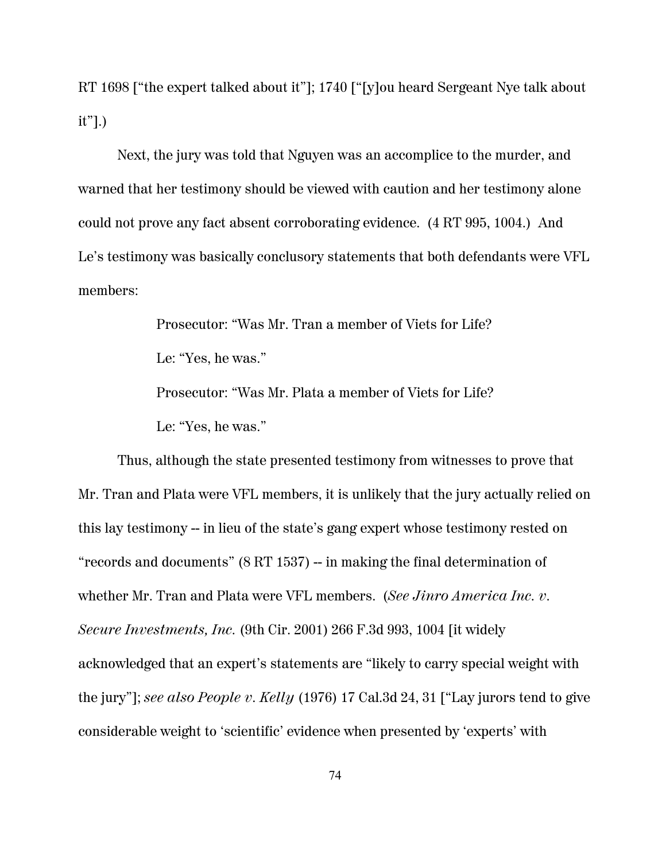RT 1698 ["the expert talked about it"]; 1740 ["[y]ou heard Sergeant Nye talk about it"].)

Next, the jury was told that Nguyen was an accomplice to the murder, and warned that her testimony should be viewed with caution and her testimony alone could not prove any fact absent corroborating evidence. (4 RT 995, 1004.) And Le's testimony was basically conclusory statements that both defendants were VFL members:

> Prosecutor: "Was Mr. Tran a member of Viets for Life? Le: "Yes, he was." Prosecutor: "Was Mr. Plata a member of Viets for Life? Le: "Yes, he was."

Thus, although the state presented testimony from witnesses to prove that Mr. Tran and Plata were VFL members, it is unlikely that the jury actually relied on this lay testimony -- in lieu of the state's gang expert whose testimony rested on "records and documents" (8 RT 1537) -- in making the final determination of whether Mr. Tran and Plata were VFL members. (*See Jinro America Inc. v. Secure Investments, Inc.* (9th Cir. 2001) 266 F.3d 993, 1004 [it widely acknowledged that an expert's statements are "likely to carry special weight with the jury"]; *see also People v. Kelly* (1976) 17 Cal.3d 24, 31 ["Lay jurors tend to give considerable weight to 'scientific' evidence when presented by 'experts' with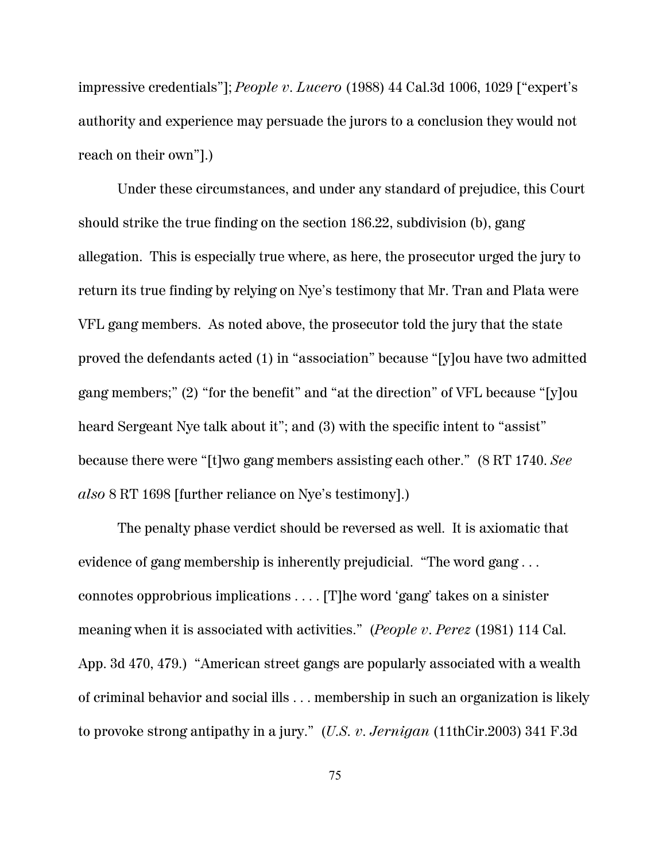impressive credentials"]; *People v. Lucero* (1988) 44 Cal.3d 1006, 1029 ["expert's authority and experience may persuade the jurors to a conclusion they would not reach on their own"].)

Under these circumstances, and under any standard of prejudice, this Court should strike the true finding on the section 186.22, subdivision (b), gang allegation. This is especially true where, as here, the prosecutor urged the jury to return its true finding by relying on Nye's testimony that Mr. Tran and Plata were VFL gang members. As noted above, the prosecutor told the jury that the state proved the defendants acted (1) in "association" because "[y]ou have two admitted gang members;" (2) "for the benefit" and "at the direction" of VFL because "[y]ou heard Sergeant Nye talk about it"; and (3) with the specific intent to "assist" because there were "[t]wo gang members assisting each other." (8 RT 1740. *See also* 8 RT 1698 [further reliance on Nye's testimony].)

The penalty phase verdict should be reversed as well. It is axiomatic that evidence of gang membership is inherently prejudicial. "The word gang . . . connotes opprobrious implications . . . . [T]he word 'gang' takes on a sinister meaning when it is associated with activities." (*People v. Perez* (1981) 114 Cal. App. 3d 470, 479.) "American street gangs are popularly associated with a wealth of criminal behavior and social ills . . . membership in such an organization is likely to provoke strong antipathy in a jury." (*U.S. v. Jernigan* (11thCir.2003) 341 F.3d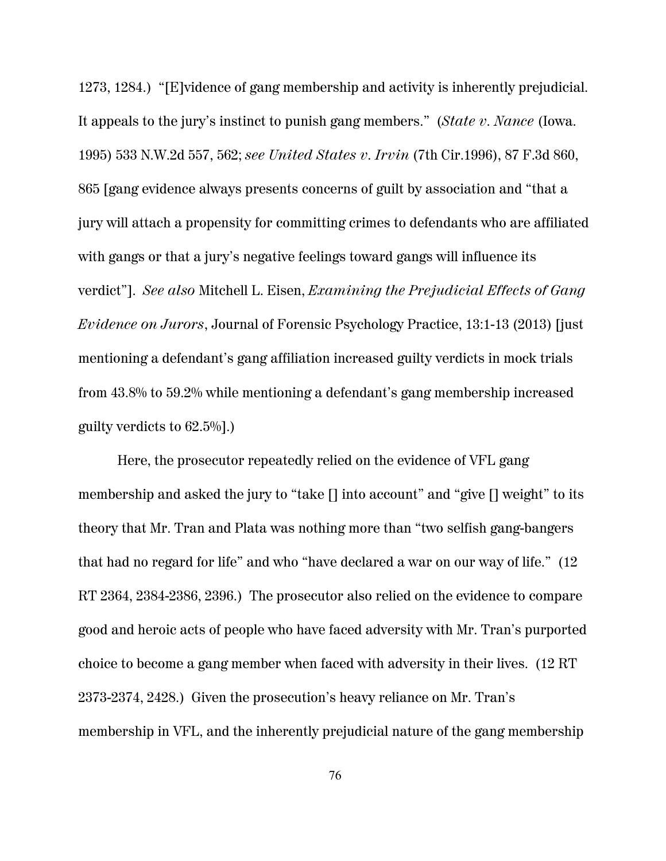1273, 1284.) "[E]vidence of gang membership and activity is inherently prejudicial. It appeals to the jury's instinct to punish gang members." (*State v. Nance* (Iowa. 1995) 533 N.W.2d 557, 562; *see United States v. Irvin* (7th Cir.1996), 87 F.3d 860, 865 [gang evidence always presents concerns of guilt by association and "that a jury will attach a propensity for committing crimes to defendants who are affiliated with gangs or that a jury's negative feelings toward gangs will influence its verdict"]. *See also* Mitchell L. Eisen, *Examining the Prejudicial Effects of Gang Evidence on Jurors*, Journal of Forensic Psychology Practice, 13:1-13 (2013) [just mentioning a defendant's gang affiliation increased guilty verdicts in mock trials from 43.8% to 59.2% while mentioning a defendant's gang membership increased guilty verdicts to 62.5%].)

Here, the prosecutor repeatedly relied on the evidence of VFL gang membership and asked the jury to "take [] into account" and "give [] weight" to its theory that Mr. Tran and Plata was nothing more than "two selfish gang-bangers that had no regard for life" and who "have declared a war on our way of life." (12 RT 2364, 2384-2386, 2396.) The prosecutor also relied on the evidence to compare good and heroic acts of people who have faced adversity with Mr. Tran's purported choice to become a gang member when faced with adversity in their lives. (12 RT 2373-2374, 2428.) Given the prosecution's heavy reliance on Mr. Tran's membership in VFL, and the inherently prejudicial nature of the gang membership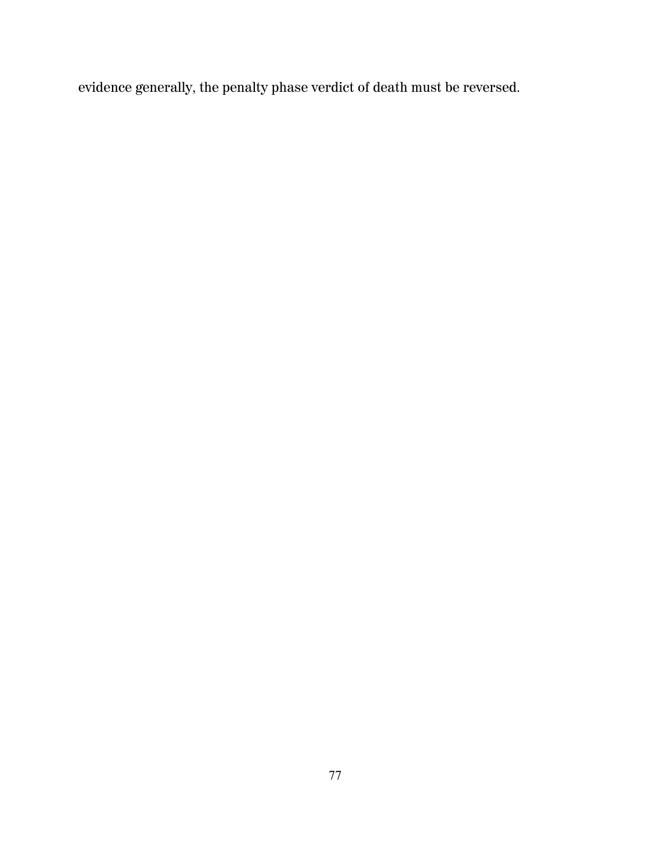evidence generally, the penalty phase verdict of death must be reversed.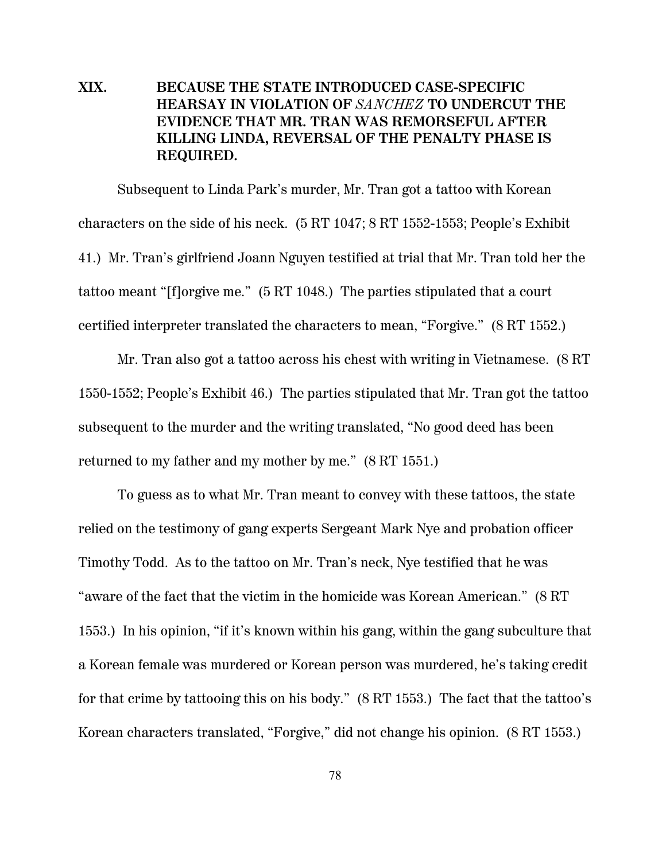# **XIX. BECAUSE THE STATE INTRODUCED CASE-SPECIFIC HEARSAY IN VIOLATION OF** *SANCHEZ* **TO UNDERCUT THE EVIDENCE THAT MR. TRAN WAS REMORSEFUL AFTER KILLING LINDA, REVERSAL OF THE PENALTY PHASE IS REQUIRED.**

Subsequent to Linda Park's murder, Mr. Tran got a tattoo with Korean characters on the side of his neck. (5 RT 1047; 8 RT 1552-1553; People's Exhibit 41.) Mr. Tran's girlfriend Joann Nguyen testified at trial that Mr. Tran told her the tattoo meant "[f]orgive me." (5 RT 1048.) The parties stipulated that a court certified interpreter translated the characters to mean, "Forgive." (8 RT 1552.)

Mr. Tran also got a tattoo across his chest with writing in Vietnamese. (8 RT 1550-1552; People's Exhibit 46.) The parties stipulated that Mr. Tran got the tattoo subsequent to the murder and the writing translated, "No good deed has been returned to my father and my mother by me." (8 RT 1551.)

To guess as to what Mr. Tran meant to convey with these tattoos, the state relied on the testimony of gang experts Sergeant Mark Nye and probation officer Timothy Todd. As to the tattoo on Mr. Tran's neck, Nye testified that he was "aware of the fact that the victim in the homicide was Korean American." (8 RT 1553.) In his opinion, "if it's known within his gang, within the gang subculture that a Korean female was murdered or Korean person was murdered, he's taking credit for that crime by tattooing this on his body." (8 RT 1553.) The fact that the tattoo's Korean characters translated, "Forgive," did not change his opinion. (8 RT 1553.)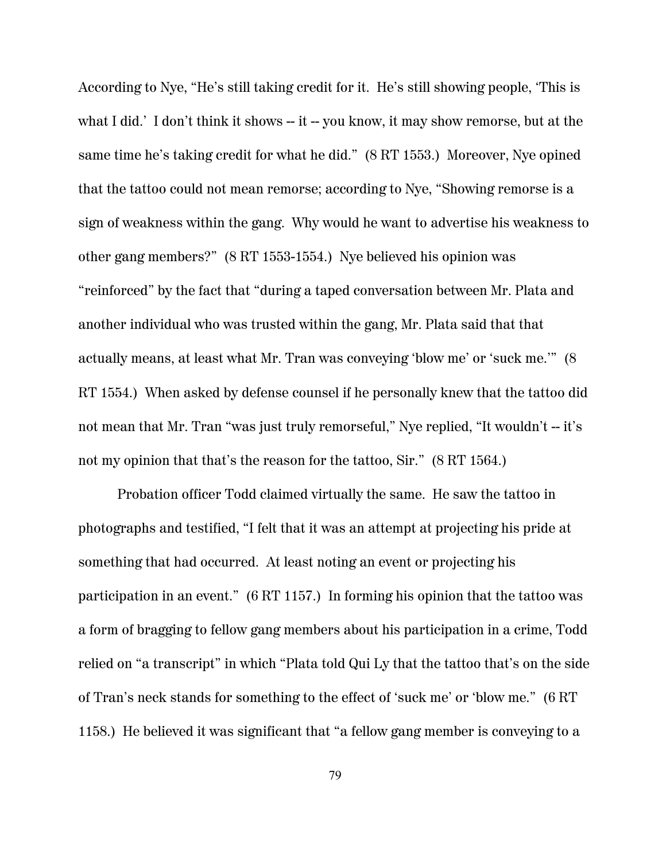According to Nye, "He's still taking credit for it. He's still showing people, 'This is what I did.' I don't think it shows -- it -- you know, it may show remorse, but at the same time he's taking credit for what he did." (8 RT 1553.) Moreover, Nye opined that the tattoo could not mean remorse; according to Nye, "Showing remorse is a sign of weakness within the gang. Why would he want to advertise his weakness to other gang members?" (8 RT 1553-1554.) Nye believed his opinion was "reinforced" by the fact that "during a taped conversation between Mr. Plata and another individual who was trusted within the gang, Mr. Plata said that that actually means, at least what Mr. Tran was conveying 'blow me' or 'suck me.'" (8 RT 1554.) When asked by defense counsel if he personally knew that the tattoo did not mean that Mr. Tran "was just truly remorseful," Nye replied, "It wouldn't -- it's not my opinion that that's the reason for the tattoo, Sir." (8 RT 1564.)

Probation officer Todd claimed virtually the same. He saw the tattoo in photographs and testified, "I felt that it was an attempt at projecting his pride at something that had occurred. At least noting an event or projecting his participation in an event." (6 RT 1157.) In forming his opinion that the tattoo was a form of bragging to fellow gang members about his participation in a crime, Todd relied on "a transcript" in which "Plata told Qui Ly that the tattoo that's on the side of Tran's neck stands for something to the effect of 'suck me' or 'blow me." (6 RT 1158.) He believed it was significant that "a fellow gang member is conveying to a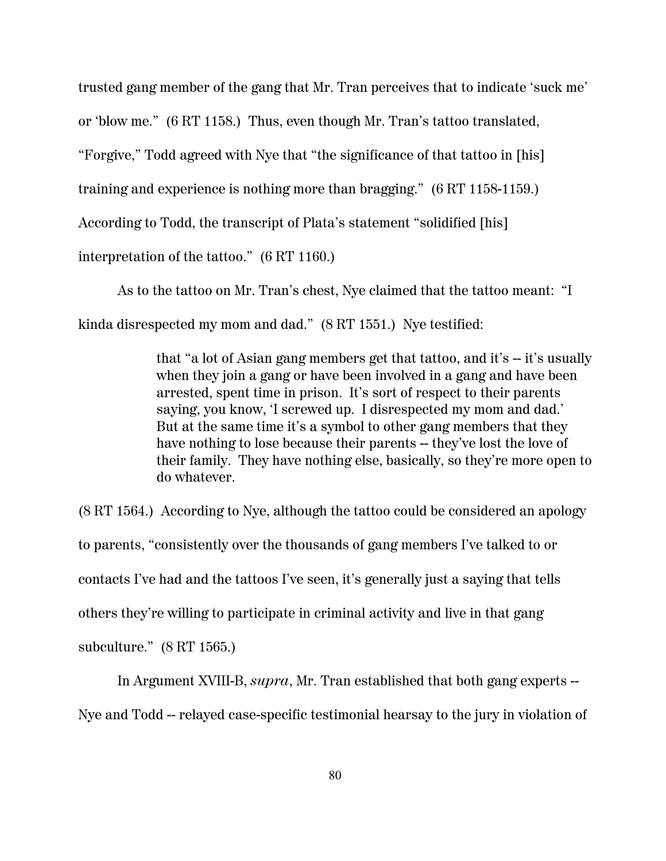trusted gang member of the gang that Mr. Tran perceives that to indicate 'suck me'

or 'blow me." (6 RT 1158.) Thus, even though Mr. Tran's tattoo translated,

"Forgive," Todd agreed with Nye that "the significance of that tattoo in [his]

training and experience is nothing more than bragging." (6 RT 1158-1159.)

According to Todd, the transcript of Plata's statement "solidified [his]

interpretation of the tattoo." (6 RT 1160.)

As to the tattoo on Mr. Tran's chest, Nye claimed that the tattoo meant: "I kinda disrespected my mom and dad." (8 RT 1551.) Nye testified:

> that "a lot of Asian gang members get that tattoo, and it's -- it's usually when they join a gang or have been involved in a gang and have been arrested, spent time in prison. It's sort of respect to their parents saying, you know, 'I screwed up. I disrespected my mom and dad.' But at the same time it's a symbol to other gang members that they have nothing to lose because their parents -- they've lost the love of their family. They have nothing else, basically, so they're more open to do whatever.

(8 RT 1564.) According to Nye, although the tattoo could be considered an apology to parents, "consistently over the thousands of gang members I've talked to or contacts I've had and the tattoos I've seen, it's generally just a saying that tells others they're willing to participate in criminal activity and live in that gang subculture." (8 RT 1565.)

In Argument XVIII-B, *supra*, Mr. Tran established that both gang experts -- Nye and Todd -- relayed case-specific testimonial hearsay to the jury in violation of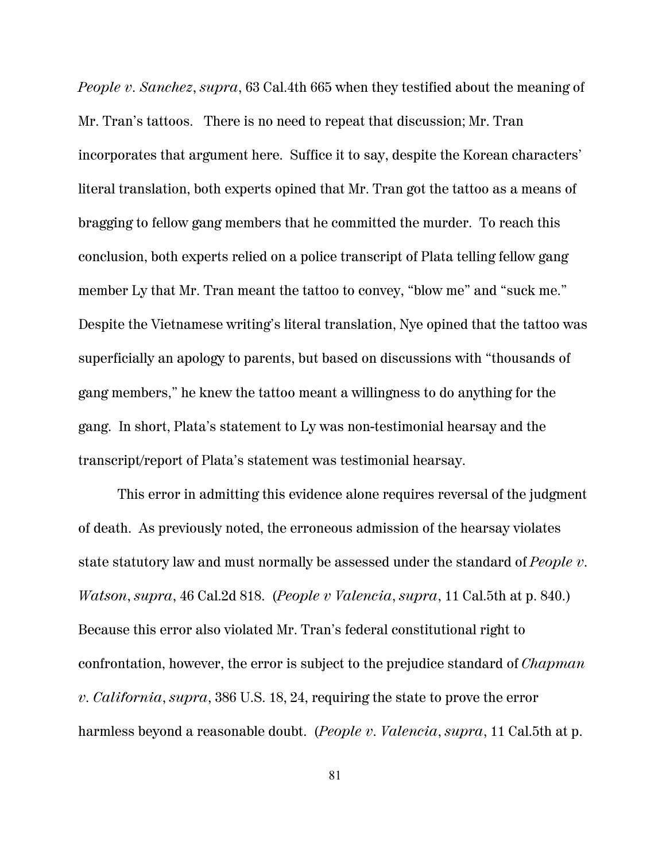*People v. Sanchez*, *supra*, 63 Cal.4th 665 when they testified about the meaning of Mr. Tran's tattoos. There is no need to repeat that discussion; Mr. Tran incorporates that argument here. Suffice it to say, despite the Korean characters' literal translation, both experts opined that Mr. Tran got the tattoo as a means of bragging to fellow gang members that he committed the murder. To reach this conclusion, both experts relied on a police transcript of Plata telling fellow gang member Ly that Mr. Tran meant the tattoo to convey, "blow me" and "suck me." Despite the Vietnamese writing's literal translation, Nye opined that the tattoo was superficially an apology to parents, but based on discussions with "thousands of gang members," he knew the tattoo meant a willingness to do anything for the gang. In short, Plata's statement to Ly was non-testimonial hearsay and the transcript/report of Plata's statement was testimonial hearsay.

This error in admitting this evidence alone requires reversal of the judgment of death. As previously noted, the erroneous admission of the hearsay violates state statutory law and must normally be assessed under the standard of *People v. Watson*, *supra*, 46 Cal.2d 818. (*People v Valencia*, *supra*, 11 Cal.5th at p. 840.) Because this error also violated Mr. Tran's federal constitutional right to confrontation, however, the error is subject to the prejudice standard of *Chapman v. California*, *supra*, 386 U.S. 18, 24, requiring the state to prove the error harmless beyond a reasonable doubt. (*People v. Valencia*, *supra*, 11 Cal.5th at p.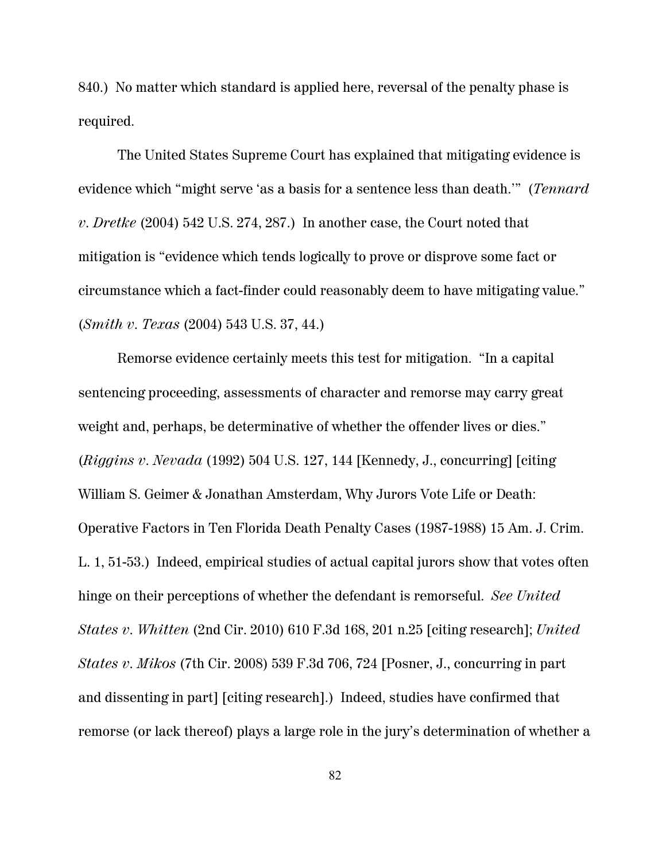840.) No matter which standard is applied here, reversal of the penalty phase is required.

The United States Supreme Court has explained that mitigating evidence is evidence which "might serve 'as a basis for a sentence less than death.'" (*Tennard v. Dretke* (2004) 542 U.S. 274, 287.) In another case, the Court noted that mitigation is "evidence which tends logically to prove or disprove some fact or circumstance which a fact-finder could reasonably deem to have mitigating value." (*Smith v. Texas* (2004) 543 U.S. 37, 44.)

Remorse evidence certainly meets this test for mitigation. "In a capital sentencing proceeding, assessments of character and remorse may carry great weight and, perhaps, be determinative of whether the offender lives or dies." (*Riggins v. Nevada* (1992) 504 U.S. 127, 144 [Kennedy, J., concurring] [citing William S. Geimer & Jonathan Amsterdam, Why Jurors Vote Life or Death: Operative Factors in Ten Florida Death Penalty Cases (1987-1988) 15 Am. J. Crim. L. 1, 51-53.) Indeed, empirical studies of actual capital jurors show that votes often hinge on their perceptions of whether the defendant is remorseful. *See United States v. Whitten* (2nd Cir. 2010) 610 F.3d 168, 201 n.25 [citing research]; *United States v. Mikos* (7th Cir. 2008) 539 F.3d 706, 724 [Posner, J., concurring in part and dissenting in part] [citing research].) Indeed, studies have confirmed that remorse (or lack thereof) plays a large role in the jury's determination of whether a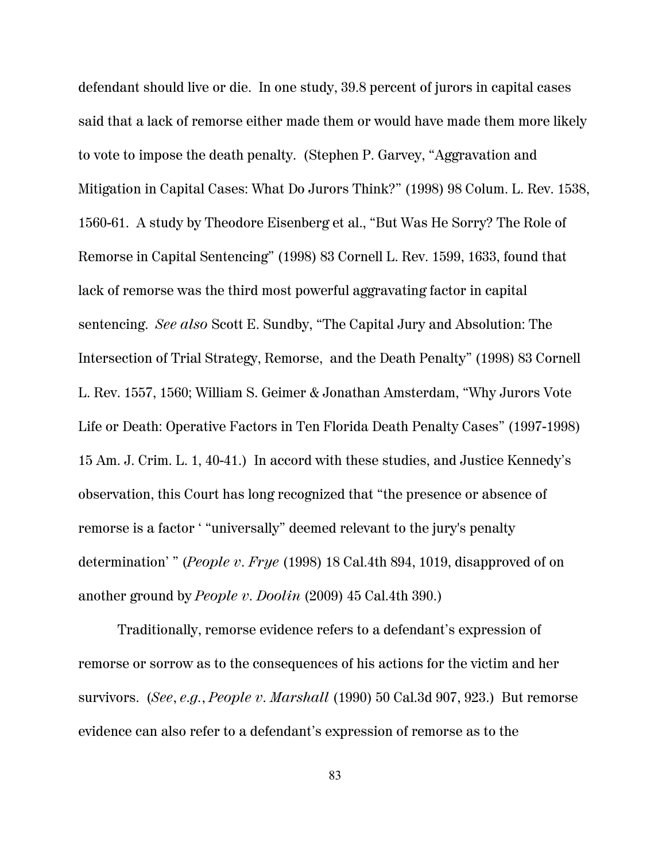defendant should live or die. In one study, 39.8 percent of jurors in capital cases said that a lack of remorse either made them or would have made them more likely to vote to impose the death penalty. (Stephen P. Garvey, "Aggravation and Mitigation in Capital Cases: What Do Jurors Think?" (1998) 98 Colum. L. Rev. 1538, 1560-61. A study by Theodore Eisenberg et al., "But Was He Sorry? The Role of Remorse in Capital Sentencing" (1998) 83 Cornell L. Rev. 1599, 1633, found that lack of remorse was the third most powerful aggravating factor in capital sentencing. *See also* Scott E. Sundby, "The Capital Jury and Absolution: The Intersection of Trial Strategy, Remorse, and the Death Penalty" (1998) 83 Cornell L. Rev. 1557, 1560; William S. Geimer & Jonathan Amsterdam, "Why Jurors Vote Life or Death: Operative Factors in Ten Florida Death Penalty Cases" (1997-1998) 15 Am. J. Crim. L. 1, 40-41.) In accord with these studies, and Justice Kennedy's observation, this Court has long recognized that "the presence or absence of remorse is a factor ' "universally" deemed relevant to the jury's penalty determination' " (*People v. Frye* (1998) 18 Cal.4th 894, 1019, disapproved of on another ground by *People v. Doolin* (2009) 45 Cal.4th 390.)

Traditionally, remorse evidence refers to a defendant's expression of remorse or sorrow as to the consequences of his actions for the victim and her survivors. (*See*, *e.g.*, *People v. Marshall* (1990) 50 Cal.3d 907, 923.) But remorse evidence can also refer to a defendant's expression of remorse as to the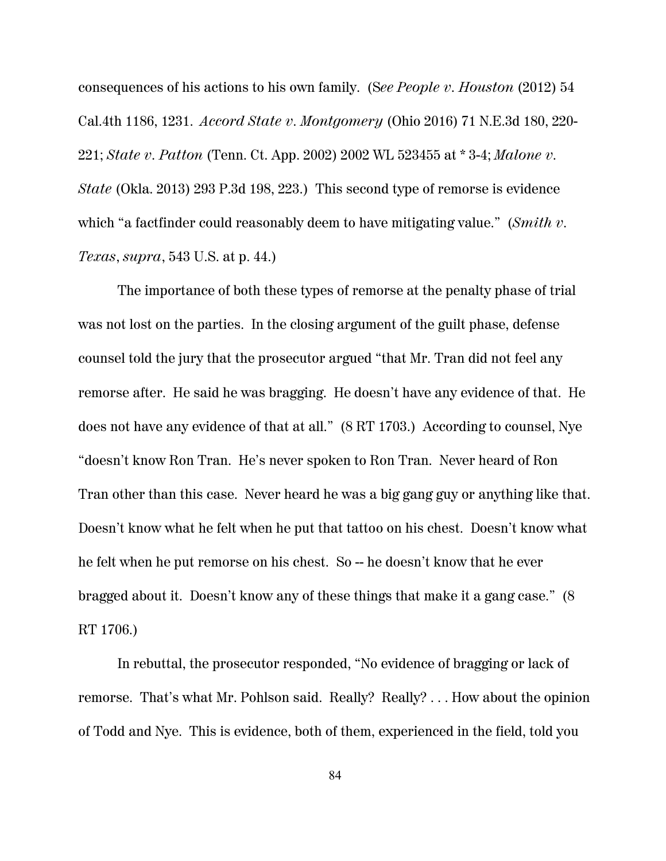consequences of his actions to his own family. (S*ee People v. Houston* (2012) 54 Cal.4th 1186, 1231. *Accord State v. Montgomery* (Ohio 2016) 71 N.E.3d 180, 220- 221; *State v. Patton* (Tenn. Ct. App. 2002) 2002 WL 523455 at \* 3-4; *Malone v. State* (Okla. 2013) 293 P.3d 198, 223.) This second type of remorse is evidence which "a factfinder could reasonably deem to have mitigating value." (*Smith v. Texas*, *supra*, 543 U.S. at p. 44.)

The importance of both these types of remorse at the penalty phase of trial was not lost on the parties. In the closing argument of the guilt phase, defense counsel told the jury that the prosecutor argued "that Mr. Tran did not feel any remorse after. He said he was bragging. He doesn't have any evidence of that. He does not have any evidence of that at all." (8 RT 1703.) According to counsel, Nye "doesn't know Ron Tran. He's never spoken to Ron Tran. Never heard of Ron Tran other than this case. Never heard he was a big gang guy or anything like that. Doesn't know what he felt when he put that tattoo on his chest. Doesn't know what he felt when he put remorse on his chest. So -- he doesn't know that he ever bragged about it. Doesn't know any of these things that make it a gang case." (8 RT 1706.)

In rebuttal, the prosecutor responded, "No evidence of bragging or lack of remorse. That's what Mr. Pohlson said. Really? Really? . . . How about the opinion of Todd and Nye. This is evidence, both of them, experienced in the field, told you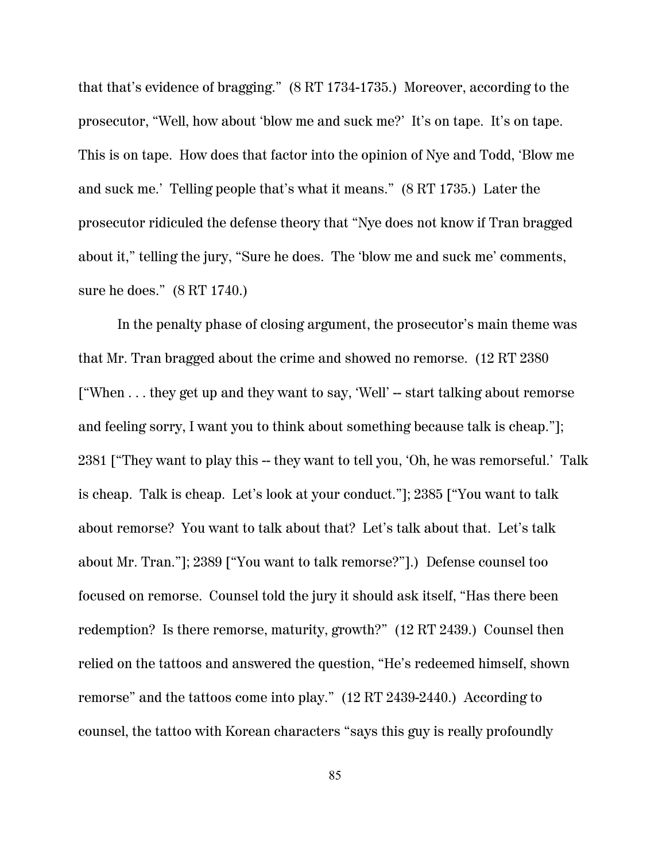that that's evidence of bragging." (8 RT 1734-1735.) Moreover, according to the prosecutor, "Well, how about 'blow me and suck me?' It's on tape. It's on tape. This is on tape. How does that factor into the opinion of Nye and Todd, 'Blow me and suck me.' Telling people that's what it means." (8 RT 1735.) Later the prosecutor ridiculed the defense theory that "Nye does not know if Tran bragged about it," telling the jury, "Sure he does. The 'blow me and suck me' comments, sure he does." (8 RT 1740.)

In the penalty phase of closing argument, the prosecutor's main theme was that Mr. Tran bragged about the crime and showed no remorse. (12 RT 2380 ["When . . . they get up and they want to say, 'Well' -- start talking about remorse and feeling sorry, I want you to think about something because talk is cheap."]; 2381 ["They want to play this -- they want to tell you, 'Oh, he was remorseful.' Talk is cheap. Talk is cheap. Let's look at your conduct."]; 2385 ["You want to talk about remorse? You want to talk about that? Let's talk about that. Let's talk about Mr. Tran."]; 2389 ["You want to talk remorse?"].) Defense counsel too focused on remorse. Counsel told the jury it should ask itself, "Has there been redemption? Is there remorse, maturity, growth?" (12 RT 2439.) Counsel then relied on the tattoos and answered the question, "He's redeemed himself, shown remorse" and the tattoos come into play." (12 RT 2439-2440.) According to counsel, the tattoo with Korean characters "says this guy is really profoundly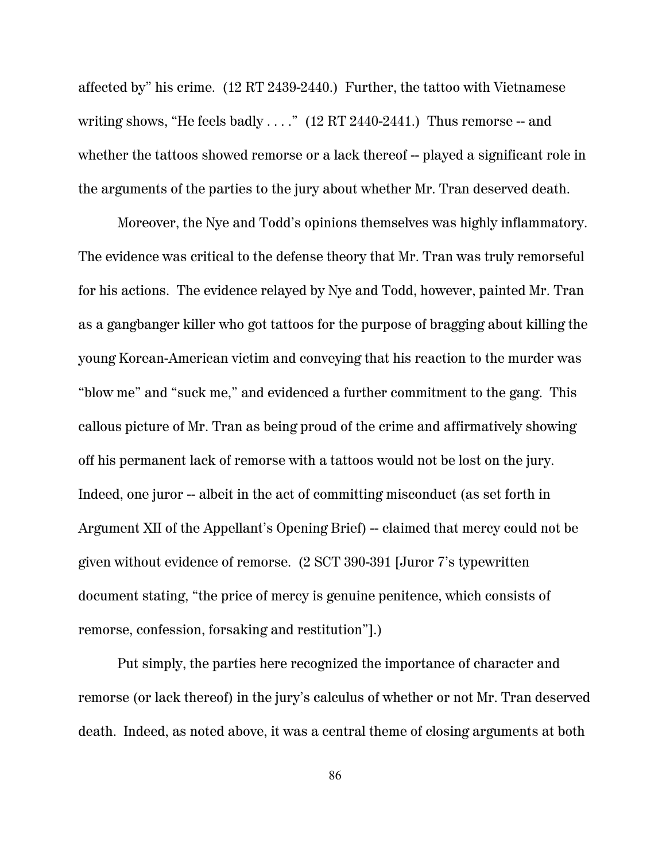affected by" his crime. (12 RT 2439-2440.) Further, the tattoo with Vietnamese writing shows, "He feels badly  $\dots$ ." (12 RT 2440-2441.) Thus remorse -- and whether the tattoos showed remorse or a lack thereof -- played a significant role in the arguments of the parties to the jury about whether Mr. Tran deserved death.

Moreover, the Nye and Todd's opinions themselves was highly inflammatory. The evidence was critical to the defense theory that Mr. Tran was truly remorseful for his actions. The evidence relayed by Nye and Todd, however, painted Mr. Tran as a gangbanger killer who got tattoos for the purpose of bragging about killing the young Korean-American victim and conveying that his reaction to the murder was "blow me" and "suck me," and evidenced a further commitment to the gang. This callous picture of Mr. Tran as being proud of the crime and affirmatively showing off his permanent lack of remorse with a tattoos would not be lost on the jury. Indeed, one juror -- albeit in the act of committing misconduct (as set forth in Argument XII of the Appellant's Opening Brief) – claimed that mercy could not be given without evidence of remorse. (2 SCT 390-391 [Juror 7's typewritten document stating, "the price of mercy is genuine penitence, which consists of remorse, confession, forsaking and restitution"].)

Put simply, the parties here recognized the importance of character and remorse (or lack thereof) in the jury's calculus of whether or not Mr. Tran deserved death. Indeed, as noted above, it was a central theme of closing arguments at both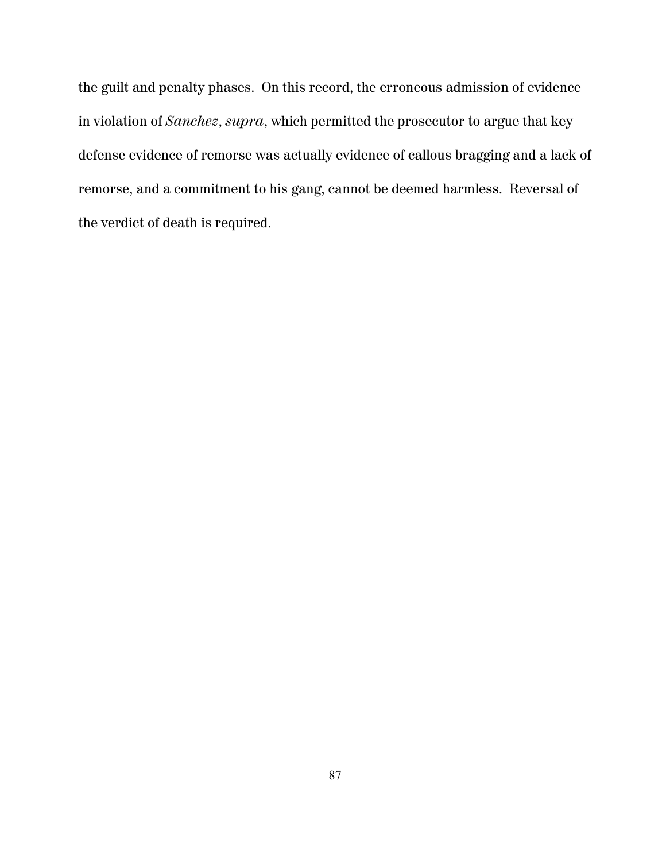the guilt and penalty phases. On this record, the erroneous admission of evidence in violation of *Sanchez*, *supra*, which permitted the prosecutor to argue that key defense evidence of remorse was actually evidence of callous bragging and a lack of remorse, and a commitment to his gang, cannot be deemed harmless. Reversal of the verdict of death is required.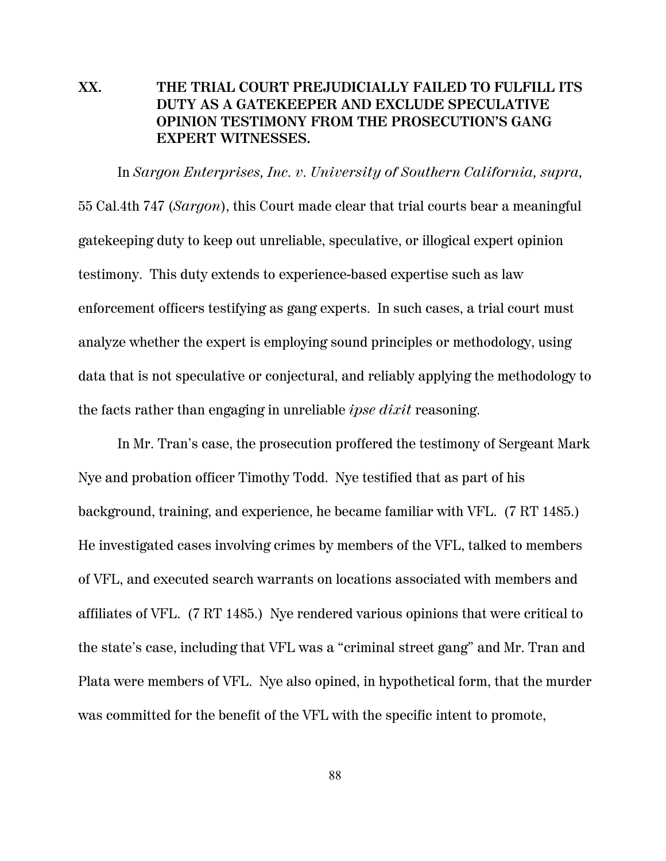## **XX. THE TRIAL COURT PREJUDICIALLY FAILED TO FULFILL ITS DUTY AS A GATEKEEPER AND EXCLUDE SPECULATIVE OPINION TESTIMONY FROM THE PROSECUTION'S GANG EXPERT WITNESSES.**

In *Sargon Enterprises, Inc. v. University of Southern California, supra,*  55 Cal.4th 747 (*Sargon*), this Court made clear that trial courts bear a meaningful gatekeeping duty to keep out unreliable, speculative, or illogical expert opinion testimony. This duty extends to experience-based expertise such as law enforcement officers testifying as gang experts. In such cases, a trial court must analyze whether the expert is employing sound principles or methodology, using data that is not speculative or conjectural, and reliably applying the methodology to the facts rather than engaging in unreliable *ipse dixit* reasoning.

In Mr. Tran's case, the prosecution proffered the testimony of Sergeant Mark Nye and probation officer Timothy Todd. Nye testified that as part of his background, training, and experience, he became familiar with VFL. (7 RT 1485.) He investigated cases involving crimes by members of the VFL, talked to members of VFL, and executed search warrants on locations associated with members and affiliates of VFL. (7 RT 1485.) Nye rendered various opinions that were critical to the state's case, including that VFL was a "criminal street gang" and Mr. Tran and Plata were members of VFL. Nye also opined, in hypothetical form, that the murder was committed for the benefit of the VFL with the specific intent to promote,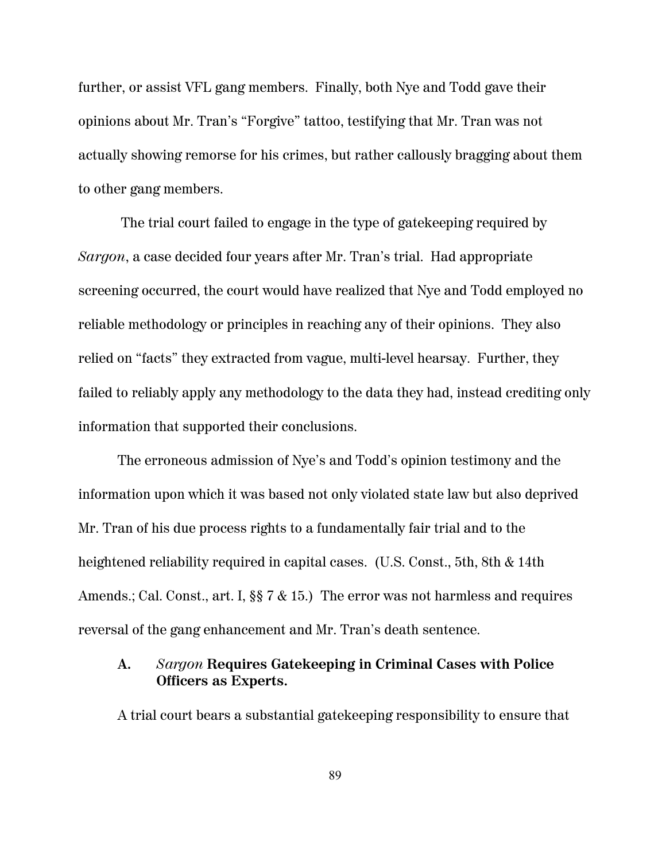further, or assist VFL gang members. Finally, both Nye and Todd gave their opinions about Mr. Tran's "Forgive" tattoo, testifying that Mr. Tran was not actually showing remorse for his crimes, but rather callously bragging about them to other gang members.

 The trial court failed to engage in the type of gatekeeping required by *Sargon*, a case decided four years after Mr. Tran's trial. Had appropriate screening occurred, the court would have realized that Nye and Todd employed no reliable methodology or principles in reaching any of their opinions. They also relied on "facts" they extracted from vague, multi-level hearsay. Further, they failed to reliably apply any methodology to the data they had, instead crediting only information that supported their conclusions.

The erroneous admission of Nye's and Todd's opinion testimony and the information upon which it was based not only violated state law but also deprived Mr. Tran of his due process rights to a fundamentally fair trial and to the heightened reliability required in capital cases. (U.S. Const., 5th, 8th & 14th Amends.; Cal. Const., art. I, §§ 7 & 15.) The error was not harmless and requires reversal of the gang enhancement and Mr. Tran's death sentence.

# **A.** *Sargon* **Requires Gatekeeping in Criminal Cases with Police Officers as Experts.**

A trial court bears a substantial gatekeeping responsibility to ensure that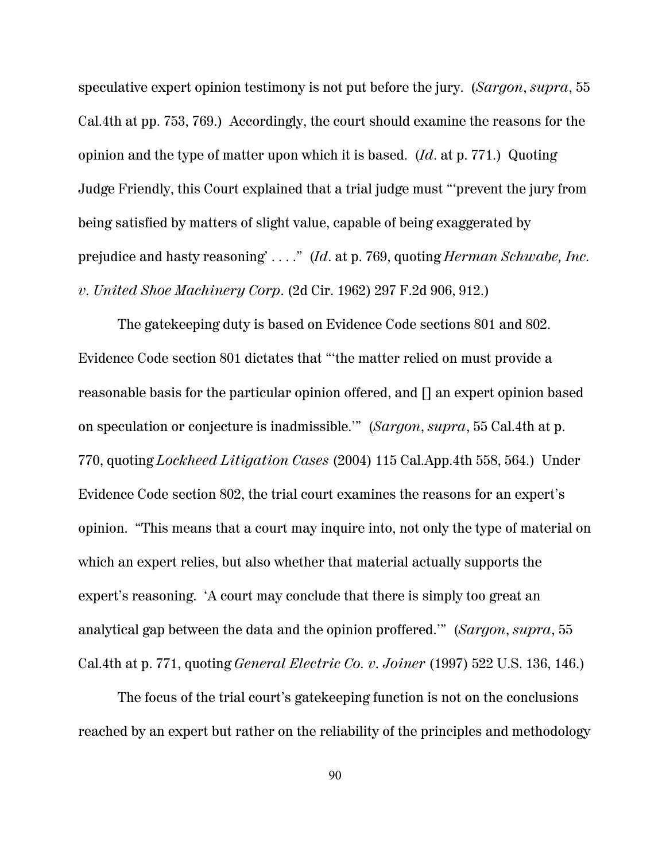speculative expert opinion testimony is not put before the jury. (*Sargon*, *supra*, 55 Cal.4th at pp. 753, 769.) Accordingly, the court should examine the reasons for the opinion and the type of matter upon which it is based. (*Id*. at p. 771.) Quoting Judge Friendly, this Court explained that a trial judge must "'prevent the jury from being satisfied by matters of slight value, capable of being exaggerated by prejudice and hasty reasoning' . . . ." (*Id*. at p. 769, quoting *Herman Schwabe, Inc. v. United Shoe Machinery Corp*. (2d Cir. 1962) 297 F.2d 906, 912.)

The gatekeeping duty is based on Evidence Code sections 801 and 802. Evidence Code section 801 dictates that "'the matter relied on must provide a reasonable basis for the particular opinion offered, and [] an expert opinion based on speculation or conjecture is inadmissible.'" (*Sargon*, *supra*, 55 Cal.4th at p. 770, quoting *Lockheed Litigation Cases* (2004) 115 Cal.App.4th 558, 564.) Under Evidence Code section 802, the trial court examines the reasons for an expert's opinion. "This means that a court may inquire into, not only the type of material on which an expert relies, but also whether that material actually supports the expert's reasoning. 'A court may conclude that there is simply too great an analytical gap between the data and the opinion proffered.'" (*Sargon*, *supra*, 55 Cal.4th at p. 771, quoting *General Electric Co. v. Joiner* (1997) 522 U.S. 136, 146.)

The focus of the trial court's gatekeeping function is not on the conclusions reached by an expert but rather on the reliability of the principles and methodology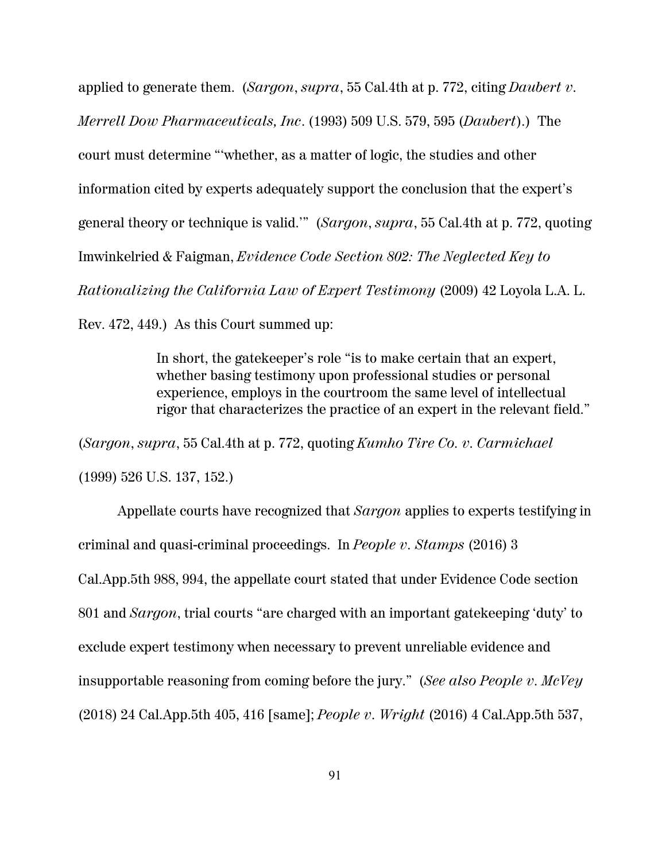applied to generate them. (*Sargon*, *supra*, 55 Cal.4th at p. 772, citing *Daubert v. Merrell Dow Pharmaceuticals, Inc*. (1993) 509 U.S. 579, 595 (*Daubert*).) The court must determine "'whether, as a matter of logic, the studies and other information cited by experts adequately support the conclusion that the expert's general theory or technique is valid.'" (*Sargon*, *supra*, 55 Cal.4th at p. 772, quoting Imwinkelried & Faigman, *Evidence Code Section 802: The Neglected Key to Rationalizing the California Law of Expert Testimony* (2009) 42 Loyola L.A. L. Rev. 472, 449.) As this Court summed up:

> In short, the gatekeeper's role "is to make certain that an expert, whether basing testimony upon professional studies or personal experience, employs in the courtroom the same level of intellectual rigor that characterizes the practice of an expert in the relevant field."

(*Sargon*, *supra*, 55 Cal.4th at p. 772, quoting *Kumho Tire Co. v. Carmichael* (1999) 526 U.S. 137, 152.)

Appellate courts have recognized that *Sargon* applies to experts testifying in criminal and quasi-criminal proceedings. In *People v. Stamps* (2016) 3 Cal.App.5th 988, 994, the appellate court stated that under Evidence Code section 801 and *Sargon*, trial courts "are charged with an important gatekeeping 'duty' to exclude expert testimony when necessary to prevent unreliable evidence and insupportable reasoning from coming before the jury." (*See also People v. McVey* (2018) 24 Cal.App.5th 405, 416 [same]; *People v. Wright* (2016) 4 Cal.App.5th 537,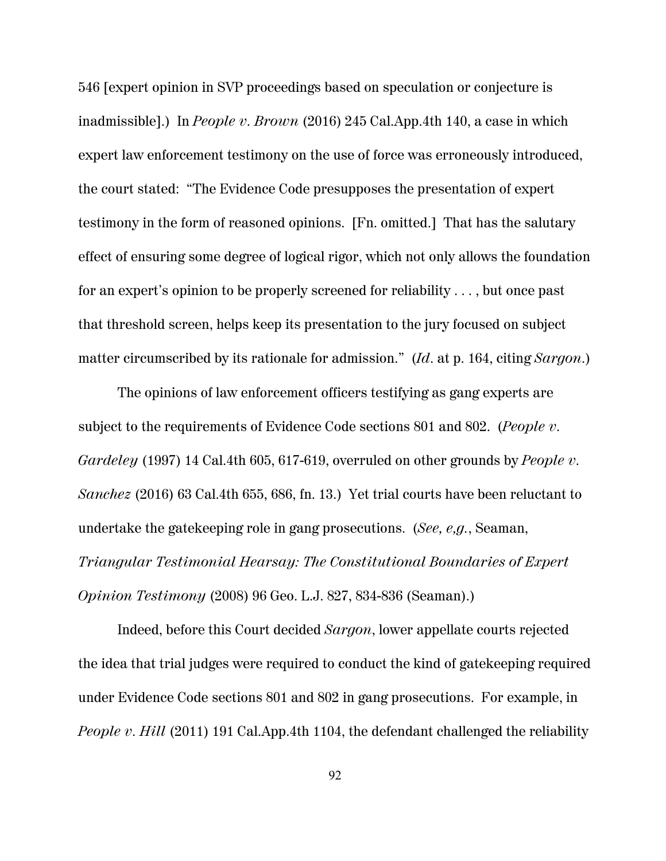546 [expert opinion in SVP proceedings based on speculation or conjecture is inadmissible].) In *People v. Brown* (2016) 245 Cal.App.4th 140, a case in which expert law enforcement testimony on the use of force was erroneously introduced, the court stated: "The Evidence Code presupposes the presentation of expert testimony in the form of reasoned opinions. [Fn. omitted.] That has the salutary effect of ensuring some degree of logical rigor, which not only allows the foundation for an expert's opinion to be properly screened for reliability . . . , but once past that threshold screen, helps keep its presentation to the jury focused on subject matter circumscribed by its rationale for admission." (*Id*. at p. 164, citing *Sargon*.)

The opinions of law enforcement officers testifying as gang experts are subject to the requirements of Evidence Code sections 801 and 802. (*People v. Gardeley* (1997) 14 Cal.4th 605, 617-619, overruled on other grounds by *People v. Sanchez* (2016) 63 Cal.4th 655, 686, fn. 13.) Yet trial courts have been reluctant to undertake the gatekeeping role in gang prosecutions. (*See, e,g.*, Seaman, *Triangular Testimonial Hearsay: The Constitutional Boundaries of Expert Opinion Testimony* (2008) 96 Geo. L.J. 827, 834-836 (Seaman).)

Indeed, before this Court decided *Sargon*, lower appellate courts rejected the idea that trial judges were required to conduct the kind of gatekeeping required under Evidence Code sections 801 and 802 in gang prosecutions. For example, in *People v. Hill* (2011) 191 Cal.App.4th 1104, the defendant challenged the reliability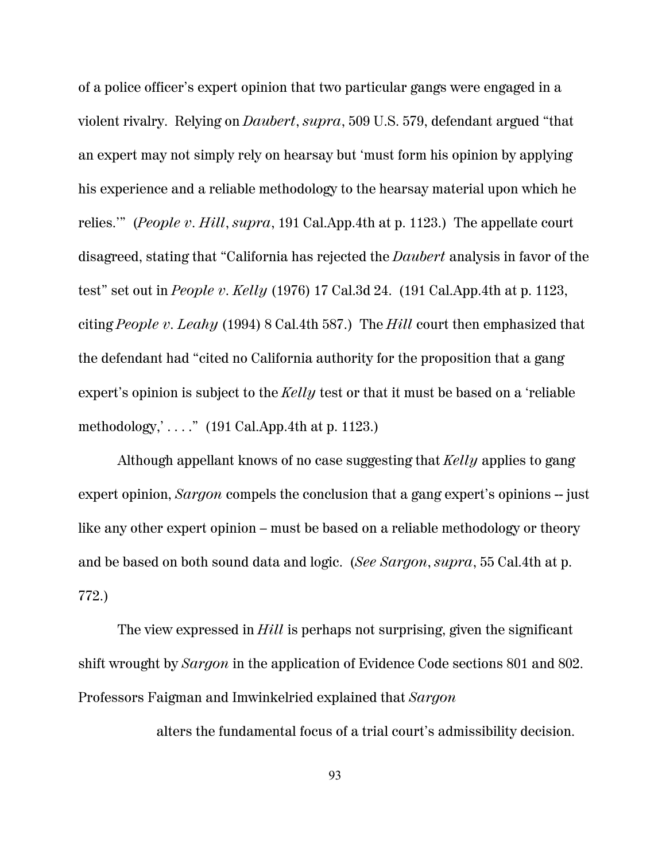of a police officer's expert opinion that two particular gangs were engaged in a violent rivalry. Relying on *Daubert*, *supra*, 509 U.S. 579, defendant argued "that an expert may not simply rely on hearsay but 'must form his opinion by applying his experience and a reliable methodology to the hearsay material upon which he relies.'" (*People v. Hill*, *supra*, 191 Cal.App.4th at p. 1123.) The appellate court disagreed, stating that "California has rejected the *Daubert* analysis in favor of the test" set out in *People v. Kelly* (1976) 17 Cal.3d 24. (191 Cal.App.4th at p. 1123, citing *People v. Leahy* (1994) 8 Cal.4th 587.) The *Hill* court then emphasized that the defendant had "cited no California authority for the proposition that a gang expert's opinion is subject to the *Kelly* test or that it must be based on a 'reliable methodology,  $\ldots$  ." (191 Cal.App.4th at p. 1123.)

Although appellant knows of no case suggesting that *Kelly* applies to gang expert opinion, *Sargon* compels the conclusion that a gang expert's opinions -- just like any other expert opinion – must be based on a reliable methodology or theory and be based on both sound data and logic. (*See Sargon*, *supra*, 55 Cal.4th at p. 772.)

The view expressed in *Hill* is perhaps not surprising, given the significant shift wrought by *Sargon* in the application of Evidence Code sections 801 and 802. Professors Faigman and Imwinkelried explained that *Sargon*

alters the fundamental focus of a trial court's admissibility decision.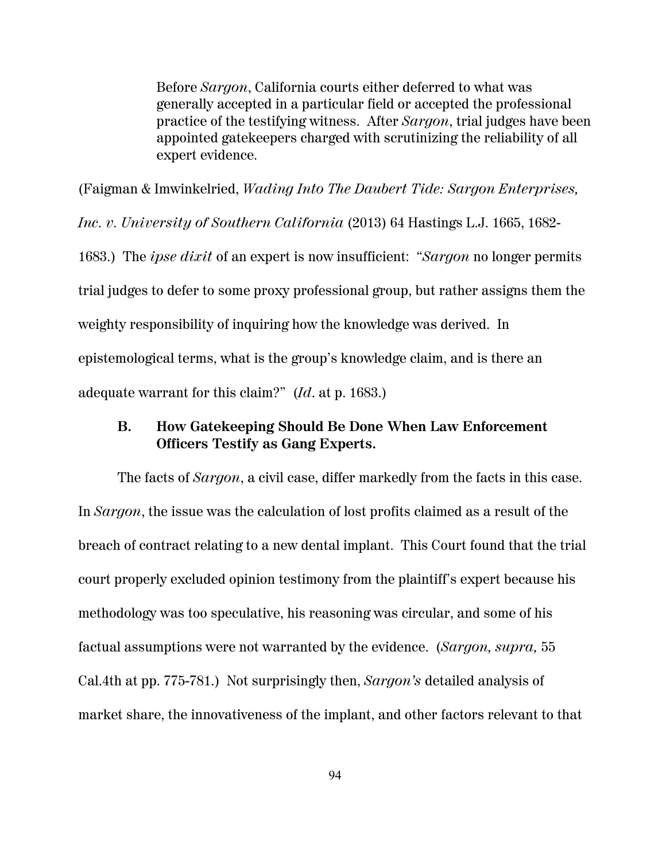Before *Sargon*, California courts either deferred to what was generally accepted in a particular field or accepted the professional practice of the testifying witness. After *Sargon*, trial judges have been appointed gatekeepers charged with scrutinizing the reliability of all expert evidence.

(Faigman & Imwinkelried, *Wading Into The Daubert Tide: Sargon Enterprises, Inc. v. University of Southern California* (2013) 64 Hastings L.J. 1665, 1682- 1683.) The *ipse dixit* of an expert is now insufficient: "*Sargon* no longer permits trial judges to defer to some proxy professional group, but rather assigns them the weighty responsibility of inquiring how the knowledge was derived. In epistemological terms, what is the group's knowledge claim, and is there an adequate warrant for this claim?" (*Id*. at p. 1683.)

## **B. How Gatekeeping Should Be Done When Law Enforcement Officers Testify as Gang Experts.**

The facts of *Sargon*, a civil case, differ markedly from the facts in this case. In *Sargon*, the issue was the calculation of lost profits claimed as a result of the breach of contract relating to a new dental implant. This Court found that the trial court properly excluded opinion testimony from the plaintiff's expert because his methodology was too speculative, his reasoning was circular, and some of his factual assumptions were not warranted by the evidence. (*Sargon, supra,* 55 Cal.4th at pp. 775-781.) Not surprisingly then, *Sargon's* detailed analysis of market share, the innovativeness of the implant, and other factors relevant to that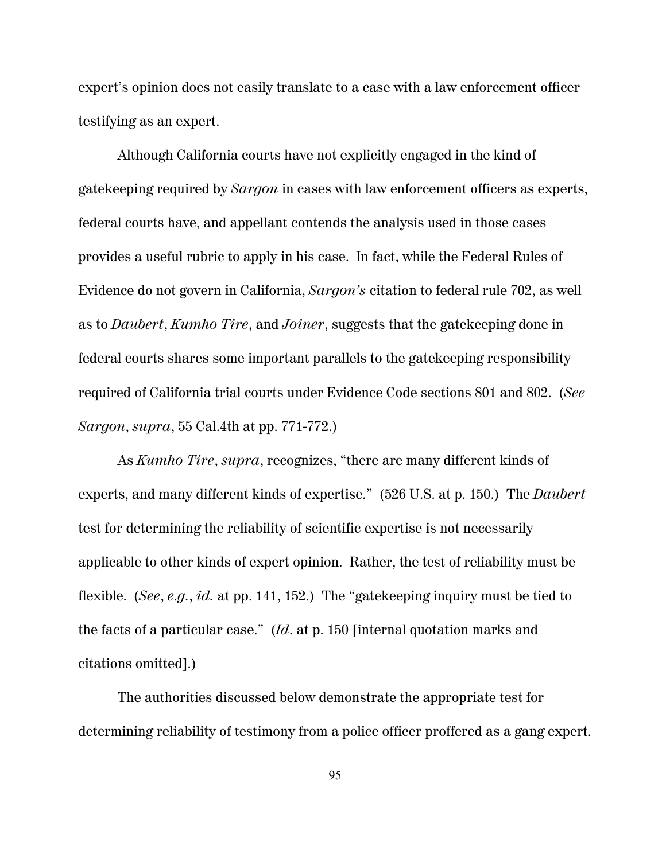expert's opinion does not easily translate to a case with a law enforcement officer testifying as an expert.

Although California courts have not explicitly engaged in the kind of gatekeeping required by *Sargon* in cases with law enforcement officers as experts, federal courts have, and appellant contends the analysis used in those cases provides a useful rubric to apply in his case. In fact, while the Federal Rules of Evidence do not govern in California, *Sargon's* citation to federal rule 702, as well as to *Daubert*, *Kumho Tire*, and *Joiner*, suggests that the gatekeeping done in federal courts shares some important parallels to the gatekeeping responsibility required of California trial courts under Evidence Code sections 801 and 802. (*See Sargon*, *supra*, 55 Cal.4th at pp. 771-772.)

As *Kumho Tire*, *supra*, recognizes, "there are many different kinds of experts, and many different kinds of expertise." (526 U.S. at p. 150.) The *Daubert* test for determining the reliability of scientific expertise is not necessarily applicable to other kinds of expert opinion. Rather, the test of reliability must be flexible. (*See*, *e.g.*, *id.* at pp. 141, 152.) The "gatekeeping inquiry must be tied to the facts of a particular case." (*Id*. at p. 150 [internal quotation marks and citations omitted].)

The authorities discussed below demonstrate the appropriate test for determining reliability of testimony from a police officer proffered as a gang expert.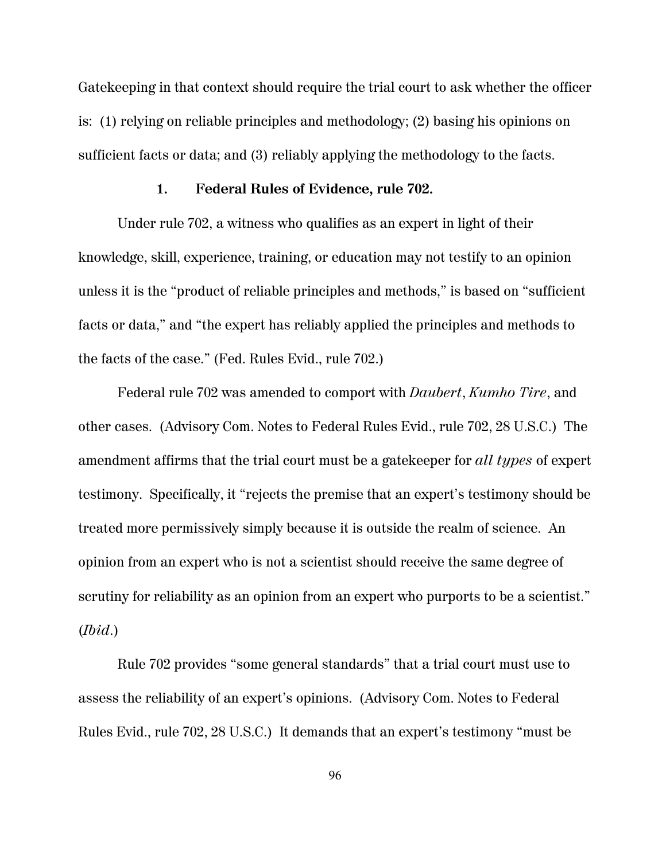Gatekeeping in that context should require the trial court to ask whether the officer is: (1) relying on reliable principles and methodology; (2) basing his opinions on sufficient facts or data; and (3) reliably applying the methodology to the facts.

#### **1. Federal Rules of Evidence, rule 702.**

Under rule 702, a witness who qualifies as an expert in light of their knowledge, skill, experience, training, or education may not testify to an opinion unless it is the "product of reliable principles and methods," is based on "sufficient facts or data," and "the expert has reliably applied the principles and methods to the facts of the case." (Fed. Rules Evid., rule 702.)

Federal rule 702 was amended to comport with *Daubert*, *Kumho Tire*, and other cases. (Advisory Com. Notes to Federal Rules Evid., rule 702, 28 U.S.C.) The amendment affirms that the trial court must be a gatekeeper for *all types* of expert testimony. Specifically, it "rejects the premise that an expert's testimony should be treated more permissively simply because it is outside the realm of science. An opinion from an expert who is not a scientist should receive the same degree of scrutiny for reliability as an opinion from an expert who purports to be a scientist." (*Ibid*.)

Rule 702 provides "some general standards" that a trial court must use to assess the reliability of an expert's opinions. (Advisory Com. Notes to Federal Rules Evid., rule 702, 28 U.S.C.) It demands that an expert's testimony "must be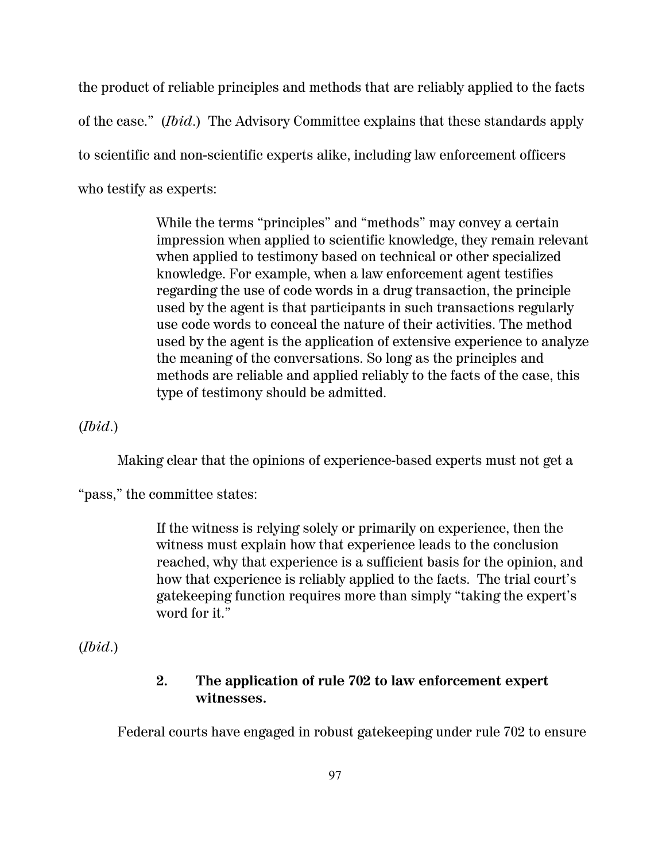the product of reliable principles and methods that are reliably applied to the facts of the case." (*Ibid*.) The Advisory Committee explains that these standards apply to scientific and non-scientific experts alike, including law enforcement officers who testify as experts:

> While the terms "principles" and "methods" may convey a certain impression when applied to scientific knowledge, they remain relevant when applied to testimony based on technical or other specialized knowledge. For example, when a law enforcement agent testifies regarding the use of code words in a drug transaction, the principle used by the agent is that participants in such transactions regularly use code words to conceal the nature of their activities. The method used by the agent is the application of extensive experience to analyze the meaning of the conversations. So long as the principles and methods are reliable and applied reliably to the facts of the case, this type of testimony should be admitted.

(*Ibid*.)

Making clear that the opinions of experience-based experts must not get a

"pass," the committee states:

If the witness is relying solely or primarily on experience, then the witness must explain how that experience leads to the conclusion reached, why that experience is a sufficient basis for the opinion, and how that experience is reliably applied to the facts. The trial court's gatekeeping function requires more than simply "taking the expert's word for it."

(*Ibid*.)

### **2. The application of rule 702 to law enforcement expert witnesses.**

Federal courts have engaged in robust gatekeeping under rule 702 to ensure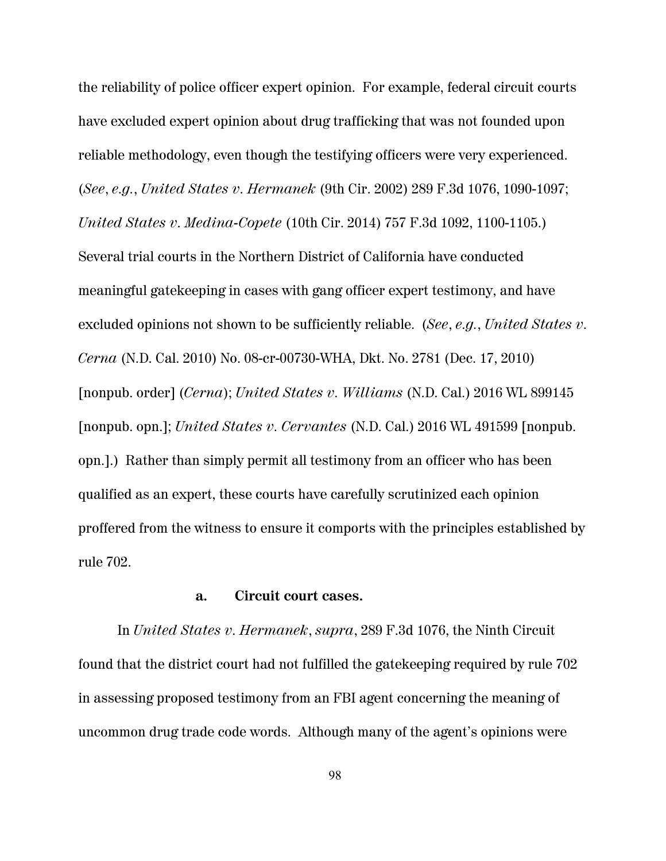the reliability of police officer expert opinion. For example, federal circuit courts have excluded expert opinion about drug trafficking that was not founded upon reliable methodology, even though the testifying officers were very experienced. (*See*, *e.g.*, *United States v. Hermanek* (9th Cir. 2002) 289 F.3d 1076, 1090-1097; *United States v. Medina-Copete* (10th Cir. 2014) 757 F.3d 1092, 1100-1105.) Several trial courts in the Northern District of California have conducted meaningful gatekeeping in cases with gang officer expert testimony, and have excluded opinions not shown to be sufficiently reliable. (*See*, *e.g.*, *United States v. Cerna* (N.D. Cal. 2010) No. 08-cr-00730-WHA, Dkt. No. 2781 (Dec. 17, 2010) [nonpub. order] (*Cerna*); *United States v. Williams* (N.D. Cal.) 2016 WL 899145 [nonpub. opn.]; *United States v. Cervantes* (N.D. Cal.) 2016 WL 491599 [nonpub. opn.].) Rather than simply permit all testimony from an officer who has been qualified as an expert, these courts have carefully scrutinized each opinion proffered from the witness to ensure it comports with the principles established by rule 702.

### **a. Circuit court cases.**

In *United States v. Hermanek*, *supra*, 289 F.3d 1076, the Ninth Circuit found that the district court had not fulfilled the gatekeeping required by rule 702 in assessing proposed testimony from an FBI agent concerning the meaning of uncommon drug trade code words. Although many of the agent's opinions were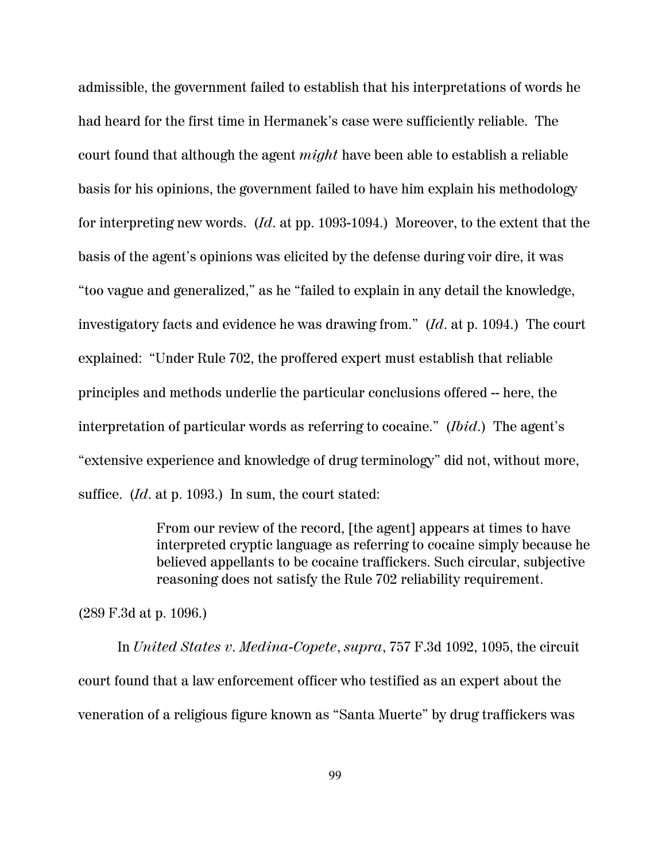admissible, the government failed to establish that his interpretations of words he had heard for the first time in Hermanek's case were sufficiently reliable. The court found that although the agent *might* have been able to establish a reliable basis for his opinions, the government failed to have him explain his methodology for interpreting new words. (*Id*. at pp. 1093-1094.) Moreover, to the extent that the basis of the agent's opinions was elicited by the defense during voir dire, it was "too vague and generalized," as he "failed to explain in any detail the knowledge, investigatory facts and evidence he was drawing from." (*Id*. at p. 1094.) The court explained: "Under Rule 702, the proffered expert must establish that reliable principles and methods underlie the particular conclusions offered -- here, the interpretation of particular words as referring to cocaine." (*Ibid*.) The agent's "extensive experience and knowledge of drug terminology" did not, without more, suffice. (*Id*. at p. 1093.) In sum, the court stated:

> From our review of the record, [the agent] appears at times to have interpreted cryptic language as referring to cocaine simply because he believed appellants to be cocaine traffickers. Such circular, subjective reasoning does not satisfy the Rule 702 reliability requirement.

(289 F.3d at p. 1096.)

In *United States v. Medina-Copete*, *supra*, 757 F.3d 1092, 1095, the circuit court found that a law enforcement officer who testified as an expert about the veneration of a religious figure known as "Santa Muerte" by drug traffickers was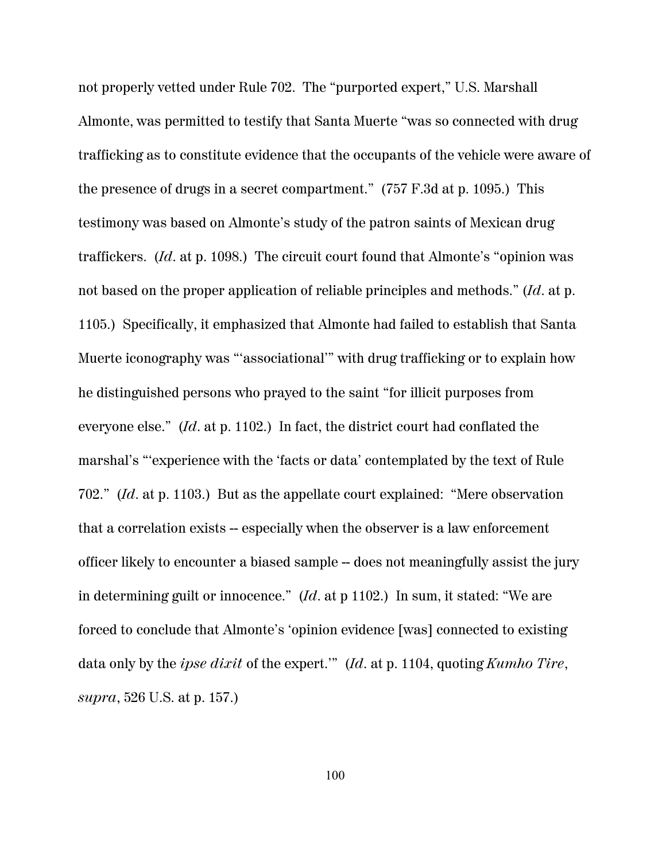not properly vetted under Rule 702. The "purported expert," U.S. Marshall Almonte, was permitted to testify that Santa Muerte "was so connected with drug trafficking as to constitute evidence that the occupants of the vehicle were aware of the presence of drugs in a secret compartment." (757 F.3d at p. 1095.) This testimony was based on Almonte's study of the patron saints of Mexican drug traffickers. (*Id*. at p. 1098.) The circuit court found that Almonte's "opinion was not based on the proper application of reliable principles and methods." (*Id*. at p. 1105.) Specifically, it emphasized that Almonte had failed to establish that Santa Muerte iconography was "'associational'" with drug trafficking or to explain how he distinguished persons who prayed to the saint "for illicit purposes from everyone else." (*Id*. at p. 1102.) In fact, the district court had conflated the marshal's "'experience with the 'facts or data' contemplated by the text of Rule 702." (*Id*. at p. 1103.) But as the appellate court explained: "Mere observation that a correlation exists -- especially when the observer is a law enforcement officer likely to encounter a biased sample -- does not meaningfully assist the jury in determining guilt or innocence." (*Id*. at p 1102.) In sum, it stated: "We are forced to conclude that Almonte's 'opinion evidence [was] connected to existing data only by the *ipse dixit* of the expert.'" (*Id*. at p. 1104, quoting *Kumho Tire*, *supra*, 526 U.S. at p. 157.)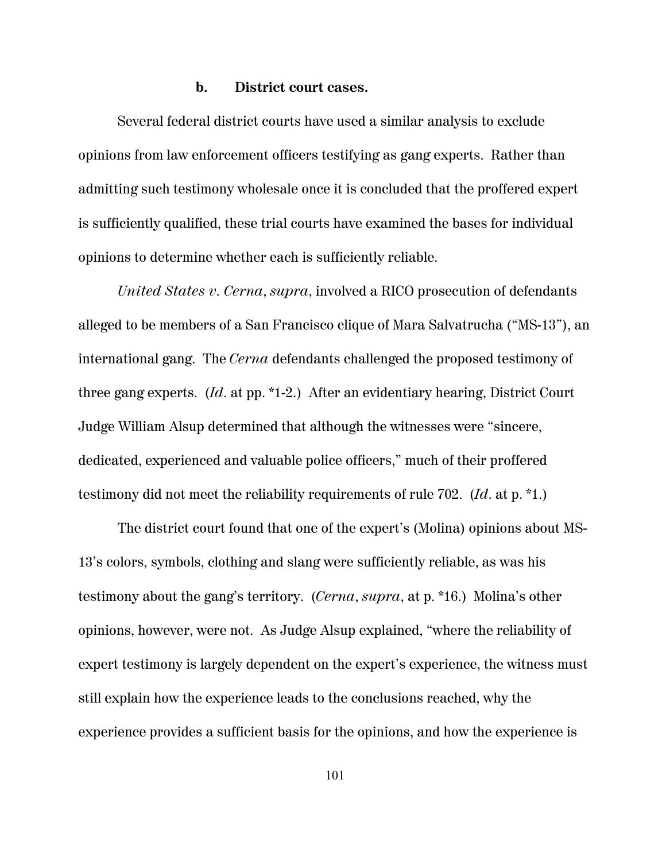#### **b. District court cases.**

Several federal district courts have used a similar analysis to exclude opinions from law enforcement officers testifying as gang experts. Rather than admitting such testimony wholesale once it is concluded that the proffered expert is sufficiently qualified, these trial courts have examined the bases for individual opinions to determine whether each is sufficiently reliable.

*United States v. Cerna*, *supra*, involved a RICO prosecution of defendants alleged to be members of a San Francisco clique of Mara Salvatrucha ("MS-13"), an international gang. The *Cerna* defendants challenged the proposed testimony of three gang experts. (*Id*. at pp. \*1-2.) After an evidentiary hearing, District Court Judge William Alsup determined that although the witnesses were "sincere, dedicated, experienced and valuable police officers," much of their proffered testimony did not meet the reliability requirements of rule 702. (*Id*. at p. \*1.)

The district court found that one of the expert's (Molina) opinions about MS-13's colors, symbols, clothing and slang were sufficiently reliable, as was his testimony about the gang's territory. (*Cerna*, *supra*, at p. \*16.) Molina's other opinions, however, were not. As Judge Alsup explained, "where the reliability of expert testimony is largely dependent on the expert's experience, the witness must still explain how the experience leads to the conclusions reached, why the experience provides a sufficient basis for the opinions, and how the experience is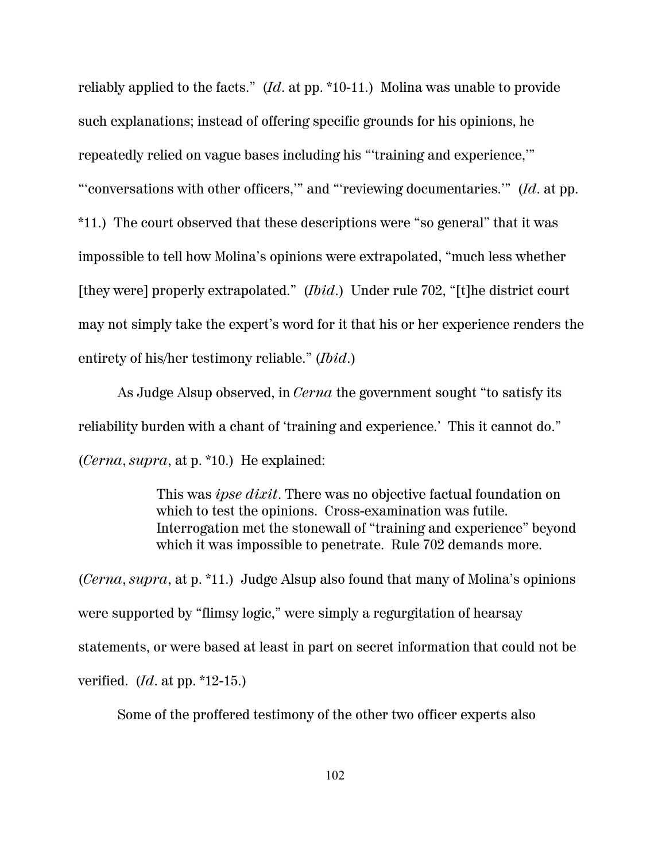reliably applied to the facts." (*Id*. at pp. \*10-11.) Molina was unable to provide such explanations; instead of offering specific grounds for his opinions, he repeatedly relied on vague bases including his "'training and experience,'" "'conversations with other officers,'" and "'reviewing documentaries.'" (*Id*. at pp. \*11.) The court observed that these descriptions were "so general" that it was impossible to tell how Molina's opinions were extrapolated, "much less whether [they were] properly extrapolated." (*Ibid*.) Under rule 702, "[t]he district court may not simply take the expert's word for it that his or her experience renders the entirety of his/her testimony reliable." (*Ibid*.)

As Judge Alsup observed, in *Cerna* the government sought "to satisfy its reliability burden with a chant of 'training and experience.' This it cannot do." (*Cerna*, *supra*, at p. \*10.) He explained:

> This was *ipse dixit*. There was no objective factual foundation on which to test the opinions. Cross-examination was futile. Interrogation met the stonewall of "training and experience" beyond which it was impossible to penetrate. Rule 702 demands more.

(*Cerna*, *supra*, at p. \*11.) Judge Alsup also found that many of Molina's opinions were supported by "flimsy logic," were simply a regurgitation of hearsay statements, or were based at least in part on secret information that could not be verified. (*Id*. at pp. \*12-15.)

Some of the proffered testimony of the other two officer experts also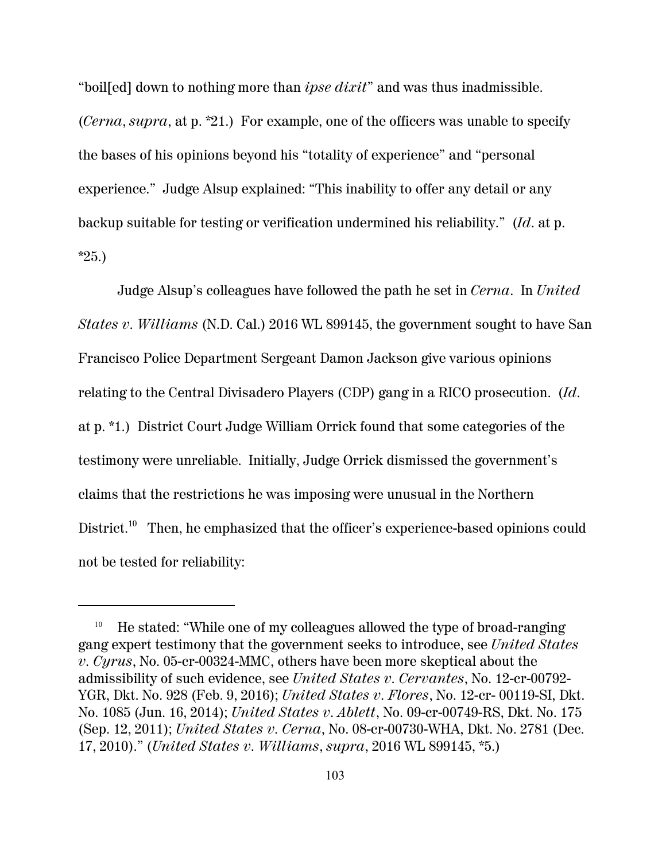"boil[ed] down to nothing more than *ipse dixit*" and was thus inadmissible. (*Cerna*, *supra*, at p. \*21.) For example, one of the officers was unable to specify the bases of his opinions beyond his "totality of experience" and "personal experience." Judge Alsup explained: "This inability to offer any detail or any backup suitable for testing or verification undermined his reliability." (*Id*. at p. \*25.)

Judge Alsup's colleagues have followed the path he set in *Cerna*. In *United States v. Williams* (N.D. Cal.) 2016 WL 899145, the government sought to have San Francisco Police Department Sergeant Damon Jackson give various opinions relating to the Central Divisadero Players (CDP) gang in a RICO prosecution. (*Id*. at p. \*1.) District Court Judge William Orrick found that some categories of the testimony were unreliable. Initially, Judge Orrick dismissed the government's claims that the restrictions he was imposing were unusual in the Northern District.<sup>10</sup> Then, he emphasized that the officer's experience-based opinions could not be tested for reliability:

<sup>10</sup> He stated: "While one of my colleagues allowed the type of broad-ranging gang expert testimony that the government seeks to introduce, see *United States v. Cyrus*, No. 05-cr-00324-MMC, others have been more skeptical about the admissibility of such evidence, see *United States v. Cervantes*, No. 12-cr-00792- YGR, Dkt. No. 928 (Feb. 9, 2016); *United States v. Flores*, No. 12-cr- 00119-SI, Dkt. No. 1085 (Jun. 16, 2014); *United States v. Ablett*, No. 09-cr-00749-RS, Dkt. No. 175 (Sep. 12, 2011); *United States v. Cerna*, No. 08-cr-00730-WHA, Dkt. No. 2781 (Dec. 17, 2010)." (*United States v. Williams*, *supra*, 2016 WL 899145, \*5.)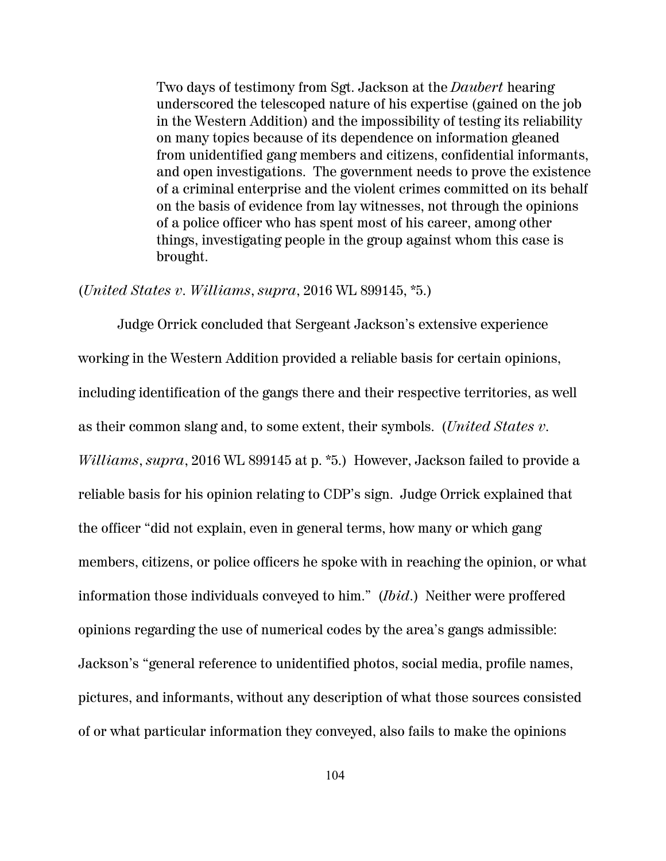Two days of testimony from Sgt. Jackson at the *Daubert* hearing underscored the telescoped nature of his expertise (gained on the job in the Western Addition) and the impossibility of testing its reliability on many topics because of its dependence on information gleaned from unidentified gang members and citizens, confidential informants, and open investigations. The government needs to prove the existence of a criminal enterprise and the violent crimes committed on its behalf on the basis of evidence from lay witnesses, not through the opinions of a police officer who has spent most of his career, among other things, investigating people in the group against whom this case is brought.

#### (*United States v. Williams*, *supra*, 2016 WL 899145, \*5.)

Judge Orrick concluded that Sergeant Jackson's extensive experience working in the Western Addition provided a reliable basis for certain opinions, including identification of the gangs there and their respective territories, as well as their common slang and, to some extent, their symbols. (*United States v. Williams*, *supra*, 2016 WL 899145 at p. \*5.) However, Jackson failed to provide a reliable basis for his opinion relating to CDP's sign. Judge Orrick explained that the officer "did not explain, even in general terms, how many or which gang members, citizens, or police officers he spoke with in reaching the opinion, or what information those individuals conveyed to him." (*Ibid*.) Neither were proffered opinions regarding the use of numerical codes by the area's gangs admissible: Jackson's "general reference to unidentified photos, social media, profile names, pictures, and informants, without any description of what those sources consisted of or what particular information they conveyed, also fails to make the opinions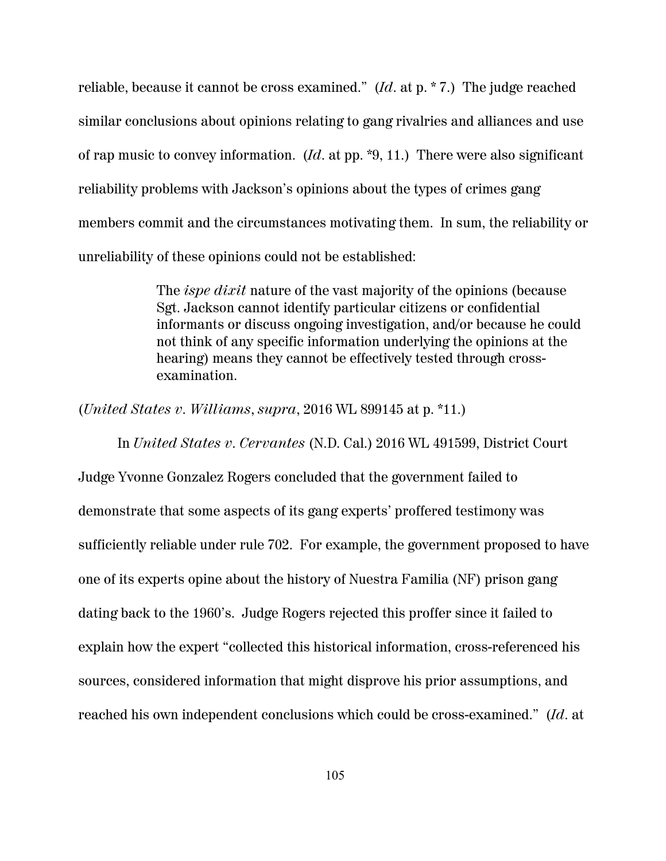reliable, because it cannot be cross examined." (*Id*. at p. \* 7.) The judge reached similar conclusions about opinions relating to gang rivalries and alliances and use of rap music to convey information. (*Id*. at pp. \*9, 11.) There were also significant reliability problems with Jackson's opinions about the types of crimes gang members commit and the circumstances motivating them. In sum, the reliability or unreliability of these opinions could not be established:

> The *ispe dixit* nature of the vast majority of the opinions (because Sgt. Jackson cannot identify particular citizens or confidential informants or discuss ongoing investigation, and/or because he could not think of any specific information underlying the opinions at the hearing) means they cannot be effectively tested through crossexamination.

(*United States v. Williams*, *supra*, 2016 WL 899145 at p. \*11.)

In *United States v. Cervantes* (N.D. Cal.) 2016 WL 491599, District Court Judge Yvonne Gonzalez Rogers concluded that the government failed to demonstrate that some aspects of its gang experts' proffered testimony was sufficiently reliable under rule 702. For example, the government proposed to have one of its experts opine about the history of Nuestra Familia (NF) prison gang dating back to the 1960's. Judge Rogers rejected this proffer since it failed to explain how the expert "collected this historical information, cross-referenced his sources, considered information that might disprove his prior assumptions, and reached his own independent conclusions which could be cross-examined." (*Id*. at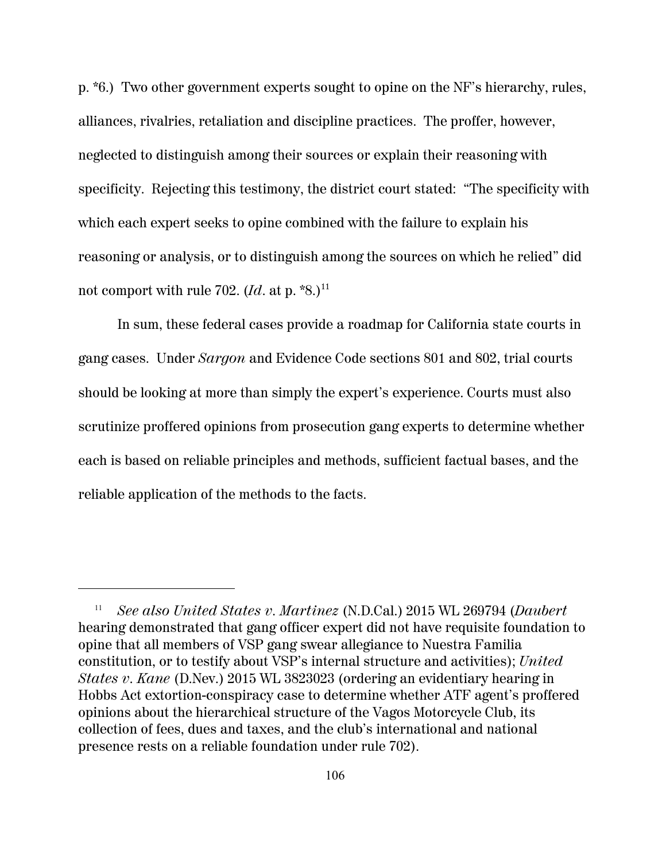p. \*6.) Two other government experts sought to opine on the NF's hierarchy, rules, alliances, rivalries, retaliation and discipline practices. The proffer, however, neglected to distinguish among their sources or explain their reasoning with specificity. Rejecting this testimony, the district court stated: "The specificity with which each expert seeks to opine combined with the failure to explain his reasoning or analysis, or to distinguish among the sources on which he relied" did not comport with rule 702.  $(Id.$  at p.  $\text{*}8.$ )<sup>11</sup>

In sum, these federal cases provide a roadmap for California state courts in gang cases. Under *Sargon* and Evidence Code sections 801 and 802, trial courts should be looking at more than simply the expert's experience. Courts must also scrutinize proffered opinions from prosecution gang experts to determine whether each is based on reliable principles and methods, sufficient factual bases, and the reliable application of the methods to the facts.

<sup>11</sup> *See also United States v. Martinez* (N.D.Cal.) 2015 WL 269794 (*Daubert* hearing demonstrated that gang officer expert did not have requisite foundation to opine that all members of VSP gang swear allegiance to Nuestra Familia constitution, or to testify about VSP's internal structure and activities); *United States v. Kane* (D.Nev.) 2015 WL 3823023 (ordering an evidentiary hearing in Hobbs Act extortion-conspiracy case to determine whether ATF agent's proffered opinions about the hierarchical structure of the Vagos Motorcycle Club, its collection of fees, dues and taxes, and the club's international and national presence rests on a reliable foundation under rule 702).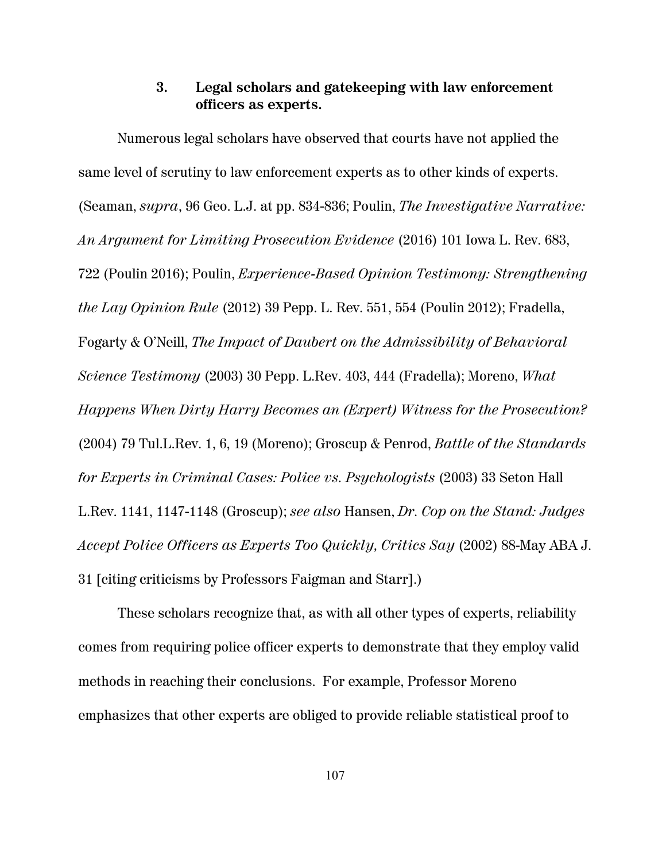### **3. Legal scholars and gatekeeping with law enforcement officers as experts.**

Numerous legal scholars have observed that courts have not applied the same level of scrutiny to law enforcement experts as to other kinds of experts. (Seaman, *supra*, 96 Geo. L.J. at pp. 834-836; Poulin, *The Investigative Narrative: An Argument for Limiting Prosecution Evidence* (2016) 101 Iowa L. Rev. 683, 722 (Poulin 2016); Poulin, *Experience-Based Opinion Testimony: Strengthening the Lay Opinion Rule* (2012) 39 Pepp. L. Rev. 551, 554 (Poulin 2012); Fradella, Fogarty & O'Neill, *The Impact of Daubert on the Admissibility of Behavioral Science Testimony* (2003) 30 Pepp. L.Rev. 403, 444 (Fradella); Moreno, *What Happens When Dirty Harry Becomes an (Expert) Witness for the Prosecution?* (2004) 79 Tul.L.Rev. 1, 6, 19 (Moreno); Groscup & Penrod, *Battle of the Standards for Experts in Criminal Cases: Police vs. Psychologists* (2003) 33 Seton Hall L.Rev. 1141, 1147-1148 (Groscup); *see also* Hansen, *Dr. Cop on the Stand: Judges Accept Police Officers as Experts Too Quickly, Critics Say* (2002) 88-May ABA J. 31 [citing criticisms by Professors Faigman and Starr].)

These scholars recognize that, as with all other types of experts, reliability comes from requiring police officer experts to demonstrate that they employ valid methods in reaching their conclusions. For example, Professor Moreno emphasizes that other experts are obliged to provide reliable statistical proof to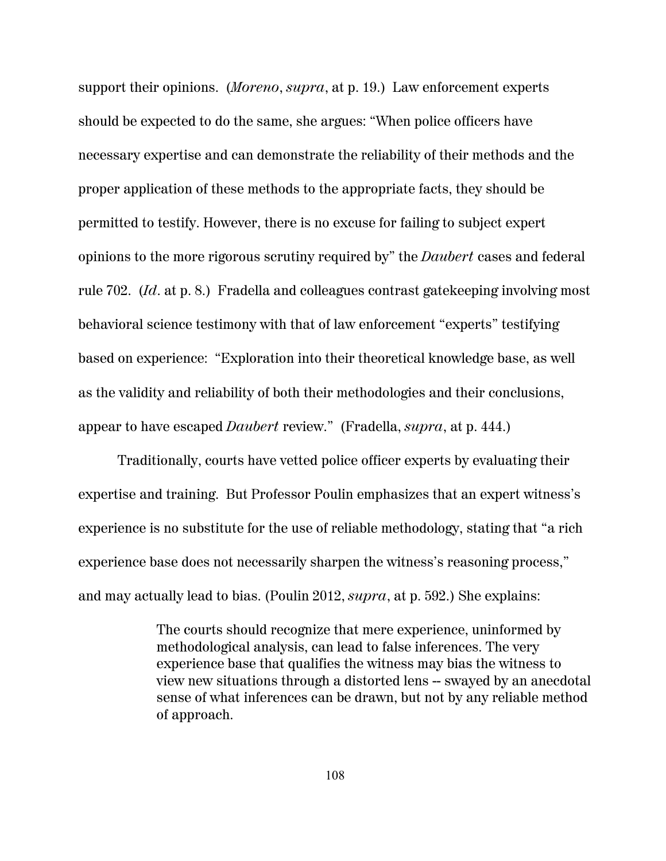support their opinions. (*Moreno*, *supra*, at p. 19.) Law enforcement experts should be expected to do the same, she argues: "When police officers have necessary expertise and can demonstrate the reliability of their methods and the proper application of these methods to the appropriate facts, they should be permitted to testify. However, there is no excuse for failing to subject expert opinions to the more rigorous scrutiny required by" the *Daubert* cases and federal rule 702. (*Id*. at p. 8.) Fradella and colleagues contrast gatekeeping involving most behavioral science testimony with that of law enforcement "experts" testifying based on experience: "Exploration into their theoretical knowledge base, as well as the validity and reliability of both their methodologies and their conclusions, appear to have escaped *Daubert* review." (Fradella, *supra*, at p. 444.)

Traditionally, courts have vetted police officer experts by evaluating their expertise and training. But Professor Poulin emphasizes that an expert witness's experience is no substitute for the use of reliable methodology, stating that "a rich experience base does not necessarily sharpen the witness's reasoning process," and may actually lead to bias. (Poulin 2012, *supra*, at p. 592.) She explains:

> The courts should recognize that mere experience, uninformed by methodological analysis, can lead to false inferences. The very experience base that qualifies the witness may bias the witness to view new situations through a distorted lens -- swayed by an anecdotal sense of what inferences can be drawn, but not by any reliable method of approach.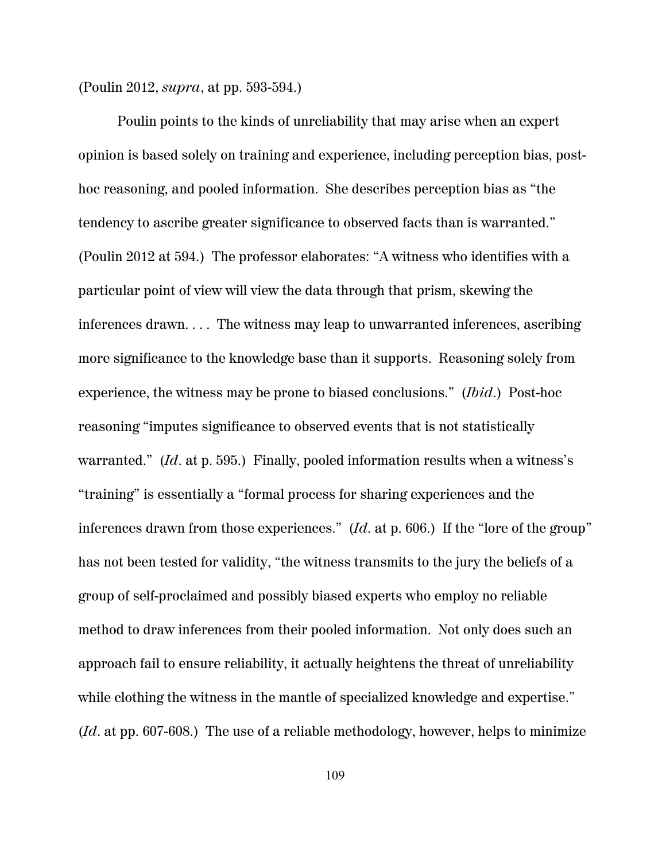(Poulin 2012, *supra*, at pp. 593-594.)

Poulin points to the kinds of unreliability that may arise when an expert opinion is based solely on training and experience, including perception bias, posthoc reasoning, and pooled information. She describes perception bias as "the tendency to ascribe greater significance to observed facts than is warranted." (Poulin 2012 at 594.) The professor elaborates: "A witness who identifies with a particular point of view will view the data through that prism, skewing the inferences drawn. . . . The witness may leap to unwarranted inferences, ascribing more significance to the knowledge base than it supports. Reasoning solely from experience, the witness may be prone to biased conclusions." (*Ibid*.) Post-hoc reasoning "imputes significance to observed events that is not statistically warranted." (*Id*. at p. 595.) Finally, pooled information results when a witness's "training" is essentially a "formal process for sharing experiences and the inferences drawn from those experiences." (*Id*. at p. 606.) If the "lore of the group" has not been tested for validity, "the witness transmits to the jury the beliefs of a group of self-proclaimed and possibly biased experts who employ no reliable method to draw inferences from their pooled information. Not only does such an approach fail to ensure reliability, it actually heightens the threat of unreliability while clothing the witness in the mantle of specialized knowledge and expertise." (*Id*. at pp. 607-608.) The use of a reliable methodology, however, helps to minimize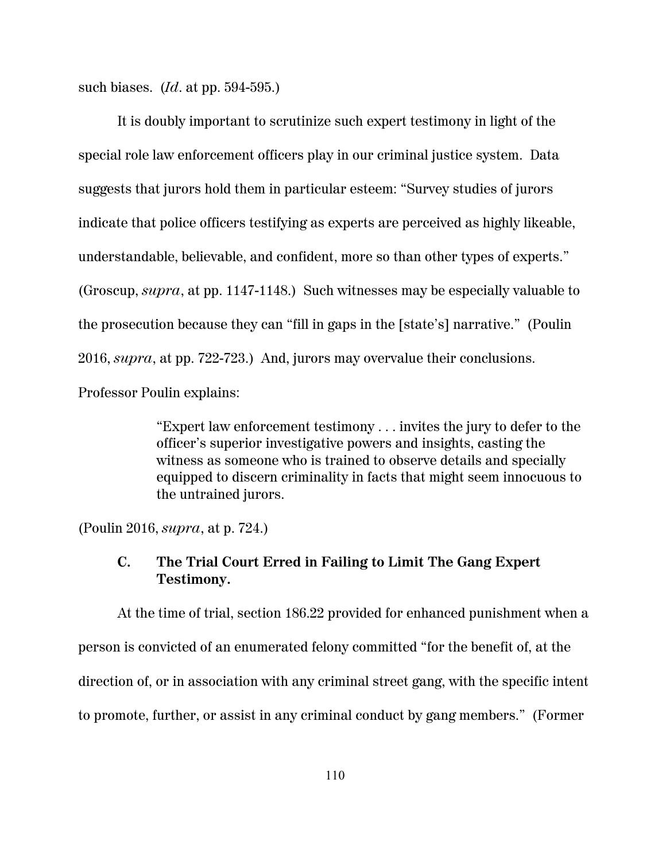such biases. (*Id*. at pp. 594-595.)

It is doubly important to scrutinize such expert testimony in light of the special role law enforcement officers play in our criminal justice system. Data suggests that jurors hold them in particular esteem: "Survey studies of jurors indicate that police officers testifying as experts are perceived as highly likeable, understandable, believable, and confident, more so than other types of experts." (Groscup, *supra*, at pp. 1147-1148.) Such witnesses may be especially valuable to the prosecution because they can "fill in gaps in the [state's] narrative." (Poulin 2016, *supra*, at pp. 722-723.) And, jurors may overvalue their conclusions. Professor Poulin explains:

> "Expert law enforcement testimony . . . invites the jury to defer to the officer's superior investigative powers and insights, casting the witness as someone who is trained to observe details and specially equipped to discern criminality in facts that might seem innocuous to the untrained jurors.

(Poulin 2016, *supra*, at p. 724.)

# **C. The Trial Court Erred in Failing to Limit The Gang Expert Testimony.**

At the time of trial, section 186.22 provided for enhanced punishment when a person is convicted of an enumerated felony committed "for the benefit of, at the direction of, or in association with any criminal street gang, with the specific intent to promote, further, or assist in any criminal conduct by gang members." (Former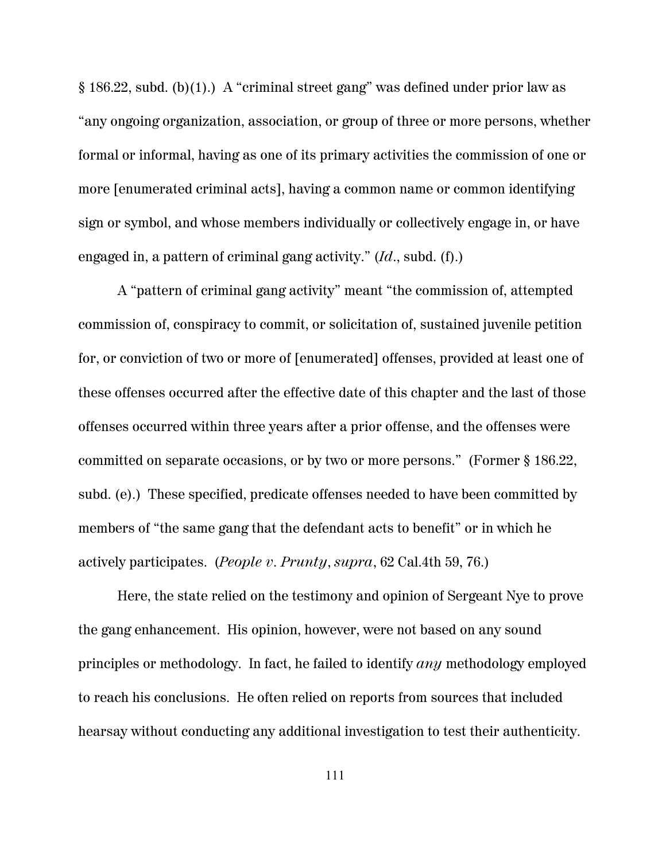§ 186.22, subd. (b)(1).) A "criminal street gang" was defined under prior law as "any ongoing organization, association, or group of three or more persons, whether formal or informal, having as one of its primary activities the commission of one or more [enumerated criminal acts], having a common name or common identifying sign or symbol, and whose members individually or collectively engage in, or have engaged in, a pattern of criminal gang activity." (*Id*., subd. (f).)

A "pattern of criminal gang activity" meant "the commission of, attempted commission of, conspiracy to commit, or solicitation of, sustained juvenile petition for, or conviction of two or more of [enumerated] offenses, provided at least one of these offenses occurred after the effective date of this chapter and the last of those offenses occurred within three years after a prior offense, and the offenses were committed on separate occasions, or by two or more persons." (Former § 186.22, subd. (e).) These specified, predicate offenses needed to have been committed by members of "the same gang that the defendant acts to benefit" or in which he actively participates. (*People v. Prunty*, *supra*, 62 Cal.4th 59, 76.)

Here, the state relied on the testimony and opinion of Sergeant Nye to prove the gang enhancement. His opinion, however, were not based on any sound principles or methodology. In fact, he failed to identify *any* methodology employed to reach his conclusions. He often relied on reports from sources that included hearsay without conducting any additional investigation to test their authenticity.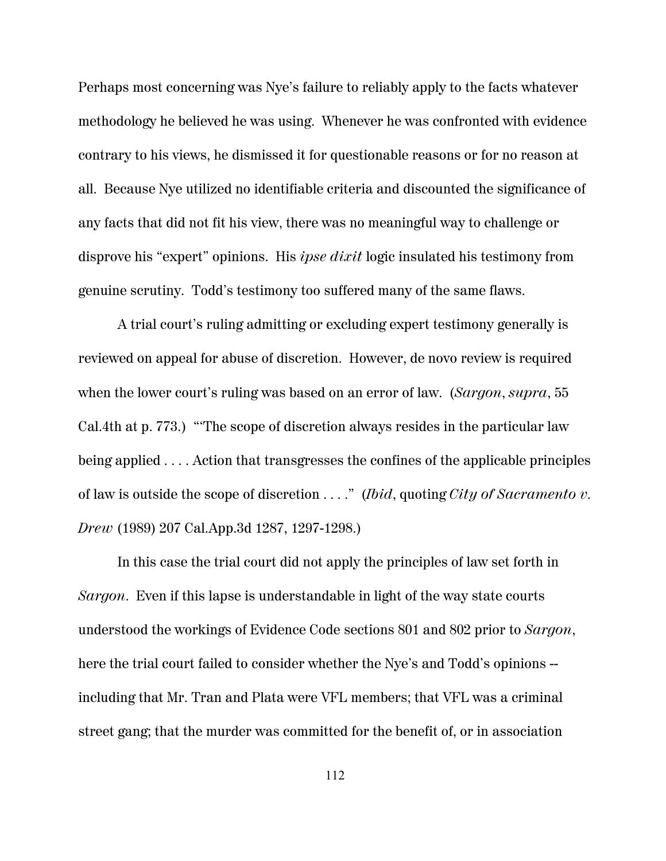Perhaps most concerning was Nye's failure to reliably apply to the facts whatever methodology he believed he was using. Whenever he was confronted with evidence contrary to his views, he dismissed it for questionable reasons or for no reason at all. Because Nye utilized no identifiable criteria and discounted the significance of any facts that did not fit his view, there was no meaningful way to challenge or disprove his "expert" opinions. His *ipse dixit* logic insulated his testimony from genuine scrutiny. Todd's testimony too suffered many of the same flaws.

A trial court's ruling admitting or excluding expert testimony generally is reviewed on appeal for abuse of discretion. However, de novo review is required when the lower court's ruling was based on an error of law. (*Sargon*, *supra*, 55 Cal.4th at p. 773.) "'The scope of discretion always resides in the particular law being applied . . . . Action that transgresses the confines of the applicable principles of law is outside the scope of discretion . . . ." (*Ibid*, quoting *City of Sacramento v. Drew* (1989) 207 Cal.App.3d 1287, 1297-1298.)

In this case the trial court did not apply the principles of law set forth in *Sargon*. Even if this lapse is understandable in light of the way state courts understood the workings of Evidence Code sections 801 and 802 prior to *Sargon*, here the trial court failed to consider whether the Nye's and Todd's opinions - including that Mr. Tran and Plata were VFL members; that VFL was a criminal street gang; that the murder was committed for the benefit of, or in association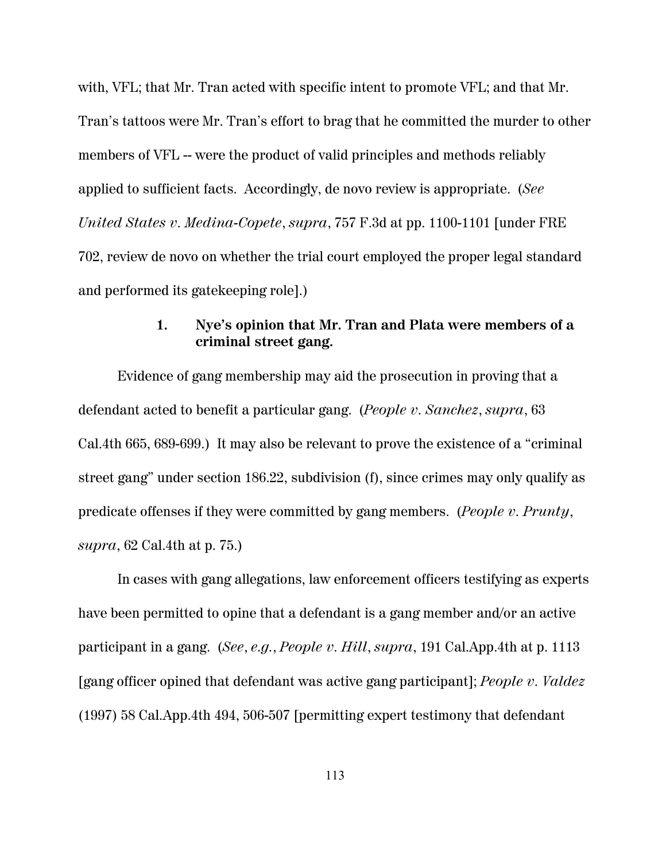with, VFL; that Mr. Tran acted with specific intent to promote VFL; and that Mr. Tran's tattoos were Mr. Tran's effort to brag that he committed the murder to other members of VFL -- were the product of valid principles and methods reliably applied to sufficient facts. Accordingly, de novo review is appropriate. (*See United States v. Medina-Copete*, *supra*, 757 F.3d at pp. 1100-1101 [under FRE 702, review de novo on whether the trial court employed the proper legal standard and performed its gatekeeping role].)

# **1. Nye's opinion that Mr. Tran and Plata were members of a criminal street gang.**

Evidence of gang membership may aid the prosecution in proving that a defendant acted to benefit a particular gang. (*People v. Sanchez*, *supra*, 63 Cal.4th 665, 689-699.) It may also be relevant to prove the existence of a "criminal street gang" under section 186.22, subdivision (f), since crimes may only qualify as predicate offenses if they were committed by gang members. (*People v. Prunty*, *supra*, 62 Cal.4th at p. 75.)

In cases with gang allegations, law enforcement officers testifying as experts have been permitted to opine that a defendant is a gang member and/or an active participant in a gang. (*See*, *e.g.*, *People v. Hill*, *supra*, 191 Cal.App.4th at p. 1113 [gang officer opined that defendant was active gang participant]; *People v. Valdez* (1997) 58 Cal.App.4th 494, 506-507 [permitting expert testimony that defendant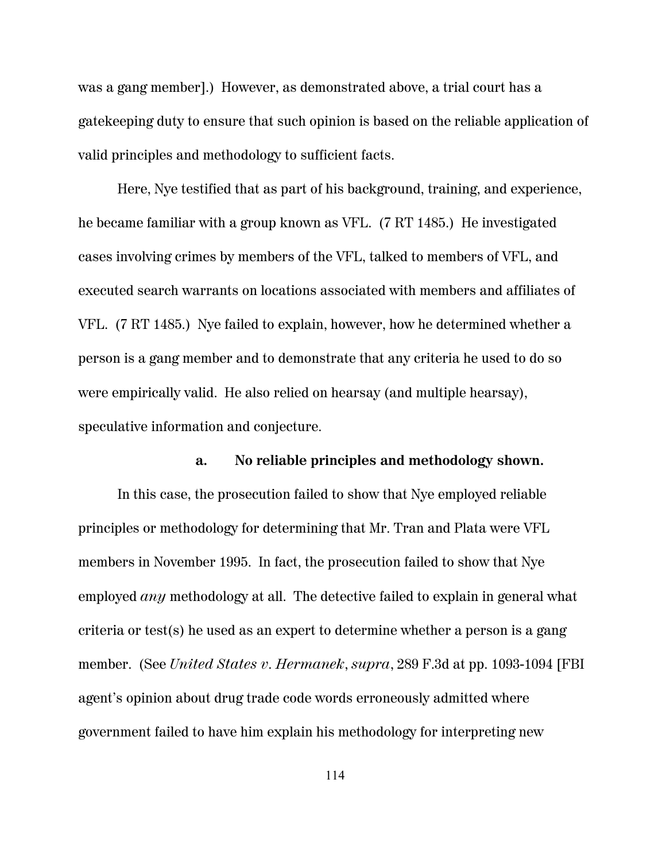was a gang member].) However, as demonstrated above, a trial court has a gatekeeping duty to ensure that such opinion is based on the reliable application of valid principles and methodology to sufficient facts.

Here, Nye testified that as part of his background, training, and experience, he became familiar with a group known as VFL. (7 RT 1485.) He investigated cases involving crimes by members of the VFL, talked to members of VFL, and executed search warrants on locations associated with members and affiliates of VFL. (7 RT 1485.) Nye failed to explain, however, how he determined whether a person is a gang member and to demonstrate that any criteria he used to do so were empirically valid. He also relied on hearsay (and multiple hearsay), speculative information and conjecture.

#### **a. No reliable principles and methodology shown.**

In this case, the prosecution failed to show that Nye employed reliable principles or methodology for determining that Mr. Tran and Plata were VFL members in November 1995. In fact, the prosecution failed to show that Nye employed *any* methodology at all. The detective failed to explain in general what criteria or test(s) he used as an expert to determine whether a person is a gang member. (See *United States v. Hermanek*, *supra*, 289 F.3d at pp. 1093-1094 [FBI agent's opinion about drug trade code words erroneously admitted where government failed to have him explain his methodology for interpreting new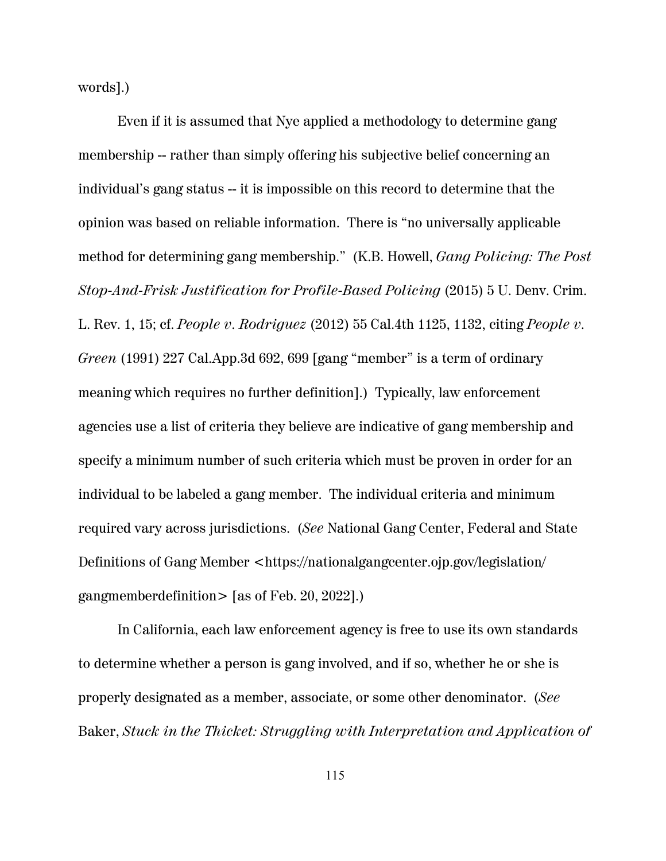words].)

Even if it is assumed that Nye applied a methodology to determine gang membership -- rather than simply offering his subjective belief concerning an individual's gang status -- it is impossible on this record to determine that the opinion was based on reliable information. There is "no universally applicable method for determining gang membership." (K.B. Howell, *Gang Policing: The Post Stop-And-Frisk Justification for Profile-Based Policing* (2015) 5 U. Denv. Crim. L. Rev. 1, 15; cf. *People v. Rodriguez* (2012) 55 Cal.4th 1125, 1132, citing *People v. Green* (1991) 227 Cal.App.3d 692, 699 [gang "member" is a term of ordinary meaning which requires no further definition].) Typically, law enforcement agencies use a list of criteria they believe are indicative of gang membership and specify a minimum number of such criteria which must be proven in order for an individual to be labeled a gang member. The individual criteria and minimum required vary across jurisdictions. (*See* National Gang Center, Federal and State Definitions of Gang Member <https://nationalgangcenter.ojp.gov/legislation/ gangmemberdefinition> [as of Feb. 20, 2022].)

In California, each law enforcement agency is free to use its own standards to determine whether a person is gang involved, and if so, whether he or she is properly designated as a member, associate, or some other denominator. (*See* Baker, *Stuck in the Thicket: Struggling with Interpretation and Application of*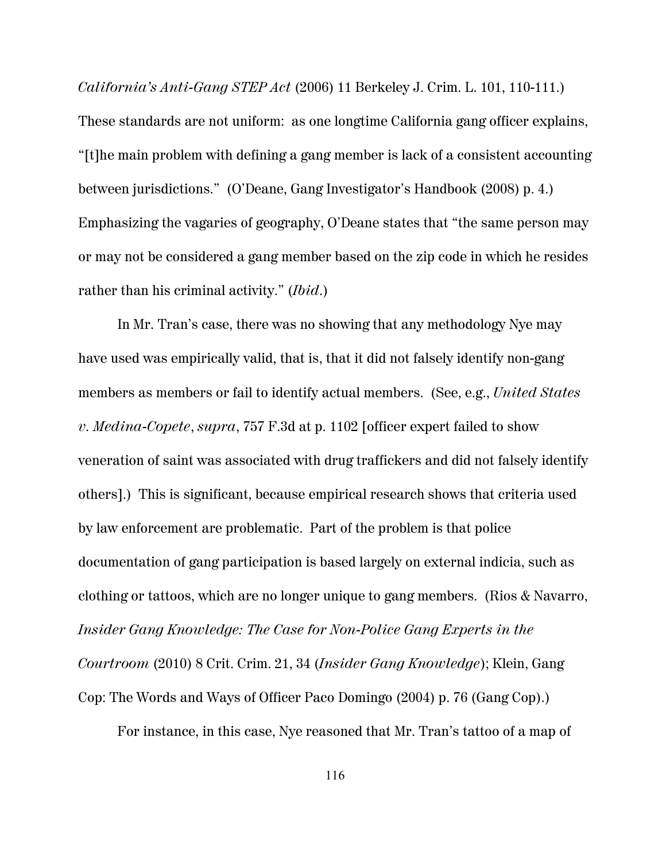*California's Anti-Gang STEP Act* (2006) 11 Berkeley J. Crim. L. 101, 110-111.) These standards are not uniform: as one longtime California gang officer explains, "[t]he main problem with defining a gang member is lack of a consistent accounting between jurisdictions." (O'Deane, Gang Investigator's Handbook (2008) p. 4.) Emphasizing the vagaries of geography, O'Deane states that "the same person may or may not be considered a gang member based on the zip code in which he resides rather than his criminal activity." (*Ibid*.)

In Mr. Tran's case, there was no showing that any methodology Nye may have used was empirically valid, that is, that it did not falsely identify non-gang members as members or fail to identify actual members. (See, e.g., *United States v. Medina-Copete*, *supra*, 757 F.3d at p. 1102 [officer expert failed to show veneration of saint was associated with drug traffickers and did not falsely identify others].) This is significant, because empirical research shows that criteria used by law enforcement are problematic. Part of the problem is that police documentation of gang participation is based largely on external indicia, such as clothing or tattoos, which are no longer unique to gang members. (Rios & Navarro, *Insider Gang Knowledge: The Case for Non-Police Gang Experts in the Courtroom* (2010) 8 Crit. Crim. 21, 34 (*Insider Gang Knowledge*); Klein, Gang Cop: The Words and Ways of Officer Paco Domingo (2004) p. 76 (Gang Cop).)

For instance, in this case, Nye reasoned that Mr. Tran's tattoo of a map of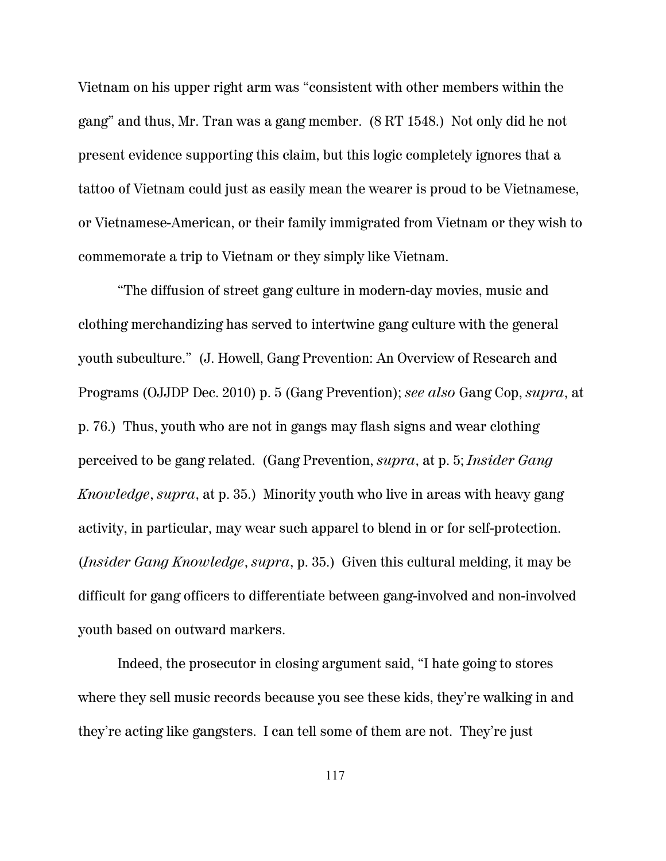Vietnam on his upper right arm was "consistent with other members within the gang" and thus, Mr. Tran was a gang member. (8 RT 1548.) Not only did he not present evidence supporting this claim, but this logic completely ignores that a tattoo of Vietnam could just as easily mean the wearer is proud to be Vietnamese, or Vietnamese-American, or their family immigrated from Vietnam or they wish to commemorate a trip to Vietnam or they simply like Vietnam.

"The diffusion of street gang culture in modern-day movies, music and clothing merchandizing has served to intertwine gang culture with the general youth subculture." (J. Howell, Gang Prevention: An Overview of Research and Programs (OJJDP Dec. 2010) p. 5 (Gang Prevention); *see also* Gang Cop, *supra*, at p. 76.) Thus, youth who are not in gangs may flash signs and wear clothing perceived to be gang related. (Gang Prevention, *supra*, at p. 5; *Insider Gang Knowledge*, *supra*, at p. 35.) Minority youth who live in areas with heavy gang activity, in particular, may wear such apparel to blend in or for self-protection. (*Insider Gang Knowledge*, *supra*, p. 35.) Given this cultural melding, it may be difficult for gang officers to differentiate between gang-involved and non-involved youth based on outward markers.

Indeed, the prosecutor in closing argument said, "I hate going to stores where they sell music records because you see these kids, they're walking in and they're acting like gangsters. I can tell some of them are not. They're just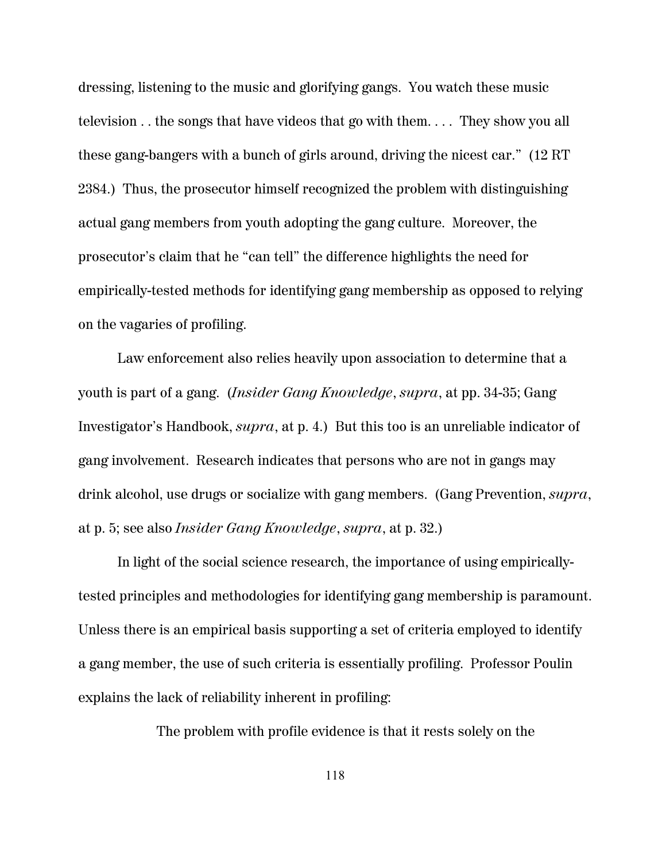dressing, listening to the music and glorifying gangs. You watch these music television . . the songs that have videos that go with them. . . . They show you all these gang-bangers with a bunch of girls around, driving the nicest car." (12 RT 2384.) Thus, the prosecutor himself recognized the problem with distinguishing actual gang members from youth adopting the gang culture. Moreover, the prosecutor's claim that he "can tell" the difference highlights the need for empirically-tested methods for identifying gang membership as opposed to relying on the vagaries of profiling.

Law enforcement also relies heavily upon association to determine that a youth is part of a gang. (*Insider Gang Knowledge*, *supra*, at pp. 34-35; Gang Investigator's Handbook, *supra*, at p. 4.) But this too is an unreliable indicator of gang involvement. Research indicates that persons who are not in gangs may drink alcohol, use drugs or socialize with gang members. (Gang Prevention, *supra*, at p. 5; see also *Insider Gang Knowledge*, *supra*, at p. 32.)

In light of the social science research, the importance of using empiricallytested principles and methodologies for identifying gang membership is paramount. Unless there is an empirical basis supporting a set of criteria employed to identify a gang member, the use of such criteria is essentially profiling. Professor Poulin explains the lack of reliability inherent in profiling:

The problem with profile evidence is that it rests solely on the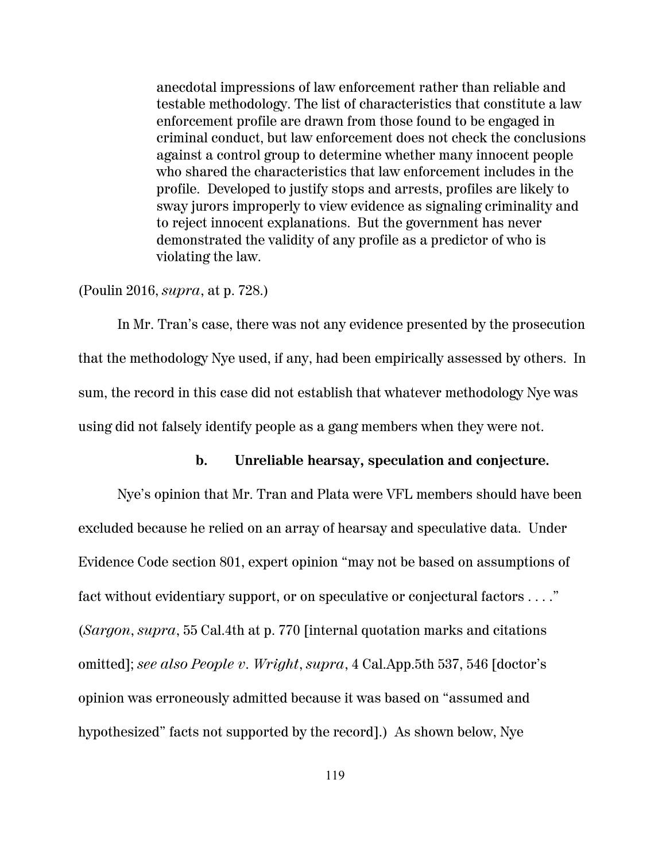anecdotal impressions of law enforcement rather than reliable and testable methodology. The list of characteristics that constitute a law enforcement profile are drawn from those found to be engaged in criminal conduct, but law enforcement does not check the conclusions against a control group to determine whether many innocent people who shared the characteristics that law enforcement includes in the profile. Developed to justify stops and arrests, profiles are likely to sway jurors improperly to view evidence as signaling criminality and to reject innocent explanations. But the government has never demonstrated the validity of any profile as a predictor of who is violating the law.

#### (Poulin 2016, *supra*, at p. 728.)

In Mr. Tran's case, there was not any evidence presented by the prosecution that the methodology Nye used, if any, had been empirically assessed by others. In sum, the record in this case did not establish that whatever methodology Nye was using did not falsely identify people as a gang members when they were not.

#### **b. Unreliable hearsay, speculation and conjecture.**

Nye's opinion that Mr. Tran and Plata were VFL members should have been excluded because he relied on an array of hearsay and speculative data. Under Evidence Code section 801, expert opinion "may not be based on assumptions of fact without evidentiary support, or on speculative or conjectural factors . . . ." (*Sargon*, *supra*, 55 Cal.4th at p. 770 [internal quotation marks and citations omitted]; *see also People v. Wright*, *supra*, 4 Cal.App.5th 537, 546 [doctor's opinion was erroneously admitted because it was based on "assumed and hypothesized" facts not supported by the record].) As shown below, Nye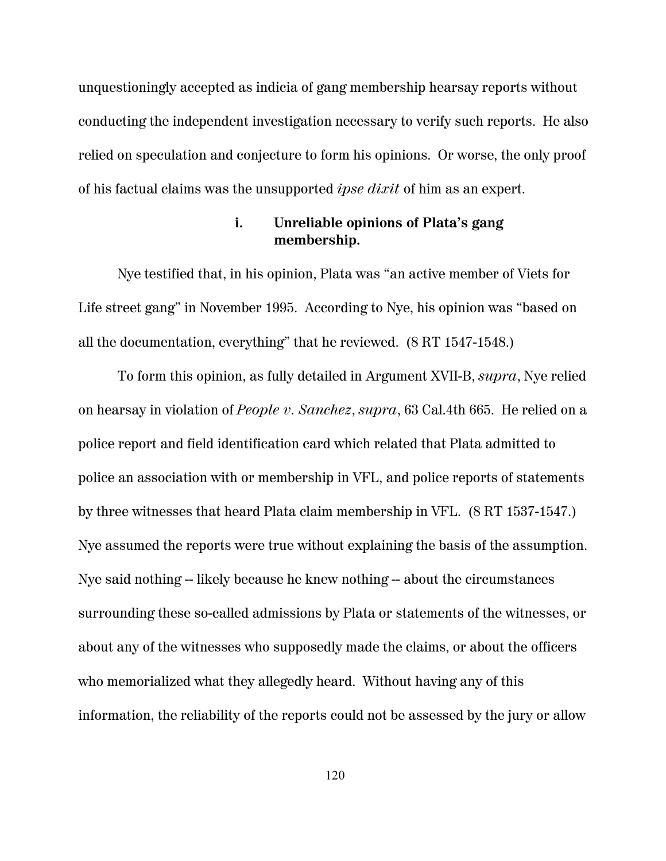unquestioningly accepted as indicia of gang membership hearsay reports without conducting the independent investigation necessary to verify such reports. He also relied on speculation and conjecture to form his opinions. Or worse, the only proof of his factual claims was the unsupported *ipse dixit* of him as an expert.

#### **i. Unreliable opinions of Plata's gang membership.**

Nye testified that, in his opinion, Plata was "an active member of Viets for Life street gang" in November 1995. According to Nye, his opinion was "based on all the documentation, everything" that he reviewed. (8 RT 1547-1548.)

To form this opinion, as fully detailed in Argument XVII-B, *supra*, Nye relied on hearsay in violation of *People v. Sanchez*, *supra*, 63 Cal.4th 665. He relied on a police report and field identification card which related that Plata admitted to police an association with or membership in VFL, and police reports of statements by three witnesses that heard Plata claim membership in VFL. (8 RT 1537-1547.) Nye assumed the reports were true without explaining the basis of the assumption. Nye said nothing -- likely because he knew nothing -- about the circumstances surrounding these so-called admissions by Plata or statements of the witnesses, or about any of the witnesses who supposedly made the claims, or about the officers who memorialized what they allegedly heard. Without having any of this information, the reliability of the reports could not be assessed by the jury or allow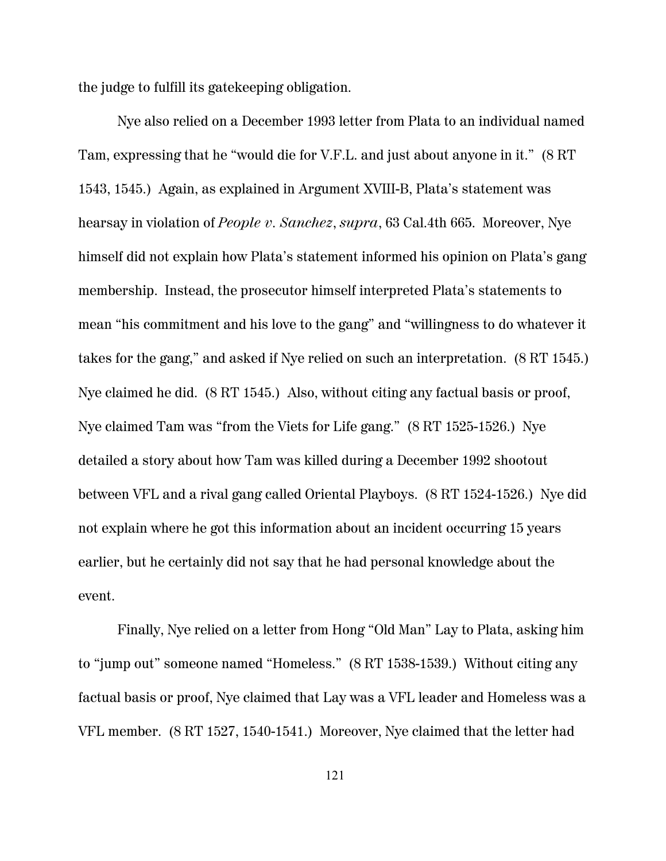the judge to fulfill its gatekeeping obligation.

Nye also relied on a December 1993 letter from Plata to an individual named Tam, expressing that he "would die for V.F.L. and just about anyone in it." (8 RT 1543, 1545.) Again, as explained in Argument XVIII-B, Plata's statement was hearsay in violation of *People v. Sanchez*, *supra*, 63 Cal.4th 665. Moreover, Nye himself did not explain how Plata's statement informed his opinion on Plata's gang membership. Instead, the prosecutor himself interpreted Plata's statements to mean "his commitment and his love to the gang" and "willingness to do whatever it takes for the gang," and asked if Nye relied on such an interpretation. (8 RT 1545.) Nye claimed he did. (8 RT 1545.) Also, without citing any factual basis or proof, Nye claimed Tam was "from the Viets for Life gang." (8 RT 1525-1526.) Nye detailed a story about how Tam was killed during a December 1992 shootout between VFL and a rival gang called Oriental Playboys. (8 RT 1524-1526.) Nye did not explain where he got this information about an incident occurring 15 years earlier, but he certainly did not say that he had personal knowledge about the event.

Finally, Nye relied on a letter from Hong "Old Man" Lay to Plata, asking him to "jump out" someone named "Homeless." (8 RT 1538-1539.) Without citing any factual basis or proof, Nye claimed that Lay was a VFL leader and Homeless was a VFL member. (8 RT 1527, 1540-1541.) Moreover, Nye claimed that the letter had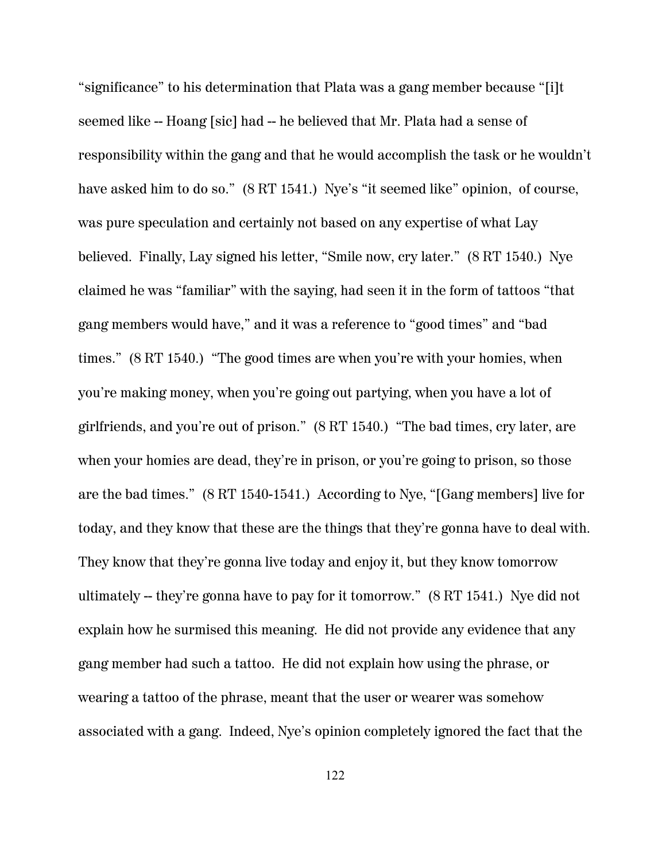"significance" to his determination that Plata was a gang member because "[i]t seemed like -- Hoang [sic] had -- he believed that Mr. Plata had a sense of responsibility within the gang and that he would accomplish the task or he wouldn't have asked him to do so." (8 RT 1541.) Nye's "it seemed like" opinion, of course, was pure speculation and certainly not based on any expertise of what Lay believed. Finally, Lay signed his letter, "Smile now, cry later." (8 RT 1540.) Nye claimed he was "familiar" with the saying, had seen it in the form of tattoos "that gang members would have," and it was a reference to "good times" and "bad times." (8 RT 1540.) "The good times are when you're with your homies, when you're making money, when you're going out partying, when you have a lot of girlfriends, and you're out of prison." (8 RT 1540.) "The bad times, cry later, are when your homies are dead, they're in prison, or you're going to prison, so those are the bad times." (8 RT 1540-1541.) According to Nye, "[Gang members] live for today, and they know that these are the things that they're gonna have to deal with. They know that they're gonna live today and enjoy it, but they know tomorrow ultimately -- they're gonna have to pay for it tomorrow." (8 RT 1541.) Nye did not explain how he surmised this meaning. He did not provide any evidence that any gang member had such a tattoo. He did not explain how using the phrase, or wearing a tattoo of the phrase, meant that the user or wearer was somehow associated with a gang. Indeed, Nye's opinion completely ignored the fact that the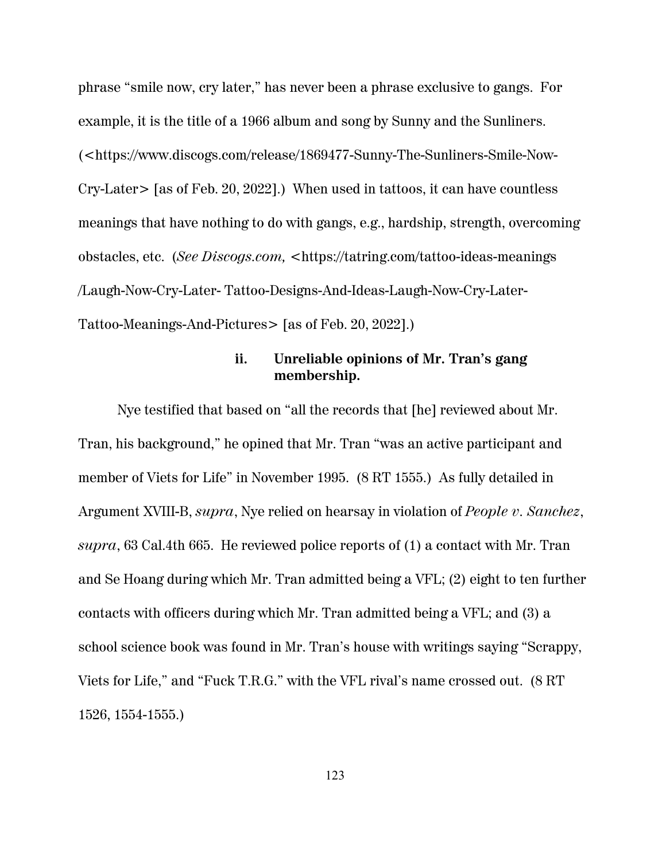phrase "smile now, cry later," has never been a phrase exclusive to gangs. For example, it is the title of a 1966 album and song by Sunny and the Sunliners. (<https://www.discogs.com/release/1869477-Sunny-The-Sunliners-Smile-Now-Cry-Later> [as of Feb. 20, 2022].) When used in tattoos, it can have countless meanings that have nothing to do with gangs, e.g., hardship, strength, overcoming obstacles, etc. (*See Discogs.com,* <https://tatring.com/tattoo-ideas-meanings /Laugh-Now-Cry-Later- Tattoo-Designs-And-Ideas-Laugh-Now-Cry-Later-Tattoo-Meanings-And-Pictures> [as of Feb. 20, 2022].)

## **ii. Unreliable opinions of Mr. Tran's gang membership.**

Nye testified that based on "all the records that [he] reviewed about Mr. Tran, his background," he opined that Mr. Tran "was an active participant and member of Viets for Life" in November 1995. (8 RT 1555.) As fully detailed in Argument XVIII-B, *supra*, Nye relied on hearsay in violation of *People v. Sanchez*, *supra*, 63 Cal.4th 665. He reviewed police reports of (1) a contact with Mr. Tran and Se Hoang during which Mr. Tran admitted being a VFL; (2) eight to ten further contacts with officers during which Mr. Tran admitted being a VFL; and (3) a school science book was found in Mr. Tran's house with writings saying "Scrappy, Viets for Life," and "Fuck T.R.G." with the VFL rival's name crossed out. (8 RT 1526, 1554-1555.)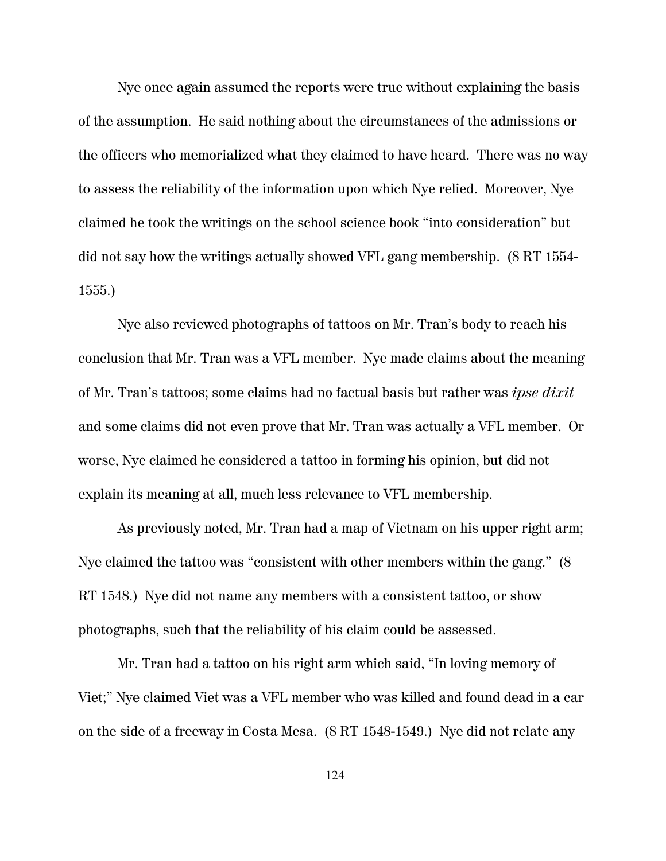Nye once again assumed the reports were true without explaining the basis of the assumption. He said nothing about the circumstances of the admissions or the officers who memorialized what they claimed to have heard. There was no way to assess the reliability of the information upon which Nye relied. Moreover, Nye claimed he took the writings on the school science book "into consideration" but did not say how the writings actually showed VFL gang membership. (8 RT 1554- 1555.)

 Nye also reviewed photographs of tattoos on Mr. Tran's body to reach his conclusion that Mr. Tran was a VFL member. Nye made claims about the meaning of Mr. Tran's tattoos; some claims had no factual basis but rather was *ipse dixit* and some claims did not even prove that Mr. Tran was actually a VFL member. Or worse, Nye claimed he considered a tattoo in forming his opinion, but did not explain its meaning at all, much less relevance to VFL membership.

As previously noted, Mr. Tran had a map of Vietnam on his upper right arm; Nye claimed the tattoo was "consistent with other members within the gang." (8 RT 1548.) Nye did not name any members with a consistent tattoo, or show photographs, such that the reliability of his claim could be assessed.

Mr. Tran had a tattoo on his right arm which said, "In loving memory of Viet;" Nye claimed Viet was a VFL member who was killed and found dead in a car on the side of a freeway in Costa Mesa. (8 RT 1548-1549.) Nye did not relate any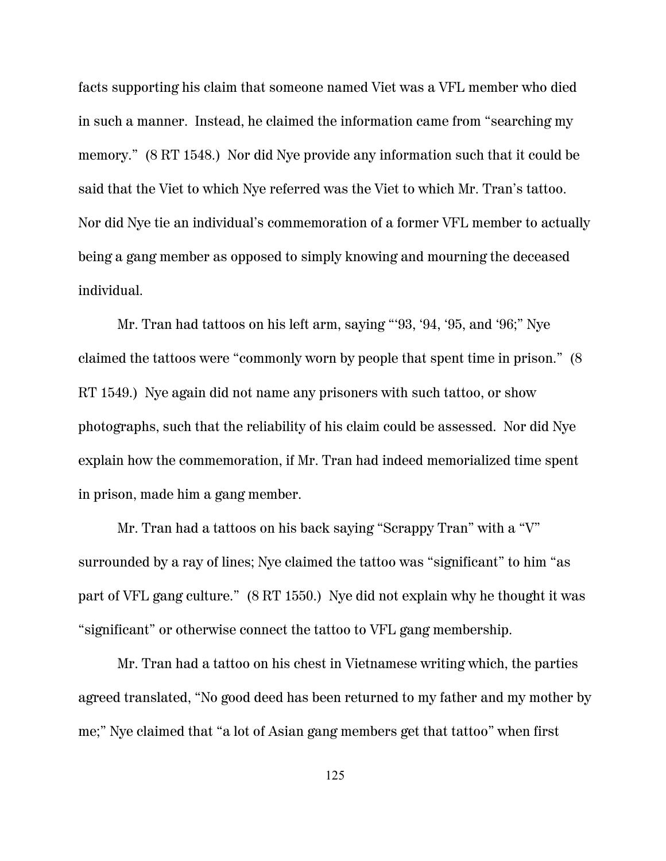facts supporting his claim that someone named Viet was a VFL member who died in such a manner. Instead, he claimed the information came from "searching my memory." (8 RT 1548.) Nor did Nye provide any information such that it could be said that the Viet to which Nye referred was the Viet to which Mr. Tran's tattoo. Nor did Nye tie an individual's commemoration of a former VFL member to actually being a gang member as opposed to simply knowing and mourning the deceased individual.

Mr. Tran had tattoos on his left arm, saying "'93, '94, '95, and '96;" Nye claimed the tattoos were "commonly worn by people that spent time in prison." (8 RT 1549.) Nye again did not name any prisoners with such tattoo, or show photographs, such that the reliability of his claim could be assessed. Nor did Nye explain how the commemoration, if Mr. Tran had indeed memorialized time spent in prison, made him a gang member.

Mr. Tran had a tattoos on his back saying "Scrappy Tran" with a "V" surrounded by a ray of lines; Nye claimed the tattoo was "significant" to him "as part of VFL gang culture." (8 RT 1550.) Nye did not explain why he thought it was "significant" or otherwise connect the tattoo to VFL gang membership.

Mr. Tran had a tattoo on his chest in Vietnamese writing which, the parties agreed translated, "No good deed has been returned to my father and my mother by me;" Nye claimed that "a lot of Asian gang members get that tattoo" when first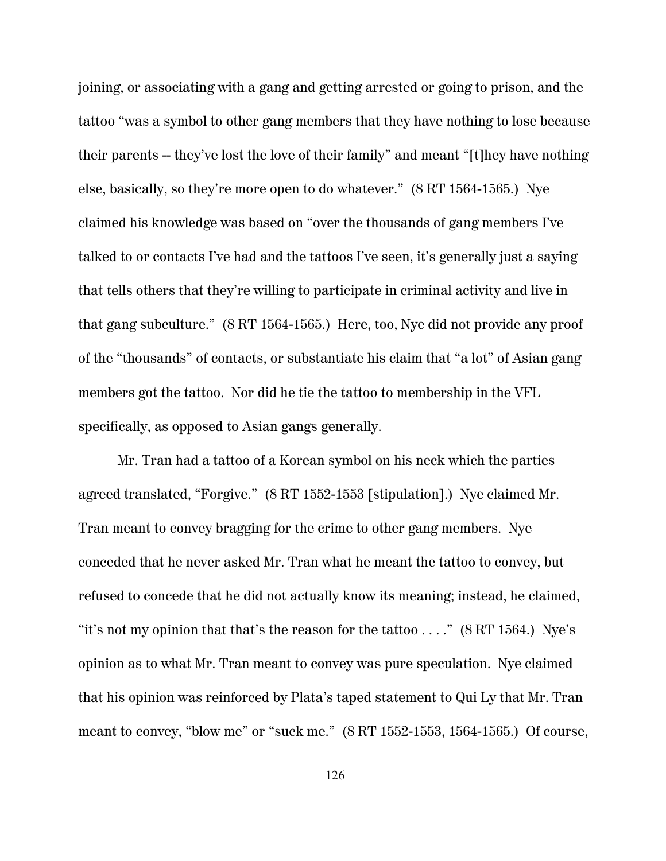joining, or associating with a gang and getting arrested or going to prison, and the tattoo "was a symbol to other gang members that they have nothing to lose because their parents -- they've lost the love of their family" and meant "[t]hey have nothing else, basically, so they're more open to do whatever." (8 RT 1564-1565.) Nye claimed his knowledge was based on "over the thousands of gang members I've talked to or contacts I've had and the tattoos I've seen, it's generally just a saying that tells others that they're willing to participate in criminal activity and live in that gang subculture." (8 RT 1564-1565.) Here, too, Nye did not provide any proof of the "thousands" of contacts, or substantiate his claim that "a lot" of Asian gang members got the tattoo. Nor did he tie the tattoo to membership in the VFL specifically, as opposed to Asian gangs generally.

Mr. Tran had a tattoo of a Korean symbol on his neck which the parties agreed translated, "Forgive." (8 RT 1552-1553 [stipulation].) Nye claimed Mr. Tran meant to convey bragging for the crime to other gang members. Nye conceded that he never asked Mr. Tran what he meant the tattoo to convey, but refused to concede that he did not actually know its meaning; instead, he claimed, "it's not my opinion that that's the reason for the tattoo  $\dots$ ." (8 RT 1564.) Nye's opinion as to what Mr. Tran meant to convey was pure speculation. Nye claimed that his opinion was reinforced by Plata's taped statement to Qui Ly that Mr. Tran meant to convey, "blow me" or "suck me." (8 RT 1552-1553, 1564-1565.) Of course,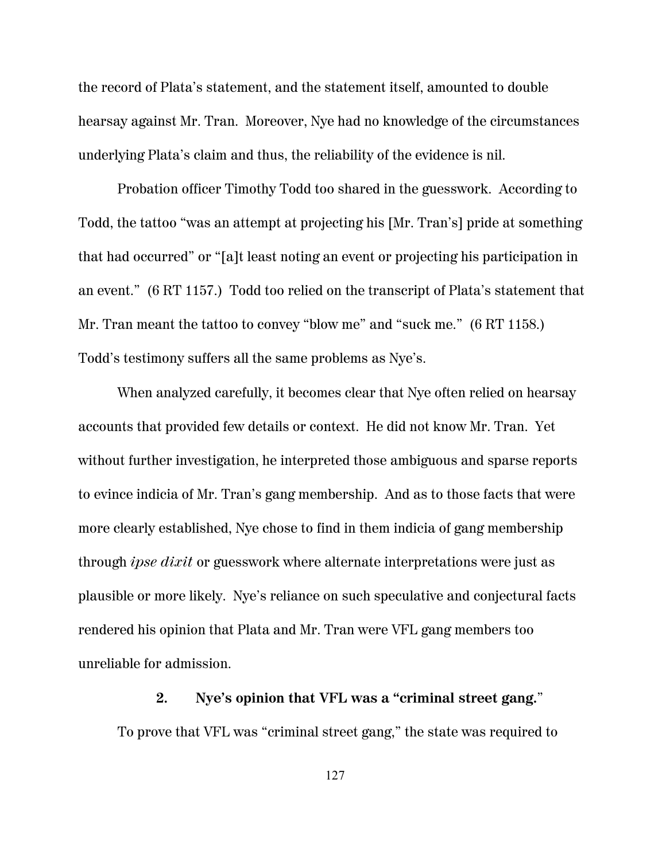the record of Plata's statement, and the statement itself, amounted to double hearsay against Mr. Tran. Moreover, Nye had no knowledge of the circumstances underlying Plata's claim and thus, the reliability of the evidence is nil.

Probation officer Timothy Todd too shared in the guesswork. According to Todd, the tattoo "was an attempt at projecting his [Mr. Tran's] pride at something that had occurred" or "[a]t least noting an event or projecting his participation in an event." (6 RT 1157.) Todd too relied on the transcript of Plata's statement that Mr. Tran meant the tattoo to convey "blow me" and "suck me." (6 RT 1158.) Todd's testimony suffers all the same problems as Nye's.

When analyzed carefully, it becomes clear that Nye often relied on hearsay accounts that provided few details or context. He did not know Mr. Tran. Yet without further investigation, he interpreted those ambiguous and sparse reports to evince indicia of Mr. Tran's gang membership. And as to those facts that were more clearly established, Nye chose to find in them indicia of gang membership through *ipse dixit* or guesswork where alternate interpretations were just as plausible or more likely. Nye's reliance on such speculative and conjectural facts rendered his opinion that Plata and Mr. Tran were VFL gang members too unreliable for admission.

#### **2. Nye's opinion that VFL was a "criminal street gang.**"

To prove that VFL was "criminal street gang," the state was required to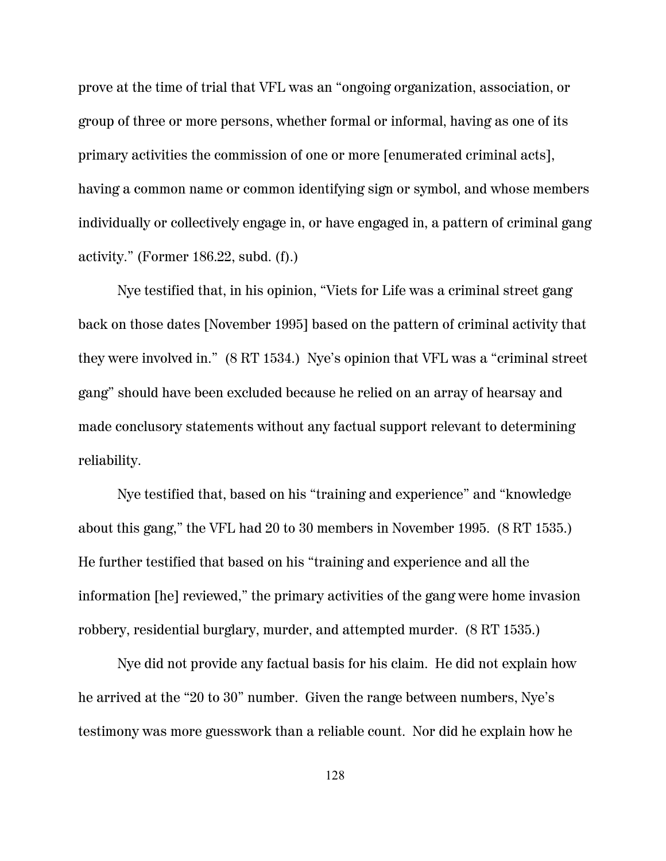prove at the time of trial that VFL was an "ongoing organization, association, or group of three or more persons, whether formal or informal, having as one of its primary activities the commission of one or more [enumerated criminal acts], having a common name or common identifying sign or symbol, and whose members individually or collectively engage in, or have engaged in, a pattern of criminal gang activity." (Former 186.22, subd. (f).)

Nye testified that, in his opinion, "Viets for Life was a criminal street gang back on those dates [November 1995] based on the pattern of criminal activity that they were involved in." (8 RT 1534.) Nye's opinion that VFL was a "criminal street gang" should have been excluded because he relied on an array of hearsay and made conclusory statements without any factual support relevant to determining reliability.

Nye testified that, based on his "training and experience" and "knowledge about this gang," the VFL had 20 to 30 members in November 1995. (8 RT 1535.) He further testified that based on his "training and experience and all the information [he] reviewed," the primary activities of the gang were home invasion robbery, residential burglary, murder, and attempted murder. (8 RT 1535.)

Nye did not provide any factual basis for his claim. He did not explain how he arrived at the "20 to 30" number. Given the range between numbers, Nye's testimony was more guesswork than a reliable count. Nor did he explain how he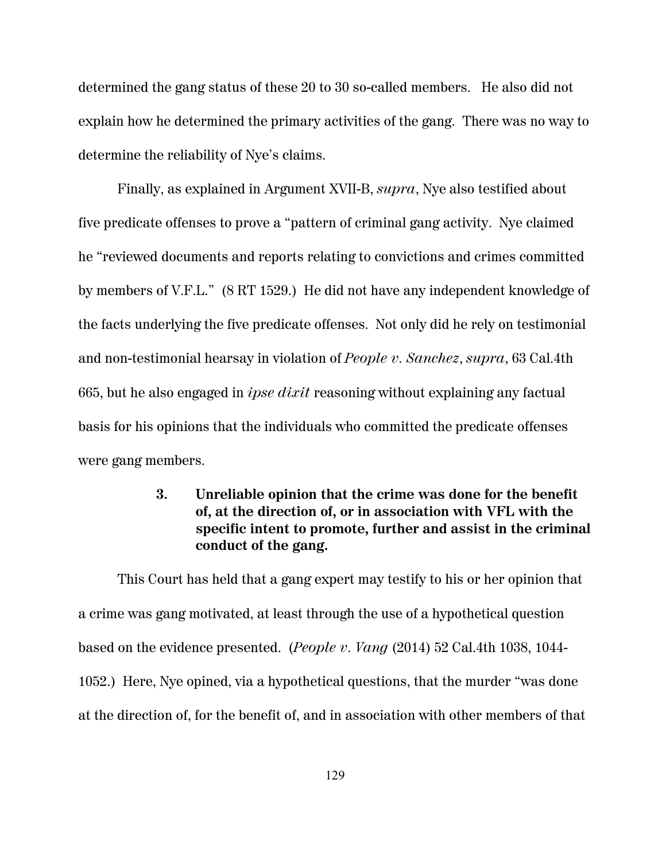determined the gang status of these 20 to 30 so-called members. He also did not explain how he determined the primary activities of the gang. There was no way to determine the reliability of Nye's claims.

Finally, as explained in Argument XVII-B, *supra*, Nye also testified about five predicate offenses to prove a "pattern of criminal gang activity. Nye claimed he "reviewed documents and reports relating to convictions and crimes committed by members of V.F.L." (8 RT 1529.) He did not have any independent knowledge of the facts underlying the five predicate offenses. Not only did he rely on testimonial and non-testimonial hearsay in violation of *People v. Sanchez*, *supra*, 63 Cal.4th 665, but he also engaged in *ipse dixit* reasoning without explaining any factual basis for his opinions that the individuals who committed the predicate offenses were gang members.

# **3. Unreliable opinion that the crime was done for the benefit of, at the direction of, or in association with VFL with the specific intent to promote, further and assist in the criminal conduct of the gang.**

This Court has held that a gang expert may testify to his or her opinion that a crime was gang motivated, at least through the use of a hypothetical question based on the evidence presented. (*People v. Vang* (2014) 52 Cal.4th 1038, 1044- 1052.) Here, Nye opined, via a hypothetical questions, that the murder "was done at the direction of, for the benefit of, and in association with other members of that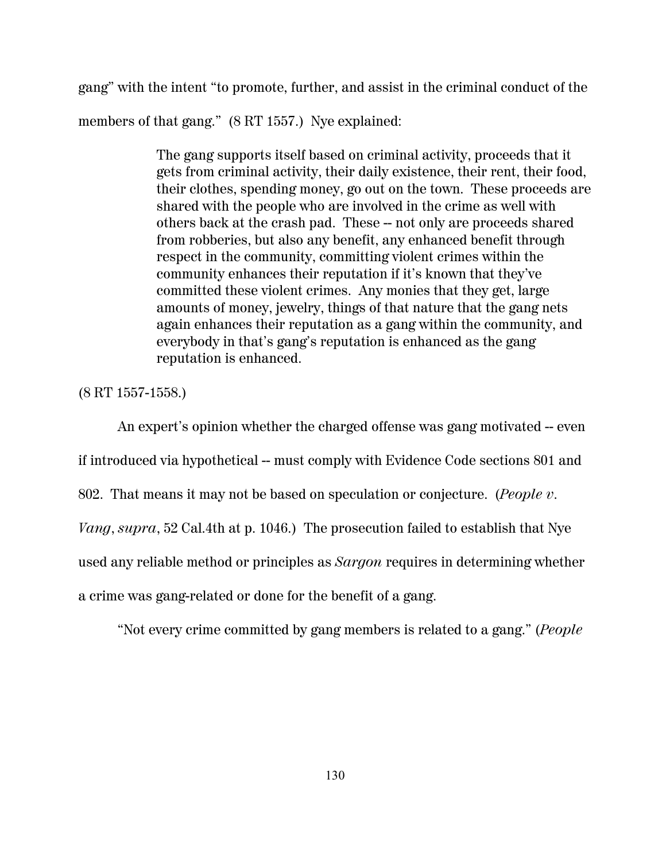gang" with the intent "to promote, further, and assist in the criminal conduct of the members of that gang." (8 RT 1557.) Nye explained:

> The gang supports itself based on criminal activity, proceeds that it gets from criminal activity, their daily existence, their rent, their food, their clothes, spending money, go out on the town. These proceeds are shared with the people who are involved in the crime as well with others back at the crash pad. These -- not only are proceeds shared from robberies, but also any benefit, any enhanced benefit through respect in the community, committing violent crimes within the community enhances their reputation if it's known that they've committed these violent crimes. Any monies that they get, large amounts of money, jewelry, things of that nature that the gang nets again enhances their reputation as a gang within the community, and everybody in that's gang's reputation is enhanced as the gang reputation is enhanced.

(8 RT 1557-1558.)

An expert's opinion whether the charged offense was gang motivated -- even

if introduced via hypothetical -- must comply with Evidence Code sections 801 and

802. That means it may not be based on speculation or conjecture. (*People v.*

*Vang*, *supra*, 52 Cal.4th at p. 1046.) The prosecution failed to establish that Nye

used any reliable method or principles as *Sargon* requires in determining whether

a crime was gang-related or done for the benefit of a gang.

"Not every crime committed by gang members is related to a gang." (*People*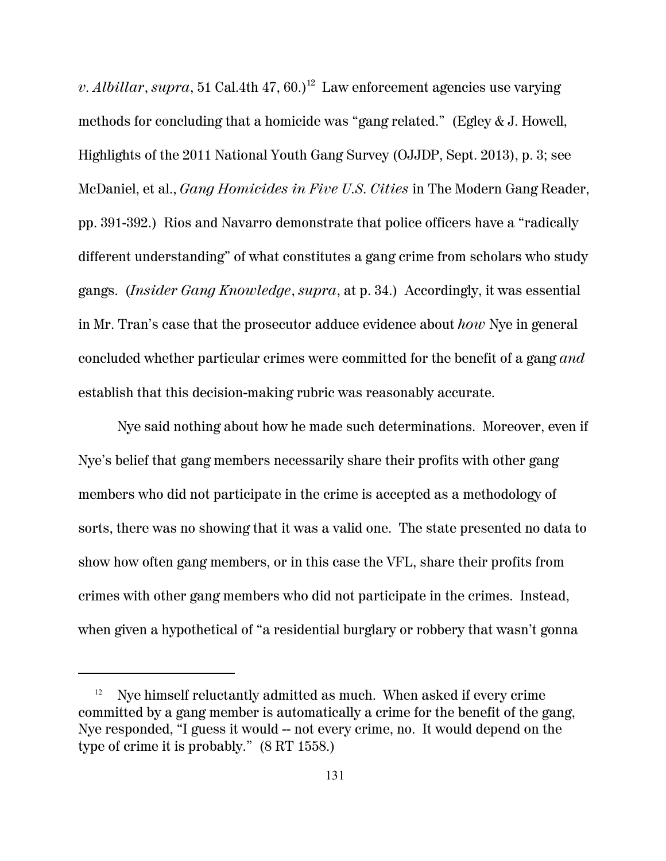*v. Albillar*, *supra*, 51 Cal.4th 47, 60.)<sup>12</sup> Law enforcement agencies use varying methods for concluding that a homicide was "gang related." (Egley & J. Howell, Highlights of the 2011 National Youth Gang Survey (OJJDP, Sept. 2013), p. 3; see McDaniel, et al., *Gang Homicides in Five U.S. Cities* in The Modern Gang Reader, pp. 391-392.) Rios and Navarro demonstrate that police officers have a "radically different understanding" of what constitutes a gang crime from scholars who study gangs. (*Insider Gang Knowledge*, *supra*, at p. 34.) Accordingly, it was essential in Mr. Tran's case that the prosecutor adduce evidence about *how* Nye in general concluded whether particular crimes were committed for the benefit of a gang *and* establish that this decision-making rubric was reasonably accurate.

Nye said nothing about how he made such determinations. Moreover, even if Nye's belief that gang members necessarily share their profits with other gang members who did not participate in the crime is accepted as a methodology of sorts, there was no showing that it was a valid one. The state presented no data to show how often gang members, or in this case the VFL, share their profits from crimes with other gang members who did not participate in the crimes. Instead, when given a hypothetical of "a residential burglary or robbery that wasn't gonna

 $12$  Nye himself reluctantly admitted as much. When asked if every crime committed by a gang member is automatically a crime for the benefit of the gang, Nye responded, "I guess it would -- not every crime, no. It would depend on the type of crime it is probably." (8 RT 1558.)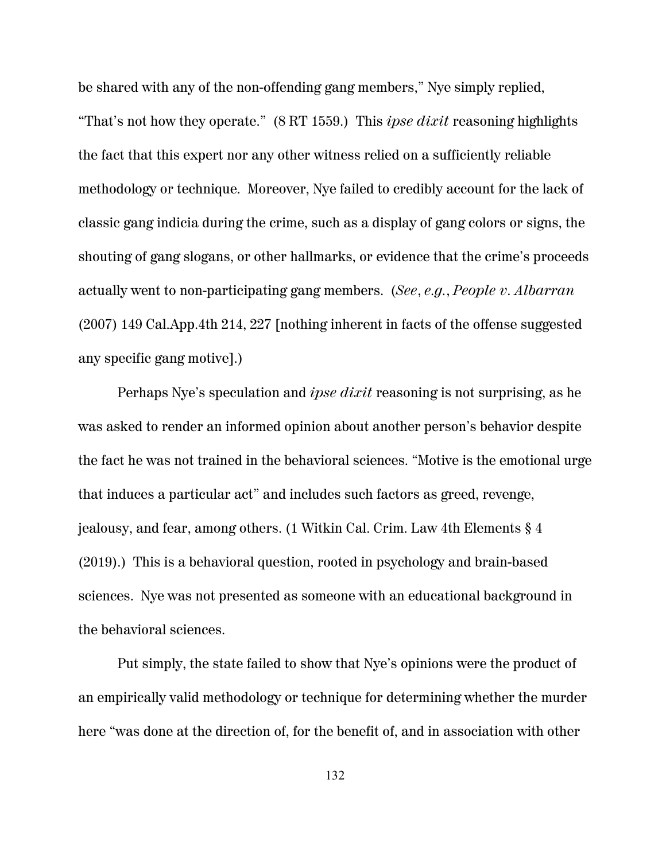be shared with any of the non-offending gang members," Nye simply replied, "That's not how they operate." (8 RT 1559.) This *ipse dixit* reasoning highlights the fact that this expert nor any other witness relied on a sufficiently reliable methodology or technique. Moreover, Nye failed to credibly account for the lack of classic gang indicia during the crime, such as a display of gang colors or signs, the shouting of gang slogans, or other hallmarks, or evidence that the crime's proceeds actually went to non-participating gang members. (*See*, *e.g.*, *People v. Albarran* (2007) 149 Cal.App.4th 214, 227 [nothing inherent in facts of the offense suggested any specific gang motive].)

Perhaps Nye's speculation and *ipse dixit* reasoning is not surprising, as he was asked to render an informed opinion about another person's behavior despite the fact he was not trained in the behavioral sciences. "Motive is the emotional urge that induces a particular act" and includes such factors as greed, revenge, jealousy, and fear, among others. (1 Witkin Cal. Crim. Law 4th Elements § 4 (2019).) This is a behavioral question, rooted in psychology and brain-based sciences. Nye was not presented as someone with an educational background in the behavioral sciences.

Put simply, the state failed to show that Nye's opinions were the product of an empirically valid methodology or technique for determining whether the murder here "was done at the direction of, for the benefit of, and in association with other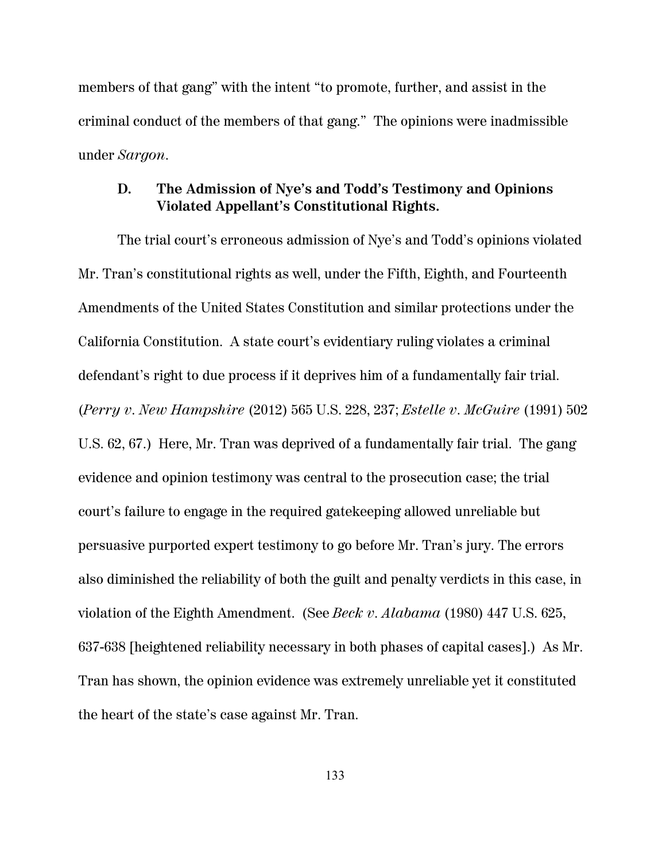members of that gang" with the intent "to promote, further, and assist in the criminal conduct of the members of that gang." The opinions were inadmissible under *Sargon*.

# **D. The Admission of Nye's and Todd's Testimony and Opinions Violated Appellant's Constitutional Rights.**

The trial court's erroneous admission of Nye's and Todd's opinions violated Mr. Tran's constitutional rights as well, under the Fifth, Eighth, and Fourteenth Amendments of the United States Constitution and similar protections under the California Constitution. A state court's evidentiary ruling violates a criminal defendant's right to due process if it deprives him of a fundamentally fair trial. (*Perry v. New Hampshire* (2012) 565 U.S. 228, 237; *Estelle v. McGuire* (1991) 502 U.S. 62, 67.) Here, Mr. Tran was deprived of a fundamentally fair trial. The gang evidence and opinion testimony was central to the prosecution case; the trial court's failure to engage in the required gatekeeping allowed unreliable but persuasive purported expert testimony to go before Mr. Tran's jury. The errors also diminished the reliability of both the guilt and penalty verdicts in this case, in violation of the Eighth Amendment. (See *Beck v. Alabama* (1980) 447 U.S. 625, 637-638 [heightened reliability necessary in both phases of capital cases].) As Mr. Tran has shown, the opinion evidence was extremely unreliable yet it constituted the heart of the state's case against Mr. Tran.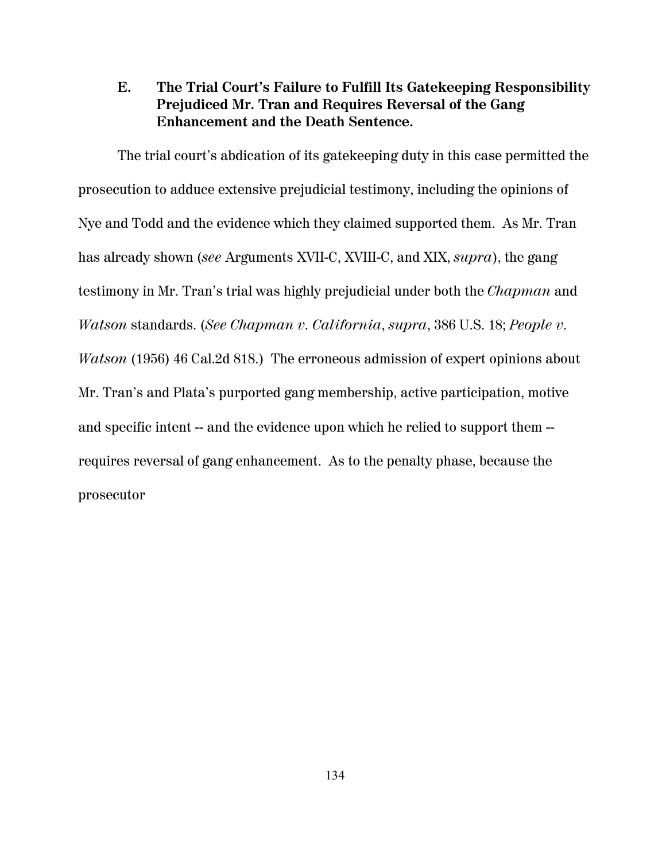# **E. The Trial Court's Failure to Fulfill Its Gatekeeping Responsibility Prejudiced Mr. Tran and Requires Reversal of the Gang Enhancement and the Death Sentence.**

The trial court's abdication of its gatekeeping duty in this case permitted the prosecution to adduce extensive prejudicial testimony, including the opinions of Nye and Todd and the evidence which they claimed supported them. As Mr. Tran has already shown (*see* Arguments XVII-C, XVIII-C, and XIX, *supra*), the gang testimony in Mr. Tran's trial was highly prejudicial under both the *Chapman* and *Watson* standards. (*See Chapman v. California*, *supra*, 386 U.S. 18; *People v. Watson* (1956) 46 Cal.2d 818.) The erroneous admission of expert opinions about Mr. Tran's and Plata's purported gang membership, active participation, motive and specific intent -- and the evidence upon which he relied to support them -requires reversal of gang enhancement. As to the penalty phase, because the prosecutor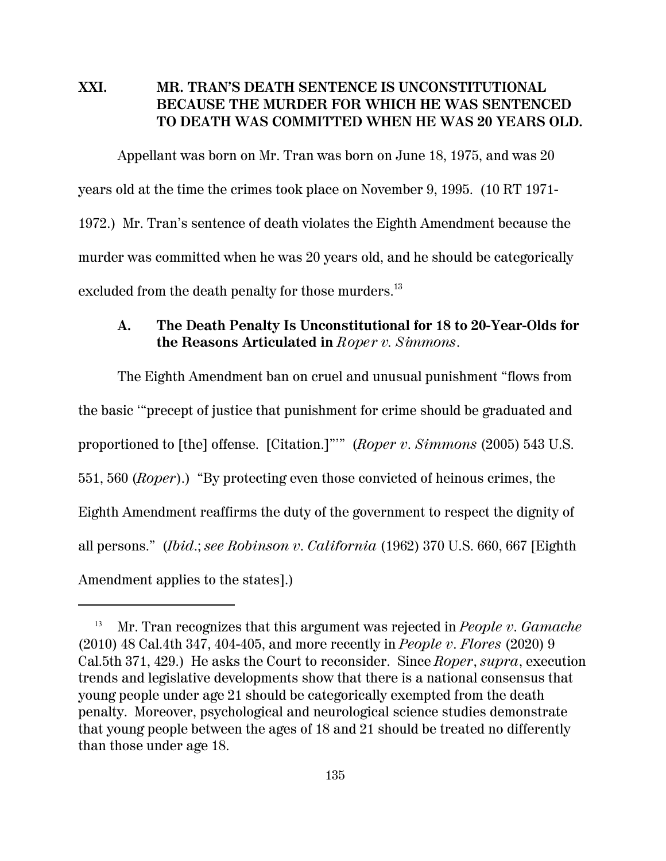## **XXI. MR. TRAN'S DEATH SENTENCE IS UNCONSTITUTIONAL BECAUSE THE MURDER FOR WHICH HE WAS SENTENCED TO DEATH WAS COMMITTED WHEN HE WAS 20 YEARS OLD.**

Appellant was born on Mr. Tran was born on June 18, 1975, and was 20 years old at the time the crimes took place on November 9, 1995. (10 RT 1971- 1972.) Mr. Tran's sentence of death violates the Eighth Amendment because the murder was committed when he was 20 years old, and he should be categorically excluded from the death penalty for those murders.<sup>13</sup>

#### **A. The Death Penalty Is Unconstitutional for 18 to 20-Year-Olds for the Reasons Articulated in** *Roper v. Simmons.*

The Eighth Amendment ban on cruel and unusual punishment "flows from the basic '"precept of justice that punishment for crime should be graduated and proportioned to [the] offense. [Citation.]"'" (*Roper v. Simmons* (2005) 543 U.S. 551, 560 (*Roper*).) "By protecting even those convicted of heinous crimes, the Eighth Amendment reaffirms the duty of the government to respect the dignity of all persons." (*Ibid*.; *see Robinson v. California* (1962) 370 U.S. 660, 667 [Eighth Amendment applies to the states].)

<sup>13</sup> Mr. Tran recognizes that this argument was rejected in *People v. Gamache* (2010) 48 Cal.4th 347, 404-405, and more recently in *People v. Flores* (2020) 9 Cal.5th 371, 429.) He asks the Court to reconsider. Since *Roper*, *supra*, execution trends and legislative developments show that there is a national consensus that young people under age 21 should be categorically exempted from the death penalty. Moreover, psychological and neurological science studies demonstrate that young people between the ages of 18 and 21 should be treated no differently than those under age 18.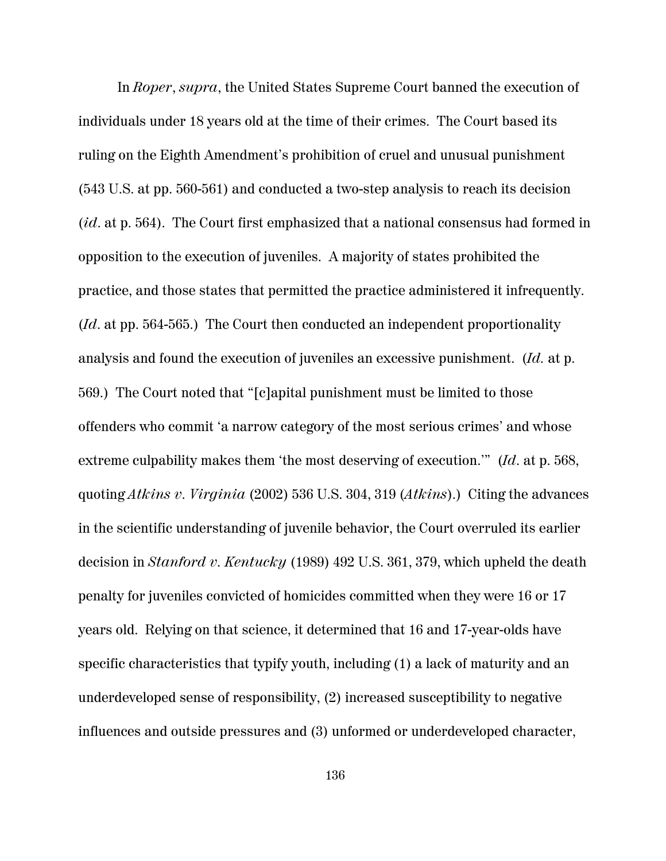In *Roper*, *supra*, the United States Supreme Court banned the execution of individuals under 18 years old at the time of their crimes. The Court based its ruling on the Eighth Amendment's prohibition of cruel and unusual punishment (543 U.S. at pp. 560-561) and conducted a two-step analysis to reach its decision (*id*. at p. 564). The Court first emphasized that a national consensus had formed in opposition to the execution of juveniles. A majority of states prohibited the practice, and those states that permitted the practice administered it infrequently. (*Id*. at pp. 564-565.) The Court then conducted an independent proportionality analysis and found the execution of juveniles an excessive punishment. (*Id.* at p. 569.) The Court noted that "[c]apital punishment must be limited to those offenders who commit 'a narrow category of the most serious crimes' and whose extreme culpability makes them 'the most deserving of execution.'" (*Id*. at p. 568, quoting *Atkins v. Virginia* (2002) 536 U.S. 304, 319 (*Atkins*).) Citing the advances in the scientific understanding of juvenile behavior, the Court overruled its earlier decision in *Stanford v. Kentucky* (1989) 492 U.S. 361, 379, which upheld the death penalty for juveniles convicted of homicides committed when they were 16 or 17 years old. Relying on that science, it determined that 16 and 17-year-olds have specific characteristics that typify youth, including (1) a lack of maturity and an underdeveloped sense of responsibility, (2) increased susceptibility to negative influences and outside pressures and (3) unformed or underdeveloped character,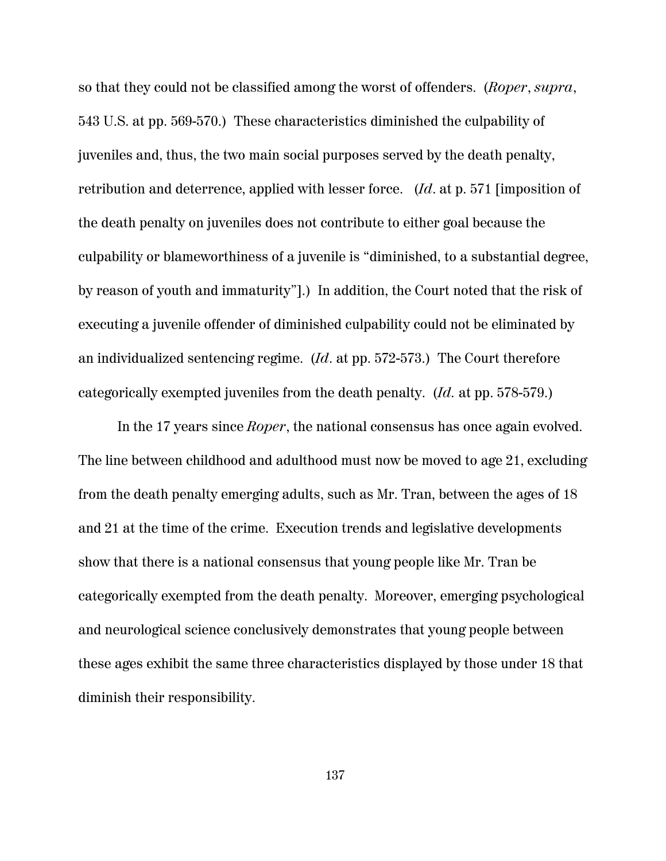so that they could not be classified among the worst of offenders. (*Roper*, *supra*, 543 U.S. at pp. 569-570.) These characteristics diminished the culpability of juveniles and, thus, the two main social purposes served by the death penalty, retribution and deterrence, applied with lesser force. (*Id*. at p. 571 [imposition of the death penalty on juveniles does not contribute to either goal because the culpability or blameworthiness of a juvenile is "diminished, to a substantial degree, by reason of youth and immaturity"].) In addition, the Court noted that the risk of executing a juvenile offender of diminished culpability could not be eliminated by an individualized sentencing regime. (*Id*. at pp. 572-573.) The Court therefore categorically exempted juveniles from the death penalty. (*Id.* at pp. 578-579.)

In the 17 years since *Roper*, the national consensus has once again evolved. The line between childhood and adulthood must now be moved to age 21, excluding from the death penalty emerging adults, such as Mr. Tran, between the ages of 18 and 21 at the time of the crime. Execution trends and legislative developments show that there is a national consensus that young people like Mr. Tran be categorically exempted from the death penalty. Moreover, emerging psychological and neurological science conclusively demonstrates that young people between these ages exhibit the same three characteristics displayed by those under 18 that diminish their responsibility.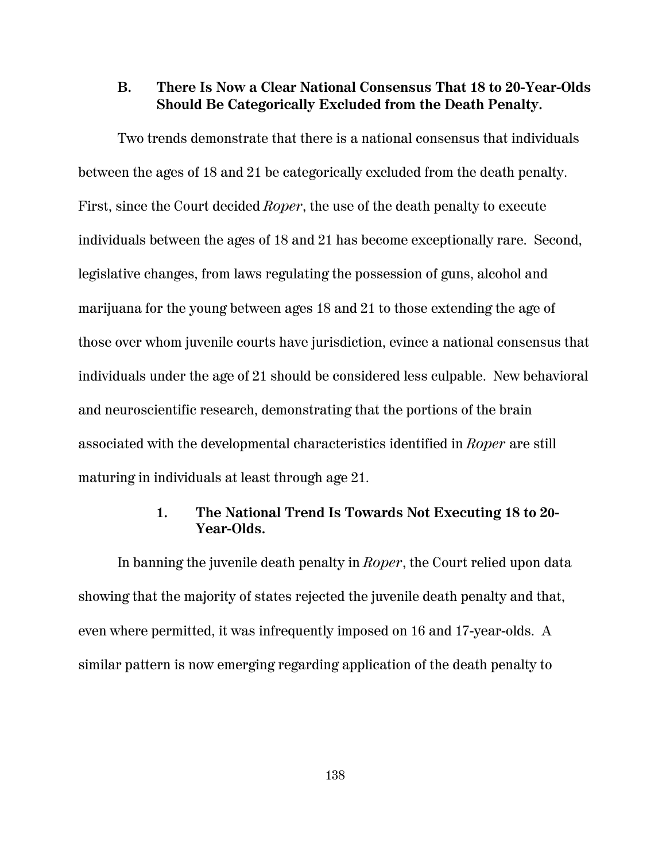#### **B. There Is Now a Clear National Consensus That 18 to 20-Year-Olds Should Be Categorically Excluded from the Death Penalty.**

Two trends demonstrate that there is a national consensus that individuals between the ages of 18 and 21 be categorically excluded from the death penalty. First, since the Court decided *Roper*, the use of the death penalty to execute individuals between the ages of 18 and 21 has become exceptionally rare. Second, legislative changes, from laws regulating the possession of guns, alcohol and marijuana for the young between ages 18 and 21 to those extending the age of those over whom juvenile courts have jurisdiction, evince a national consensus that individuals under the age of 21 should be considered less culpable. New behavioral and neuroscientific research, demonstrating that the portions of the brain associated with the developmental characteristics identified in *Roper* are still maturing in individuals at least through age 21.

#### **1. The National Trend Is Towards Not Executing 18 to 20- Year-Olds.**

In banning the juvenile death penalty in *Roper*, the Court relied upon data showing that the majority of states rejected the juvenile death penalty and that, even where permitted, it was infrequently imposed on 16 and 17-year-olds. A similar pattern is now emerging regarding application of the death penalty to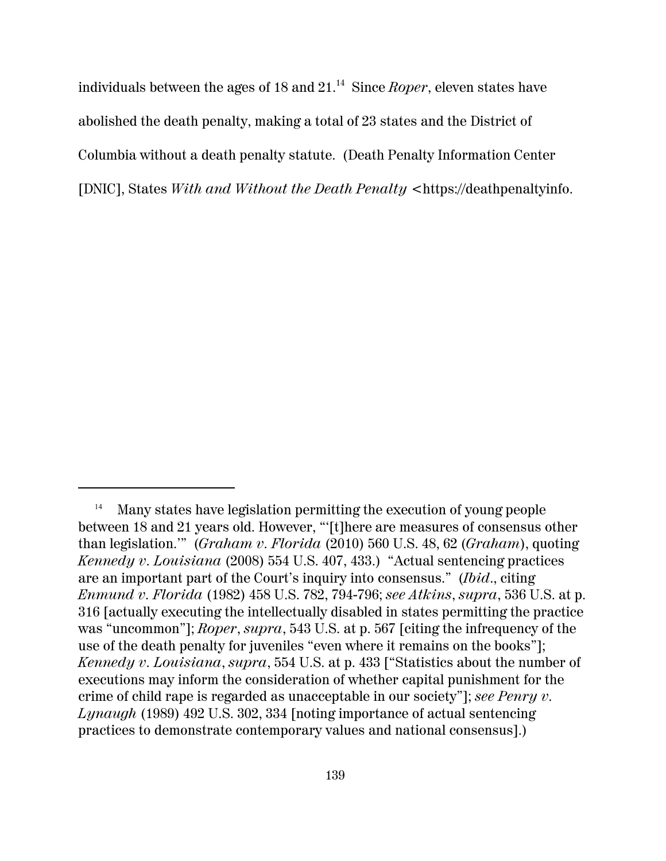individuals between the ages of 18 and 21.<sup>14</sup> Since *Roper*, eleven states have abolished the death penalty, making a total of 23 states and the District of Columbia without a death penalty statute. (Death Penalty Information Center [DNIC], States *With and Without the Death Penalty* <https://deathpenaltyinfo.

<sup>&</sup>lt;sup>14</sup> Many states have legislation permitting the execution of young people between 18 and 21 years old. However, "'[t]here are measures of consensus other than legislation.'" (*Graham v. Florida* (2010) 560 U.S. 48, 62 (*Graham*), quoting *Kennedy v. Louisiana* (2008) 554 U.S. 407, 433.) "Actual sentencing practices are an important part of the Court's inquiry into consensus." (*Ibid*., citing *Enmund v. Florida* (1982) 458 U.S. 782, 794-796; *see Atkins*, *supra*, 536 U.S. at p. 316 [actually executing the intellectually disabled in states permitting the practice was "uncommon"]; *Roper*, *supra*, 543 U.S. at p. 567 [citing the infrequency of the use of the death penalty for juveniles "even where it remains on the books"]; *Kennedy v. Louisiana*, *supra*, 554 U.S. at p. 433 ["Statistics about the number of executions may inform the consideration of whether capital punishment for the crime of child rape is regarded as unacceptable in our society"]; *see Penry v. Lynaugh* (1989) 492 U.S. 302, 334 [noting importance of actual sentencing practices to demonstrate contemporary values and national consensus].)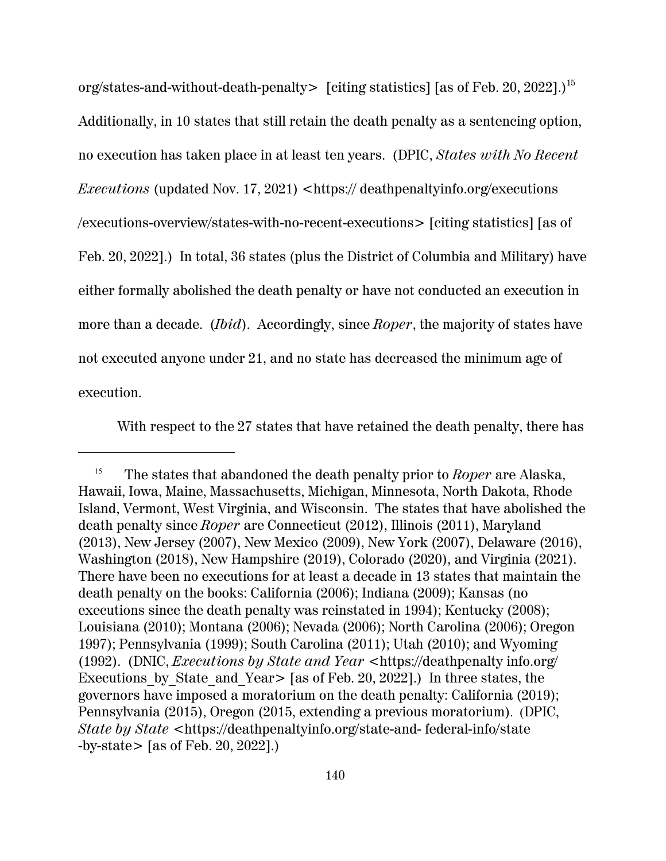org/states-and-without-death-penalty> [citing statistics] [as of Feb. 20, 2022].)<sup>15</sup> Additionally, in 10 states that still retain the death penalty as a sentencing option, no execution has taken place in at least ten years. (DPIC, *States with No Recent Executions* (updated Nov. 17, 2021) <https:// deathpenaltyinfo.org/executions /executions-overview/states-with-no-recent-executions> [citing statistics] [as of Feb. 20, 2022].) In total, 36 states (plus the District of Columbia and Military) have either formally abolished the death penalty or have not conducted an execution in more than a decade. (*Ibid*). Accordingly, since *Roper*, the majority of states have not executed anyone under 21, and no state has decreased the minimum age of execution.

With respect to the 27 states that have retained the death penalty, there has

<sup>15</sup> The states that abandoned the death penalty prior to *Roper* are Alaska, Hawaii, Iowa, Maine, Massachusetts, Michigan, Minnesota, North Dakota, Rhode Island, Vermont, West Virginia, and Wisconsin. The states that have abolished the death penalty since *Roper* are Connecticut (2012), Illinois (2011), Maryland (2013), New Jersey (2007), New Mexico (2009), New York (2007), Delaware (2016), Washington (2018), New Hampshire (2019), Colorado (2020), and Virginia (2021). There have been no executions for at least a decade in 13 states that maintain the death penalty on the books: California (2006); Indiana (2009); Kansas (no executions since the death penalty was reinstated in 1994); Kentucky (2008); Louisiana (2010); Montana (2006); Nevada (2006); North Carolina (2006); Oregon 1997); Pennsylvania (1999); South Carolina (2011); Utah (2010); and Wyoming (1992). (DNIC, *Executions by State and Year* <https://deathpenalty info.org/ Executions by State and Year  $\ge$  [as of Feb. 20, 2022].) In three states, the governors have imposed a moratorium on the death penalty: California (2019); Pennsylvania (2015), Oregon (2015, extending a previous moratorium). (DPIC, *State by State* <https://deathpenaltyinfo.org/state-and- federal-info/state -by-state> [as of Feb. 20, 2022].)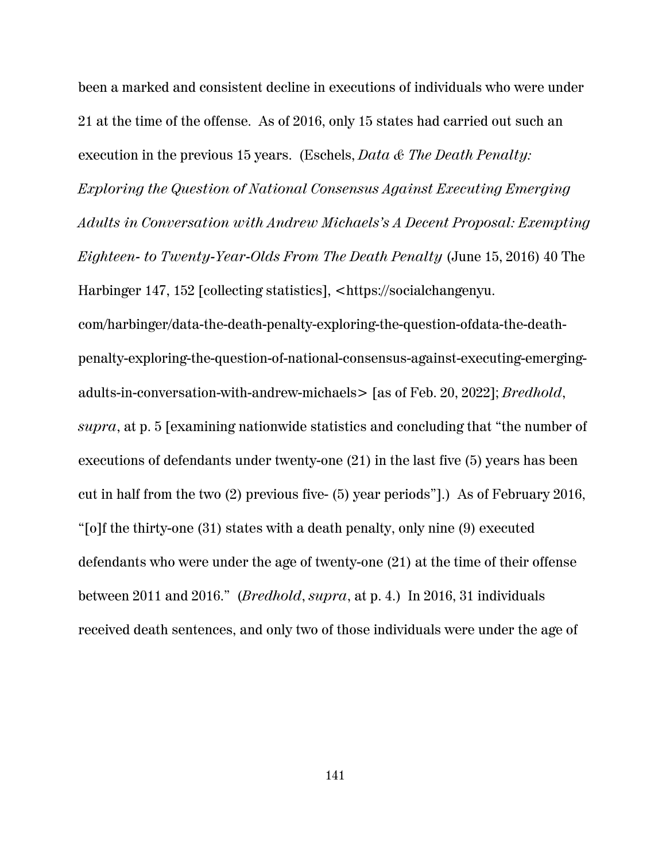been a marked and consistent decline in executions of individuals who were under 21 at the time of the offense. As of 2016, only 15 states had carried out such an execution in the previous 15 years. (Eschels, *Data & The Death Penalty: Exploring the Question of National Consensus Against Executing Emerging Adults in Conversation with Andrew Michaels's A Decent Proposal: Exempting Eighteen- to Twenty-Year-Olds From The Death Penalty* (June 15, 2016) 40 The Harbinger 147, 152 [collecting statistics], <https://socialchangenyu. com/harbinger/data-the-death-penalty-exploring-the-question-ofdata-the-deathpenalty-exploring-the-question-of-national-consensus-against-executing-emergingadults-in-conversation-with-andrew-michaels> [as of Feb. 20, 2022]; *Bredhold*, *supra*, at p. 5 [examining nationwide statistics and concluding that "the number of executions of defendants under twenty-one (21) in the last five (5) years has been cut in half from the two (2) previous five- (5) year periods"].) As of February 2016, "[o]f the thirty-one (31) states with a death penalty, only nine (9) executed defendants who were under the age of twenty-one (21) at the time of their offense between 2011 and 2016." (*Bredhold*, *supra*, at p. 4.) In 2016, 31 individuals received death sentences, and only two of those individuals were under the age of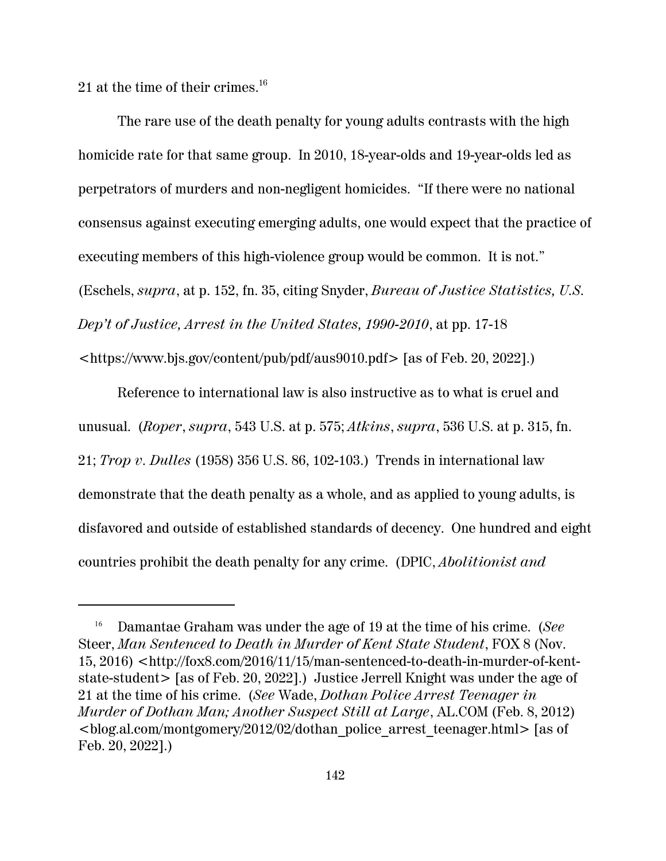21 at the time of their crimes. $^{16}$ 

The rare use of the death penalty for young adults contrasts with the high homicide rate for that same group. In 2010, 18-year-olds and 19-year-olds led as perpetrators of murders and non-negligent homicides. "If there were no national consensus against executing emerging adults, one would expect that the practice of executing members of this high-violence group would be common. It is not." (Eschels, *supra*, at p. 152, fn. 35, citing Snyder, *Bureau of Justice Statistics, U.S. Dep't of Justice, Arrest in the United States, 1990-2010*, at pp. 17-18

<https://www.bjs.gov/content/pub/pdf/aus9010.pdf> [as of Feb. 20, 2022].)

Reference to international law is also instructive as to what is cruel and unusual. (*Roper*, *supra*, 543 U.S. at p. 575; *Atkins*, *supra*, 536 U.S. at p. 315, fn. 21; *Trop v. Dulles* (1958) 356 U.S. 86, 102-103.) Trends in international law demonstrate that the death penalty as a whole, and as applied to young adults, is disfavored and outside of established standards of decency. One hundred and eight countries prohibit the death penalty for any crime. (DPIC, *Abolitionist and*

<sup>16</sup> Damantae Graham was under the age of 19 at the time of his crime. (*See* Steer, *Man Sentenced to Death in Murder of Kent State Student*, FOX 8 (Nov. 15, 2016) <http://fox8.com/2016/11/15/man-sentenced-to-death-in-murder-of-kentstate-student> [as of Feb. 20, 2022].) Justice Jerrell Knight was under the age of 21 at the time of his crime. (*See* Wade, *Dothan Police Arrest Teenager in Murder of Dothan Man; Another Suspect Still at Large*, AL.COM (Feb. 8, 2012) <blog.al.com/montgomery/2012/02/dothan\_police\_arrest\_teenager.html> [as of Feb. 20, 2022].)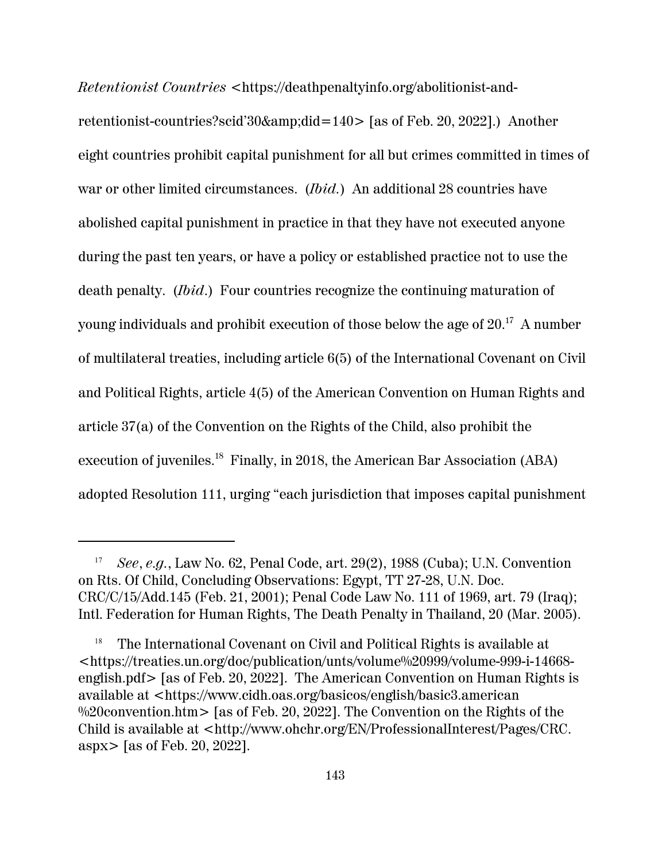*Retentionist Countries* <https://deathpenaltyinfo.org/abolitionist-andretentionist-countries?scid'30&did=140> [as of Feb. 20, 2022].) Another eight countries prohibit capital punishment for all but crimes committed in times of war or other limited circumstances. (*Ibid.*) An additional 28 countries have abolished capital punishment in practice in that they have not executed anyone during the past ten years, or have a policy or established practice not to use the death penalty. (*Ibid*.) Four countries recognize the continuing maturation of young individuals and prohibit execution of those below the age of  $20.^{\rm 17}~$  A number of multilateral treaties, including article 6(5) of the International Covenant on Civil and Political Rights, article 4(5) of the American Convention on Human Rights and article 37(a) of the Convention on the Rights of the Child, also prohibit the execution of juveniles.<sup>18</sup> Finally, in 2018, the American Bar Association (ABA) adopted Resolution 111, urging "each jurisdiction that imposes capital punishment

<sup>17</sup> *See*, *e.g.*, Law No. 62, Penal Code, art. 29(2), 1988 (Cuba); U.N. Convention on Rts. Of Child, Concluding Observations: Egypt, TT 27-28, U.N. Doc. CRC/C/15/Add.145 (Feb. 21, 2001); Penal Code Law No. 111 of 1969, art. 79 (Iraq); Intl. Federation for Human Rights, The Death Penalty in Thailand, 20 (Mar. 2005).

<sup>18</sup> The International Covenant on Civil and Political Rights is available at <https://treaties.un.org/doc/publication/unts/volume%20999/volume-999-i-14668 english.pdf> [as of Feb. 20, 2022]. The American Convention on Human Rights is available at <https://www.cidh.oas.org/basicos/english/basic3.american %20 convention.htm  $>$  [as of Feb. 20, 2022]. The Convention on the Rights of the Child is available at <http://www.ohchr.org/EN/ProfessionalInterest/Pages/CRC. aspx> [as of Feb. 20, 2022].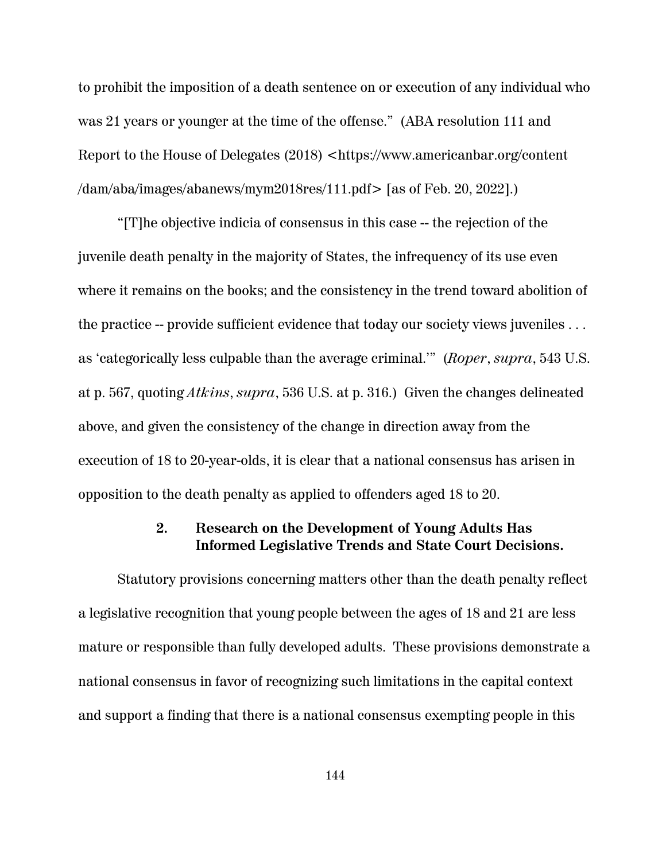to prohibit the imposition of a death sentence on or execution of any individual who was 21 years or younger at the time of the offense." (ABA resolution 111 and Report to the House of Delegates (2018) <https://www.americanbar.org/content /dam/aba/images/abanews/mym2018res/111.pdf> [as of Feb. 20, 2022].)

"[T]he objective indicia of consensus in this case -- the rejection of the juvenile death penalty in the majority of States, the infrequency of its use even where it remains on the books; and the consistency in the trend toward abolition of the practice -- provide sufficient evidence that today our society views juveniles ... as 'categorically less culpable than the average criminal.'" (*Roper*, *supra*, 543 U.S. at p. 567, quoting *Atkins*, *supra*, 536 U.S. at p. 316.) Given the changes delineated above, and given the consistency of the change in direction away from the execution of 18 to 20-year-olds, it is clear that a national consensus has arisen in opposition to the death penalty as applied to offenders aged 18 to 20.

# **2. Research on the Development of Young Adults Has Informed Legislative Trends and State Court Decisions.**

Statutory provisions concerning matters other than the death penalty reflect a legislative recognition that young people between the ages of 18 and 21 are less mature or responsible than fully developed adults. These provisions demonstrate a national consensus in favor of recognizing such limitations in the capital context and support a finding that there is a national consensus exempting people in this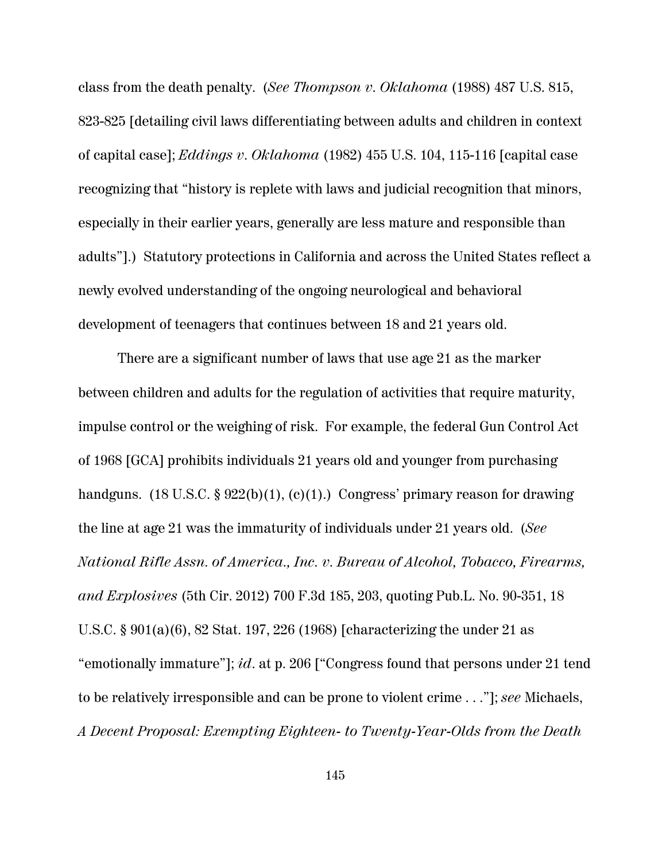class from the death penalty. (*See Thompson v. Oklahoma* (1988) 487 U.S. 815, 823-825 [detailing civil laws differentiating between adults and children in context of capital case]; *Eddings v. Oklahoma* (1982) 455 U.S. 104, 115-116 [capital case recognizing that "history is replete with laws and judicial recognition that minors, especially in their earlier years, generally are less mature and responsible than adults"].) Statutory protections in California and across the United States reflect a newly evolved understanding of the ongoing neurological and behavioral development of teenagers that continues between 18 and 21 years old.

There are a significant number of laws that use age 21 as the marker between children and adults for the regulation of activities that require maturity, impulse control or the weighing of risk. For example, the federal Gun Control Act of 1968 [GCA] prohibits individuals 21 years old and younger from purchasing handguns.  $(18 \text{ U.S.C.} \$ 922(b)(1), (c)(1))$ . Congress' primary reason for drawing the line at age 21 was the immaturity of individuals under 21 years old. (*See National Rifle Assn. of America., Inc. v. Bureau of Alcohol, Tobacco, Firearms, and Explosives* (5th Cir. 2012) 700 F.3d 185, 203, quoting Pub.L. No. 90-351, 18 U.S.C. § 901(a)(6), 82 Stat. 197, 226 (1968) [characterizing the under 21 as "emotionally immature"]; *id*. at p. 206 ["Congress found that persons under 21 tend to be relatively irresponsible and can be prone to violent crime . . ."]; *see* Michaels, *A Decent Proposal: Exempting Eighteen- to Twenty-Year-Olds from the Death*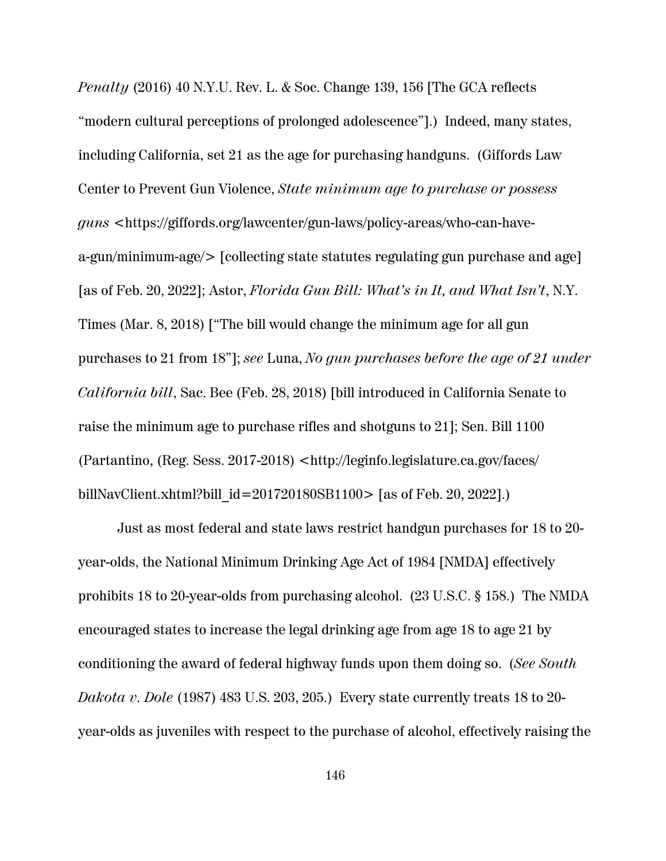*Penalty* (2016) 40 N.Y.U. Rev. L. & Soc. Change 139, 156 [The GCA reflects "modern cultural perceptions of prolonged adolescence"].) Indeed, many states, including California, set 21 as the age for purchasing handguns. (Giffords Law Center to Prevent Gun Violence, *State minimum age to purchase or possess guns* <https://giffords.org/lawcenter/gun-laws/policy-areas/who-can-havea-gun/minimum-age/> [collecting state statutes regulating gun purchase and age] [as of Feb. 20, 2022]; Astor, *Florida Gun Bill: What's in It, and What Isn't*, N.Y. Times (Mar. 8, 2018) ["The bill would change the minimum age for all gun purchases to 21 from 18"]; *see* Luna, *No gun purchases before the age of 21 under California bill*, Sac. Bee (Feb. 28, 2018) [bill introduced in California Senate to raise the minimum age to purchase rifles and shotguns to 21]; Sen. Bill 1100 (Partantino, (Reg. Sess. 2017-2018) <http://leginfo.legislature.ca.gov/faces/ billNavClient.xhtml?bill\_id=201720180SB1100> [as of Feb. 20, 2022].)

Just as most federal and state laws restrict handgun purchases for 18 to 20 year-olds, the National Minimum Drinking Age Act of 1984 [NMDA] effectively prohibits 18 to 20-year-olds from purchasing alcohol. (23 U.S.C. § 158.) The NMDA encouraged states to increase the legal drinking age from age 18 to age 21 by conditioning the award of federal highway funds upon them doing so. (*See South Dakota v. Dole* (1987) 483 U.S. 203, 205.) Every state currently treats 18 to 20 year-olds as juveniles with respect to the purchase of alcohol, effectively raising the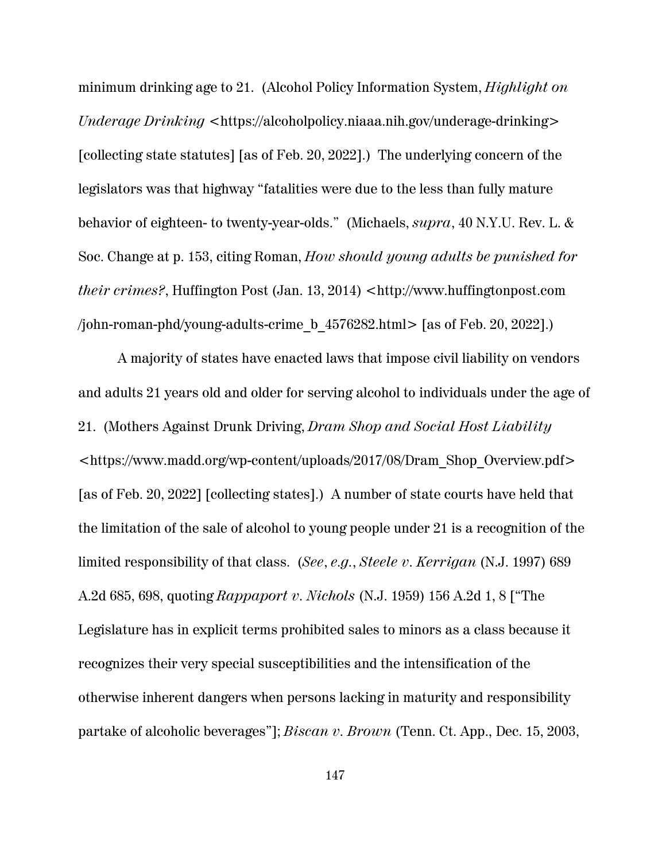minimum drinking age to 21. (Alcohol Policy Information System, *Highlight on Underage Drinking <https://alcoholpolicy.niaaa.nih.gov/underage-drinking>* [collecting state statutes] [as of Feb. 20, 2022].) The underlying concern of the legislators was that highway "fatalities were due to the less than fully mature behavior of eighteen- to twenty-year-olds." (Michaels, *supra*, 40 N.Y.U. Rev. L. & Soc. Change at p. 153, citing Roman, *How should young adults be punished for their crimes?*, Huffington Post (Jan. 13, 2014) <http://www.huffingtonpost.com /john-roman-phd/young-adults-crime b  $4576282.html$  [as of Feb. 20, 2022].)

A majority of states have enacted laws that impose civil liability on vendors and adults 21 years old and older for serving alcohol to individuals under the age of 21. (Mothers Against Drunk Driving, *Dram Shop and Social Host Liability* <https://www.madd.org/wp-content/uploads/2017/08/Dram\_Shop\_Overview.pdf> [as of Feb. 20, 2022] [collecting states].) A number of state courts have held that the limitation of the sale of alcohol to young people under 21 is a recognition of the limited responsibility of that class. (*See*, *e.g.*, *Steele v. Kerrigan* (N.J. 1997) 689 A.2d 685, 698, quoting *Rappaport v. Nichols* (N.J. 1959) 156 A.2d 1, 8 ["The Legislature has in explicit terms prohibited sales to minors as a class because it recognizes their very special susceptibilities and the intensification of the otherwise inherent dangers when persons lacking in maturity and responsibility partake of alcoholic beverages"]; *Biscan v. Brown* (Tenn. Ct. App., Dec. 15, 2003,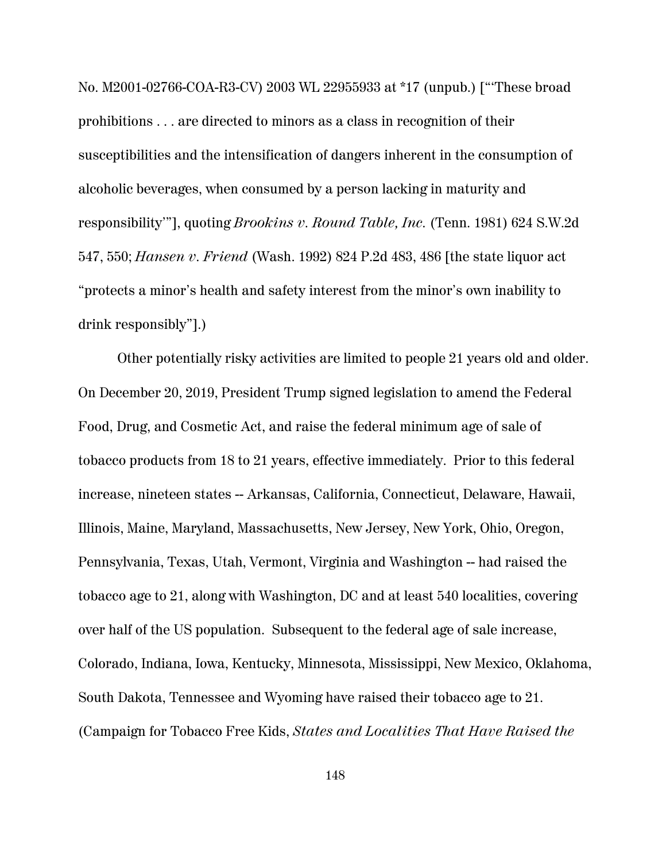No. M2001-02766-COA-R3-CV) 2003 WL 22955933 at \*17 (unpub.) ["'These broad prohibitions . . . are directed to minors as a class in recognition of their susceptibilities and the intensification of dangers inherent in the consumption of alcoholic beverages, when consumed by a person lacking in maturity and responsibility'"], quoting *Brookins v. Round Table, Inc.* (Tenn. 1981) 624 S.W.2d 547, 550; *Hansen v. Friend* (Wash. 1992) 824 P.2d 483, 486 [the state liquor act "protects a minor's health and safety interest from the minor's own inability to drink responsibly"].)

Other potentially risky activities are limited to people 21 years old and older. On December 20, 2019, President Trump signed legislation to amend the Federal Food, Drug, and Cosmetic Act, and raise the federal minimum age of sale of tobacco products from 18 to 21 years, effective immediately. Prior to this federal increase, nineteen states -- Arkansas, California, Connecticut, Delaware, Hawaii, Illinois, Maine, Maryland, Massachusetts, New Jersey, New York, Ohio, Oregon, Pennsylvania, Texas, Utah, Vermont, Virginia and Washington -- had raised the tobacco age to 21, along with Washington, DC and at least 540 localities, covering over half of the US population. Subsequent to the federal age of sale increase, Colorado, Indiana, Iowa, Kentucky, Minnesota, Mississippi, New Mexico, Oklahoma, South Dakota, Tennessee and Wyoming have raised their tobacco age to 21. (Campaign for Tobacco Free Kids, *States and Localities That Have Raised the*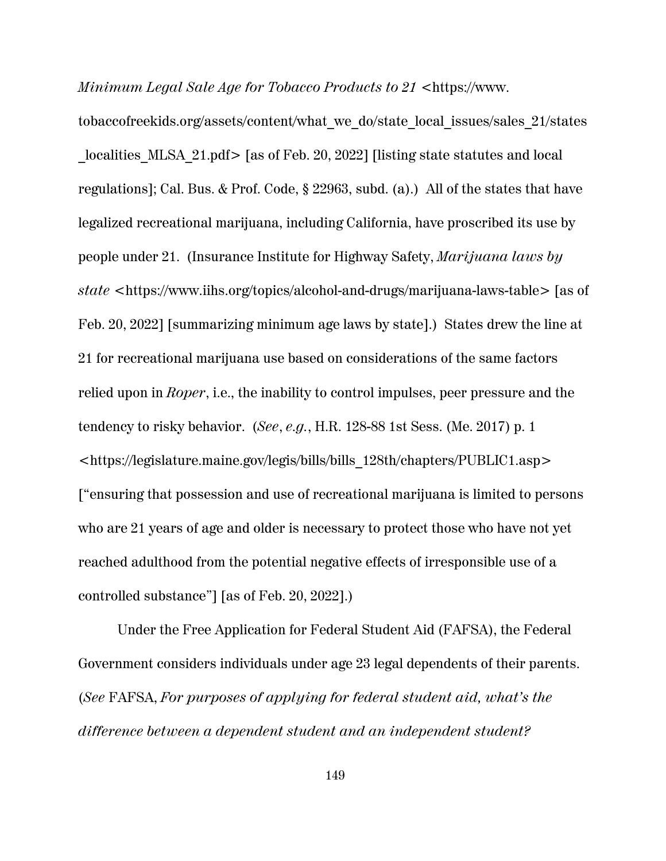*Minimum Legal Sale Age for Tobacco Products to 21* <https://www.

tobaccofreekids.org/assets/content/what\_we\_do/state\_local\_issues/sales\_21/states localities MLSA 21.pdf> [as of Feb. 20, 2022] [listing state statutes and local regulations]; Cal. Bus. & Prof. Code, § 22963, subd. (a).) All of the states that have legalized recreational marijuana, including California, have proscribed its use by people under 21. (Insurance Institute for Highway Safety, *Marijuana laws by state* <https://www.iihs.org/topics/alcohol-and-drugs/marijuana-laws-table> [as of Feb. 20, 2022] [summarizing minimum age laws by state].) States drew the line at 21 for recreational marijuana use based on considerations of the same factors relied upon in *Roper*, i.e., the inability to control impulses, peer pressure and the tendency to risky behavior. (*See*, *e.g.*, H.R. 128-88 1st Sess. (Me. 2017) p. 1 <https://legislature.maine.gov/legis/bills/bills\_128th/chapters/PUBLIC1.asp> ["ensuring that possession and use of recreational marijuana is limited to persons who are 21 years of age and older is necessary to protect those who have not yet reached adulthood from the potential negative effects of irresponsible use of a controlled substance"] [as of Feb. 20, 2022].)

Under the Free Application for Federal Student Aid (FAFSA), the Federal Government considers individuals under age 23 legal dependents of their parents. (*See* FAFSA, *For purposes of applying for federal student aid, what's the difference between a dependent student and an independent student?*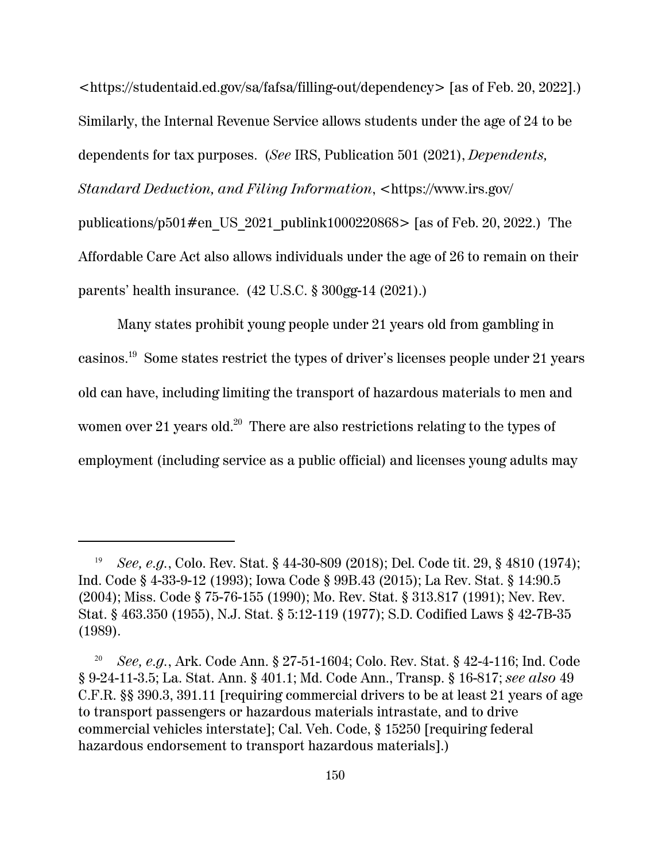<https://studentaid.ed.gov/sa/fafsa/filling-out/dependency> [as of Feb. 20, 2022].) Similarly, the Internal Revenue Service allows students under the age of 24 to be dependents for tax purposes. (*See* IRS, Publication 501 (2021), *Dependents, Standard Deduction, and Filing Information*, <https://www.irs.gov/ publications/p501#en\_US\_2021\_publink1000220868> [as of Feb. 20, 2022.) The Affordable Care Act also allows individuals under the age of 26 to remain on their parents' health insurance. (42 U.S.C. § 300gg-14 (2021).)

Many states prohibit young people under 21 years old from gambling in casinos.<sup>19</sup> Some states restrict the types of driver's licenses people under 21 years old can have, including limiting the transport of hazardous materials to men and women over 21 years old. $^{20}\,$  There are also restrictions relating to the types of employment (including service as a public official) and licenses young adults may

<sup>19</sup> *See, e.g.*, Colo. Rev. Stat. § 44-30-809 (2018); Del. Code tit. 29, § 4810 (1974); Ind. Code § 4-33-9-12 (1993); Iowa Code § 99B.43 (2015); La Rev. Stat. § 14:90.5 (2004); Miss. Code § 75-76-155 (1990); Mo. Rev. Stat. § 313.817 (1991); Nev. Rev. Stat. § 463.350 (1955), N.J. Stat. § 5:12-119 (1977); S.D. Codified Laws § 42-7B-35 (1989).

<sup>20</sup> *See, e.g.*, Ark. Code Ann. § 27-51-1604; Colo. Rev. Stat. § 42-4-116; Ind. Code § 9-24-11-3.5; La. Stat. Ann. § 401.1; Md. Code Ann., Transp. § 16-817; *see also* 49 C.F.R. §§ 390.3, 391.11 [requiring commercial drivers to be at least 21 years of age to transport passengers or hazardous materials intrastate, and to drive commercial vehicles interstate]; Cal. Veh. Code, § 15250 [requiring federal hazardous endorsement to transport hazardous materials].)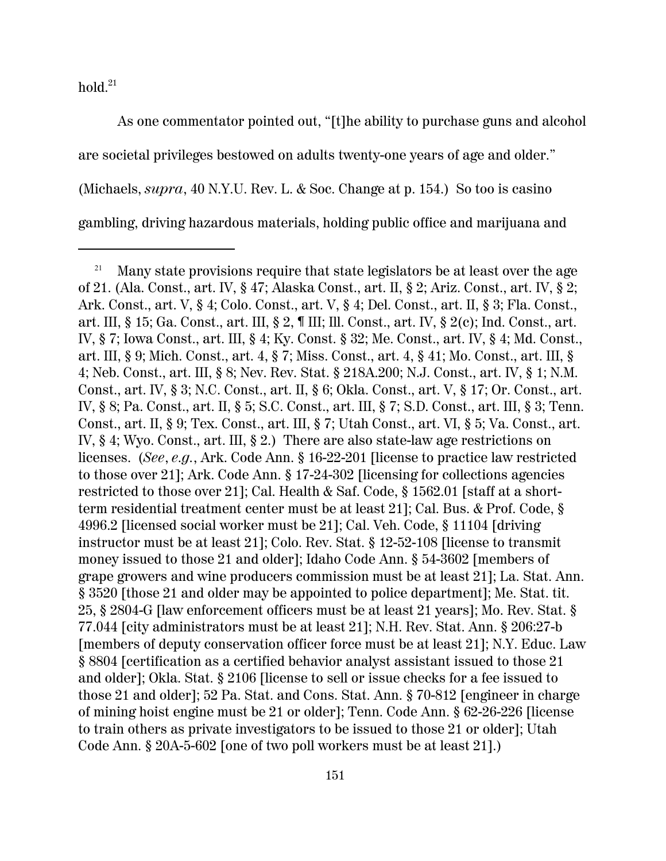hold. $^{21}$ 

As one commentator pointed out, "[t]he ability to purchase guns and alcohol are societal privileges bestowed on adults twenty-one years of age and older." (Michaels, *supra*, 40 N.Y.U. Rev. L. & Soc. Change at p. 154.) So too is casino gambling, driving hazardous materials, holding public office and marijuana and

<sup>&</sup>lt;sup>21</sup> Many state provisions require that state legislators be at least over the age of 21. (Ala. Const., art. IV, § 47; Alaska Const., art. II, § 2; Ariz. Const., art. IV, § 2; Ark. Const., art. V, § 4; Colo. Const., art. V, § 4; Del. Const., art. II, § 3; Fla. Const., art. III, § 15; Ga. Const., art. III, § 2, ¶ III; Ill. Const., art. IV, § 2(c); Ind. Const., art. IV, § 7; Iowa Const., art. III, § 4; Ky. Const. § 32; Me. Const., art. IV, § 4; Md. Const., art. III, § 9; Mich. Const., art. 4, § 7; Miss. Const., art. 4, § 41; Mo. Const., art. III, § 4; Neb. Const., art. III, § 8; Nev. Rev. Stat. § 218A.200; N.J. Const., art. IV, § 1; N.M. Const., art. IV, § 3; N.C. Const., art. II, § 6; Okla. Const., art. V, § 17; Or. Const., art. IV, § 8; Pa. Const., art. II, § 5; S.C. Const., art. III, § 7; S.D. Const., art. III, § 3; Tenn. Const., art. II, § 9; Tex. Const., art. III, § 7; Utah Const., art. VI, § 5; Va. Const., art. IV, § 4; Wyo. Const., art. III, § 2.) There are also state-law age restrictions on licenses. (*See*, *e.g.*, Ark. Code Ann. § 16-22-201 [license to practice law restricted to those over 21]; Ark. Code Ann. § 17-24-302 [licensing for collections agencies restricted to those over 21]; Cal. Health & Saf. Code, § 1562.01 [staff at a shortterm residential treatment center must be at least 21]; Cal. Bus. & Prof. Code, § 4996.2 [licensed social worker must be 21]; Cal. Veh. Code, § 11104 [driving instructor must be at least 21]; Colo. Rev. Stat. § 12-52-108 [license to transmit money issued to those 21 and older]; Idaho Code Ann. § 54-3602 [members of grape growers and wine producers commission must be at least 21]; La. Stat. Ann. § 3520 [those 21 and older may be appointed to police department]; Me. Stat. tit. 25, § 2804-G [law enforcement officers must be at least 21 years]; Mo. Rev. Stat. § 77.044 [city administrators must be at least 21]; N.H. Rev. Stat. Ann. § 206:27-b [members of deputy conservation officer force must be at least 21]; N.Y. Educ. Law § 8804 [certification as a certified behavior analyst assistant issued to those 21 and older]; Okla. Stat. § 2106 [license to sell or issue checks for a fee issued to those 21 and older]; 52 Pa. Stat. and Cons. Stat. Ann. § 70-812 [engineer in charge of mining hoist engine must be 21 or older]; Tenn. Code Ann. § 62-26-226 [license to train others as private investigators to be issued to those 21 or older]; Utah Code Ann. § 20A-5-602 [one of two poll workers must be at least 21].)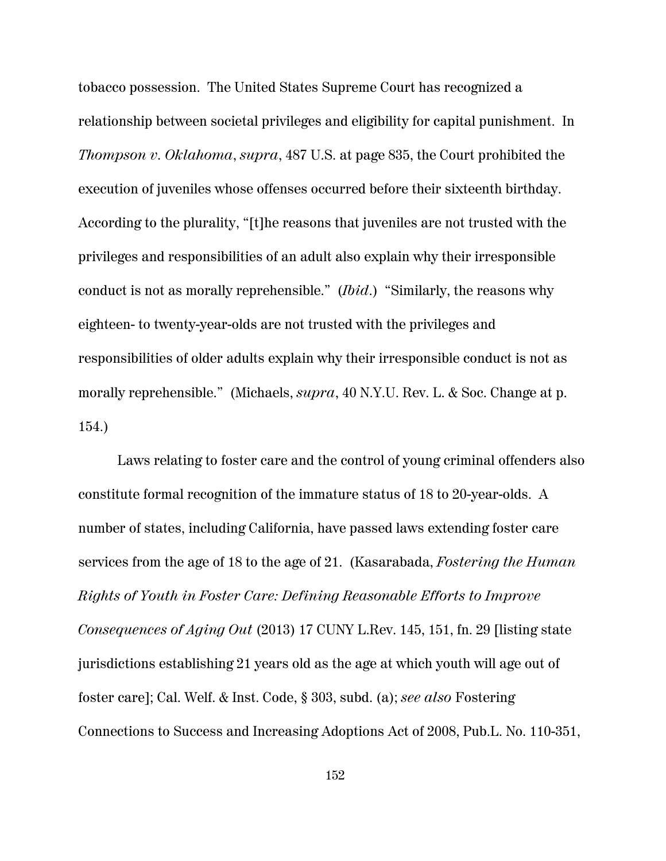tobacco possession. The United States Supreme Court has recognized a relationship between societal privileges and eligibility for capital punishment. In *Thompson v. Oklahoma*, *supra*, 487 U.S. at page 835, the Court prohibited the execution of juveniles whose offenses occurred before their sixteenth birthday. According to the plurality, "[t]he reasons that juveniles are not trusted with the privileges and responsibilities of an adult also explain why their irresponsible conduct is not as morally reprehensible." (*Ibid*.) "Similarly, the reasons why eighteen- to twenty-year-olds are not trusted with the privileges and responsibilities of older adults explain why their irresponsible conduct is not as morally reprehensible." (Michaels, *supra*, 40 N.Y.U. Rev. L. & Soc. Change at p. 154.)

Laws relating to foster care and the control of young criminal offenders also constitute formal recognition of the immature status of 18 to 20-year-olds. A number of states, including California, have passed laws extending foster care services from the age of 18 to the age of 21. (Kasarabada, *Fostering the Human Rights of Youth in Foster Care: Defining Reasonable Efforts to Improve Consequences of Aging Out* (2013) 17 CUNY L.Rev. 145, 151, fn. 29 [listing state jurisdictions establishing 21 years old as the age at which youth will age out of foster care]; Cal. Welf. & Inst. Code, § 303, subd. (a); *see also* Fostering Connections to Success and Increasing Adoptions Act of 2008, Pub.L. No. 110-351,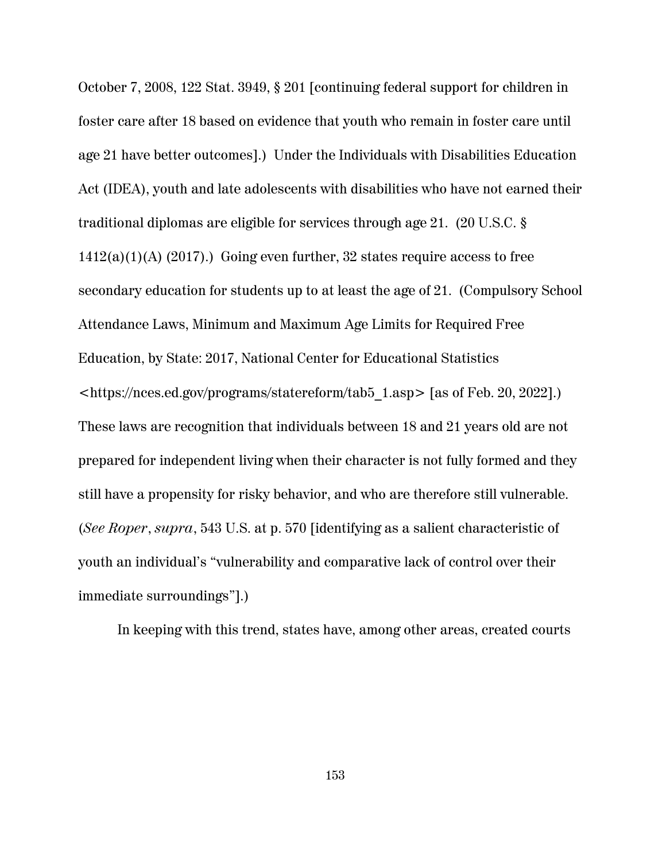October 7, 2008, 122 Stat. 3949, § 201 [continuing federal support for children in foster care after 18 based on evidence that youth who remain in foster care until age 21 have better outcomes].) Under the Individuals with Disabilities Education Act (IDEA), youth and late adolescents with disabilities who have not earned their traditional diplomas are eligible for services through age 21. (20 U.S.C. §  $1412(a)(1)(A)$  (2017).) Going even further, 32 states require access to free secondary education for students up to at least the age of 21. (Compulsory School Attendance Laws, Minimum and Maximum Age Limits for Required Free Education, by State: 2017, National Center for Educational Statistics <https://nces.ed.gov/programs/statereform/tab5\_1.asp> [as of Feb. 20, 2022].) These laws are recognition that individuals between 18 and 21 years old are not prepared for independent living when their character is not fully formed and they still have a propensity for risky behavior, and who are therefore still vulnerable. (*See Roper*, *supra*, 543 U.S. at p. 570 [identifying as a salient characteristic of youth an individual's "vulnerability and comparative lack of control over their immediate surroundings"].)

In keeping with this trend, states have, among other areas, created courts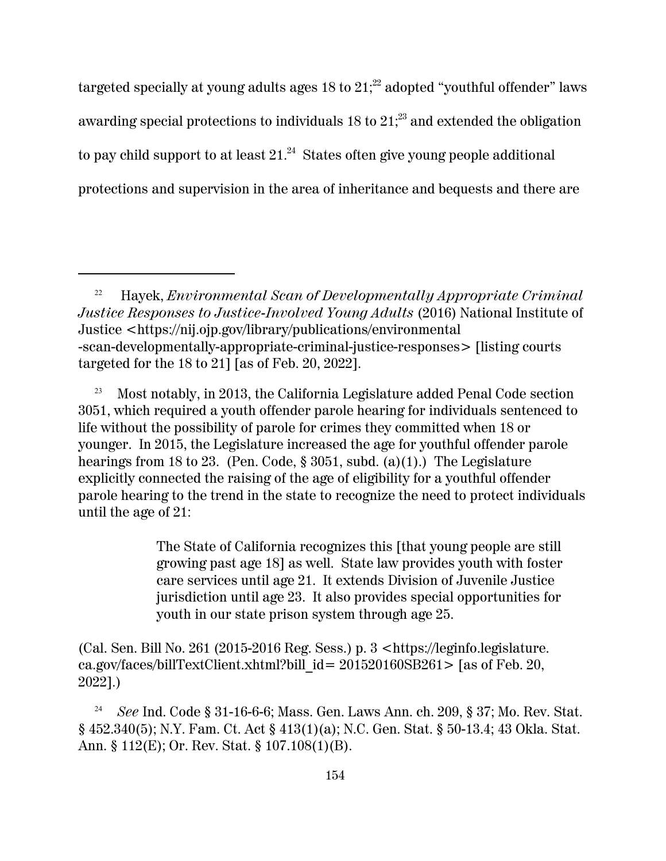targeted specially at young adults ages 18 to  $21;^{22}$  adopted "youthful offender" laws awarding special protections to individuals 18 to  $21;^{23}$  and extended the obligation to pay child support to at least  $21.^{24}\,$  States often give young people additional protections and supervision in the area of inheritance and bequests and there are

<sup>23</sup> Most notably, in 2013, the California Legislature added Penal Code section 3051, which required a youth offender parole hearing for individuals sentenced to life without the possibility of parole for crimes they committed when 18 or younger. In 2015, the Legislature increased the age for youthful offender parole hearings from 18 to 23. (Pen. Code,  $\S 3051$ , subd. (a)(1).) The Legislature explicitly connected the raising of the age of eligibility for a youthful offender parole hearing to the trend in the state to recognize the need to protect individuals until the age of 21:

> The State of California recognizes this [that young people are still growing past age 18] as well. State law provides youth with foster care services until age 21. It extends Division of Juvenile Justice jurisdiction until age 23. It also provides special opportunities for youth in our state prison system through age 25.

(Cal. Sen. Bill No. 261 (2015-2016 Reg. Sess.) p. 3 <https://leginfo.legislature. ca.gov/faces/billTextClient.xhtml?bill  $id = 201520160SB261$  [as of Feb. 20, 2022].)

<sup>24</sup> *See* Ind. Code § 31-16-6-6; Mass. Gen. Laws Ann. ch. 209, § 37; Mo. Rev. Stat. § 452.340(5); N.Y. Fam. Ct. Act § 413(1)(a); N.C. Gen. Stat. § 50-13.4; 43 Okla. Stat. Ann. § 112(E); Or. Rev. Stat. § 107.108(1)(B).

<sup>22</sup> Hayek, *Environmental Scan of Developmentally Appropriate Criminal Justice Responses to Justice-Involved Young Adults* (2016) National Institute of Justice <https://nij.ojp.gov/library/publications/environmental -scan-developmentally-appropriate-criminal-justice-responses> [listing courts targeted for the 18 to 21] [as of Feb. 20, 2022].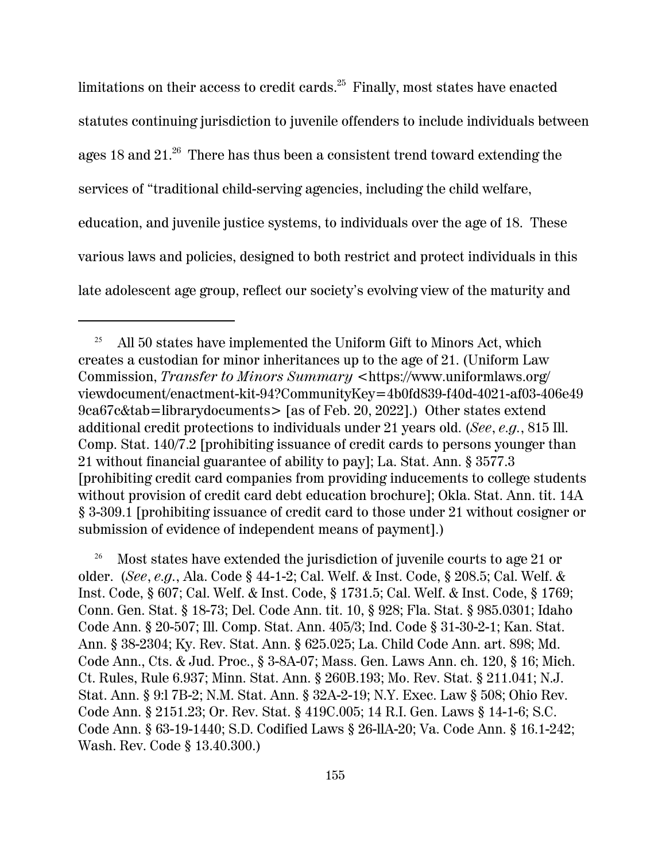limitations on their access to credit cards. $25$  Finally, most states have enacted statutes continuing jurisdiction to juvenile offenders to include individuals between ages 18 and 21.<sup>26</sup> There has thus been a consistent trend toward extending the services of "traditional child-serving agencies, including the child welfare, education, and juvenile justice systems, to individuals over the age of 18. These various laws and policies, designed to both restrict and protect individuals in this late adolescent age group, reflect our society's evolving view of the maturity and

<sup>25</sup> All 50 states have implemented the Uniform Gift to Minors Act, which creates a custodian for minor inheritances up to the age of 21. (Uniform Law Commission, *Transfer to Minors Summary* <https://www.uniformlaws.org/ viewdocument/enactment-kit-94?CommunityKey=4b0fd839-f40d-4021-af03-406e49 9ca67c&tab=librarydocuments> [as of Feb. 20, 2022].) Other states extend additional credit protections to individuals under 21 years old. (*See*, *e.g.*, 815 Ill. Comp. Stat. 140/7.2 [prohibiting issuance of credit cards to persons younger than 21 without financial guarantee of ability to pay]; La. Stat. Ann. § 3577.3 [prohibiting credit card companies from providing inducements to college students without provision of credit card debt education brochure]; Okla. Stat. Ann. tit. 14A § 3-309.1 [prohibiting issuance of credit card to those under 21 without cosigner or submission of evidence of independent means of payment].)

<sup>&</sup>lt;sup>26</sup> Most states have extended the jurisdiction of juvenile courts to age 21 or older. (*See*, *e.g.*, Ala. Code § 44-1-2; Cal. Welf. & Inst. Code, § 208.5; Cal. Welf. & Inst. Code, § 607; Cal. Welf. & Inst. Code, § 1731.5; Cal. Welf. & Inst. Code, § 1769; Conn. Gen. Stat. § 18-73; Del. Code Ann. tit. 10, § 928; Fla. Stat. § 985.0301; Idaho Code Ann. § 20-507; Ill. Comp. Stat. Ann. 405/3; Ind. Code § 31-30-2-1; Kan. Stat. Ann. § 38-2304; Ky. Rev. Stat. Ann. § 625.025; La. Child Code Ann. art. 898; Md. Code Ann., Cts. & Jud. Proc., § 3-8A-07; Mass. Gen. Laws Ann. ch. 120, § 16; Mich. Ct. Rules, Rule 6.937; Minn. Stat. Ann. § 260B.193; Mo. Rev. Stat. § 211.041; N.J. Stat. Ann. § 9:l 7B-2; N.M. Stat. Ann. § 32A-2-19; N.Y. Exec. Law § 508; Ohio Rev. Code Ann. § 2151.23; Or. Rev. Stat. § 419C.005; 14 R.I. Gen. Laws § 14-1-6; S.C. Code Ann. § 63-19-1440; S.D. Codified Laws § 26-llA-20; Va. Code Ann. § 16.1-242; Wash. Rev. Code § 13.40.300.)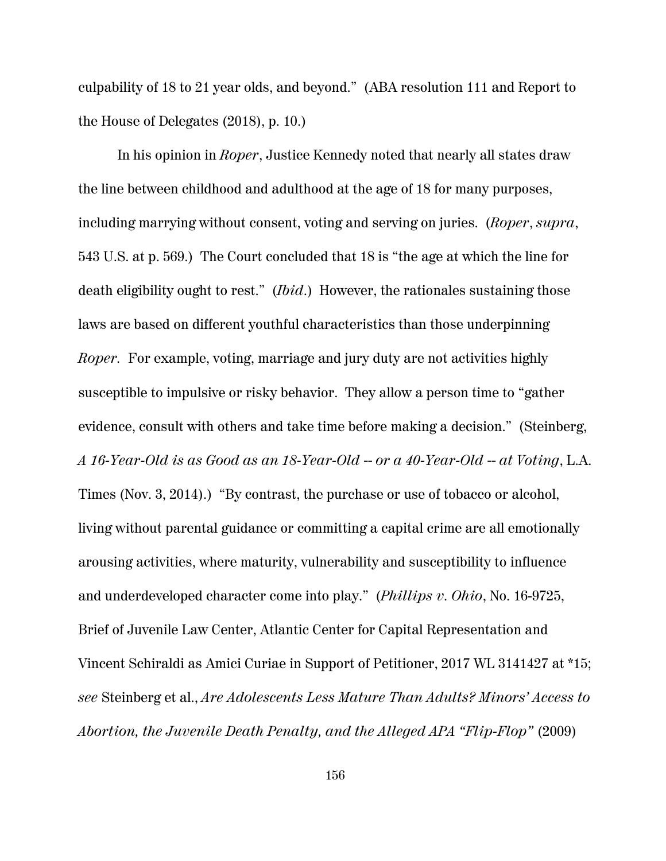culpability of 18 to 21 year olds, and beyond." (ABA resolution 111 and Report to the House of Delegates (2018), p. 10.)

In his opinion in *Roper*, Justice Kennedy noted that nearly all states draw the line between childhood and adulthood at the age of 18 for many purposes, including marrying without consent, voting and serving on juries. (*Roper*, *supra*, 543 U.S. at p. 569.) The Court concluded that 18 is "the age at which the line for death eligibility ought to rest." (*Ibid*.) However, the rationales sustaining those laws are based on different youthful characteristics than those underpinning *Roper.* For example, voting, marriage and jury duty are not activities highly susceptible to impulsive or risky behavior. They allow a person time to "gather evidence, consult with others and take time before making a decision." (Steinberg, *A 16-Year-Old is as Good as an 18-Year-Old* -- *or a 40-Year-Old* -- *at Voting*, L.A. Times (Nov. 3, 2014).) "By contrast, the purchase or use of tobacco or alcohol, living without parental guidance or committing a capital crime are all emotionally arousing activities, where maturity, vulnerability and susceptibility to influence and underdeveloped character come into play." (*Phillips v. Ohio*, No. 16-9725, Brief of Juvenile Law Center, Atlantic Center for Capital Representation and Vincent Schiraldi as Amici Curiae in Support of Petitioner, 2017 WL 3141427 at \*15; *see* Steinberg et al., *Are Adolescents Less Mature Than Adults? Minors' Access to Abortion, the Juvenile Death Penalty, and the Alleged APA "Flip-Flop"* (2009)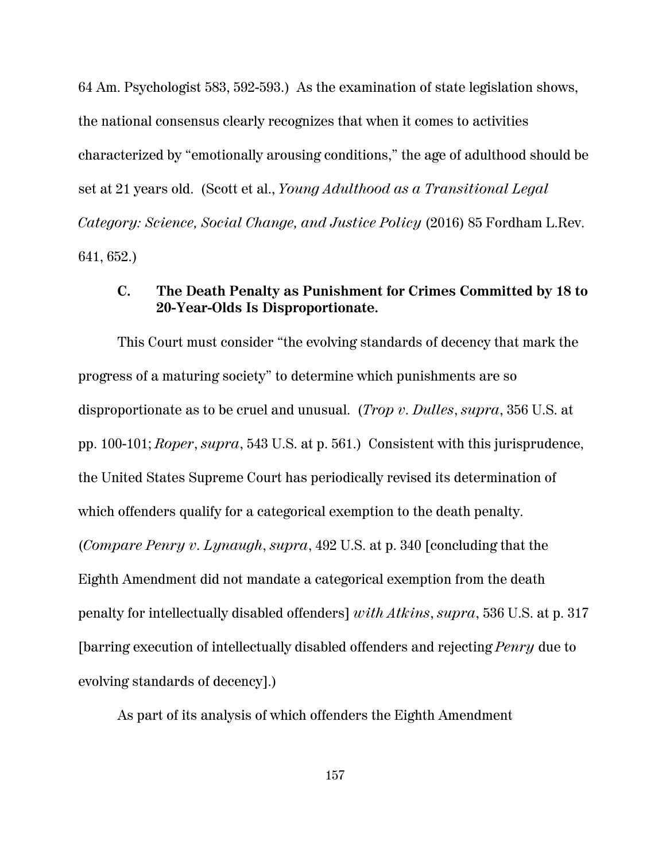64 Am. Psychologist 583, 592-593.) As the examination of state legislation shows, the national consensus clearly recognizes that when it comes to activities characterized by "emotionally arousing conditions," the age of adulthood should be set at 21 years old. (Scott et al., *Young Adulthood as a Transitional Legal Category: Science, Social Change, and Justice Policy* (2016) 85 Fordham L.Rev. 641, 652.)

## **C. The Death Penalty as Punishment for Crimes Committed by 18 to 20-Year-Olds Is Disproportionate.**

This Court must consider "the evolving standards of decency that mark the progress of a maturing society" to determine which punishments are so disproportionate as to be cruel and unusual. (*Trop v. Dulles*, *supra*, 356 U.S. at pp. 100-101; *Roper*, *supra*, 543 U.S. at p. 561.) Consistent with this jurisprudence, the United States Supreme Court has periodically revised its determination of which offenders qualify for a categorical exemption to the death penalty. (*Compare Penry v. Lynaugh*, *supra*, 492 U.S. at p. 340 [concluding that the Eighth Amendment did not mandate a categorical exemption from the death penalty for intellectually disabled offenders] *with Atkins*, *supra*, 536 U.S. at p. 317 [barring execution of intellectually disabled offenders and rejecting *Penry* due to evolving standards of decency].)

As part of its analysis of which offenders the Eighth Amendment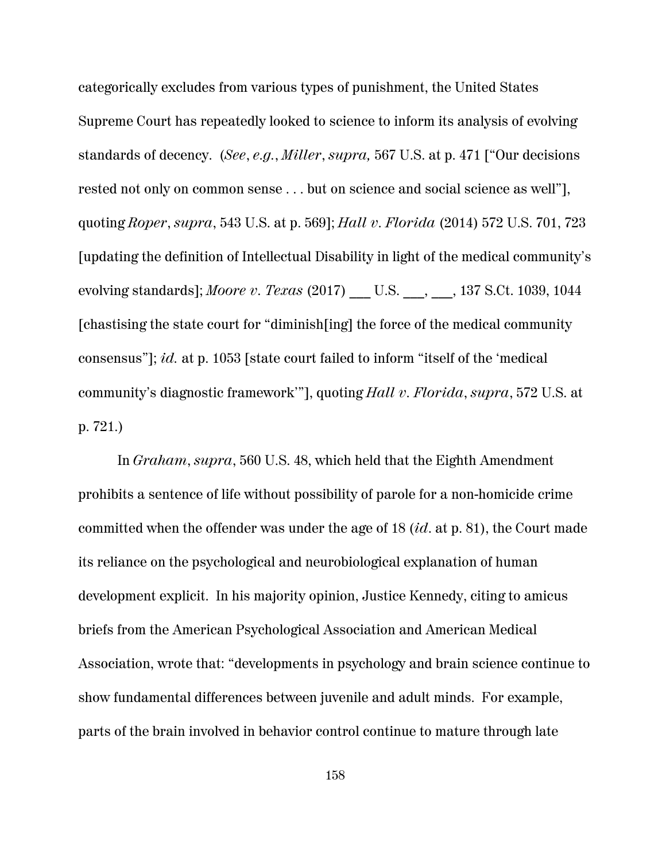categorically excludes from various types of punishment, the United States Supreme Court has repeatedly looked to science to inform its analysis of evolving standards of decency. (*See*, *e.g.*, *Miller*, *supra,* 567 U.S. at p. 471 ["Our decisions rested not only on common sense . . . but on science and social science as well"], quoting *Roper*, *supra*, 543 U.S. at p. 569]; *Hall v. Florida* (2014) 572 U.S. 701, 723 [updating the definition of Intellectual Disability in light of the medical community's evolving standards]; *Moore v. Texas* (2017) \_\_\_ U.S. \_\_\_, \_\_\_, 137 S.Ct. 1039, 1044 [chastising the state court for "diminish[ing] the force of the medical community consensus"]; *id.* at p. 1053 [state court failed to inform "itself of the 'medical community's diagnostic framework'"], quoting *Hall v. Florida*, *supra*, 572 U.S. at p. 721.)

In *Graham*, *supra*, 560 U.S. 48, which held that the Eighth Amendment prohibits a sentence of life without possibility of parole for a non-homicide crime committed when the offender was under the age of 18 (*id*. at p. 81), the Court made its reliance on the psychological and neurobiological explanation of human development explicit. In his majority opinion, Justice Kennedy, citing to amicus briefs from the American Psychological Association and American Medical Association, wrote that: "developments in psychology and brain science continue to show fundamental differences between juvenile and adult minds. For example, parts of the brain involved in behavior control continue to mature through late

158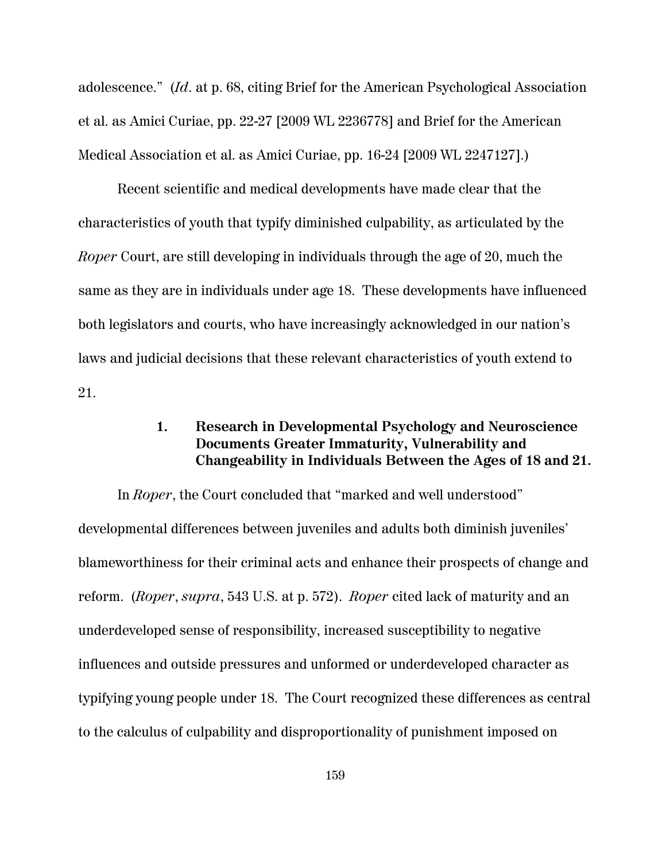adolescence." (*Id*. at p. 68, citing Brief for the American Psychological Association et al. as Amici Curiae, pp. 22-27 [2009 WL 2236778] and Brief for the American Medical Association et al. as Amici Curiae, pp. 16-24 [2009 WL 2247127].)

Recent scientific and medical developments have made clear that the characteristics of youth that typify diminished culpability, as articulated by the *Roper* Court, are still developing in individuals through the age of 20, much the same as they are in individuals under age 18. These developments have influenced both legislators and courts, who have increasingly acknowledged in our nation's laws and judicial decisions that these relevant characteristics of youth extend to 21.

## **1. Research in Developmental Psychology and Neuroscience Documents Greater Immaturity, Vulnerability and Changeability in Individuals Between the Ages of 18 and 21.**

In *Roper*, the Court concluded that "marked and well understood" developmental differences between juveniles and adults both diminish juveniles' blameworthiness for their criminal acts and enhance their prospects of change and reform. (*Roper*, *supra*, 543 U.S. at p. 572). *Roper* cited lack of maturity and an underdeveloped sense of responsibility, increased susceptibility to negative influences and outside pressures and unformed or underdeveloped character as typifying young people under 18. The Court recognized these differences as central to the calculus of culpability and disproportionality of punishment imposed on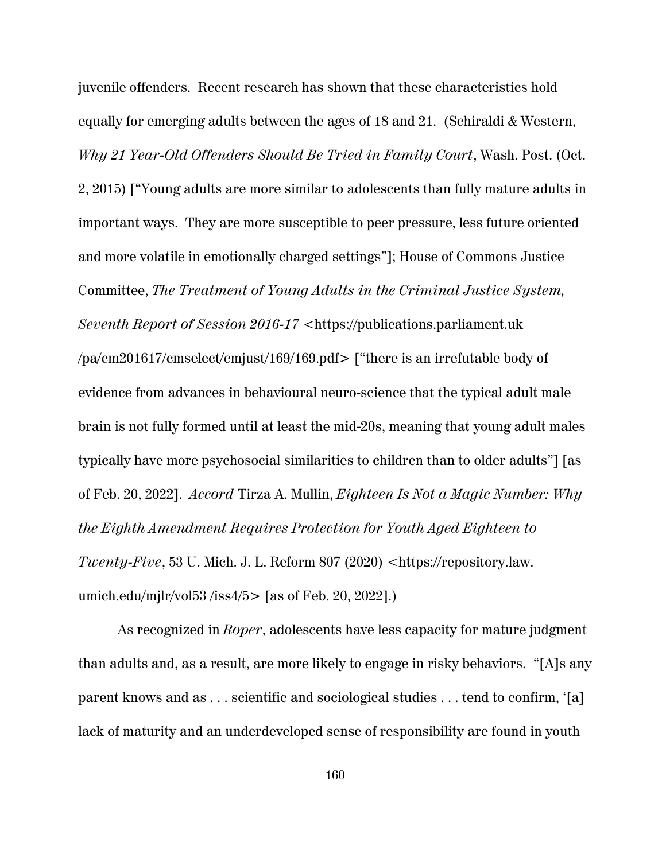juvenile offenders. Recent research has shown that these characteristics hold equally for emerging adults between the ages of 18 and 21. (Schiraldi & Western, *Why 21 Year-Old Offenders Should Be Tried in Family Court*, Wash. Post. (Oct. 2, 2015) ["Young adults are more similar to adolescents than fully mature adults in important ways. They are more susceptible to peer pressure, less future oriented and more volatile in emotionally charged settings"]; House of Commons Justice Committee, *The Treatment of Young Adults in the Criminal Justice System, Seventh Report of Session 2016-17 <*https://publications.parliament.uk /pa/cm201617/cmselect/cmjust/169/169.pdf> ["there is an irrefutable body of evidence from advances in behavioural neuro-science that the typical adult male brain is not fully formed until at least the mid-20s, meaning that young adult males typically have more psychosocial similarities to children than to older adults"] [as of Feb. 20, 2022]. *Accord* Tirza A. Mullin, *Eighteen Is Not a Magic Number: Why the Eighth Amendment Requires Protection for Youth Aged Eighteen to Twenty-Five*, 53 U. Mich. J. L. Reform 807 (2020) *<*https://repository.law. umich.edu/mjlr/vol53/iss $4/5$  [as of Feb. 20, 2022].)

As recognized in *Roper*, adolescents have less capacity for mature judgment than adults and, as a result, are more likely to engage in risky behaviors. "[A]s any parent knows and as . . . scientific and sociological studies . . . tend to confirm, '[a] lack of maturity and an underdeveloped sense of responsibility are found in youth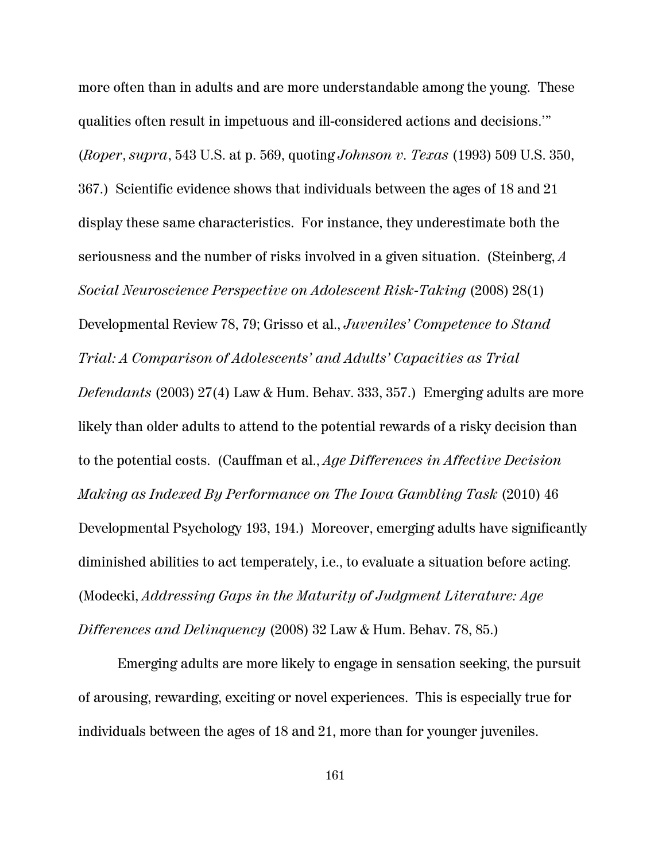more often than in adults and are more understandable among the young. These qualities often result in impetuous and ill-considered actions and decisions.'" (*Roper*, *supra*, 543 U.S. at p. 569, quoting *Johnson v. Texas* (1993) 509 U.S. 350, 367.) Scientific evidence shows that individuals between the ages of 18 and 21 display these same characteristics. For instance, they underestimate both the seriousness and the number of risks involved in a given situation. (Steinberg, *A Social Neuroscience Perspective on Adolescent Risk-Taking* (2008) 28(1) Developmental Review 78, 79; Grisso et al., *Juveniles' Competence to Stand Trial: A Comparison of Adolescents' and Adults' Capacities as Trial Defendants* (2003) 27(4) Law & Hum. Behav. 333, 357.) Emerging adults are more likely than older adults to attend to the potential rewards of a risky decision than to the potential costs. (Cauffman et al., *Age Differences in Affective Decision Making as Indexed By Performance on The Iowa Gambling Task* (2010) 46 Developmental Psychology 193, 194.) Moreover, emerging adults have significantly diminished abilities to act temperately, i.e., to evaluate a situation before acting. (Modecki, *Addressing Gaps in the Maturity of Judgment Literature: Age Differences and Delinquency* (2008) 32 Law & Hum. Behav. 78, 85.)

Emerging adults are more likely to engage in sensation seeking, the pursuit of arousing, rewarding, exciting or novel experiences. This is especially true for individuals between the ages of 18 and 21, more than for younger juveniles.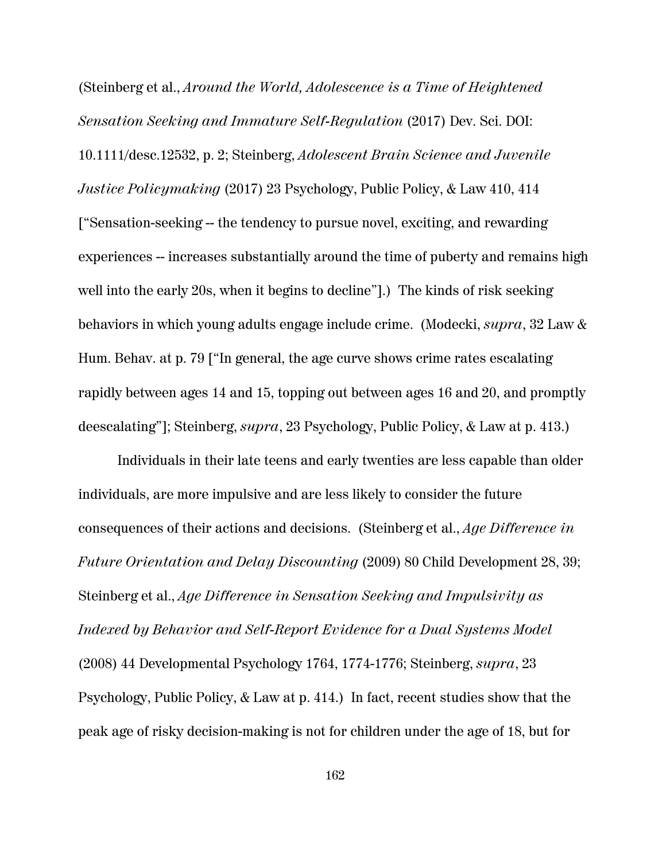(Steinberg et al., *Around the World, Adolescence is a Time of Heightened Sensation Seeking and Immature Self-Regulation* (2017) Dev. Sci. DOI: 10.1111/desc.12532, p. 2; Steinberg, *Adolescent Brain Science and Juvenile Justice Policymaking* (2017) 23 Psychology, Public Policy, & Law 410, 414 ["Sensation-seeking -- the tendency to pursue novel, exciting, and rewarding experiences -- increases substantially around the time of puberty and remains high well into the early 20s, when it begins to decline"].) The kinds of risk seeking behaviors in which young adults engage include crime. (Modecki, *supra*, 32 Law & Hum. Behav. at p. 79 ["In general, the age curve shows crime rates escalating rapidly between ages 14 and 15, topping out between ages 16 and 20, and promptly deescalating"]; Steinberg, *supra*, 23 Psychology, Public Policy, & Law at p. 413.)

Individuals in their late teens and early twenties are less capable than older individuals, are more impulsive and are less likely to consider the future consequences of their actions and decisions. (Steinberg et al., *Age Difference in Future Orientation and Delay Discounting* (2009) 80 Child Development 28, 39; Steinberg et al., *Age Difference in Sensation Seeking and Impulsivity as Indexed by Behavior and Self-Report Evidence for a Dual Systems Model* (2008) 44 Developmental Psychology 1764, 1774-1776; Steinberg, *supra*, 23 Psychology, Public Policy, & Law at p. 414.) In fact, recent studies show that the peak age of risky decision-making is not for children under the age of 18, but for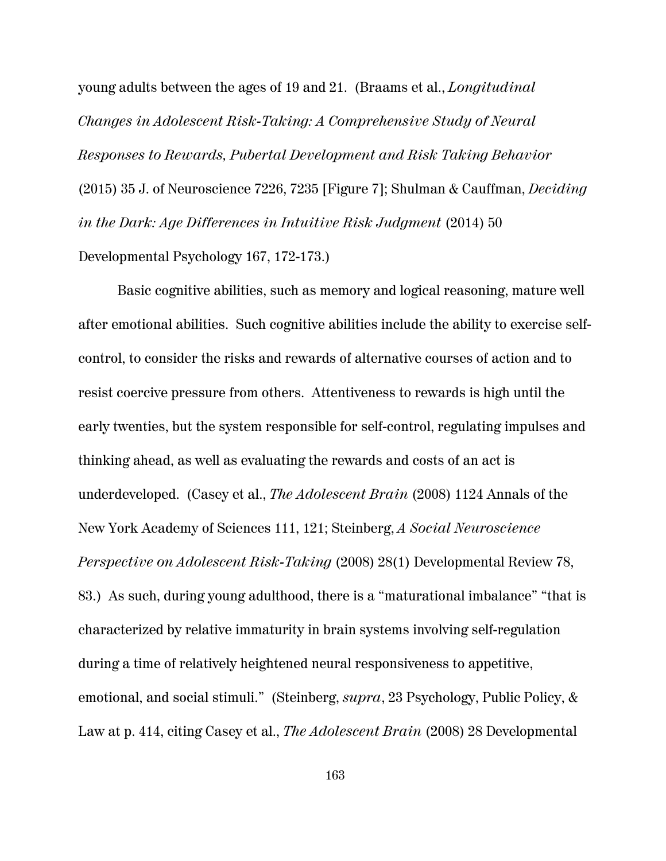young adults between the ages of 19 and 21. (Braams et al., *Longitudinal Changes in Adolescent Risk-Taking: A Comprehensive Study of Neural Responses to Rewards, Pubertal Development and Risk Taking Behavior* (2015) 35 J. of Neuroscience 7226, 7235 [Figure 7]; Shulman & Cauffman, *Deciding in the Dark: Age Differences in Intuitive Risk Judgment* (2014) 50 Developmental Psychology 167, 172-173.)

Basic cognitive abilities, such as memory and logical reasoning, mature well after emotional abilities. Such cognitive abilities include the ability to exercise selfcontrol, to consider the risks and rewards of alternative courses of action and to resist coercive pressure from others. Attentiveness to rewards is high until the early twenties, but the system responsible for self-control, regulating impulses and thinking ahead, as well as evaluating the rewards and costs of an act is underdeveloped. (Casey et al., *The Adolescent Brain* (2008) 1124 Annals of the New York Academy of Sciences 111, 121; Steinberg, *A Social Neuroscience Perspective on Adolescent Risk-Taking* (2008) 28(1) Developmental Review 78, 83.) As such, during young adulthood, there is a "maturational imbalance" "that is characterized by relative immaturity in brain systems involving self-regulation during a time of relatively heightened neural responsiveness to appetitive, emotional, and social stimuli." (Steinberg, *supra*, 23 Psychology, Public Policy, & Law at p. 414, citing Casey et al., *The Adolescent Brain* (2008) 28 Developmental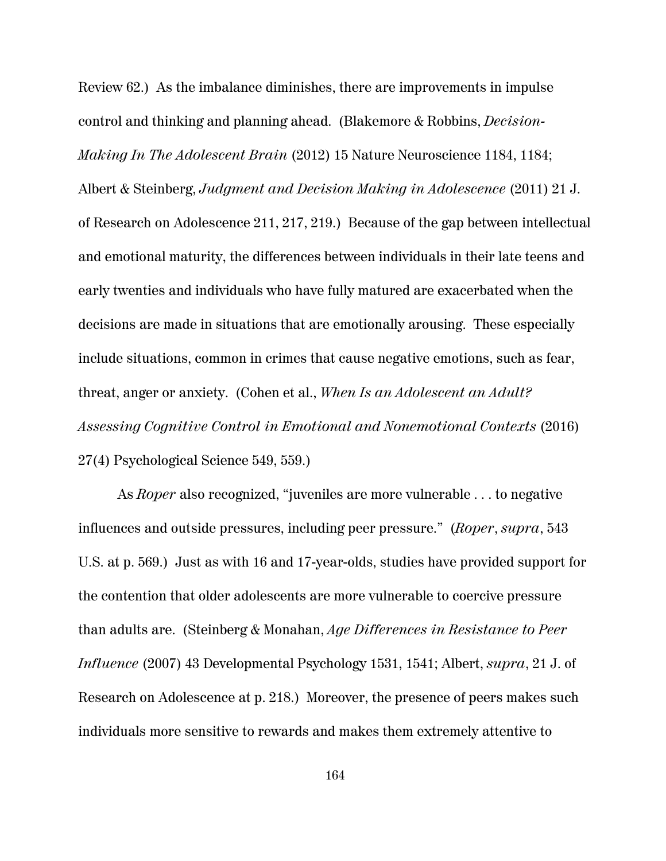Review 62.) As the imbalance diminishes, there are improvements in impulse control and thinking and planning ahead. (Blakemore & Robbins, *Decision-Making In The Adolescent Brain* (2012) 15 Nature Neuroscience 1184, 1184; Albert & Steinberg, *Judgment and Decision Making in Adolescence* (2011) 21 J. of Research on Adolescence 211, 217, 219.) Because of the gap between intellectual and emotional maturity, the differences between individuals in their late teens and early twenties and individuals who have fully matured are exacerbated when the decisions are made in situations that are emotionally arousing. These especially include situations, common in crimes that cause negative emotions, such as fear, threat, anger or anxiety. (Cohen et al., *When Is an Adolescent an Adult? Assessing Cognitive Control in Emotional and Nonemotional Contexts* (2016) 27(4) Psychological Science 549, 559.)

As *Roper* also recognized, "juveniles are more vulnerable . . . to negative influences and outside pressures, including peer pressure." (*Roper*, *supra*, 543 U.S. at p. 569.) Just as with 16 and 17-year-olds, studies have provided support for the contention that older adolescents are more vulnerable to coercive pressure than adults are. (Steinberg & Monahan, *Age Differences in Resistance to Peer Influence* (2007) 43 Developmental Psychology 1531, 1541; Albert, *supra*, 21 J. of Research on Adolescence at p. 218.) Moreover, the presence of peers makes such individuals more sensitive to rewards and makes them extremely attentive to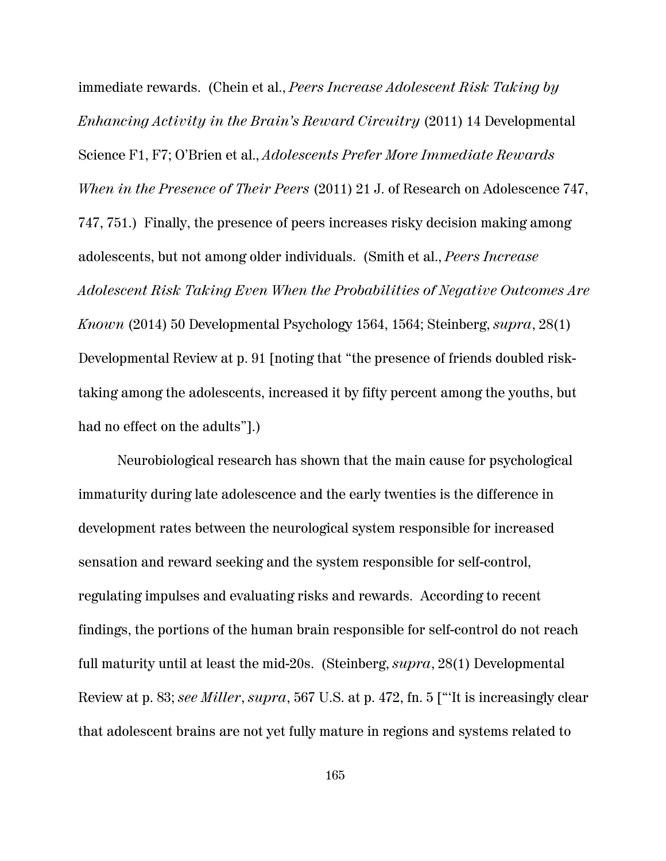immediate rewards. (Chein et al., *Peers Increase Adolescent Risk Taking by Enhancing Activity in the Brain's Reward Circuitry* (2011) 14 Developmental Science F1, F7; O'Brien et al., *Adolescents Prefer More Immediate Rewards When in the Presence of Their Peers* (2011) 21 J. of Research on Adolescence 747, 747, 751.) Finally, the presence of peers increases risky decision making among adolescents, but not among older individuals. (Smith et al., *Peers Increase Adolescent Risk Taking Even When the Probabilities of Negative Outcomes Are Known* (2014) 50 Developmental Psychology 1564, 1564; Steinberg, *supra*, 28(1) Developmental Review at p. 91 [noting that "the presence of friends doubled risktaking among the adolescents, increased it by fifty percent among the youths, but had no effect on the adults"].)

Neurobiological research has shown that the main cause for psychological immaturity during late adolescence and the early twenties is the difference in development rates between the neurological system responsible for increased sensation and reward seeking and the system responsible for self-control, regulating impulses and evaluating risks and rewards. According to recent findings, the portions of the human brain responsible for self-control do not reach full maturity until at least the mid-20s. (Steinberg, *supra*, 28(1) Developmental Review at p. 83; *see Miller*, *supra*, 567 U.S. at p. 472, fn. 5 ["'It is increasingly clear that adolescent brains are not yet fully mature in regions and systems related to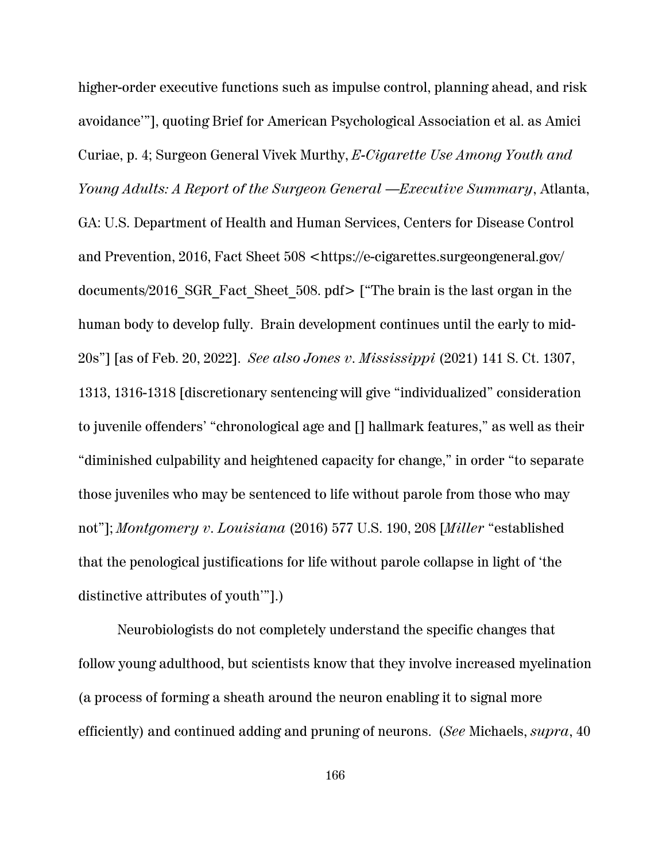higher-order executive functions such as impulse control, planning ahead, and risk avoidance'"], quoting Brief for American Psychological Association et al. as Amici Curiae, p. 4; Surgeon General Vivek Murthy, *E-Cigarette Use Among Youth and Young Adults: A Report of the Surgeon General* —*Executive Summary*, Atlanta, GA: U.S. Department of Health and Human Services, Centers for Disease Control and Prevention, 2016, Fact Sheet 508 <https://e-cigarettes.surgeongeneral.gov/ documents/2016\_SGR\_Fact\_Sheet\_508. pdf> ["The brain is the last organ in the human body to develop fully. Brain development continues until the early to mid-20s"] [as of Feb. 20, 2022]. *See also Jones v. Mississippi* (2021) 141 S. Ct. 1307, 1313, 1316-1318 [discretionary sentencing will give "individualized" consideration to juvenile offenders' "chronological age and [] hallmark features," as well as their "diminished culpability and heightened capacity for change," in order "to separate those juveniles who may be sentenced to life without parole from those who may not"]; *Montgomery v. Louisiana* (2016) 577 U.S. 190, 208 [*Miller* "established that the penological justifications for life without parole collapse in light of 'the distinctive attributes of youth'"].)

Neurobiologists do not completely understand the specific changes that follow young adulthood, but scientists know that they involve increased myelination (a process of forming a sheath around the neuron enabling it to signal more efficiently) and continued adding and pruning of neurons. (*See* Michaels, *supra*, 40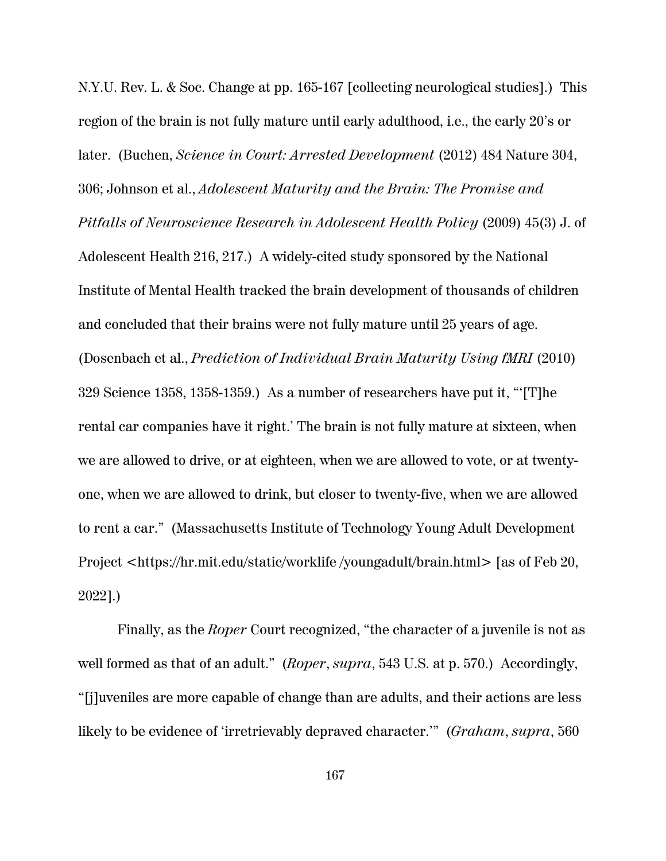N.Y.U. Rev. L. & Soc. Change at pp. 165-167 [collecting neurological studies].) This region of the brain is not fully mature until early adulthood, i.e., the early 20's or later. (Buchen, *Science in Court: Arrested Development* (2012) 484 Nature 304, 306; Johnson et al., *Adolescent Maturity and the Brain: The Promise and Pitfalls of Neuroscience Research in Adolescent Health Policy* (2009) 45(3) J. of Adolescent Health 216, 217.) A widely-cited study sponsored by the National Institute of Mental Health tracked the brain development of thousands of children and concluded that their brains were not fully mature until 25 years of age. (Dosenbach et al., *Prediction of Individual Brain Maturity Using fMRI* (2010) 329 Science 1358, 1358-1359.) As a number of researchers have put it, "'[T]he rental car companies have it right.' The brain is not fully mature at sixteen, when we are allowed to drive, or at eighteen, when we are allowed to vote, or at twentyone, when we are allowed to drink, but closer to twenty-five, when we are allowed to rent a car." (Massachusetts Institute of Technology Young Adult Development Project <https://hr.mit.edu/static/worklife /youngadult/brain.html> [as of Feb 20, 2022].)

Finally, as the *Roper* Court recognized, "the character of a juvenile is not as well formed as that of an adult." (*Roper*, *supra*, 543 U.S. at p. 570.) Accordingly, "[j]uveniles are more capable of change than are adults, and their actions are less likely to be evidence of 'irretrievably depraved character.'" (*Graham*, *supra*, 560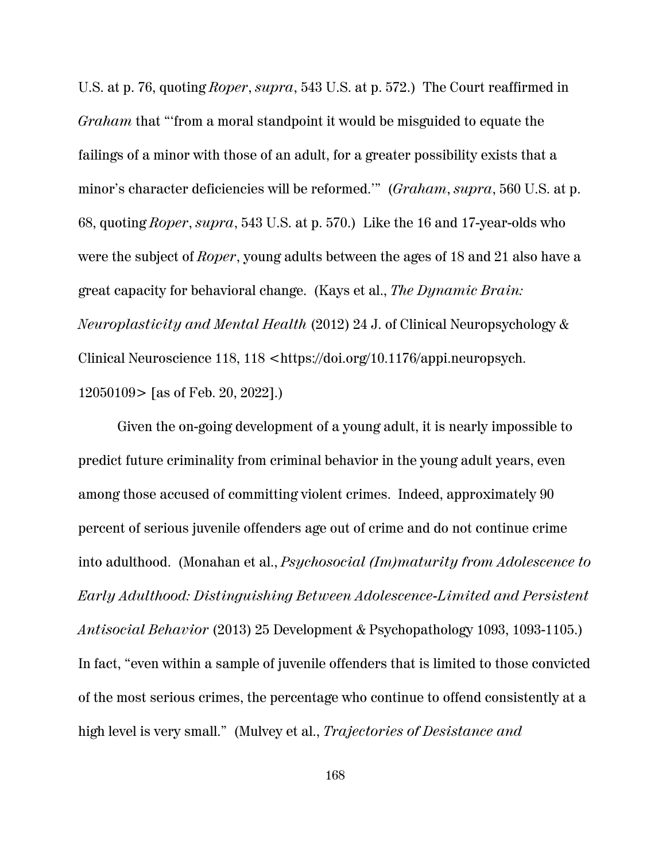U.S. at p. 76, quoting *Roper*, *supra*, 543 U.S. at p. 572.) The Court reaffirmed in *Graham* that "'from a moral standpoint it would be misguided to equate the failings of a minor with those of an adult, for a greater possibility exists that a minor's character deficiencies will be reformed.'" (*Graham*, *supra*, 560 U.S. at p. 68, quoting *Roper*, *supra*, 543 U.S. at p. 570.) Like the 16 and 17-year-olds who were the subject of *Roper*, young adults between the ages of 18 and 21 also have a great capacity for behavioral change. (Kays et al., *The Dynamic Brain: Neuroplasticity and Mental Health* (2012) 24 J. of Clinical Neuropsychology & Clinical Neuroscience 118, 118 <https://doi.org/10.1176/appi.neuropsych. 12050109> [as of Feb. 20, 2022].)

Given the on-going development of a young adult, it is nearly impossible to predict future criminality from criminal behavior in the young adult years, even among those accused of committing violent crimes. Indeed, approximately 90 percent of serious juvenile offenders age out of crime and do not continue crime into adulthood. (Monahan et al., *Psychosocial (Im)maturity from Adolescence to Early Adulthood: Distinguishing Between Adolescence-Limited and Persistent Antisocial Behavior* (2013) 25 Development & Psychopathology 1093, 1093-1105.) In fact, "even within a sample of juvenile offenders that is limited to those convicted of the most serious crimes, the percentage who continue to offend consistently at a high level is very small." (Mulvey et al., *Trajectories of Desistance and*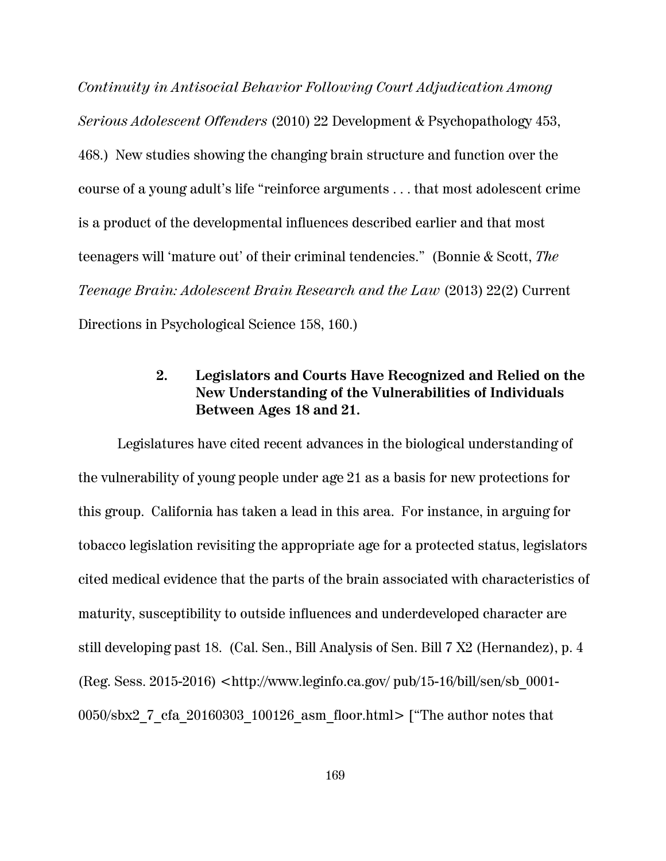*Continuity in Antisocial Behavior Following Court Adjudication Among Serious Adolescent Offenders* (2010) 22 Development & Psychopathology 453, 468.) New studies showing the changing brain structure and function over the course of a young adult's life "reinforce arguments . . . that most adolescent crime is a product of the developmental influences described earlier and that most teenagers will 'mature out' of their criminal tendencies." (Bonnie & Scott, *The Teenage Brain: Adolescent Brain Research and the Law* (2013) 22(2) Current Directions in Psychological Science 158, 160.)

## **2. Legislators and Courts Have Recognized and Relied on the New Understanding of the Vulnerabilities of Individuals Between Ages 18 and 21.**

Legislatures have cited recent advances in the biological understanding of the vulnerability of young people under age 21 as a basis for new protections for this group. California has taken a lead in this area. For instance, in arguing for tobacco legislation revisiting the appropriate age for a protected status, legislators cited medical evidence that the parts of the brain associated with characteristics of maturity, susceptibility to outside influences and underdeveloped character are still developing past 18. (Cal. Sen., Bill Analysis of Sen. Bill 7 X2 (Hernandez), p. 4 (Reg. Sess. 2015-2016) <http://www.leginfo.ca.gov/ pub/15-16/bill/sen/sb\_0001- 0050/sbx2\_7\_cfa\_20160303\_100126\_asm\_floor.html> ["The author notes that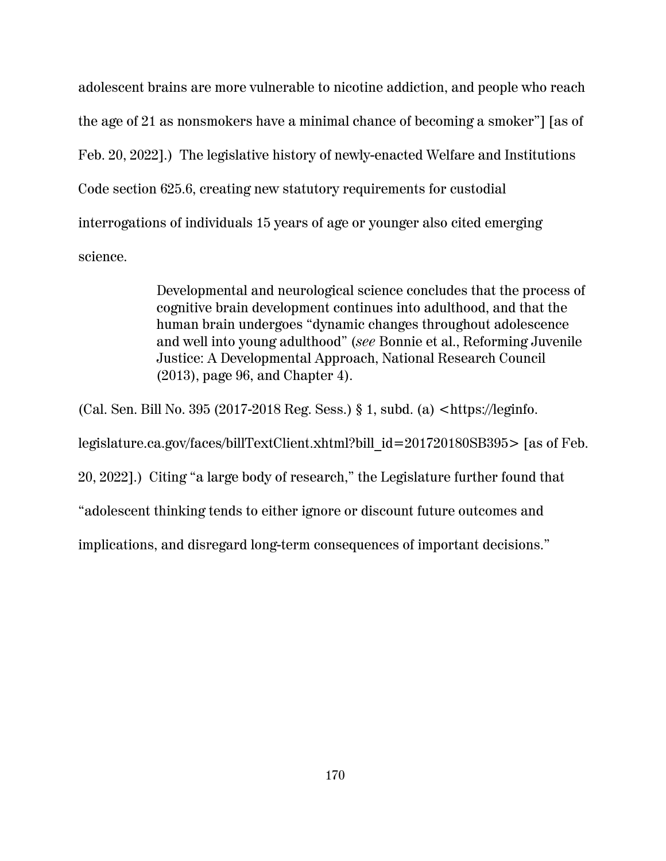adolescent brains are more vulnerable to nicotine addiction, and people who reach the age of 21 as nonsmokers have a minimal chance of becoming a smoker"] [as of Feb. 20, 2022].) The legislative history of newly-enacted Welfare and Institutions Code section 625.6, creating new statutory requirements for custodial interrogations of individuals 15 years of age or younger also cited emerging science.

> Developmental and neurological science concludes that the process of cognitive brain development continues into adulthood, and that the human brain undergoes "dynamic changes throughout adolescence and well into young adulthood" (*see* Bonnie et al., Reforming Juvenile Justice: A Developmental Approach, National Research Council (2013), page 96, and Chapter 4).

(Cal. Sen. Bill No. 395 (2017-2018 Reg. Sess.) § 1, subd. (a) <https://leginfo. legislature.ca.gov/faces/billTextClient.xhtml?bill\_id=201720180SB395> [as of Feb. 20, 2022].) Citing "a large body of research," the Legislature further found that "adolescent thinking tends to either ignore or discount future outcomes and implications, and disregard long-term consequences of important decisions."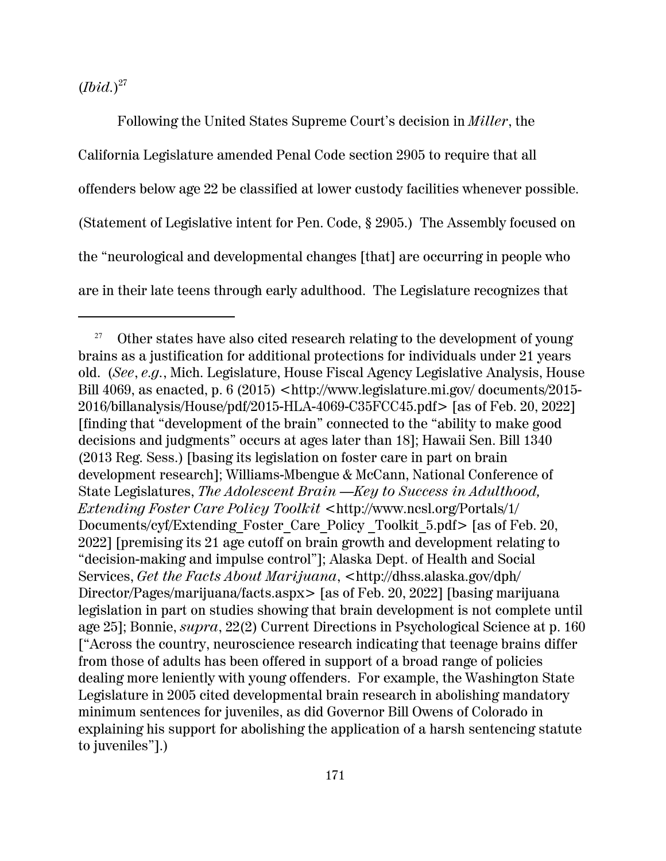(*Ibid.*) 27

Following the United States Supreme Court's decision in *Miller*, the California Legislature amended Penal Code section 2905 to require that all offenders below age 22 be classified at lower custody facilities whenever possible. (Statement of Legislative intent for Pen. Code, § 2905.) The Assembly focused on the "neurological and developmental changes [that] are occurring in people who are in their late teens through early adulthood. The Legislature recognizes that

<sup>&</sup>lt;sup>27</sup> Other states have also cited research relating to the development of young brains as a justification for additional protections for individuals under 21 years old. (*See*, *e.g.*, Mich. Legislature, House Fiscal Agency Legislative Analysis, House Bill 4069, as enacted, p. 6 (2015)  $\langle$ http://www.legislature.mi.gov/ documents/2015-2016/billanalysis/House/pdf/2015-HLA-4069-C35FCC45.pdf> [as of Feb. 20, 2022] [finding that "development of the brain" connected to the "ability to make good decisions and judgments" occurs at ages later than 18]; Hawaii Sen. Bill 1340 (2013 Reg. Sess.) [basing its legislation on foster care in part on brain development research]; Williams-Mbengue & McCann, National Conference of State Legislatures, *The Adolescent Brain —Key to Success in Adulthood, Extending Foster Care Policy Toolkit* <http://www.ncsl.org/Portals/1/ Documents/cyf/Extending\_Foster\_Care\_Policy \_Toolkit\_5.pdf> [as of Feb. 20, 2022] [premising its 21 age cutoff on brain growth and development relating to "decision-making and impulse control"]; Alaska Dept. of Health and Social Services, *Get the Facts About Marijuana*, <http://dhss.alaska.gov/dph/ Director/Pages/marijuana/facts.aspx> [as of Feb. 20, 2022] [basing marijuana legislation in part on studies showing that brain development is not complete until age 25]; Bonnie, *supra*, 22(2) Current Directions in Psychological Science at p. 160 ["Across the country, neuroscience research indicating that teenage brains differ from those of adults has been offered in support of a broad range of policies dealing more leniently with young offenders. For example, the Washington State Legislature in 2005 cited developmental brain research in abolishing mandatory minimum sentences for juveniles, as did Governor Bill Owens of Colorado in explaining his support for abolishing the application of a harsh sentencing statute to juveniles"].)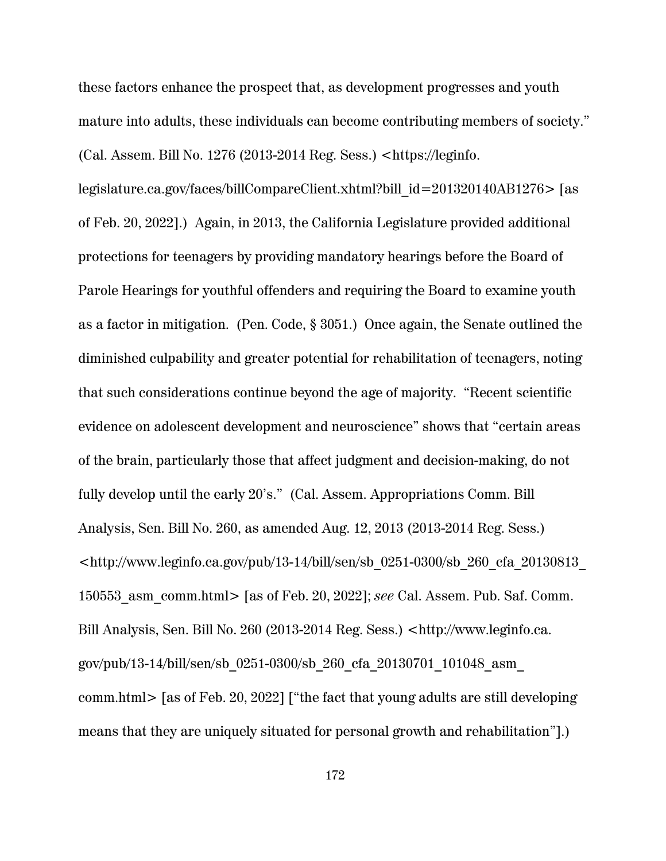these factors enhance the prospect that, as development progresses and youth mature into adults, these individuals can become contributing members of society." (Cal. Assem. Bill No. 1276 (2013-2014 Reg. Sess.) <https://leginfo.

legislature.ca.gov/faces/billCompareClient.xhtml?bill\_id=201320140AB1276> [as of Feb. 20, 2022].) Again, in 2013, the California Legislature provided additional protections for teenagers by providing mandatory hearings before the Board of Parole Hearings for youthful offenders and requiring the Board to examine youth as a factor in mitigation. (Pen. Code, § 3051.) Once again, the Senate outlined the diminished culpability and greater potential for rehabilitation of teenagers, noting that such considerations continue beyond the age of majority. "Recent scientific evidence on adolescent development and neuroscience" shows that "certain areas of the brain, particularly those that affect judgment and decision-making, do not fully develop until the early 20's." (Cal. Assem. Appropriations Comm. Bill Analysis, Sen. Bill No. 260, as amended Aug. 12, 2013 (2013-2014 Reg. Sess.)  $\lt$ http://www.leginfo.ca.gov/pub/13-14/bill/sen/sb\_0251-0300/sb\_260\_cfa\_20130813 150553\_asm\_comm.html> [as of Feb. 20, 2022]; *see* Cal. Assem. Pub. Saf. Comm. Bill Analysis, Sen. Bill No. 260 (2013-2014 Reg. Sess.) <http://www.leginfo.ca. gov/pub/13-14/bill/sen/sb\_0251-0300/sb\_260\_cfa\_20130701\_101048\_asm\_ comm.html> [as of Feb. 20, 2022] ["the fact that young adults are still developing means that they are uniquely situated for personal growth and rehabilitation"].)

172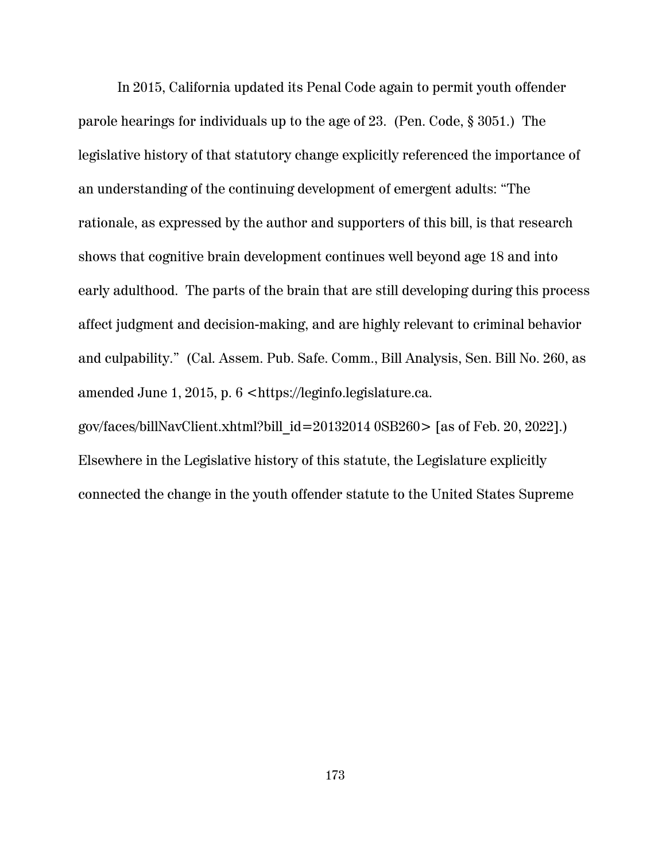In 2015, California updated its Penal Code again to permit youth offender parole hearings for individuals up to the age of 23. (Pen. Code, § 3051.) The legislative history of that statutory change explicitly referenced the importance of an understanding of the continuing development of emergent adults: "The rationale, as expressed by the author and supporters of this bill, is that research shows that cognitive brain development continues well beyond age 18 and into early adulthood. The parts of the brain that are still developing during this process affect judgment and decision-making, and are highly relevant to criminal behavior and culpability." (Cal. Assem. Pub. Safe. Comm., Bill Analysis, Sen. Bill No. 260, as amended June 1, 2015, p. 6 <https://leginfo.legislature.ca. gov/faces/billNavClient.xhtml?bill  $id=20132014 0SB260$  [as of Feb. 20, 2022].) Elsewhere in the Legislative history of this statute, the Legislature explicitly

connected the change in the youth offender statute to the United States Supreme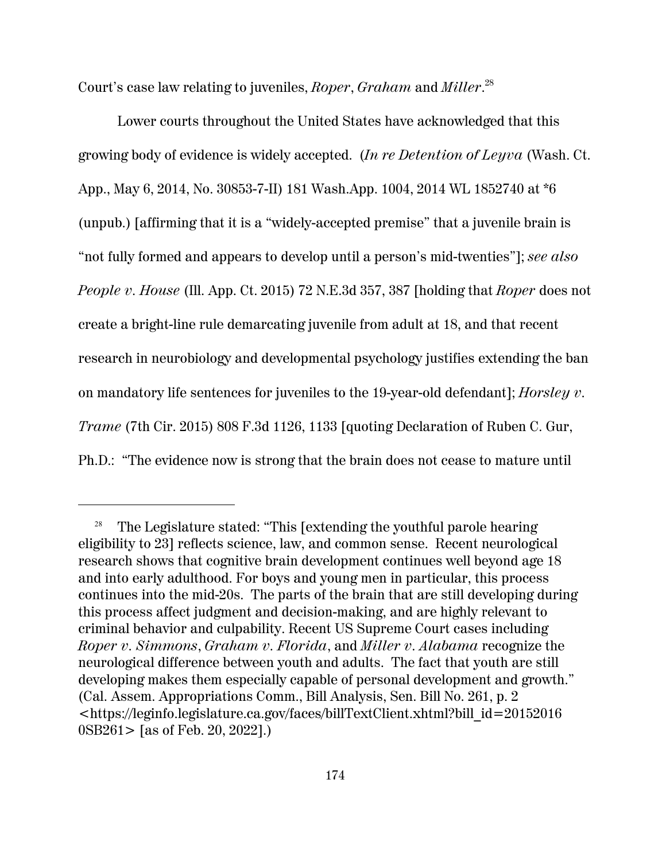Court's case law relating to juveniles, *Roper*, *Graham* and *Miller*. 28

Lower courts throughout the United States have acknowledged that this growing body of evidence is widely accepted. (*In re Detention of Leyva* (Wash. Ct. App., May 6, 2014, No. 30853-7-II) 181 Wash.App. 1004, 2014 WL 1852740 at \*6 (unpub.) [affirming that it is a "widely-accepted premise" that a juvenile brain is "not fully formed and appears to develop until a person's mid-twenties"]; *see also People v. House* (Ill. App. Ct. 2015) 72 N.E.3d 357, 387 [holding that *Roper* does not create a bright-line rule demarcating juvenile from adult at 18, and that recent research in neurobiology and developmental psychology justifies extending the ban on mandatory life sentences for juveniles to the 19-year-old defendant]; *Horsley v. Trame* (7th Cir. 2015) 808 F.3d 1126, 1133 [quoting Declaration of Ruben C. Gur, Ph.D.: "The evidence now is strong that the brain does not cease to mature until

<sup>&</sup>lt;sup>28</sup> The Legislature stated: "This [extending the youthful parole hearing eligibility to 23] reflects science, law, and common sense. Recent neurological research shows that cognitive brain development continues well beyond age 18 and into early adulthood. For boys and young men in particular, this process continues into the mid-20s. The parts of the brain that are still developing during this process affect judgment and decision-making, and are highly relevant to criminal behavior and culpability. Recent US Supreme Court cases including *Roper v. Simmons*, *Graham v. Florida*, and *Miller v. Alabama* recognize the neurological difference between youth and adults. The fact that youth are still developing makes them especially capable of personal development and growth." (Cal. Assem. Appropriations Comm., Bill Analysis, Sen. Bill No. 261, p. 2 <https://leginfo.legislature.ca.gov/faces/billTextClient.xhtml?bill\_id=20152016 0SB261> [as of Feb. 20, 2022].)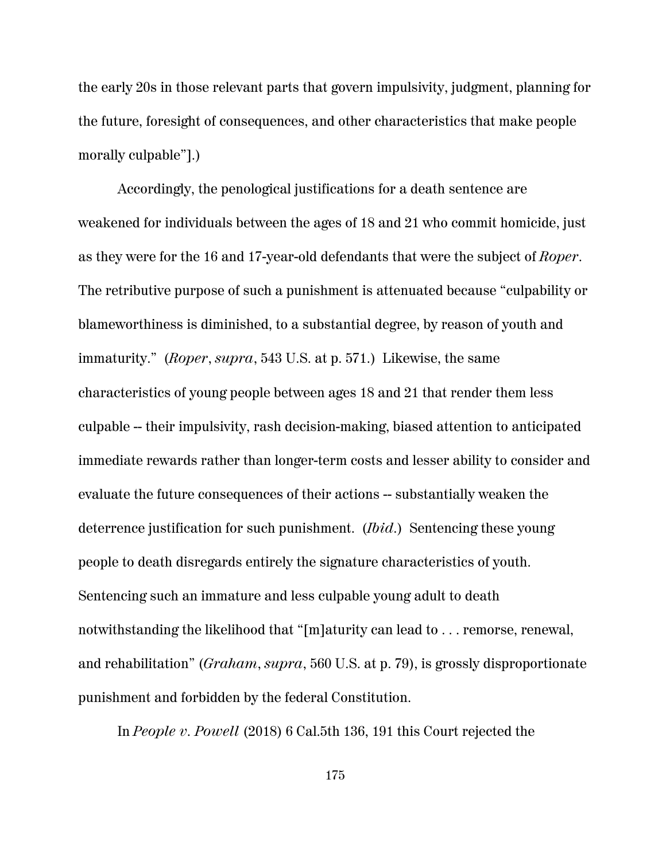the early 20s in those relevant parts that govern impulsivity, judgment, planning for the future, foresight of consequences, and other characteristics that make people morally culpable"].)

Accordingly, the penological justifications for a death sentence are weakened for individuals between the ages of 18 and 21 who commit homicide, just as they were for the 16 and 17-year-old defendants that were the subject of *Roper*. The retributive purpose of such a punishment is attenuated because "culpability or blameworthiness is diminished, to a substantial degree, by reason of youth and immaturity." (*Roper*, *supra*, 543 U.S. at p. 571.) Likewise, the same characteristics of young people between ages 18 and 21 that render them less culpable -- their impulsivity, rash decision-making, biased attention to anticipated immediate rewards rather than longer-term costs and lesser ability to consider and evaluate the future consequences of their actions -- substantially weaken the deterrence justification for such punishment. (*Ibid*.) Sentencing these young people to death disregards entirely the signature characteristics of youth. Sentencing such an immature and less culpable young adult to death notwithstanding the likelihood that "[m]aturity can lead to . . . remorse, renewal, and rehabilitation" (*Graham*, *supra*, 560 U.S. at p. 79), is grossly disproportionate punishment and forbidden by the federal Constitution.

In *People v. Powell* (2018) 6 Cal.5th 136, 191 this Court rejected the

175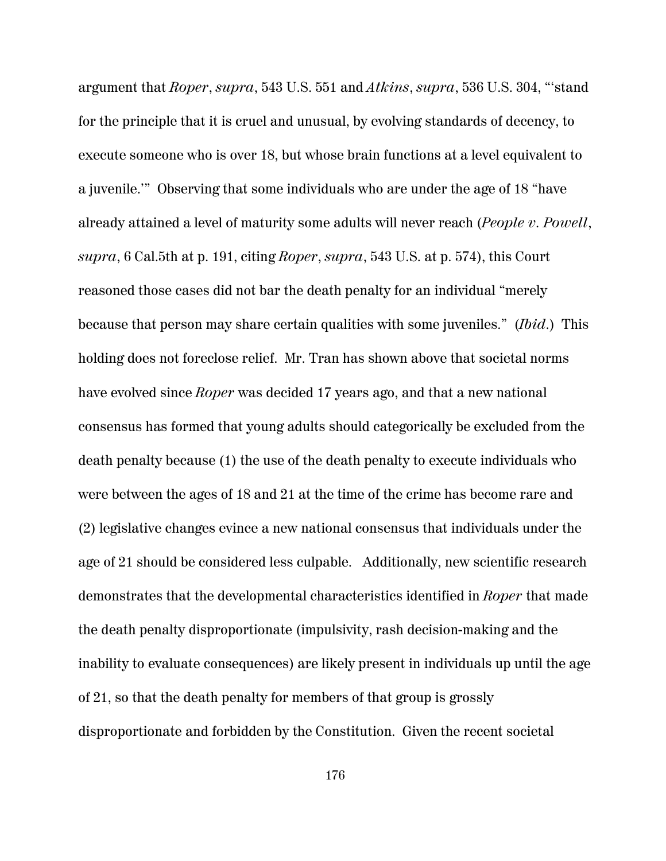argument that *Roper*, *supra*, 543 U.S. 551 and *Atkins*, *supra*, 536 U.S. 304, "'stand for the principle that it is cruel and unusual, by evolving standards of decency, to execute someone who is over 18, but whose brain functions at a level equivalent to a juvenile.'" Observing that some individuals who are under the age of 18 "have already attained a level of maturity some adults will never reach (*People v. Powell*, *supra*, 6 Cal.5th at p. 191, citing *Roper*, *supra*, 543 U.S. at p. 574), this Court reasoned those cases did not bar the death penalty for an individual "merely because that person may share certain qualities with some juveniles." (*Ibid*.) This holding does not foreclose relief. Mr. Tran has shown above that societal norms have evolved since *Roper* was decided 17 years ago, and that a new national consensus has formed that young adults should categorically be excluded from the death penalty because (1) the use of the death penalty to execute individuals who were between the ages of 18 and 21 at the time of the crime has become rare and (2) legislative changes evince a new national consensus that individuals under the age of 21 should be considered less culpable. Additionally, new scientific research demonstrates that the developmental characteristics identified in *Roper* that made the death penalty disproportionate (impulsivity, rash decision-making and the inability to evaluate consequences) are likely present in individuals up until the age of 21, so that the death penalty for members of that group is grossly disproportionate and forbidden by the Constitution. Given the recent societal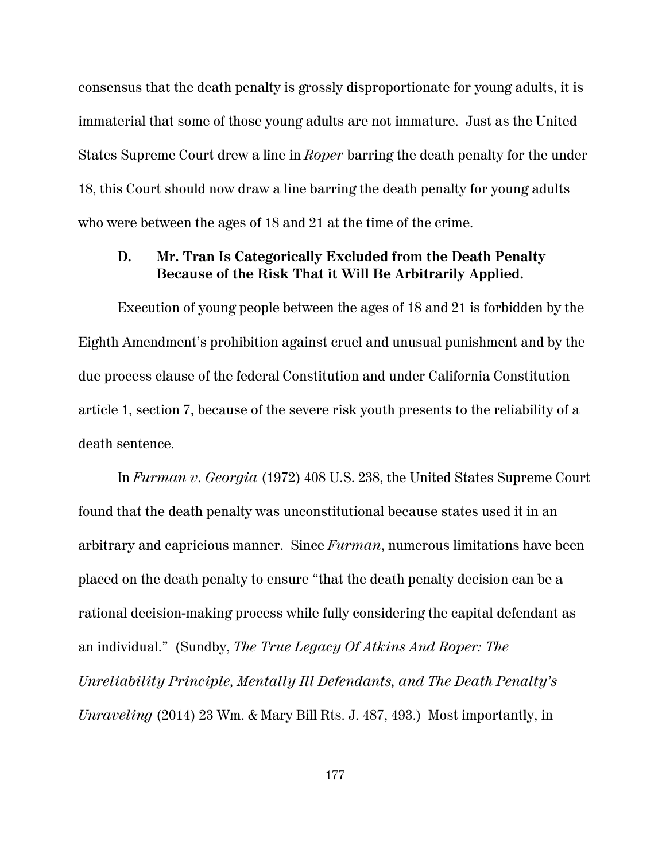consensus that the death penalty is grossly disproportionate for young adults, it is immaterial that some of those young adults are not immature. Just as the United States Supreme Court drew a line in *Roper* barring the death penalty for the under 18, this Court should now draw a line barring the death penalty for young adults who were between the ages of 18 and 21 at the time of the crime.

## **D. Mr. Tran Is Categorically Excluded from the Death Penalty Because of the Risk That it Will Be Arbitrarily Applied.**

Execution of young people between the ages of 18 and 21 is forbidden by the Eighth Amendment's prohibition against cruel and unusual punishment and by the due process clause of the federal Constitution and under California Constitution article 1, section 7, because of the severe risk youth presents to the reliability of a death sentence.

In *Furman v. Georgia* (1972) 408 U.S. 238, the United States Supreme Court found that the death penalty was unconstitutional because states used it in an arbitrary and capricious manner. Since *Furman*, numerous limitations have been placed on the death penalty to ensure "that the death penalty decision can be a rational decision-making process while fully considering the capital defendant as an individual." (Sundby, *The True Legacy Of Atkins And Roper: The Unreliability Principle, Mentally Ill Defendants, and The Death Penalty's Unraveling* (2014) 23 Wm. & Mary Bill Rts. J. 487, 493.) Most importantly, in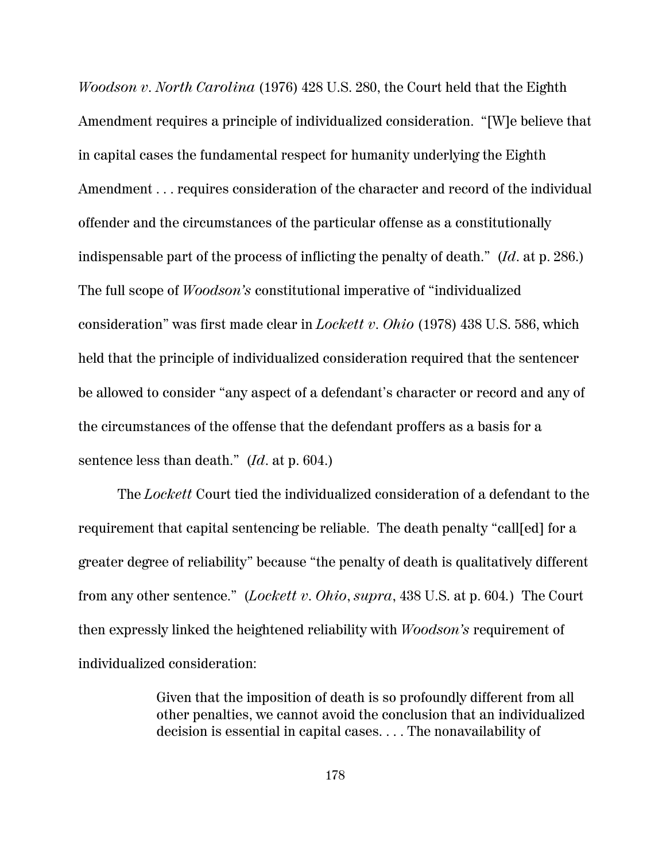*Woodson v. North Carolina* (1976) 428 U.S. 280, the Court held that the Eighth Amendment requires a principle of individualized consideration. "[W]e believe that in capital cases the fundamental respect for humanity underlying the Eighth Amendment . . . requires consideration of the character and record of the individual offender and the circumstances of the particular offense as a constitutionally indispensable part of the process of inflicting the penalty of death." (*Id*. at p. 286.) The full scope of *Woodson's* constitutional imperative of "individualized consideration" was first made clear in *Lockett v. Ohio* (1978) 438 U.S. 586, which held that the principle of individualized consideration required that the sentencer be allowed to consider "any aspect of a defendant's character or record and any of the circumstances of the offense that the defendant proffers as a basis for a sentence less than death." (*Id*. at p. 604.)

The *Lockett* Court tied the individualized consideration of a defendant to the requirement that capital sentencing be reliable. The death penalty "call[ed] for a greater degree of reliability" because "the penalty of death is qualitatively different from any other sentence." (*Lockett v. Ohio*, *supra*, 438 U.S. at p. 604*.*) The Court then expressly linked the heightened reliability with *Woodson's* requirement of individualized consideration:

> Given that the imposition of death is so profoundly different from all other penalties, we cannot avoid the conclusion that an individualized decision is essential in capital cases. . . . The nonavailability of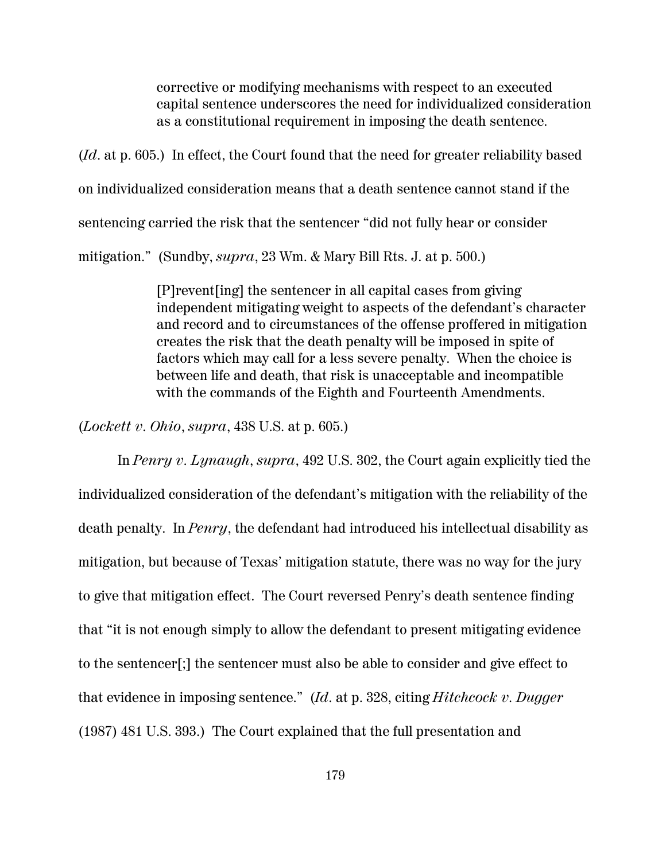corrective or modifying mechanisms with respect to an executed capital sentence underscores the need for individualized consideration as a constitutional requirement in imposing the death sentence.

(*Id*. at p. 605.) In effect, the Court found that the need for greater reliability based on individualized consideration means that a death sentence cannot stand if the sentencing carried the risk that the sentencer "did not fully hear or consider mitigation." (Sundby, *supra*, 23 Wm. & Mary Bill Rts. J. at p. 500.)

> [P]revent[ing] the sentencer in all capital cases from giving independent mitigating weight to aspects of the defendant's character and record and to circumstances of the offense proffered in mitigation creates the risk that the death penalty will be imposed in spite of factors which may call for a less severe penalty. When the choice is between life and death, that risk is unacceptable and incompatible with the commands of the Eighth and Fourteenth Amendments.

(*Lockett v. Ohio*, *supra*, 438 U.S. at p. 605.)

In *Penry v. Lynaugh*, *supra*, 492 U.S. 302, the Court again explicitly tied the individualized consideration of the defendant's mitigation with the reliability of the death penalty. In *Penry*, the defendant had introduced his intellectual disability as mitigation, but because of Texas' mitigation statute, there was no way for the jury to give that mitigation effect. The Court reversed Penry's death sentence finding that "it is not enough simply to allow the defendant to present mitigating evidence to the sentencer[;] the sentencer must also be able to consider and give effect to that evidence in imposing sentence." (*Id*. at p. 328, citing *Hitchcock v. Dugger* (1987) 481 U.S. 393.) The Court explained that the full presentation and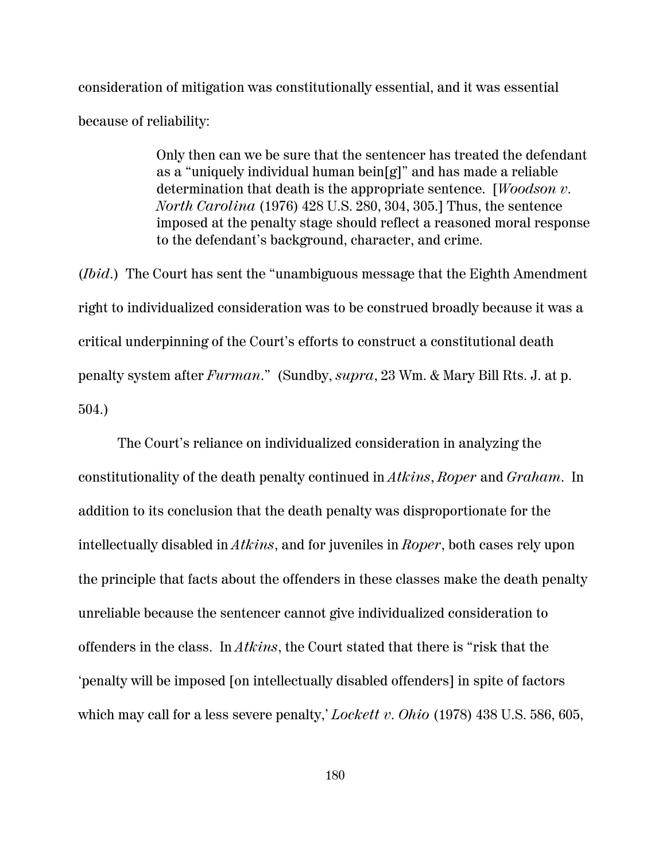consideration of mitigation was constitutionally essential, and it was essential because of reliability:

> Only then can we be sure that the sentencer has treated the defendant as a "uniquely individual human bein[g]" and has made a reliable determination that death is the appropriate sentence. [*Woodson v. North Carolina* (1976) 428 U.S. 280, 304, 305.] Thus, the sentence imposed at the penalty stage should reflect a reasoned moral response to the defendant's background, character, and crime.

(*Ibid*.) The Court has sent the "unambiguous message that the Eighth Amendment right to individualized consideration was to be construed broadly because it was a critical underpinning of the Court's efforts to construct a constitutional death penalty system after *Furman*." (Sundby, *supra*, 23 Wm. & Mary Bill Rts. J. at p. 504.)

The Court's reliance on individualized consideration in analyzing the constitutionality of the death penalty continued in *Atkins*, *Roper* and *Graham*. In addition to its conclusion that the death penalty was disproportionate for the intellectually disabled in *Atkins*, and for juveniles in *Roper*, both cases rely upon the principle that facts about the offenders in these classes make the death penalty unreliable because the sentencer cannot give individualized consideration to offenders in the class. In *Atkins*, the Court stated that there is "risk that the 'penalty will be imposed [on intellectually disabled offenders] in spite of factors which may call for a less severe penalty,' *Lockett v. Ohio* (1978) 438 U.S. 586, 605,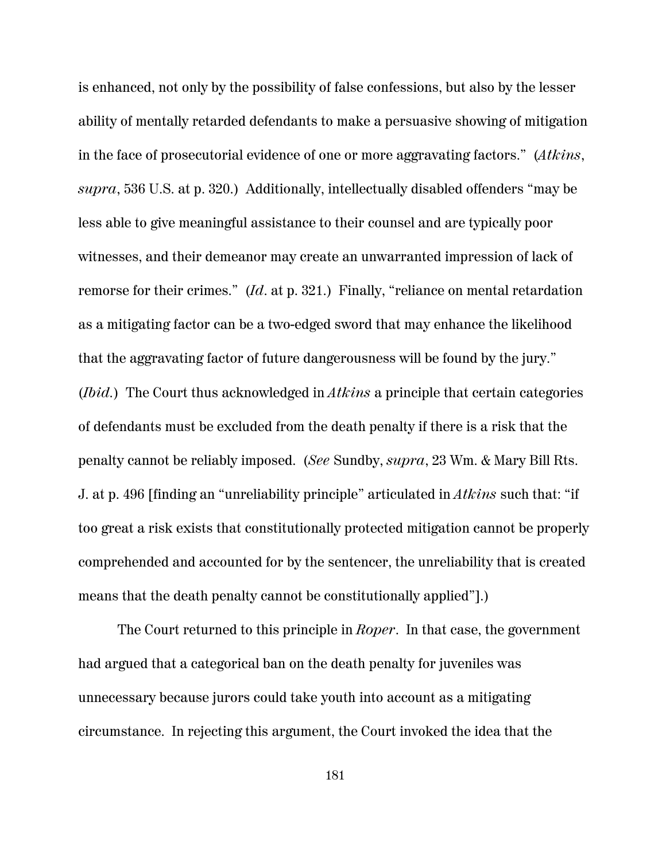is enhanced, not only by the possibility of false confessions, but also by the lesser ability of mentally retarded defendants to make a persuasive showing of mitigation in the face of prosecutorial evidence of one or more aggravating factors." (*Atkins*, *supra*, 536 U.S. at p. 320.) Additionally, intellectually disabled offenders "may be less able to give meaningful assistance to their counsel and are typically poor witnesses, and their demeanor may create an unwarranted impression of lack of remorse for their crimes." (*Id*. at p. 321.) Finally, "reliance on mental retardation as a mitigating factor can be a two-edged sword that may enhance the likelihood that the aggravating factor of future dangerousness will be found by the jury." (*Ibid.*) The Court thus acknowledged in *Atkins* a principle that certain categories of defendants must be excluded from the death penalty if there is a risk that the penalty cannot be reliably imposed. (*See* Sundby, *supra*, 23 Wm. & Mary Bill Rts. J. at p. 496 [finding an "unreliability principle" articulated in *Atkins* such that: "if too great a risk exists that constitutionally protected mitigation cannot be properly comprehended and accounted for by the sentencer, the unreliability that is created means that the death penalty cannot be constitutionally applied"].)

The Court returned to this principle in *Roper*. In that case, the government had argued that a categorical ban on the death penalty for juveniles was unnecessary because jurors could take youth into account as a mitigating circumstance. In rejecting this argument, the Court invoked the idea that the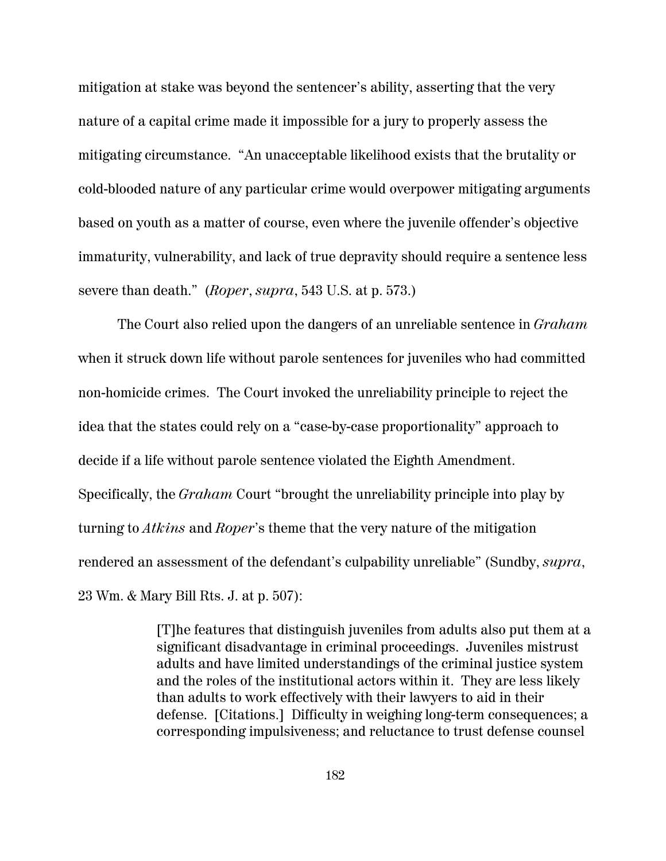mitigation at stake was beyond the sentencer's ability, asserting that the very nature of a capital crime made it impossible for a jury to properly assess the mitigating circumstance. "An unacceptable likelihood exists that the brutality or cold-blooded nature of any particular crime would overpower mitigating arguments based on youth as a matter of course, even where the juvenile offender's objective immaturity, vulnerability, and lack of true depravity should require a sentence less severe than death." (*Roper*, *supra*, 543 U.S. at p. 573.)

The Court also relied upon the dangers of an unreliable sentence in *Graham* when it struck down life without parole sentences for juveniles who had committed non-homicide crimes. The Court invoked the unreliability principle to reject the idea that the states could rely on a "case-by-case proportionality" approach to decide if a life without parole sentence violated the Eighth Amendment. Specifically, the *Graham* Court "brought the unreliability principle into play by turning to *Atkins* and *Roper*'s theme that the very nature of the mitigation rendered an assessment of the defendant's culpability unreliable" (Sundby, *supra*, 23 Wm. & Mary Bill Rts. J. at p. 507):

> [T]he features that distinguish juveniles from adults also put them at a significant disadvantage in criminal proceedings. Juveniles mistrust adults and have limited understandings of the criminal justice system and the roles of the institutional actors within it. They are less likely than adults to work effectively with their lawyers to aid in their defense. [Citations.] Difficulty in weighing long-term consequences; a corresponding impulsiveness; and reluctance to trust defense counsel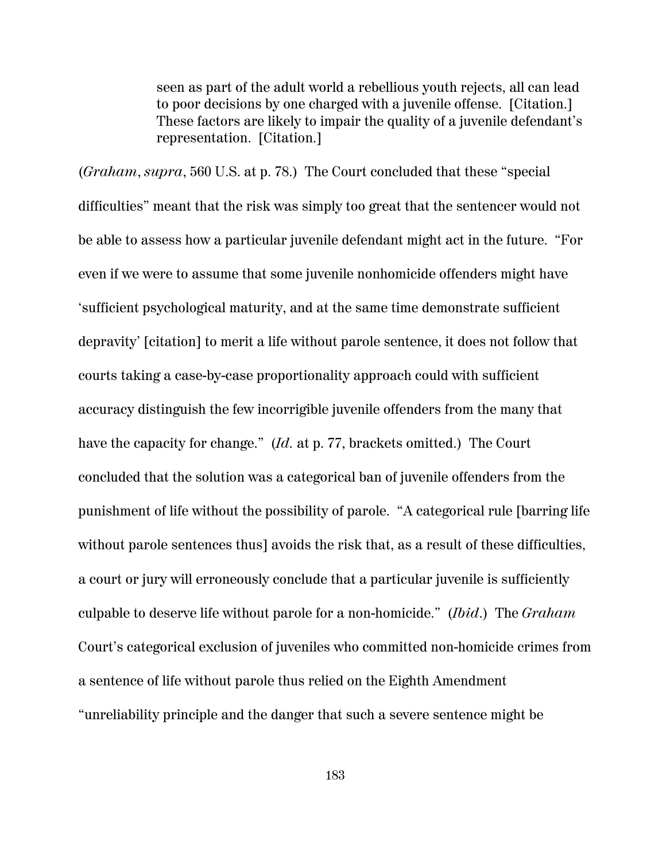seen as part of the adult world a rebellious youth rejects, all can lead to poor decisions by one charged with a juvenile offense. [Citation.] These factors are likely to impair the quality of a juvenile defendant's representation. [Citation.]

(*Graham*, *supra*, 560 U.S. at p. 78.) The Court concluded that these "special difficulties" meant that the risk was simply too great that the sentencer would not be able to assess how a particular juvenile defendant might act in the future. "For even if we were to assume that some juvenile nonhomicide offenders might have 'sufficient psychological maturity, and at the same time demonstrate sufficient depravity' [citation] to merit a life without parole sentence, it does not follow that courts taking a case-by-case proportionality approach could with sufficient accuracy distinguish the few incorrigible juvenile offenders from the many that have the capacity for change." (*Id.* at p. 77, brackets omitted.) The Court concluded that the solution was a categorical ban of juvenile offenders from the punishment of life without the possibility of parole. "A categorical rule [barring life without parole sentences thus] avoids the risk that, as a result of these difficulties, a court or jury will erroneously conclude that a particular juvenile is sufficiently culpable to deserve life without parole for a non-homicide." (*Ibid*.) The *Graham* Court's categorical exclusion of juveniles who committed non-homicide crimes from a sentence of life without parole thus relied on the Eighth Amendment "unreliability principle and the danger that such a severe sentence might be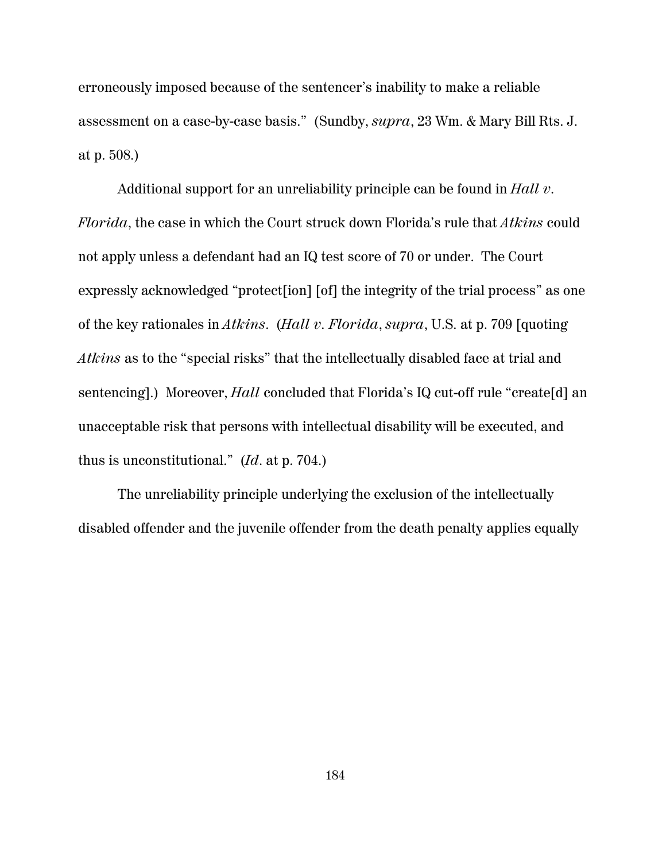erroneously imposed because of the sentencer's inability to make a reliable assessment on a case-by-case basis." (Sundby, *supra*, 23 Wm. & Mary Bill Rts. J. at p. 508.)

Additional support for an unreliability principle can be found in *Hall v. Florida*, the case in which the Court struck down Florida's rule that *Atkins* could not apply unless a defendant had an IQ test score of 70 or under. The Court expressly acknowledged "protect[ion] [of] the integrity of the trial process" as one of the key rationales in *Atkins*. (*Hall v. Florida*, *supra*, U.S. at p. 709 [quoting *Atkins* as to the "special risks" that the intellectually disabled face at trial and sentencing].) Moreover, *Hall* concluded that Florida's IQ cut-off rule "create[d] an unacceptable risk that persons with intellectual disability will be executed, and thus is unconstitutional." (*Id*. at p. 704.)

The unreliability principle underlying the exclusion of the intellectually disabled offender and the juvenile offender from the death penalty applies equally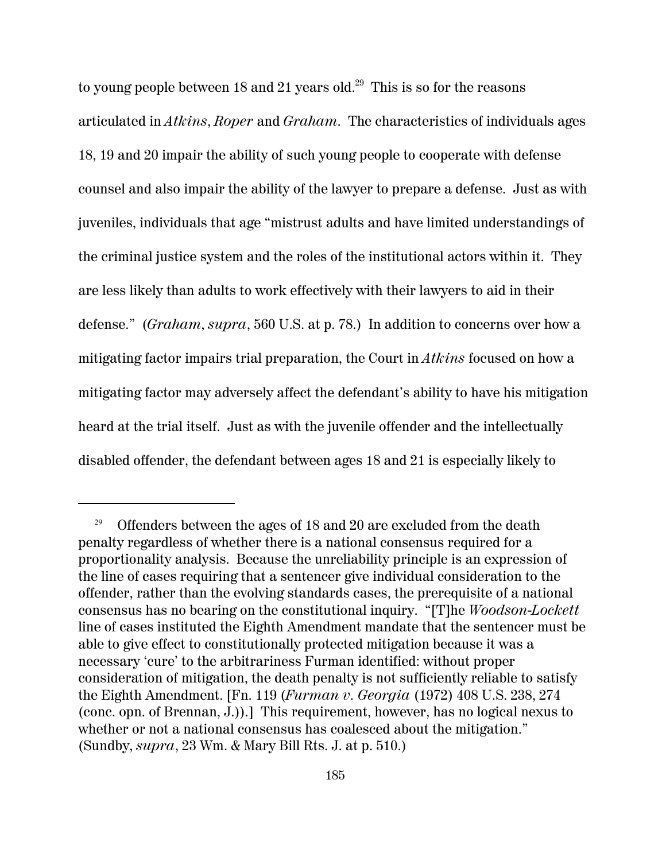to young people between 18 and 21 years old. $^{29}$  This is so for the reasons articulated in *Atkins*, *Roper* and *Graham*. The characteristics of individuals ages 18, 19 and 20 impair the ability of such young people to cooperate with defense counsel and also impair the ability of the lawyer to prepare a defense. Just as with juveniles, individuals that age "mistrust adults and have limited understandings of the criminal justice system and the roles of the institutional actors within it. They are less likely than adults to work effectively with their lawyers to aid in their defense." (*Graham*, *supra*, 560 U.S. at p. 78.) In addition to concerns over how a mitigating factor impairs trial preparation, the Court in *Atkins* focused on how a mitigating factor may adversely affect the defendant's ability to have his mitigation heard at the trial itself. Just as with the juvenile offender and the intellectually disabled offender, the defendant between ages 18 and 21 is especially likely to

Offenders between the ages of 18 and 20 are excluded from the death penalty regardless of whether there is a national consensus required for a proportionality analysis. Because the unreliability principle is an expression of the line of cases requiring that a sentencer give individual consideration to the offender, rather than the evolving standards cases, the prerequisite of a national consensus has no bearing on the constitutional inquiry. "[T]he *Woodson*-*Lockett* line of cases instituted the Eighth Amendment mandate that the sentencer must be able to give effect to constitutionally protected mitigation because it was a necessary 'cure' to the arbitrariness Furman identified: without proper consideration of mitigation, the death penalty is not sufficiently reliable to satisfy the Eighth Amendment. [Fn. 119 (*Furman v. Georgia* (1972) 408 U.S. 238, 274 (conc. opn. of Brennan, J.)).] This requirement, however, has no logical nexus to whether or not a national consensus has coalesced about the mitigation." (Sundby, *supra*, 23 Wm. & Mary Bill Rts. J. at p. 510.)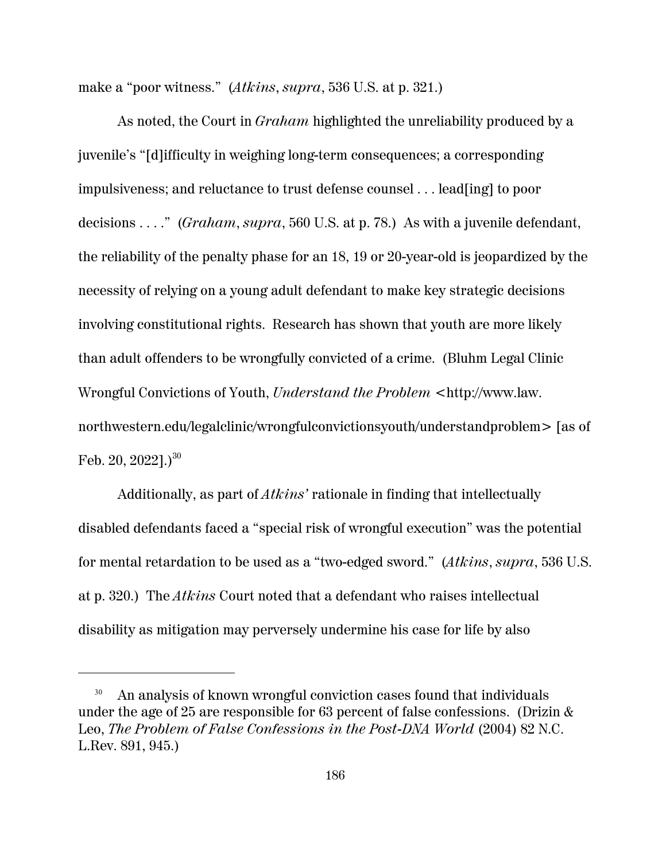make a "poor witness." (*Atkins*, *supra*, 536 U.S. at p. 321.)

As noted, the Court in *Graham* highlighted the unreliability produced by a juvenile's "[d]ifficulty in weighing long-term consequences; a corresponding impulsiveness; and reluctance to trust defense counsel . . . lead[ing] to poor decisions . . . ." (*Graham*, *supra*, 560 U.S. at p. 78.) As with a juvenile defendant, the reliability of the penalty phase for an 18, 19 or 20-year-old is jeopardized by the necessity of relying on a young adult defendant to make key strategic decisions involving constitutional rights. Research has shown that youth are more likely than adult offenders to be wrongfully convicted of a crime. (Bluhm Legal Clinic Wrongful Convictions of Youth, *Understand the Problem* <http://www.law. northwestern.edu/legalclinic/wrongfulconvictionsyouth/understandproblem> [as of Feb. 20,  $2022$ ].)<sup>30</sup>

Additionally, as part of *Atkins'* rationale in finding that intellectually disabled defendants faced a "special risk of wrongful execution" was the potential for mental retardation to be used as a "two-edged sword." (*Atkins*, *supra*, 536 U.S. at p. 320.) The *Atkins* Court noted that a defendant who raises intellectual disability as mitigation may perversely undermine his case for life by also

<sup>&</sup>lt;sup>30</sup> An analysis of known wrongful conviction cases found that individuals under the age of 25 are responsible for 63 percent of false confessions. (Drizin  $\&$ Leo, *The Problem of False Confessions in the Post-DNA World* (2004) 82 N.C. L.Rev. 891, 945.)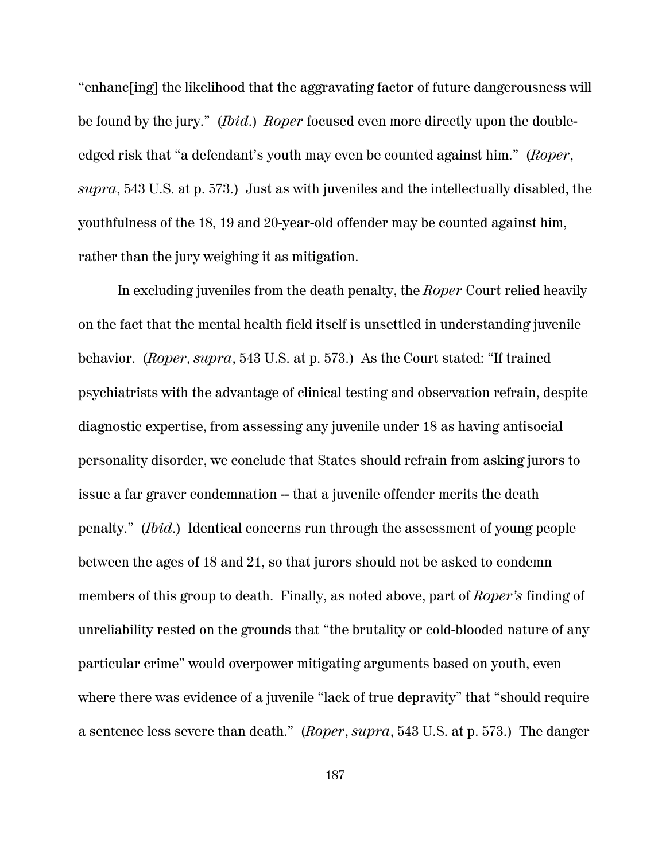"enhanc[ing] the likelihood that the aggravating factor of future dangerousness will be found by the jury." (*Ibid*.) *Roper* focused even more directly upon the doubleedged risk that "a defendant's youth may even be counted against him." (*Roper*, *supra*, 543 U.S. at p. 573.) Just as with juveniles and the intellectually disabled, the youthfulness of the 18, 19 and 20-year-old offender may be counted against him, rather than the jury weighing it as mitigation.

In excluding juveniles from the death penalty, the *Roper* Court relied heavily on the fact that the mental health field itself is unsettled in understanding juvenile behavior. (*Roper*, *supra*, 543 U.S. at p. 573.) As the Court stated: "If trained psychiatrists with the advantage of clinical testing and observation refrain, despite diagnostic expertise, from assessing any juvenile under 18 as having antisocial personality disorder, we conclude that States should refrain from asking jurors to issue a far graver condemnation -- that a juvenile offender merits the death penalty." (*Ibid*.) Identical concerns run through the assessment of young people between the ages of 18 and 21, so that jurors should not be asked to condemn members of this group to death. Finally, as noted above, part of *Roper's* finding of unreliability rested on the grounds that "the brutality or cold-blooded nature of any particular crime" would overpower mitigating arguments based on youth, even where there was evidence of a juvenile "lack of true depravity" that "should require a sentence less severe than death." (*Roper*, *supra*, 543 U.S. at p. 573.) The danger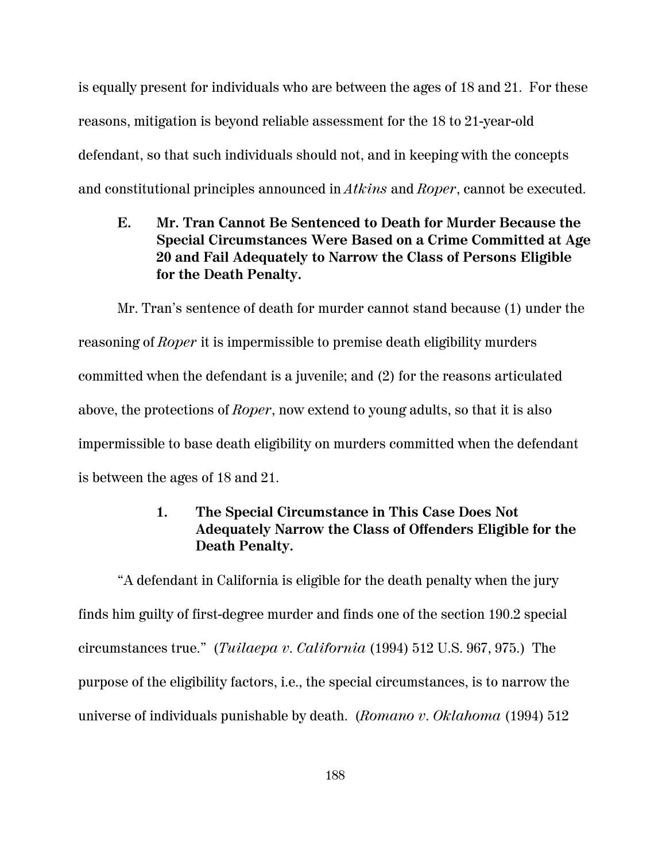is equally present for individuals who are between the ages of 18 and 21. For these reasons, mitigation is beyond reliable assessment for the 18 to 21-year-old defendant, so that such individuals should not, and in keeping with the concepts and constitutional principles announced in *Atkins* and *Roper*, cannot be executed.

# **E. Mr. Tran Cannot Be Sentenced to Death for Murder Because the Special Circumstances Were Based on a Crime Committed at Age 20 and Fail Adequately to Narrow the Class of Persons Eligible for the Death Penalty.**

Mr. Tran's sentence of death for murder cannot stand because (1) under the reasoning of *Roper* it is impermissible to premise death eligibility murders committed when the defendant is a juvenile; and (2) for the reasons articulated above, the protections of *Roper*, now extend to young adults, so that it is also impermissible to base death eligibility on murders committed when the defendant is between the ages of 18 and 21.

# **1. The Special Circumstance in This Case Does Not Adequately Narrow the Class of Offenders Eligible for the Death Penalty.**

"A defendant in California is eligible for the death penalty when the jury finds him guilty of first-degree murder and finds one of the section 190.2 special circumstances true." (*Tuilaepa v. California* (1994) 512 U.S. 967, 975.) The purpose of the eligibility factors, i.e., the special circumstances, is to narrow the universe of individuals punishable by death. (*Romano v. Oklahoma* (1994) 512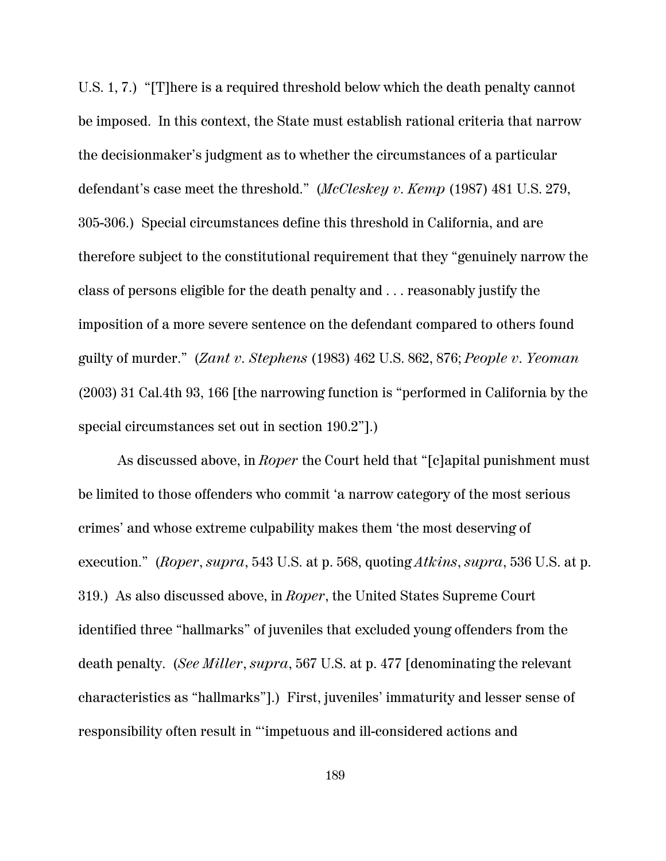U.S. 1, 7.) "[T]here is a required threshold below which the death penalty cannot be imposed. In this context, the State must establish rational criteria that narrow the decisionmaker's judgment as to whether the circumstances of a particular defendant's case meet the threshold." (*McCleskey v. Kemp* (1987) 481 U.S. 279, 305-306.) Special circumstances define this threshold in California, and are therefore subject to the constitutional requirement that they "genuinely narrow the class of persons eligible for the death penalty and . . . reasonably justify the imposition of a more severe sentence on the defendant compared to others found guilty of murder." (*Zant v. Stephens* (1983) 462 U.S. 862, 876; *People v. Yeoman* (2003) 31 Cal.4th 93, 166 [the narrowing function is "performed in California by the special circumstances set out in section 190.2"].)

As discussed above, in *Roper* the Court held that "[c]apital punishment must be limited to those offenders who commit 'a narrow category of the most serious crimes' and whose extreme culpability makes them 'the most deserving of execution." (*Roper*, *supra*, 543 U.S. at p. 568, quoting *Atkins*, *supra*, 536 U.S. at p. 319.) As also discussed above, in *Roper*, the United States Supreme Court identified three "hallmarks" of juveniles that excluded young offenders from the death penalty. (*See Miller*, *supra*, 567 U.S. at p. 477 [denominating the relevant characteristics as "hallmarks"].) First, juveniles' immaturity and lesser sense of responsibility often result in "'impetuous and ill-considered actions and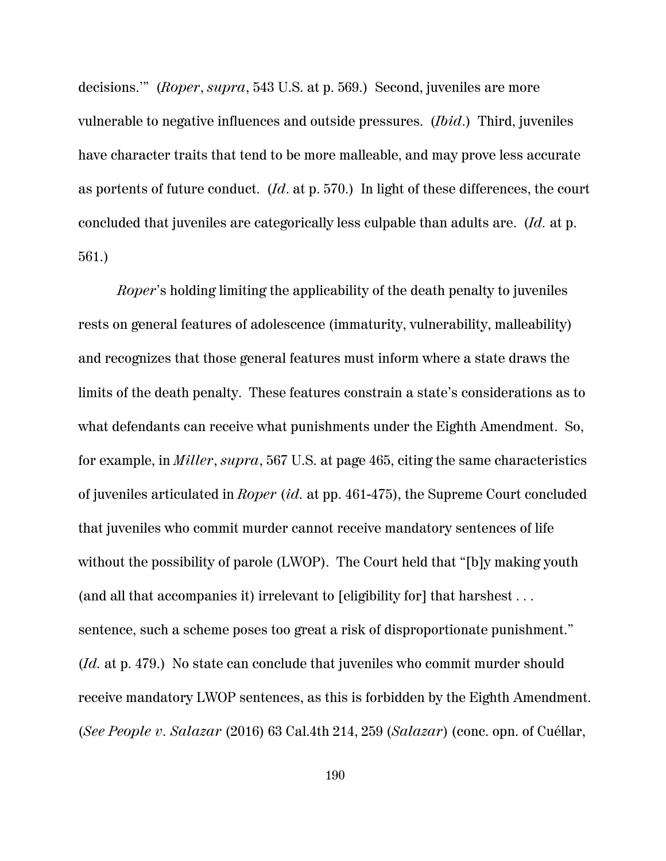decisions.'" (*Roper*, *supra*, 543 U.S. at p. 569.) Second, juveniles are more vulnerable to negative influences and outside pressures. (*Ibid*.) Third, juveniles have character traits that tend to be more malleable, and may prove less accurate as portents of future conduct. (*Id*. at p. 570.) In light of these differences, the court concluded that juveniles are categorically less culpable than adults are. (*Id.* at p. 561.)

*Roper*'s holding limiting the applicability of the death penalty to juveniles rests on general features of adolescence (immaturity, vulnerability, malleability) and recognizes that those general features must inform where a state draws the limits of the death penalty. These features constrain a state's considerations as to what defendants can receive what punishments under the Eighth Amendment. So, for example, in *Miller*, *supra*, 567 U.S. at page 465, citing the same characteristics of juveniles articulated in *Roper* (*id.* at pp. 461-475), the Supreme Court concluded that juveniles who commit murder cannot receive mandatory sentences of life without the possibility of parole (LWOP). The Court held that "[b]y making youth (and all that accompanies it) irrelevant to [eligibility for] that harshest . . . sentence, such a scheme poses too great a risk of disproportionate punishment." (*Id.* at p. 479.) No state can conclude that juveniles who commit murder should receive mandatory LWOP sentences, as this is forbidden by the Eighth Amendment. (*See People v. Salazar* (2016) 63 Cal.4th 214, 259 (*Salazar*) (conc. opn. of Cuéllar,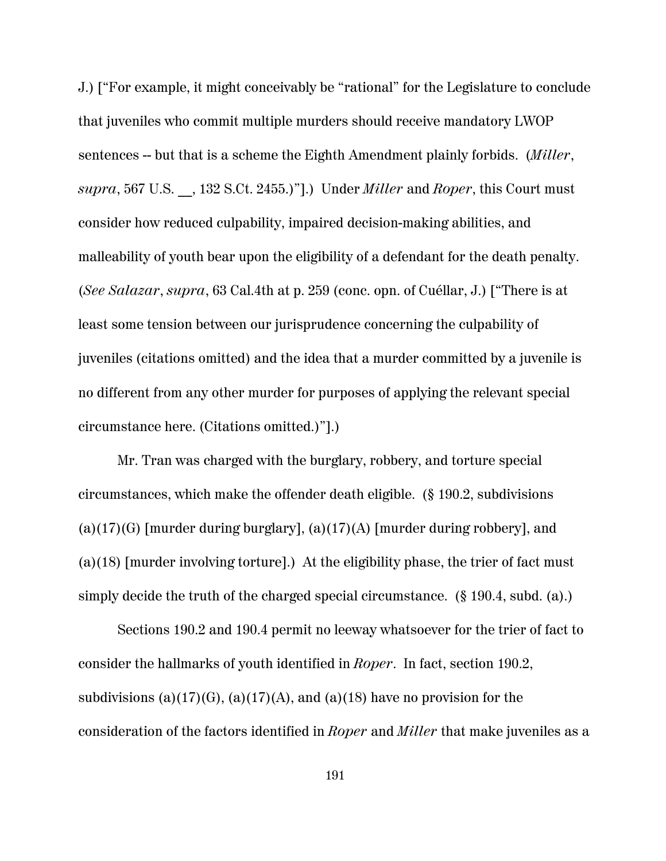J.) ["For example, it might conceivably be "rational" for the Legislature to conclude that juveniles who commit multiple murders should receive mandatory LWOP sentences -- but that is a scheme the Eighth Amendment plainly forbids. (*Miller*, *supra*, 567 U.S. \_\_, 132 S.Ct. 2455.)"].) Under *Miller* and *Roper*, this Court must consider how reduced culpability, impaired decision-making abilities, and malleability of youth bear upon the eligibility of a defendant for the death penalty. (*See Salazar*, *supra*, 63 Cal.4th at p. 259 (conc. opn. of Cuéllar, J.) ["There is at least some tension between our jurisprudence concerning the culpability of juveniles (citations omitted) and the idea that a murder committed by a juvenile is no different from any other murder for purposes of applying the relevant special circumstance here. (Citations omitted.)"].)

Mr. Tran was charged with the burglary, robbery, and torture special circumstances, which make the offender death eligible. (§ 190.2, subdivisions  $(a)(17)(G)$  [murder during burglary],  $(a)(17)(A)$  [murder during robbery], and (a)(18) [murder involving torture].) At the eligibility phase, the trier of fact must simply decide the truth of the charged special circumstance. (§ 190.4, subd. (a).)

Sections 190.2 and 190.4 permit no leeway whatsoever for the trier of fact to consider the hallmarks of youth identified in *Roper*. In fact, section 190.2, subdivisions (a)(17)(G), (a)(17)(A), and (a)(18) have no provision for the consideration of the factors identified in *Roper* and *Miller* that make juveniles as a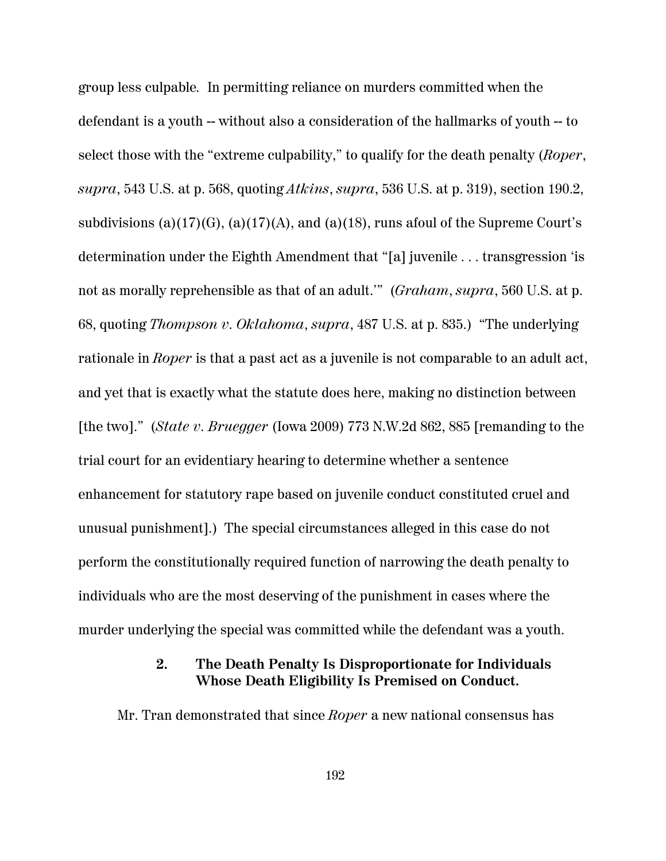group less culpable*.* In permitting reliance on murders committed when the defendant is a youth -- without also a consideration of the hallmarks of youth -- to select those with the "extreme culpability," to qualify for the death penalty (*Roper*, *supra*, 543 U.S. at p. 568, quoting *Atkins*, *supra*, 536 U.S. at p. 319), section 190.2, subdivisions (a)(17)(G), (a)(17)(A), and (a)(18), runs afoul of the Supreme Court's determination under the Eighth Amendment that "[a] juvenile . . . transgression 'is not as morally reprehensible as that of an adult.'" (*Graham*, *supra*, 560 U.S. at p. 68, quoting *Thompson v. Oklahoma*, *supra*, 487 U.S. at p. 835.) "The underlying rationale in *Roper* is that a past act as a juvenile is not comparable to an adult act, and yet that is exactly what the statute does here, making no distinction between [the two]." (*State v. Bruegger* (Iowa 2009) 773 N.W.2d 862, 885 [remanding to the trial court for an evidentiary hearing to determine whether a sentence enhancement for statutory rape based on juvenile conduct constituted cruel and unusual punishment].) The special circumstances alleged in this case do not perform the constitutionally required function of narrowing the death penalty to individuals who are the most deserving of the punishment in cases where the murder underlying the special was committed while the defendant was a youth.

## **2. The Death Penalty Is Disproportionate for Individuals Whose Death Eligibility Is Premised on Conduct.**

Mr. Tran demonstrated that since *Roper* a new national consensus has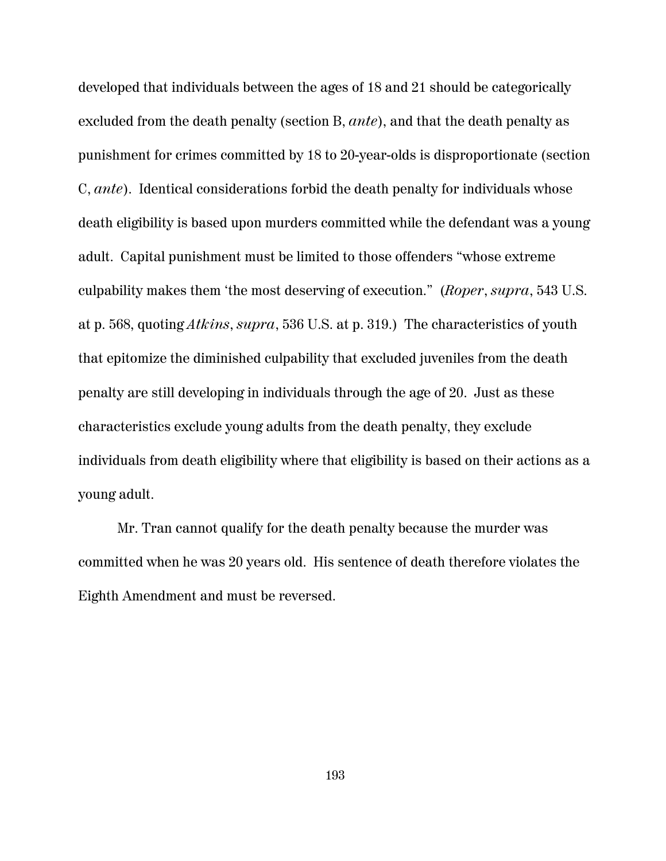developed that individuals between the ages of 18 and 21 should be categorically excluded from the death penalty (section B, *ante*), and that the death penalty as punishment for crimes committed by 18 to 20-year-olds is disproportionate (section C, *ante*). Identical considerations forbid the death penalty for individuals whose death eligibility is based upon murders committed while the defendant was a young adult. Capital punishment must be limited to those offenders "whose extreme culpability makes them 'the most deserving of execution." (*Roper*, *supra*, 543 U.S. at p. 568, quoting *Atkins*, *supra*, 536 U.S. at p. 319.) The characteristics of youth that epitomize the diminished culpability that excluded juveniles from the death penalty are still developing in individuals through the age of 20. Just as these characteristics exclude young adults from the death penalty, they exclude individuals from death eligibility where that eligibility is based on their actions as a young adult.

Mr. Tran cannot qualify for the death penalty because the murder was committed when he was 20 years old. His sentence of death therefore violates the Eighth Amendment and must be reversed.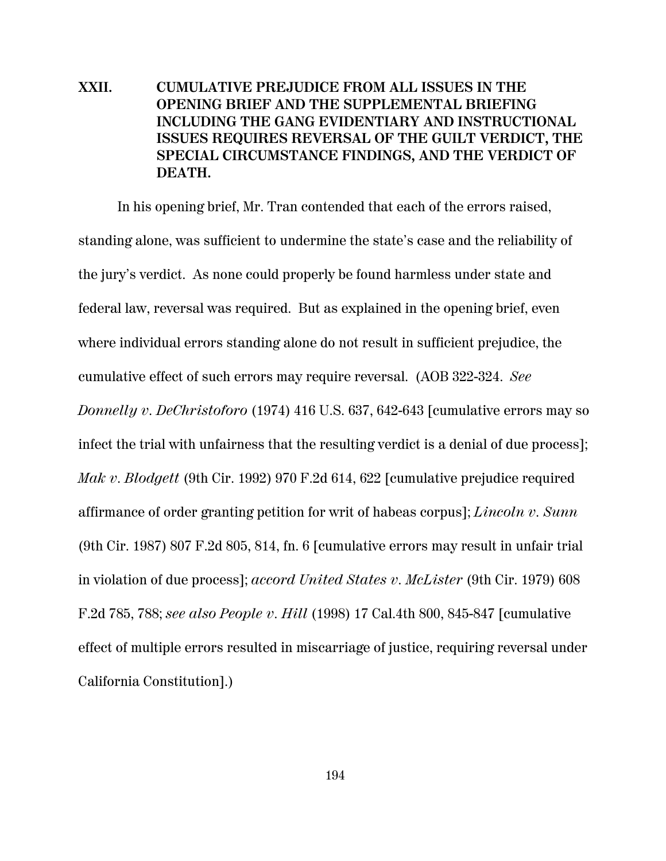**XXII. CUMULATIVE PREJUDICE FROM ALL ISSUES IN THE OPENING BRIEF AND THE SUPPLEMENTAL BRIEFING INCLUDING THE GANG EVIDENTIARY AND INSTRUCTIONAL ISSUES REQUIRES REVERSAL OF THE GUILT VERDICT, THE SPECIAL CIRCUMSTANCE FINDINGS, AND THE VERDICT OF DEATH.**

In his opening brief, Mr. Tran contended that each of the errors raised, standing alone, was sufficient to undermine the state's case and the reliability of the jury's verdict. As none could properly be found harmless under state and federal law, reversal was required. But as explained in the opening brief, even where individual errors standing alone do not result in sufficient prejudice, the cumulative effect of such errors may require reversal. (AOB 322-324. *See Donnelly v. DeChristoforo* (1974) 416 U.S. 637, 642-643 [cumulative errors may so infect the trial with unfairness that the resulting verdict is a denial of due process]; *Mak v. Blodgett* (9th Cir. 1992) 970 F.2d 614, 622 [cumulative prejudice required affirmance of order granting petition for writ of habeas corpus]; *Lincoln v. Sunn* (9th Cir. 1987) 807 F.2d 805, 814, fn. 6 [cumulative errors may result in unfair trial in violation of due process]; *accord United States v. McLister* (9th Cir. 1979) 608 F.2d 785, 788; *see also People v. Hill* (1998) 17 Cal.4th 800, 845-847 [cumulative effect of multiple errors resulted in miscarriage of justice, requiring reversal under California Constitution].)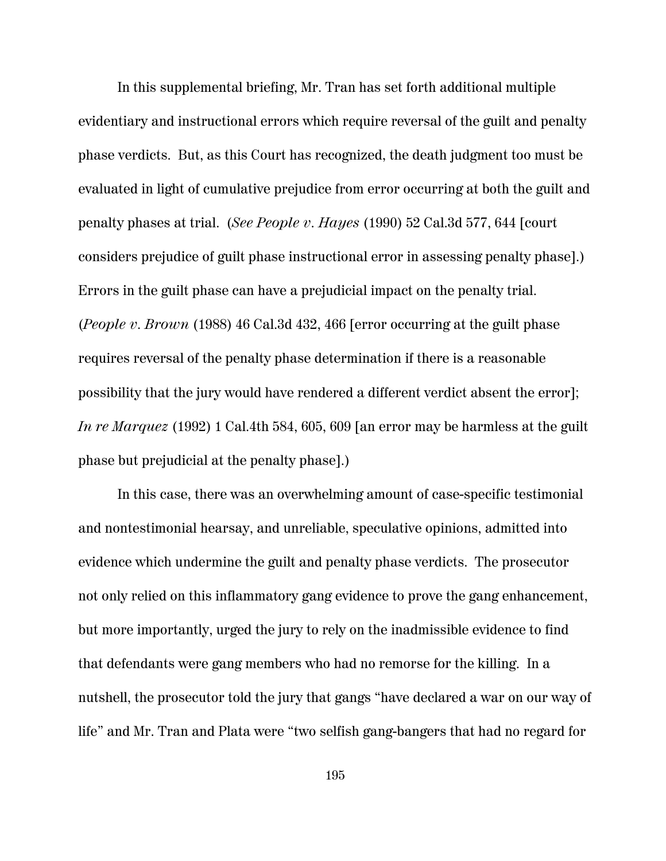In this supplemental briefing, Mr. Tran has set forth additional multiple evidentiary and instructional errors which require reversal of the guilt and penalty phase verdicts. But, as this Court has recognized, the death judgment too must be evaluated in light of cumulative prejudice from error occurring at both the guilt and penalty phases at trial. (*See People v. Hayes* (1990) 52 Cal.3d 577, 644 [court considers prejudice of guilt phase instructional error in assessing penalty phase].) Errors in the guilt phase can have a prejudicial impact on the penalty trial. (*People v. Brown* (1988) 46 Cal.3d 432, 466 [error occurring at the guilt phase requires reversal of the penalty phase determination if there is a reasonable possibility that the jury would have rendered a different verdict absent the error]; *In re Marquez* (1992) 1 Cal.4th 584, 605, 609 [an error may be harmless at the guilt phase but prejudicial at the penalty phase].)

In this case, there was an overwhelming amount of case-specific testimonial and nontestimonial hearsay, and unreliable, speculative opinions, admitted into evidence which undermine the guilt and penalty phase verdicts. The prosecutor not only relied on this inflammatory gang evidence to prove the gang enhancement, but more importantly, urged the jury to rely on the inadmissible evidence to find that defendants were gang members who had no remorse for the killing. In a nutshell, the prosecutor told the jury that gangs "have declared a war on our way of life" and Mr. Tran and Plata were "two selfish gang-bangers that had no regard for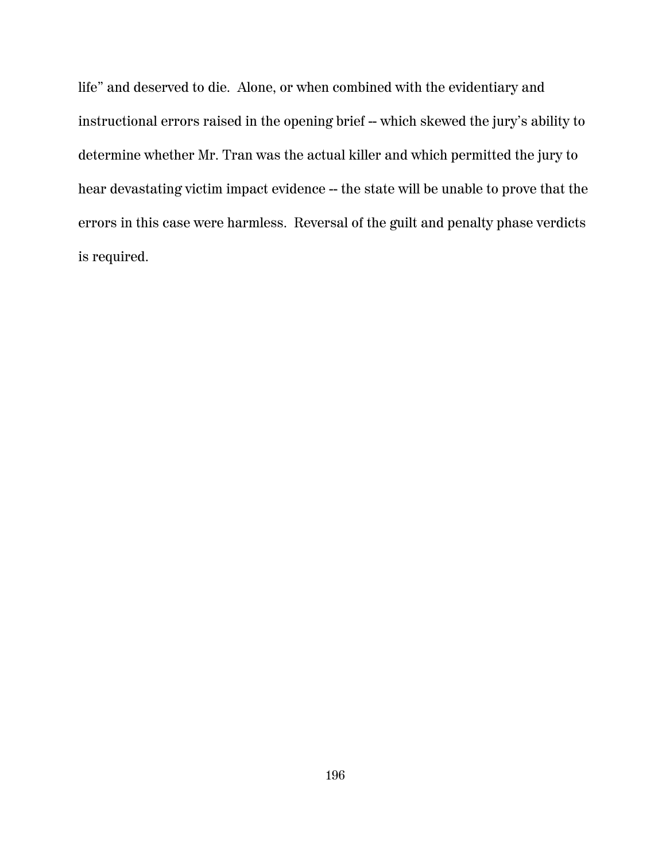life" and deserved to die. Alone, or when combined with the evidentiary and instructional errors raised in the opening brief -- which skewed the jury's ability to determine whether Mr. Tran was the actual killer and which permitted the jury to hear devastating victim impact evidence -- the state will be unable to prove that the errors in this case were harmless. Reversal of the guilt and penalty phase verdicts is required.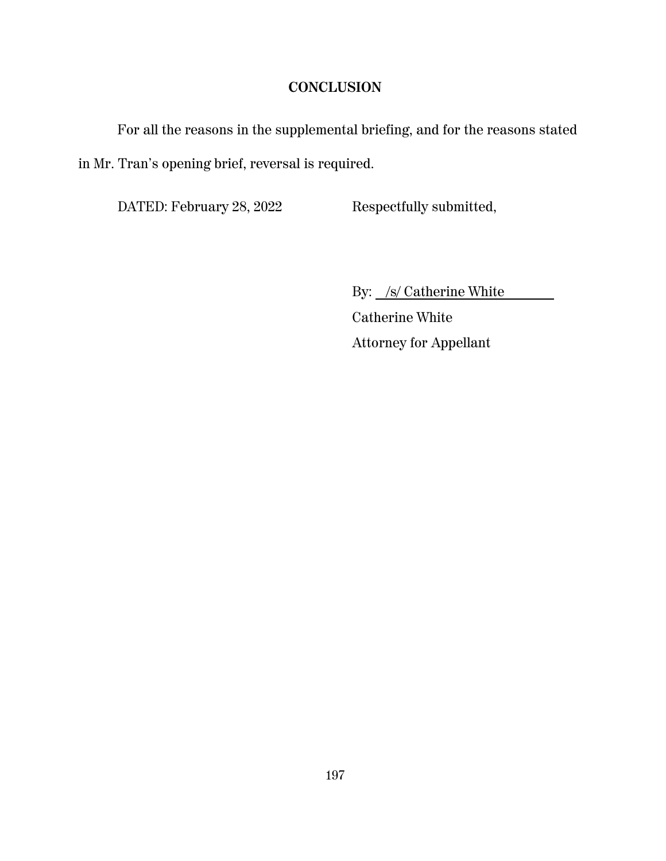# **CONCLUSION**

For all the reasons in the supplemental briefing, and for the reasons stated in Mr. Tran's opening brief, reversal is required.

DATED: February 28, 2022 Respectfully submitted,

By: /s/ Catherine White

 Catherine White Attorney for Appellant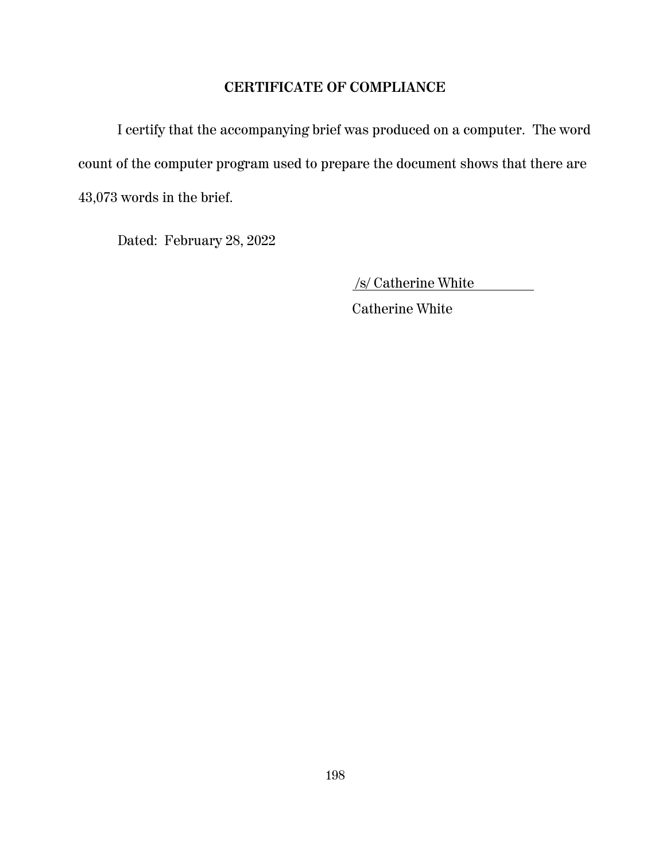# **CERTIFICATE OF COMPLIANCE**

I certify that the accompanying brief was produced on a computer. The word count of the computer program used to prepare the document shows that there are 43,073 words in the brief.

Dated: February 28, 2022

/s/ Catherine White

Catherine White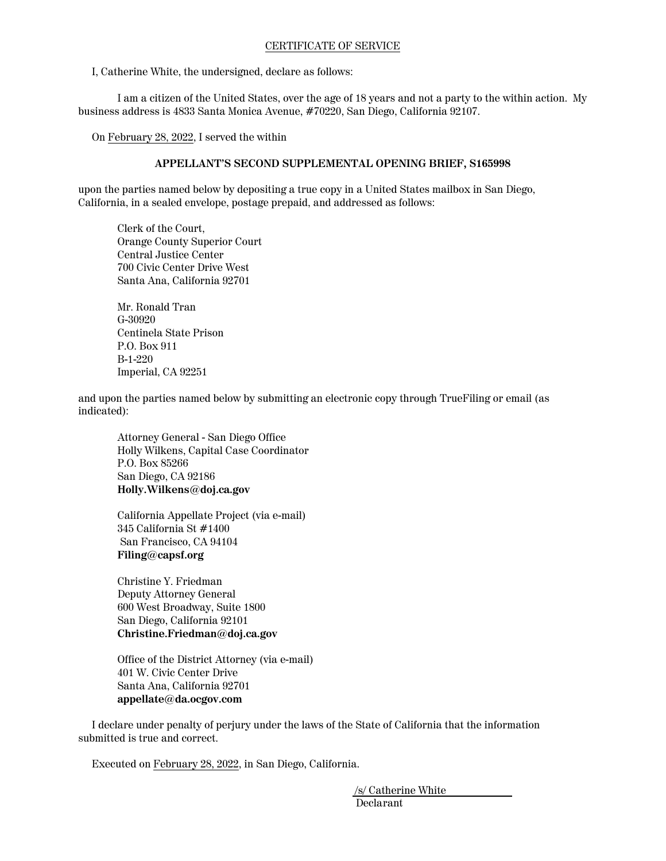#### CERTIFICATE OF SERVICE

I, Catherine White, the undersigned, declare as follows:

I am a citizen of the United States, over the age of 18 years and not a party to the within action. My business address is 4833 Santa Monica Avenue, #70220, San Diego, California 92107.

On February 28, 2022, I served the within

#### **APPELLANT'S SECOND SUPPLEMENTAL OPENING BRIEF, S165998**

upon the parties named below by depositing a true copy in a United States mailbox in San Diego, California, in a sealed envelope, postage prepaid, and addressed as follows:

Clerk of the Court, Orange County Superior Court Central Justice Center 700 Civic Center Drive West Santa Ana, California 92701

Mr. Ronald Tran G-30920 Centinela State Prison P.O. Box 911 B-1-220 Imperial, CA 92251

and upon the parties named below by submitting an electronic copy through TrueFiling or email (as indicated):

Attorney General - San Diego Office Holly Wilkens, Capital Case Coordinator P.O. Box 85266 San Diego, CA 92186 **Holly.Wilkens@doj.ca.gov**

California Appellate Project (via e-mail) 345 California St #1400 San Francisco, CA 94104 **Filing@capsf.org**

Christine Y. Friedman Deputy Attorney General 600 West Broadway, Suite 1800 San Diego, California 92101 **Christine.Friedman@doj.ca.gov**

Office of the District Attorney (via e-mail) 401 W. Civic Center Drive Santa Ana, California 92701 **appellate@da.ocgov.com**

 I declare under penalty of perjury under the laws of the State of California that the information submitted is true and correct.

Executed on February 28, 2022, in San Diego, California.

 /s/ Catherine White Declarant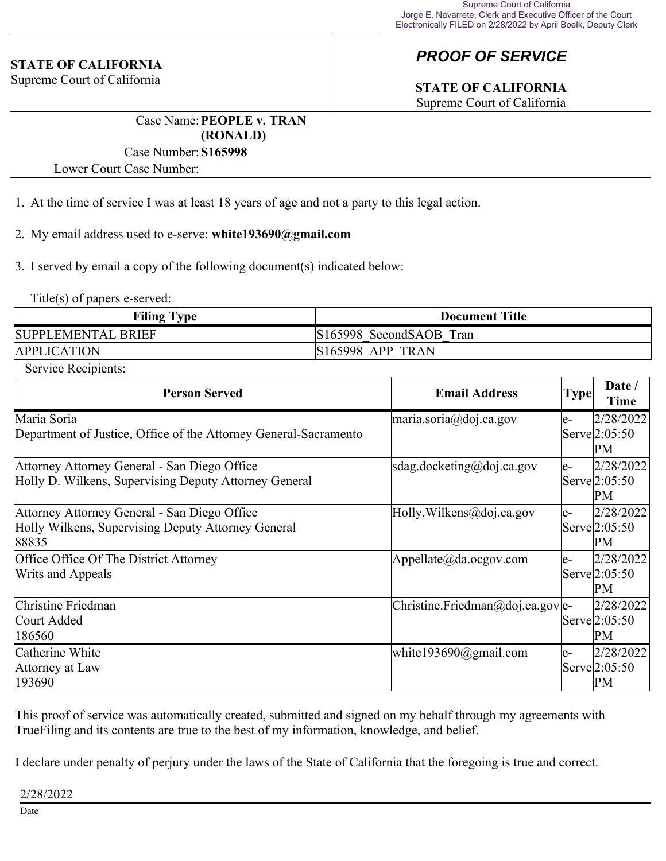### **STATE OF CALIFORNIA**

Supreme Court of California

# *PROOF OF SERVICE*

# **STATE OF CALIFORNIA**

Supreme Court of California

Case Name:**PEOPLE v. TRAN (RONALD)**

### Case Number:**S165998**

Lower Court Case Number:

1. At the time of service I was at least 18 years of age and not a party to this legal action.

### 2. My email address used to e-serve: **white193690@gmail.com**

3. I served by email a copy of the following document(s) indicated below:

Title(s) of papers e-served:

| <b>Filing Type</b> | <b>Document Title</b>   |  |
|--------------------|-------------------------|--|
| SUPPLEMENTAL BRIEF | S165998 SecondSAOB Tran |  |
| <b>APPLICATION</b> | <b>S165998 APP TRAN</b> |  |

Service Recipients:

| <b>Person Served</b>                                             | <b>Email Address</b>                                                   | <b>Type</b> | Date /<br><b>Time</b>      |
|------------------------------------------------------------------|------------------------------------------------------------------------|-------------|----------------------------|
| Maria Soria                                                      | maria.soria@doj.ca.gov                                                 | le-         | 2/28/2022                  |
| Department of Justice, Office of the Attorney General-Sacramento |                                                                        |             | Serve <sup>[2:05:50]</sup> |
|                                                                  |                                                                        |             | PM                         |
| Attorney Attorney General - San Diego Office                     | sdag.docketing@doj.ca.gov                                              | le-         | 2/28/2022                  |
| Holly D. Wilkens, Supervising Deputy Attorney General            |                                                                        |             | Serve 2:05:50              |
|                                                                  |                                                                        |             | PM                         |
| Attorney Attorney General - San Diego Office                     | Holly.Wilkens@doj.ca.gov                                               | le-         | 2/28/2022                  |
| Holly Wilkens, Supervising Deputy Attorney General               |                                                                        |             | Serve <sup>[2:05:50]</sup> |
| 88835                                                            |                                                                        |             | PM                         |
| Office Office Of The District Attorney                           | Appellate@da.ocgov.com                                                 | le-         | 2/28/2022                  |
| Writs and Appeals                                                |                                                                        |             | Serve 2:05:50              |
|                                                                  |                                                                        |             | PM                         |
| Christine Friedman                                               | $\vert$ Christine. Friedman $\vert\omega\vert$ doj. ca. gov $\vert$ e- |             | 2/28/2022                  |
| Court Added                                                      |                                                                        |             | Serve 2:05:50              |
| 186560                                                           |                                                                        |             | PM                         |
| Catherine White                                                  | white $193690$ @gmail.com                                              | le-         | 2/28/2022                  |
| Attorney at Law                                                  |                                                                        |             | Serve 2:05:50              |
| 193690                                                           |                                                                        |             | PM                         |

This proof of service was automatically created, submitted and signed on my behalf through my agreements with TrueFiling and its contents are true to the best of my information, knowledge, and belief.

I declare under penalty of perjury under the laws of the State of California that the foregoing is true and correct.

2/28/2022